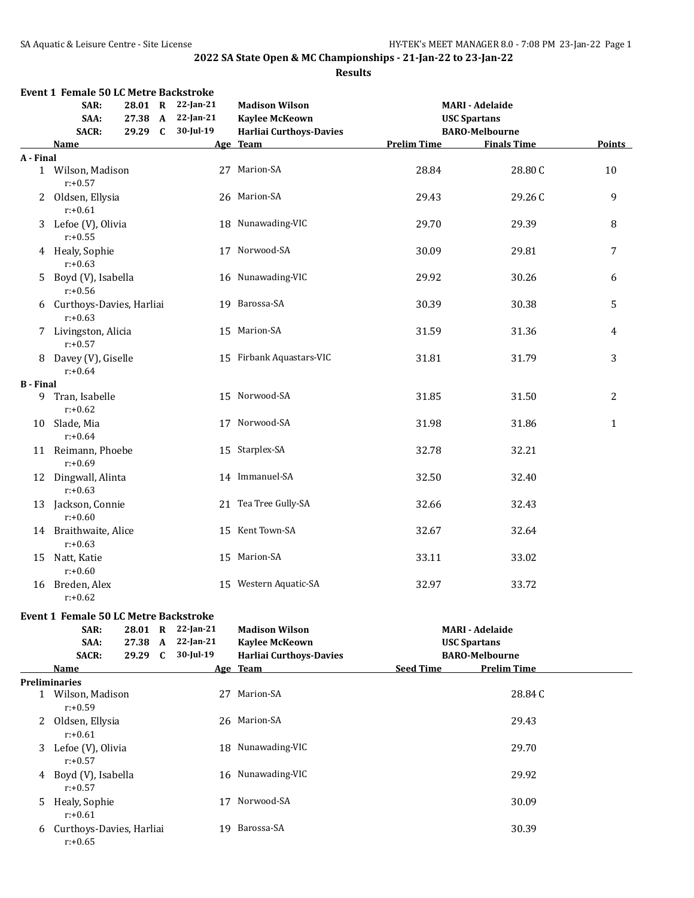|                  | <b>Event 1 Female 50 LC Metre Backstroke</b><br>SAR:<br>SAA: |         | 28.01 R 22-Jan-21<br>27.38 A 22-Jan-21 | <b>Madison Wilson</b><br><b>Kaylee McKeown</b> |                    | <b>MARI - Adelaide</b><br><b>USC Spartans</b> |              |
|------------------|--------------------------------------------------------------|---------|----------------------------------------|------------------------------------------------|--------------------|-----------------------------------------------|--------------|
|                  | <b>SACR:</b><br>Name                                         |         | 29.29 C 30-Jul-19                      | <b>Harliai Curthoys-Davies</b><br>Age Team     | <b>Prelim Time</b> | <b>BARO-Melbourne</b><br><b>Finals Time</b>   | Points       |
| A - Final        |                                                              |         |                                        |                                                |                    |                                               |              |
|                  | 1 Wilson, Madison<br>$r: +0.57$                              |         |                                        | 27 Marion-SA                                   | 28.84              | 28.80 C                                       | 10           |
|                  | 2 Oldsen, Ellysia<br>$r: +0.61$                              |         |                                        | 26 Marion-SA                                   | 29.43              | 29.26C                                        | 9            |
|                  | 3 Lefoe (V), Olivia<br>$r: +0.55$                            |         |                                        | 18 Nunawading-VIC                              | 29.70              | 29.39                                         | 8            |
|                  | 4 Healy, Sophie<br>$r: +0.63$                                |         |                                        | 17 Norwood-SA                                  | 30.09              | 29.81                                         | 7            |
|                  | 5 Boyd (V), Isabella<br>$r: +0.56$                           |         |                                        | 16 Nunawading-VIC                              | 29.92              | 30.26                                         | 6            |
|                  | 6 Curthoys-Davies, Harliai<br>$r: +0.63$                     |         |                                        | 19 Barossa-SA                                  | 30.39              | 30.38                                         | 5            |
|                  | 7 Livingston, Alicia<br>$r: +0.57$                           |         |                                        | 15 Marion-SA                                   | 31.59              | 31.36                                         | 4            |
|                  | 8 Davey (V), Giselle<br>$r: +0.64$                           |         |                                        | 15 Firbank Aquastars-VIC                       | 31.81              | 31.79                                         | 3            |
| <b>B</b> - Final |                                                              |         |                                        |                                                |                    |                                               |              |
| 9                | Tran, Isabelle<br>$r: +0.62$                                 |         |                                        | 15 Norwood-SA                                  | 31.85              | 31.50                                         | 2            |
|                  | 10 Slade, Mia<br>$r: +0.64$                                  |         |                                        | 17 Norwood-SA                                  | 31.98              | 31.86                                         | $\mathbf{1}$ |
|                  | 11 Reimann, Phoebe<br>$r: +0.69$                             |         |                                        | 15 Starplex-SA                                 | 32.78              | 32.21                                         |              |
|                  | 12 Dingwall, Alinta<br>$r: +0.63$                            |         |                                        | 14 Immanuel-SA                                 | 32.50              | 32.40                                         |              |
|                  | 13 Jackson, Connie<br>$r: +0.60$                             |         |                                        | 21 Tea Tree Gully-SA                           | 32.66              | 32.43                                         |              |
|                  | 14 Braithwaite, Alice<br>$r: +0.63$                          |         |                                        | 15 Kent Town-SA                                | 32.67              | 32.64                                         |              |
|                  | 15 Natt, Katie<br>$r: +0.60$                                 |         |                                        | 15 Marion-SA                                   | 33.11              | 33.02                                         |              |
|                  | 16 Breden, Alex<br>$r: +0.62$                                |         |                                        | 15 Western Aquatic-SA                          | 32.97              | 33.72                                         |              |
|                  | Event 1 Female 50 LC Metre Backstroke                        |         |                                        |                                                |                    |                                               |              |
|                  | SAR:                                                         |         | 28.01 R 22-Jan-21                      | <b>Madison Wilson</b>                          |                    | <b>MARI - Adelaide</b>                        |              |
|                  | SAA:                                                         |         | 27.38 A 22-Jan-21                      | <b>Kaylee McKeown</b>                          |                    | <b>USC Spartans</b>                           |              |
|                  | <b>SACR:</b>                                                 | 29.29 C | 30-Jul-19                              | <b>Harliai Curthoys-Davies</b>                 |                    | <b>BARO-Melbourne</b>                         |              |
|                  | Name                                                         |         |                                        | Age Team                                       | <b>Seed Time</b>   | <b>Prelim Time</b>                            |              |
|                  | <b>Preliminaries</b>                                         |         |                                        |                                                |                    |                                               |              |
|                  | 1 Wilson, Madison<br>$r: +0.59$                              |         |                                        | 27 Marion-SA                                   |                    | 28.84C                                        |              |
|                  | 2 Oldsen, Ellysia<br>$r: +0.61$                              |         |                                        | 26 Marion-SA                                   |                    | 29.43                                         |              |
|                  | 3 Lefoe (V), Olivia<br>$r: +0.57$                            |         |                                        | 18 Nunawading-VIC                              |                    | 29.70                                         |              |
|                  | 4 Boyd (V), Isabella<br>$r: +0.57$                           |         |                                        | 16 Nunawading-VIC                              |                    | 29.92                                         |              |
|                  | 5 Healy, Sophie<br>$r: +0.61$                                |         |                                        | 17 Norwood-SA                                  |                    | 30.09                                         |              |
|                  | 6 Curthoys-Davies, Harliai<br>$r: +0.65$                     |         |                                        | 19 Barossa-SA                                  |                    | 30.39                                         |              |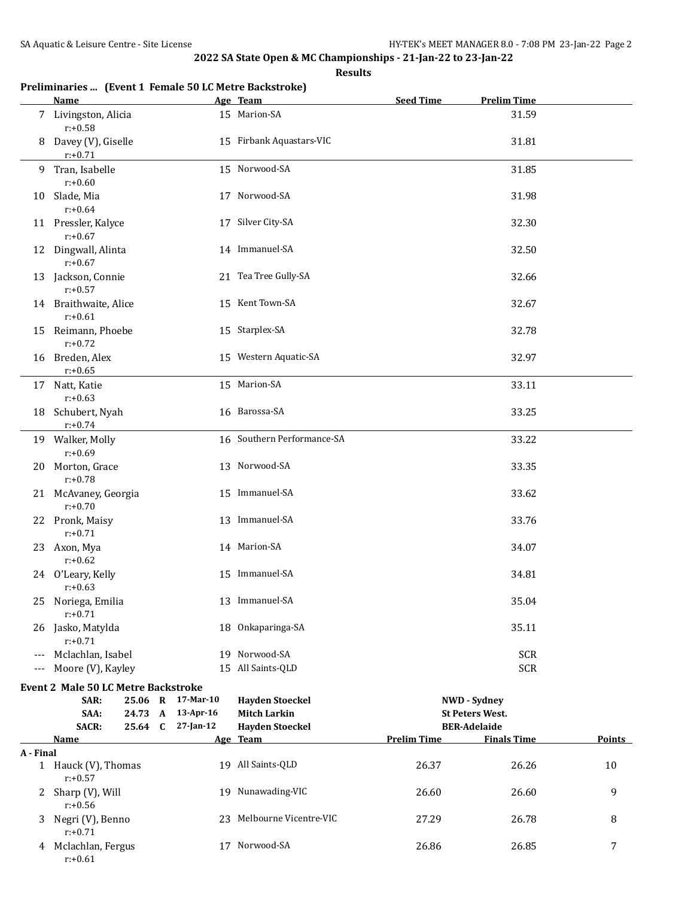#### **Results**

# **Preliminaries ... (Event 1 Female 50 LC Metre Backstroke)**

|           | Name                                               |                           | Age Team                                  | <b>Seed Time</b>   | <b>Prelim Time</b>                            |               |
|-----------|----------------------------------------------------|---------------------------|-------------------------------------------|--------------------|-----------------------------------------------|---------------|
|           | 7 Livingston, Alicia<br>$r: +0.58$                 |                           | 15 Marion-SA                              |                    | 31.59                                         |               |
|           | 8 Davey (V), Giselle<br>$r: +0.71$                 |                           | 15 Firbank Aquastars-VIC                  |                    | 31.81                                         |               |
|           | 9 Tran, Isabelle<br>$r: +0.60$                     |                           | 15 Norwood-SA                             |                    | 31.85                                         |               |
| 10        | Slade, Mia<br>$r: +0.64$                           |                           | 17 Norwood-SA                             |                    | 31.98                                         |               |
|           | 11 Pressler, Kalyce<br>$r: +0.67$                  |                           | 17 Silver City-SA                         |                    | 32.30                                         |               |
|           | 12 Dingwall, Alinta<br>$r: +0.67$                  |                           | 14 Immanuel-SA                            |                    | 32.50                                         |               |
|           | 13 Jackson, Connie<br>$r: +0.57$                   |                           | 21 Tea Tree Gully-SA                      |                    | 32.66                                         |               |
|           | 14 Braithwaite, Alice<br>$r: +0.61$                |                           | 15 Kent Town-SA                           |                    | 32.67                                         |               |
|           | 15 Reimann, Phoebe<br>$r: +0.72$                   |                           | 15 Starplex-SA                            |                    | 32.78                                         |               |
|           | 16 Breden, Alex<br>$r: +0.65$                      |                           | 15 Western Aquatic-SA                     |                    | 32.97                                         |               |
|           | 17 Natt, Katie<br>$r: +0.63$                       |                           | 15 Marion-SA                              |                    | 33.11                                         |               |
|           | 18 Schubert, Nyah<br>$r: +0.74$                    |                           | 16 Barossa-SA                             |                    | 33.25                                         |               |
|           | 19 Walker, Molly<br>$r: +0.69$                     |                           | 16 Southern Performance-SA                |                    | 33.22                                         |               |
|           | 20 Morton, Grace<br>$r: +0.78$                     |                           | 13 Norwood-SA                             |                    | 33.35                                         |               |
|           | 21 McAvaney, Georgia<br>$r: +0.70$                 |                           | 15 Immanuel-SA                            |                    | 33.62                                         |               |
|           | 22 Pronk, Maisy<br>$r: +0.71$                      |                           | 13 Immanuel-SA                            |                    | 33.76                                         |               |
|           | 23 Axon, Mya<br>$r: +0.62$                         |                           | 14 Marion-SA<br>15 Immanuel-SA            |                    | 34.07                                         |               |
| 25        | 24 O'Leary, Kelly<br>$r: +0.63$<br>Noriega, Emilia |                           | 13 Immanuel-SA                            |                    | 34.81<br>35.04                                |               |
| 26        | $r: +0.71$<br>Jasko, Matylda                       |                           | 18 Onkaparinga-SA                         |                    | 35.11                                         |               |
|           | $r: +0.71$<br>Mclachlan, Isabel                    |                           | 19 Norwood-SA                             |                    | <b>SCR</b>                                    |               |
|           | Moore (V), Kayley                                  |                           | 15 All Saints-QLD                         |                    | <b>SCR</b>                                    |               |
|           |                                                    |                           |                                           |                    |                                               |               |
|           | <b>Event 2 Male 50 LC Metre Backstroke</b>         |                           |                                           |                    |                                               |               |
|           | SAR:                                               | 25.06 R 17-Mar-10         | <b>Hayden Stoeckel</b>                    |                    | <b>NWD</b> - Sydney                           |               |
|           | SAA:<br>24.73 A                                    | 13-Apr-16<br>$27$ -Jan-12 | <b>Mitch Larkin</b>                       |                    | <b>St Peters West.</b><br><b>BER-Adelaide</b> |               |
|           | <b>SACR:</b><br>25.64 C<br>Name                    |                           | <b>Hayden Stoeckel</b><br><u>Age Team</u> | <b>Prelim Time</b> | <b>Finals Time</b>                            | <b>Points</b> |
| A - Final |                                                    |                           |                                           |                    |                                               |               |
|           | 1 Hauck (V), Thomas<br>$r: +0.57$                  |                           | 19 All Saints-QLD                         | 26.37              | 26.26                                         | 10            |
| 2         | Sharp (V), Will<br>$r: +0.56$                      |                           | 19 Nunawading-VIC                         | 26.60              | 26.60                                         | 9             |
| 3         | Negri (V), Benno<br>$r: +0.71$                     |                           | 23 Melbourne Vicentre-VIC                 | 27.29              | 26.78                                         | 8             |
| 4         | Mclachlan, Fergus<br>$r: +0.61$                    |                           | 17 Norwood-SA                             | 26.86              | 26.85                                         | 7             |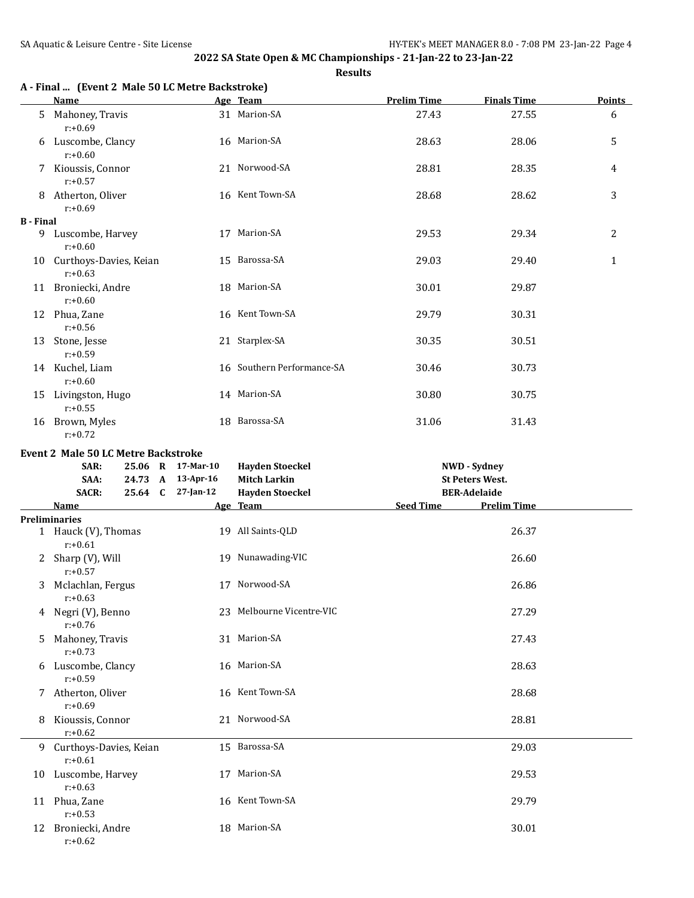|           | A - Final  (Event 2 Male 50 LC Metre Backstroke)<br>Name |                   | Age Team                   | <b>Prelim Time</b> | <b>Finals Time</b>     | Points |
|-----------|----------------------------------------------------------|-------------------|----------------------------|--------------------|------------------------|--------|
|           | 5 Mahoney, Travis<br>$r: +0.69$                          |                   | 31 Marion-SA               | 27.43              | 27.55                  | 6      |
|           | 6 Luscombe, Clancy<br>$r: +0.60$                         |                   | 16 Marion-SA               | 28.63              | 28.06                  | 5      |
|           | 7 Kioussis, Connor<br>$r: +0.57$                         |                   | 21 Norwood-SA              | 28.81              | 28.35                  | 4      |
|           | 8 Atherton, Oliver<br>$r: +0.69$                         |                   | 16 Kent Town-SA            | 28.68              | 28.62                  | 3      |
| B - Final |                                                          |                   |                            |                    |                        |        |
| 9         | Luscombe, Harvey<br>$r: +0.60$                           |                   | 17 Marion-SA               | 29.53              | 29.34                  | 2      |
|           | 10 Curthoys-Davies, Keian<br>$r: +0.63$                  |                   | 15 Barossa-SA              | 29.03              | 29.40                  | 1      |
|           | 11 Broniecki, Andre<br>$r: +0.60$                        |                   | 18 Marion-SA               | 30.01              | 29.87                  |        |
|           | 12 Phua, Zane<br>$r: +0.56$                              |                   | 16 Kent Town-SA            | 29.79              | 30.31                  |        |
|           | 13 Stone, Jesse<br>$r: +0.59$                            |                   | 21 Starplex-SA             | 30.35              | 30.51                  |        |
|           | 14 Kuchel, Liam<br>$r: +0.60$                            |                   | 16 Southern Performance-SA | 30.46              | 30.73                  |        |
|           | 15 Livingston, Hugo<br>$r: +0.55$                        |                   | 14 Marion-SA               | 30.80              | 30.75                  |        |
|           | 16 Brown, Myles<br>$r: +0.72$                            |                   | 18 Barossa-SA              | 31.06              | 31.43                  |        |
|           | Event 2 Male 50 LC Metre Backstroke                      |                   |                            |                    |                        |        |
|           | SAR:                                                     | 25.06 R 17-Mar-10 | <b>Hayden Stoeckel</b>     |                    | <b>NWD</b> - Sydney    |        |
|           | SAA:                                                     | 24.73 A 13-Apr-16 | <b>Mitch Larkin</b>        |                    | <b>St Peters West.</b> |        |
|           | <b>SACR:</b>                                             | 25.64 C 27-Jan-12 | <b>Hayden Stoeckel</b>     |                    | <b>BER-Adelaide</b>    |        |
|           | Name                                                     |                   | Age Team                   | <b>Seed Time</b>   | <b>Prelim Time</b>     |        |
|           | <b>Preliminaries</b>                                     |                   |                            |                    |                        |        |
|           | 1 Hauck (V), Thomas<br>$r: +0.61$                        |                   | 19 All Saints-QLD          |                    | 26.37                  |        |
|           | 2 Sharp (V), Will<br>$r: +0.57$                          |                   | 19 Nunawading-VIC          |                    | 26.60                  |        |
|           | 3 Mclachlan, Fergus<br>$r: +0.63$                        |                   | 17 Norwood-SA              |                    | 26.86                  |        |
|           | 4 Negri (V), Benno<br>$r: +0.76$                         |                   | 23 Melbourne Vicentre-VIC  |                    | 27.29                  |        |
| 5.        | Mahoney, Travis<br>$r: +0.73$                            |                   | 31 Marion-SA               |                    | 27.43                  |        |
| 6         | Luscombe, Clancy<br>$r: +0.59$                           |                   | 16 Marion-SA               |                    | 28.63                  |        |
|           | 7 Atherton, Oliver<br>$r: +0.69$                         |                   | 16 Kent Town-SA            |                    | 28.68                  |        |
| 8         | Kioussis, Connor<br>$r: +0.62$                           |                   | 21 Norwood-SA              |                    | 28.81                  |        |
| 9         | Curthoys-Davies, Keian<br>$r: +0.61$                     |                   | 15 Barossa-SA              |                    | 29.03                  |        |
| 10        | Luscombe, Harvey<br>$r: +0.63$                           |                   | 17 Marion-SA               |                    | 29.53                  |        |
|           | 11 Phua, Zane<br>$r: +0.53$                              |                   | 16 Kent Town-SA            |                    | 29.79                  |        |
|           | 12 Broniecki, Andre<br>$r: +0.62$                        |                   | 18 Marion-SA               |                    | 30.01                  |        |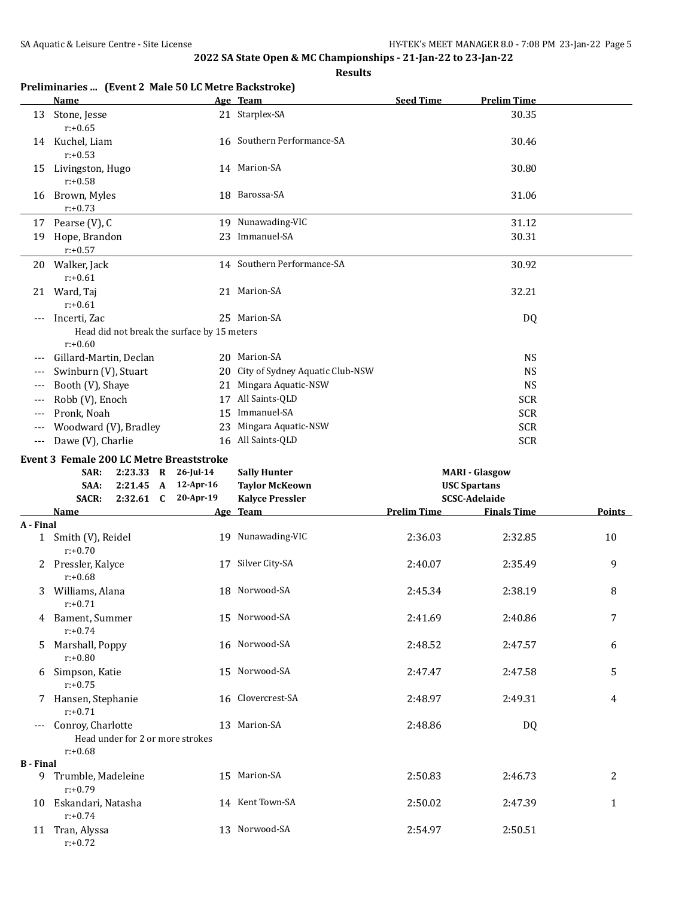| Preliminaries  (Event 2 Male 50 LC Metre Backstroke) | Name                                                                    | Age Team                           | <b>Seed Time</b>   | <b>Prelim Time</b>                         |               |
|------------------------------------------------------|-------------------------------------------------------------------------|------------------------------------|--------------------|--------------------------------------------|---------------|
|                                                      | 13 Stone, Jesse<br>$r: +0.65$                                           | 21 Starplex-SA                     |                    | 30.35                                      |               |
|                                                      | 14 Kuchel, Liam<br>$r: +0.53$                                           | 16 Southern Performance-SA         |                    | 30.46                                      |               |
|                                                      | 15 Livingston, Hugo<br>$r: +0.58$                                       | 14 Marion-SA                       |                    | 30.80                                      |               |
|                                                      | 16 Brown, Myles<br>$r: +0.73$                                           | 18 Barossa-SA                      |                    | 31.06                                      |               |
|                                                      | 17 Pearse (V), C                                                        | 19 Nunawading-VIC                  |                    | 31.12                                      |               |
|                                                      | 19 Hope, Brandon<br>$r: +0.57$                                          | 23 Immanuel-SA                     |                    | 30.31                                      |               |
|                                                      | 20 Walker, Jack<br>$r: +0.61$                                           | 14 Southern Performance-SA         |                    | 30.92                                      |               |
|                                                      | 21 Ward, Taj<br>$r: +0.61$                                              | 21 Marion-SA                       |                    | 32.21                                      |               |
| $\qquad \qquad - -$                                  | Incerti, Zac                                                            | 25 Marion-SA                       |                    | DQ                                         |               |
|                                                      | Head did not break the surface by 15 meters<br>$r: +0.60$               |                                    |                    |                                            |               |
| $---$                                                | Gillard-Martin, Declan                                                  | 20 Marion-SA                       |                    | <b>NS</b>                                  |               |
| $---$                                                | Swinburn (V), Stuart                                                    | 20 City of Sydney Aquatic Club-NSW |                    | <b>NS</b>                                  |               |
| $---$                                                | Booth (V), Shaye                                                        | 21 Mingara Aquatic-NSW             |                    | <b>NS</b>                                  |               |
|                                                      | Robb (V), Enoch                                                         | 17 All Saints-QLD                  |                    | <b>SCR</b>                                 |               |
|                                                      | Pronk, Noah                                                             | 15 Immanuel-SA                     |                    | <b>SCR</b>                                 |               |
|                                                      | Woodward (V), Bradley                                                   | 23 Mingara Aquatic-NSW             |                    | <b>SCR</b>                                 |               |
| $---$                                                | Dawe (V), Charlie                                                       | 16 All Saints-QLD                  |                    | <b>SCR</b>                                 |               |
|                                                      | <b>Event 3 Female 200 LC Metre Breaststroke</b>                         |                                    |                    |                                            |               |
|                                                      | 2:23.33 R 26-Jul-14<br>SAR:                                             | <b>Sally Hunter</b>                |                    | <b>MARI - Glasgow</b>                      |               |
|                                                      | $12$ -Apr-16<br>2:21.45<br>SAA:<br>$\mathbf{A}$                         | <b>Taylor McKeown</b>              |                    | <b>USC Spartans</b>                        |               |
|                                                      | 20-Apr-19<br><b>SACR:</b><br>$2:32.61$ C<br>Name                        | <b>Kalyce Pressler</b><br>Age Team | <b>Prelim Time</b> | <b>SCSC-Adelaide</b><br><b>Finals Time</b> | <b>Points</b> |
| A - Final                                            |                                                                         |                                    |                    |                                            |               |
|                                                      |                                                                         |                                    |                    |                                            |               |
|                                                      | 1 Smith (V), Reidel<br>$r: +0.70$                                       | 19 Nunawading-VIC                  | 2:36.03            | 2:32.85                                    | 10            |
|                                                      | 2 Pressler, Kalyce<br>$r: +0.68$                                        | 17 Silver City-SA                  | 2:40.07            | 2:35.49                                    | 9             |
|                                                      | 3 Williams, Alana<br>$r: +0.71$                                         | 18 Norwood-SA                      | 2:45.34            | 2:38.19                                    | 8             |
|                                                      | 4 Bament, Summer<br>$r: +0.74$                                          | 15 Norwood-SA                      | 2:41.69            | 2:40.86                                    | 7             |
|                                                      | 5 Marshall, Poppy<br>$r: +0.80$                                         | 16 Norwood-SA                      | 2:48.52            | 2:47.57                                    | 6             |
|                                                      | 6 Simpson, Katie<br>$r: +0.75$                                          | 15 Norwood-SA                      | 2:47.47            | 2:47.58                                    | 5             |
|                                                      | 7 Hansen, Stephanie<br>$r: +0.71$                                       | 16 Clovercrest-SA                  | 2:48.97            | 2:49.31                                    | 4             |
|                                                      | --- Conroy, Charlotte<br>Head under for 2 or more strokes<br>$r: +0.68$ | 13 Marion-SA                       | 2:48.86            | DQ                                         |               |
| <b>B</b> - Final                                     |                                                                         |                                    |                    |                                            |               |
|                                                      | 9 Trumble, Madeleine<br>$r: +0.79$                                      | 15 Marion-SA                       | 2:50.83            | 2:46.73                                    | 2             |
|                                                      | 10 Eskandari, Natasha<br>$r: +0.74$<br>11 Tran, Alyssa                  | 14 Kent Town-SA<br>13 Norwood-SA   | 2:50.02<br>2:54.97 | 2:47.39<br>2:50.51                         | 1             |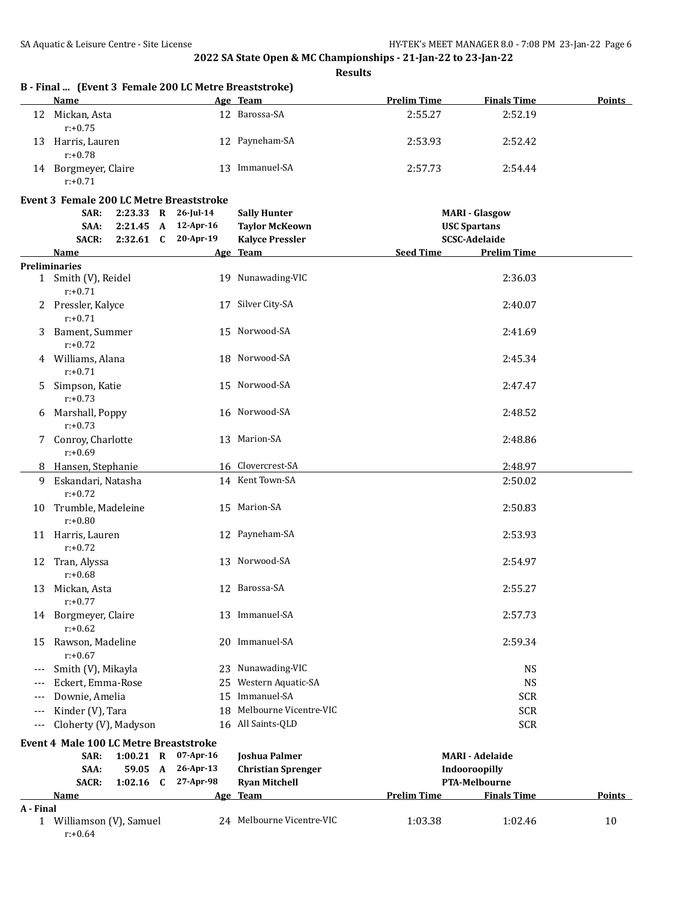**Results**

|    | B - Final  (Event 3 Female 200 LC Metre Breaststroke) |                 |                |                    |                    |               |
|----|-------------------------------------------------------|-----------------|----------------|--------------------|--------------------|---------------|
|    | Name                                                  |                 | Age Team       | <b>Prelim Time</b> | <b>Finals Time</b> | <b>Points</b> |
| 12 | Mickan, Asta<br>$r: +0.75$                            | 12 <sup>1</sup> | Barossa-SA     | 2:55.27            | 2:52.19            |               |
| 13 | Harris, Lauren<br>$r: +0.78$                          |                 | 12 Payneham-SA | 2:53.93            | 2:52.42            |               |
| 14 | Borgmeyer, Claire<br>$r: +0.71$                       | 13.             | Immanuel-SA    | 2:57.73            | 2:54.44            |               |

## **Event 3 Female 200 LC Metre Breaststroke**

|           | SAR:                                          |             |              | 2:23.33 R 26-Jul-14 | <b>Sally Hunter</b>       |                    | <b>MARI - Glasgow</b>  |               |
|-----------|-----------------------------------------------|-------------|--------------|---------------------|---------------------------|--------------------|------------------------|---------------|
|           | SAA:                                          | 2:21.45 A   |              | 12-Apr-16           | <b>Taylor McKeown</b>     |                    | <b>USC Spartans</b>    |               |
|           | <b>SACR:</b>                                  | $2:32.61$ C |              | 20-Apr-19           | <b>Kalyce Pressler</b>    |                    | <b>SCSC-Adelaide</b>   |               |
|           | <b>Name</b>                                   |             |              |                     | Age Team                  | <b>Seed Time</b>   | <b>Prelim Time</b>     |               |
|           | <b>Preliminaries</b>                          |             |              |                     |                           |                    |                        |               |
|           | 1 Smith (V), Reidel<br>$r: +0.71$             |             |              |                     | 19 Nunawading-VIC         |                    | 2:36.03                |               |
|           | 2 Pressler, Kalyce<br>$r: +0.71$              |             |              |                     | 17 Silver City-SA         |                    | 2:40.07                |               |
|           | 3 Bament, Summer<br>$r: +0.72$                |             |              |                     | 15 Norwood-SA             |                    | 2:41.69                |               |
|           | 4 Williams, Alana<br>$r: +0.71$               |             |              |                     | 18 Norwood-SA             |                    | 2:45.34                |               |
|           | 5 Simpson, Katie<br>$r: +0.73$                |             |              |                     | 15 Norwood-SA             |                    | 2:47.47                |               |
|           | 6 Marshall, Poppy<br>$r: +0.73$               |             |              |                     | 16 Norwood-SA             |                    | 2:48.52                |               |
|           | 7 Conroy, Charlotte<br>$r: +0.69$             |             |              |                     | 13 Marion-SA              |                    | 2:48.86                |               |
|           | 8 Hansen, Stephanie                           |             |              |                     | 16 Clovercrest-SA         |                    | 2:48.97                |               |
| 9         | Eskandari, Natasha<br>$r: +0.72$              |             |              |                     | 14 Kent Town-SA           |                    | 2:50.02                |               |
| 10        | Trumble, Madeleine<br>$r: +0.80$              |             |              |                     | 15 Marion-SA              |                    | 2:50.83                |               |
|           | 11 Harris, Lauren<br>$r: +0.72$               |             |              |                     | 12 Payneham-SA            |                    | 2:53.93                |               |
|           | 12 Tran, Alyssa<br>$r: +0.68$                 |             |              |                     | 13 Norwood-SA             |                    | 2:54.97                |               |
|           | 13 Mickan, Asta<br>$r: +0.77$                 |             |              |                     | 12 Barossa-SA             |                    | 2:55.27                |               |
|           | 14 Borgmeyer, Claire<br>$r: +0.62$            |             |              |                     | 13 Immanuel-SA            |                    | 2:57.73                |               |
| 15        | Rawson, Madeline<br>$r: +0.67$                |             |              |                     | 20 Immanuel-SA            |                    | 2:59.34                |               |
| $---$     | Smith (V), Mikayla                            |             |              |                     | 23 Nunawading-VIC         |                    | <b>NS</b>              |               |
| $---$     | Eckert, Emma-Rose                             |             |              |                     | 25 Western Aquatic-SA     |                    | <b>NS</b>              |               |
| $---$     | Downie, Amelia                                |             |              |                     | 15 Immanuel-SA            |                    | SCR                    |               |
| ---       | Kinder (V), Tara                              |             |              |                     | 18 Melbourne Vicentre-VIC |                    | <b>SCR</b>             |               |
|           | Cloherty (V), Madyson                         |             |              |                     | 16 All Saints-QLD         |                    | <b>SCR</b>             |               |
|           |                                               |             |              |                     |                           |                    |                        |               |
|           | <b>Event 4 Male 100 LC Metre Breaststroke</b> |             |              |                     |                           |                    |                        |               |
|           | SAR:                                          | $1:00.21$ R |              | $07$ -Apr-16        | <b>Joshua Palmer</b>      |                    | <b>MARI - Adelaide</b> |               |
|           | SAA:                                          | 59.05       | $\mathbf{A}$ | 26-Apr-13           | <b>Christian Sprenger</b> |                    | Indooroopilly          |               |
|           | <b>SACR:</b>                                  | $1:02.16$ C |              | 27-Apr-98           | <b>Ryan Mitchell</b>      |                    | PTA-Melbourne          |               |
| A - Final | <b>Name</b>                                   |             |              |                     | <u>Age Team</u>           | <b>Prelim Time</b> | <b>Finals Time</b>     | <b>Points</b> |
|           | 1 Williamson (V), Samuel<br>$r: +0.64$        |             |              |                     | 24 Melbourne Vicentre-VIC | 1:03.38            | 1:02.46                | 10            |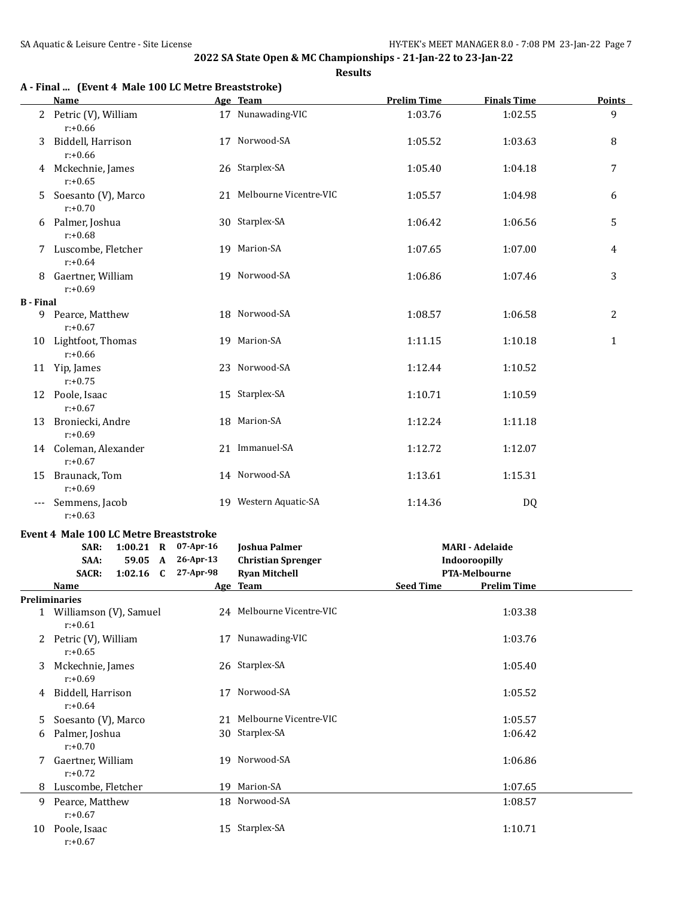**Results**

|  |  |  |  | A - Final  (Event 4 Male 100 LC Metre Breaststroke) |
|--|--|--|--|-----------------------------------------------------|
|--|--|--|--|-----------------------------------------------------|

|                  | <b>Name</b>                         | Age Team                  | <b>Prelim Time</b> | <b>Finals Time</b> | <b>Points</b> |
|------------------|-------------------------------------|---------------------------|--------------------|--------------------|---------------|
|                  | 2 Petric (V), William<br>$r: +0.66$ | 17 Nunawading-VIC         | 1:03.76            | 1:02.55            | 9             |
| 3                | Biddell, Harrison<br>$r: +0.66$     | 17 Norwood-SA             | 1:05.52            | 1:03.63            | 8             |
| 4                | Mckechnie, James<br>$r: +0.65$      | 26 Starplex-SA            | 1:05.40            | 1:04.18            | 7             |
| 5.               | Soesanto (V), Marco<br>$r: +0.70$   | 21 Melbourne Vicentre-VIC | 1:05.57            | 1:04.98            | 6             |
| 6                | Palmer, Joshua<br>$r: +0.68$        | 30 Starplex-SA            | 1:06.42            | 1:06.56            | 5             |
| 7                | Luscombe, Fletcher<br>$r: +0.64$    | 19 Marion-SA              | 1:07.65            | 1:07.00            | 4             |
| 8                | Gaertner, William<br>$r: +0.69$     | 19 Norwood-SA             | 1:06.86            | 1:07.46            | 3             |
| <b>B</b> - Final |                                     |                           |                    |                    |               |
| 9                | Pearce, Matthew<br>$r: +0.67$       | 18 Norwood-SA             | 1:08.57            | 1:06.58            | 2             |
| 10               | Lightfoot, Thomas<br>$r: +0.66$     | 19 Marion-SA              | 1:11.15            | 1:10.18            | $\mathbf{1}$  |
|                  | 11 Yip, James<br>$r: +0.75$         | 23 Norwood-SA             | 1:12.44            | 1:10.52            |               |
|                  | 12 Poole, Isaac<br>$r: +0.67$       | 15 Starplex-SA            | 1:10.71            | 1:10.59            |               |
| 13               | Broniecki, Andre<br>$r: +0.69$      | 18 Marion-SA              | 1:12.24            | 1:11.18            |               |
|                  | 14 Coleman, Alexander<br>$r: +0.67$ | 21 Immanuel-SA            | 1:12.72            | 1:12.07            |               |
| 15               | Braunack, Tom<br>$r: +0.69$         | 14 Norwood-SA             | 1:13.61            | 1:15.31            |               |
| $---$            | Semmens, Jacob<br>$r: +0.63$        | 19 Western Aquatic-SA     | 1:14.36            | DQ                 |               |

#### **Event 4 Male 100 LC Metre Breaststroke**

|    | SAR:<br>SAA:<br><b>SACR:</b>           | 1:00.21<br>59.05<br>$1:02.16$ C | $\bf{R}$<br>$\mathbf{A}$ | $07$ -Apr-16<br>26-Apr-13<br>27-Apr-98 | <b>Joshua Palmer</b><br><b>Christian Sprenger</b><br><b>Ryan Mitchell</b> |                  | <b>MARI - Adelaide</b><br>Indooroopilly<br><b>PTA-Melbourne</b> |  |
|----|----------------------------------------|---------------------------------|--------------------------|----------------------------------------|---------------------------------------------------------------------------|------------------|-----------------------------------------------------------------|--|
|    | Name                                   |                                 |                          |                                        | Age Team                                                                  | <b>Seed Time</b> | <b>Prelim Time</b>                                              |  |
|    | Preliminaries                          |                                 |                          |                                        |                                                                           |                  |                                                                 |  |
|    | 1 Williamson (V), Samuel<br>$r: +0.61$ |                                 |                          |                                        | 24 Melbourne Vicentre-VIC                                                 |                  | 1:03.38                                                         |  |
| 2  | Petric (V), William<br>$r: +0.65$      |                                 |                          | 17                                     | Nunawading-VIC                                                            |                  | 1:03.76                                                         |  |
| 3  | Mckechnie, James<br>$r: +0.69$         |                                 |                          |                                        | 26 Starplex-SA                                                            |                  | 1:05.40                                                         |  |
| 4  | Biddell, Harrison<br>$r: +0.64$        |                                 |                          | 17                                     | Norwood-SA                                                                |                  | 1:05.52                                                         |  |
| 5  | Soesanto (V), Marco                    |                                 |                          | 21                                     | Melbourne Vicentre-VIC                                                    |                  | 1:05.57                                                         |  |
| 6  | Palmer, Joshua<br>$r: +0.70$           |                                 |                          |                                        | 30 Starplex-SA                                                            |                  | 1:06.42                                                         |  |
| 7  | Gaertner, William<br>$r: +0.72$        |                                 |                          | 19                                     | Norwood-SA                                                                |                  | 1:06.86                                                         |  |
| 8  | Luscombe, Fletcher                     |                                 |                          | 19                                     | Marion-SA                                                                 |                  | 1:07.65                                                         |  |
| 9  | Pearce, Matthew<br>$r: +0.67$          |                                 |                          |                                        | 18 Norwood-SA                                                             |                  | 1:08.57                                                         |  |
| 10 | Poole, Isaac<br>$r: +0.67$             |                                 |                          | 15                                     | Starplex-SA                                                               |                  | 1:10.71                                                         |  |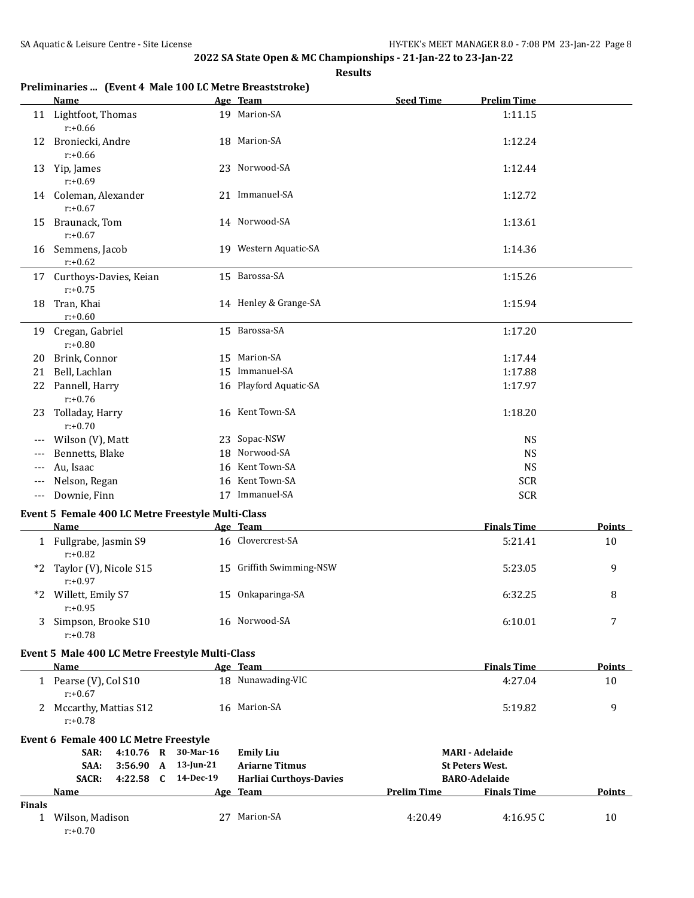|               | Preliminaries  (Event 4 Male 100 LC Metre Breaststroke)<br><b>Name</b> |                     |                          | <b>Seed Time</b>   |                        |               |
|---------------|------------------------------------------------------------------------|---------------------|--------------------------|--------------------|------------------------|---------------|
|               |                                                                        |                     | Age Team                 |                    | <b>Prelim Time</b>     |               |
|               | 11 Lightfoot, Thomas<br>$r: +0.66$                                     |                     | 19 Marion-SA             |                    | 1:11.15                |               |
|               | 12 Broniecki, Andre<br>$r: +0.66$                                      |                     | 18 Marion-SA             |                    | 1:12.24                |               |
|               | 13 Yip, James<br>$r: +0.69$                                            |                     | 23 Norwood-SA            |                    | 1:12.44                |               |
|               | 14 Coleman, Alexander<br>$r: +0.67$                                    |                     | 21 Immanuel-SA           |                    | 1:12.72                |               |
|               | 15 Braunack, Tom<br>$r: +0.67$                                         |                     | 14 Norwood-SA            |                    | 1:13.61                |               |
|               | 16 Semmens, Jacob<br>$r: +0.62$                                        |                     | 19 Western Aquatic-SA    |                    | 1:14.36                |               |
|               | 17 Curthoys-Davies, Keian<br>$r: +0.75$                                |                     | 15 Barossa-SA            |                    | 1:15.26                |               |
|               | 18 Tran, Khai<br>$r: +0.60$                                            |                     | 14 Henley & Grange-SA    |                    | 1:15.94                |               |
|               | 19 Cregan, Gabriel<br>$r: +0.80$                                       |                     | 15 Barossa-SA            |                    | 1:17.20                |               |
| 20            | Brink, Connor                                                          |                     | 15 Marion-SA             |                    | 1:17.44                |               |
| 21            | Bell, Lachlan                                                          |                     | 15 Immanuel-SA           |                    | 1:17.88                |               |
|               | 22 Pannell, Harry<br>$r: +0.76$                                        |                     | 16 Playford Aquatic-SA   |                    | 1:17.97                |               |
|               | 23 Tolladay, Harry<br>$r: +0.70$                                       |                     | 16 Kent Town-SA          |                    | 1:18.20                |               |
|               | Wilson (V), Matt                                                       |                     | 23 Sopac-NSW             |                    | <b>NS</b>              |               |
|               | Bennetts, Blake                                                        |                     | 18 Norwood-SA            |                    | <b>NS</b>              |               |
| $---$         | Au, Isaac                                                              |                     | 16 Kent Town-SA          |                    | <b>NS</b>              |               |
| $---$         | Nelson, Regan                                                          |                     | 16 Kent Town-SA          |                    | <b>SCR</b>             |               |
| $---$         | Downie, Finn                                                           |                     | 17 Immanuel-SA           |                    | <b>SCR</b>             |               |
|               | Event 5 Female 400 LC Metre Freestyle Multi-Class                      |                     |                          |                    |                        |               |
|               | Name                                                                   |                     | Age Team                 |                    | <b>Finals Time</b>     | Points        |
|               | 1 Fullgrabe, Jasmin S9<br>$r: +0.82$                                   |                     | 16 Clovercrest-SA        |                    | 5:21.41                | 10            |
| $*2$          | Taylor (V), Nicole S15<br>$r: +0.97$                                   |                     | 15 Griffith Swimming-NSW |                    | 5:23.05                | 9             |
|               | Willett, Emily S7<br>$r: +0.95$                                        |                     | 15 Onkaparinga-SA        |                    | 6:32.25                | 8             |
|               | Simpson, Brooke S10<br>$r: +0.78$                                      |                     | 16 Norwood-SA            |                    | 6:10.01                | 7             |
|               | Event 5 Male 400 LC Metre Freestyle Multi-Class                        |                     |                          |                    |                        |               |
|               | Name                                                                   |                     | Age Team                 |                    | <b>Finals Time</b>     | <b>Points</b> |
|               | 1 Pearse (V), Col S10<br>$r: +0.67$                                    |                     | 18 Nunawading-VIC        |                    | 4:27.04                | 10            |
|               | 2 Mccarthy, Mattias S12<br>$r: +0.78$                                  |                     | 16 Marion-SA             |                    | 5:19.82                | 9             |
|               | Event 6 Female 400 LC Metre Freestyle                                  |                     |                          |                    |                        |               |
|               | SAR:                                                                   | 4:10.76 R 30-Mar-16 | <b>Emily Liu</b>         |                    | <b>MARI - Adelaide</b> |               |
|               | SAA:                                                                   | 3:56.90 A 13-Jun-21 | <b>Ariarne Titmus</b>    |                    | <b>St Peters West.</b> |               |
|               | <b>SACR:</b>                                                           | 4:22.58 C 14-Dec-19 | Harliai Curthoys-Davies  |                    | <b>BARO-Adelaide</b>   |               |
|               | Name                                                                   |                     | <u>Age Team</u>          | <b>Prelim Time</b> | <b>Finals Time</b>     | Points        |
| <b>Finals</b> |                                                                        |                     | 27 Marion-SA             |                    |                        | 10            |
| $\mathbf{1}$  | Wilson, Madison<br>$r: +0.70$                                          |                     |                          | 4:20.49            | 4:16.95C               |               |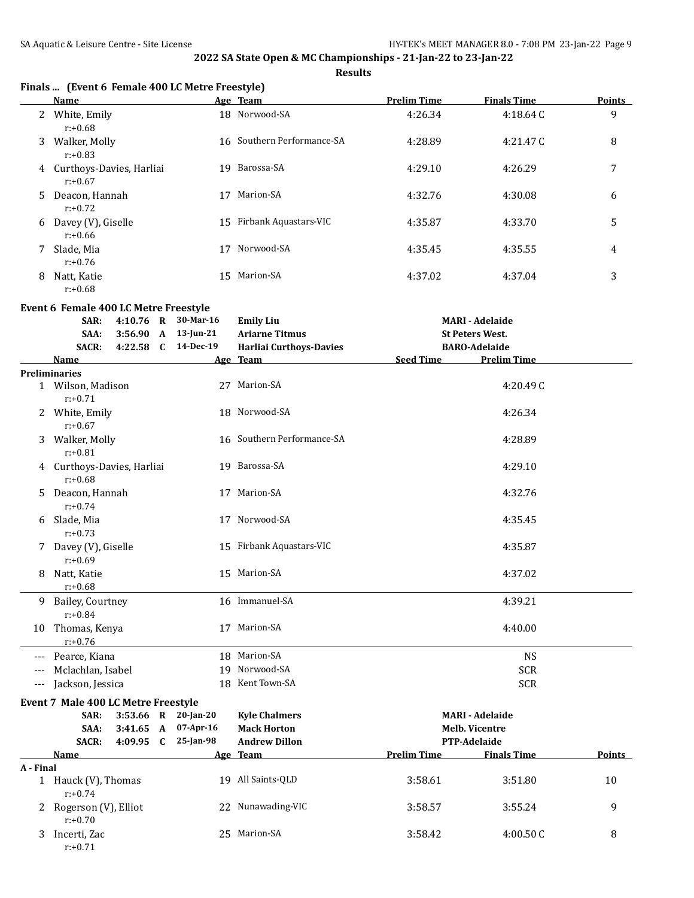r:+0.74

r:+0.70

r:+0.71

#### **2022 SA State Open & MC Championships - 21-Jan-22 to 23-Jan-22**

**Results**

|           | Finals  (Event 6 Female 400 LC Metre Freestyle) |              |                                |                    |                        |               |
|-----------|-------------------------------------------------|--------------|--------------------------------|--------------------|------------------------|---------------|
|           | Name                                            |              | Age Team                       | <b>Prelim Time</b> | <b>Finals Time</b>     | Points        |
|           | 2 White, Emily<br>$r: +0.68$                    |              | 18 Norwood-SA                  | 4:26.34            | 4:18.64C               | 9             |
| 3         | Walker, Molly<br>$r: +0.83$                     |              | 16 Southern Performance-SA     | 4:28.89            | 4:21.47C               | 8             |
|           | 4 Curthoys-Davies, Harliai<br>$r: +0.67$        |              | 19 Barossa-SA                  | 4:29.10            | 4:26.29                | 7             |
| 5.        | Deacon, Hannah<br>$r: +0.72$                    |              | 17 Marion-SA                   | 4:32.76            | 4:30.08                | 6             |
|           | 6 Davey (V), Giselle<br>$r: +0.66$              |              | 15 Firbank Aquastars-VIC       | 4:35.87            | 4:33.70                | 5             |
| 7         | Slade, Mia<br>$r: +0.76$                        |              | 17 Norwood-SA                  | 4:35.45            | 4:35.55                | 4             |
|           | 8 Natt, Katie<br>$r: +0.68$                     |              | 15 Marion-SA                   | 4:37.02            | 4:37.04                | 3             |
|           | Event 6 Female 400 LC Metre Freestyle           |              |                                |                    |                        |               |
|           | $4:10.76$ R<br>SAR:                             | 30-Mar-16    | <b>Emily Liu</b>               |                    | <b>MARI - Adelaide</b> |               |
|           | 3:56.90 A<br>SAA:                               | 13-Jun-21    | <b>Ariarne Titmus</b>          |                    | <b>St Peters West.</b> |               |
|           | <b>SACR:</b><br>4:22.58 C                       | 14-Dec-19    | <b>Harliai Curthoys-Davies</b> |                    | <b>BARO-Adelaide</b>   |               |
|           | Name                                            |              | Age Team                       | <b>Seed Time</b>   | <b>Prelim Time</b>     |               |
|           | <b>Preliminaries</b>                            |              |                                |                    |                        |               |
|           | 1 Wilson, Madison<br>$r: +0.71$                 |              | 27 Marion-SA                   |                    | 4:20.49C               |               |
|           | 2 White, Emily<br>$r: +0.67$                    |              | 18 Norwood-SA                  |                    | 4:26.34                |               |
|           | 3 Walker, Molly<br>$r: +0.81$                   |              | 16 Southern Performance-SA     |                    | 4:28.89                |               |
|           | 4 Curthoys-Davies, Harliai<br>$r: +0.68$        |              | 19 Barossa-SA                  |                    | 4:29.10                |               |
| 5.        | Deacon, Hannah<br>$r: +0.74$                    |              | 17 Marion-SA                   |                    | 4:32.76                |               |
|           | 6 Slade, Mia<br>$r: +0.73$                      |              | 17 Norwood-SA                  |                    | 4:35.45                |               |
|           | 7 Davey (V), Giselle<br>$r: +0.69$              |              | 15 Firbank Aquastars-VIC       |                    | 4:35.87                |               |
|           | 8 Natt, Katie<br>$r: +0.68$                     |              | 15 Marion-SA                   |                    | 4:37.02                |               |
| 9         | Bailey, Courtney<br>$r: +0.84$                  |              | 16 Immanuel-SA                 |                    | 4:39.21                |               |
|           | 10 Thomas, Kenya<br>$r: +0.76$                  |              | 17 Marion-SA                   |                    | 4:40.00                |               |
|           | Pearce, Kiana                                   |              | 18 Marion-SA                   |                    | <b>NS</b>              |               |
| $---$     | Mclachlan, Isabel                               |              | 19 Norwood-SA                  |                    | <b>SCR</b>             |               |
| ---       | Jackson, Jessica                                |              | 18 Kent Town-SA                |                    | <b>SCR</b>             |               |
|           | Event 7 Male 400 LC Metre Freestyle             |              |                                |                    |                        |               |
|           | 3:53.66 R<br>SAR:                               | $20$ -Jan-20 | <b>Kyle Chalmers</b>           |                    | <b>MARI - Adelaide</b> |               |
|           | SAA:<br>3:41.65<br>A                            | 07-Apr-16    | <b>Mack Horton</b>             |                    | <b>Melb. Vicentre</b>  |               |
|           | <b>SACR:</b><br>4:09.95<br><b>C</b>             | 25-Jan-98    | <b>Andrew Dillon</b>           |                    | PTP-Adelaide           |               |
|           | <b>Name</b>                                     |              | Age Team                       | <b>Prelim Time</b> | <b>Finals Time</b>     | <b>Points</b> |
| A - Final |                                                 |              |                                |                    |                        |               |

1 Hauck (V), Thomas 19 All Saints-QLD 3:58.61 3:51.80 10

2 Rogerson (V), Elliot 22 Nunawading-VIC 3:58.57 3:55.24 9

3 Incerti, Zac 25 Marion-SA 3:58.42 4:00.50C 8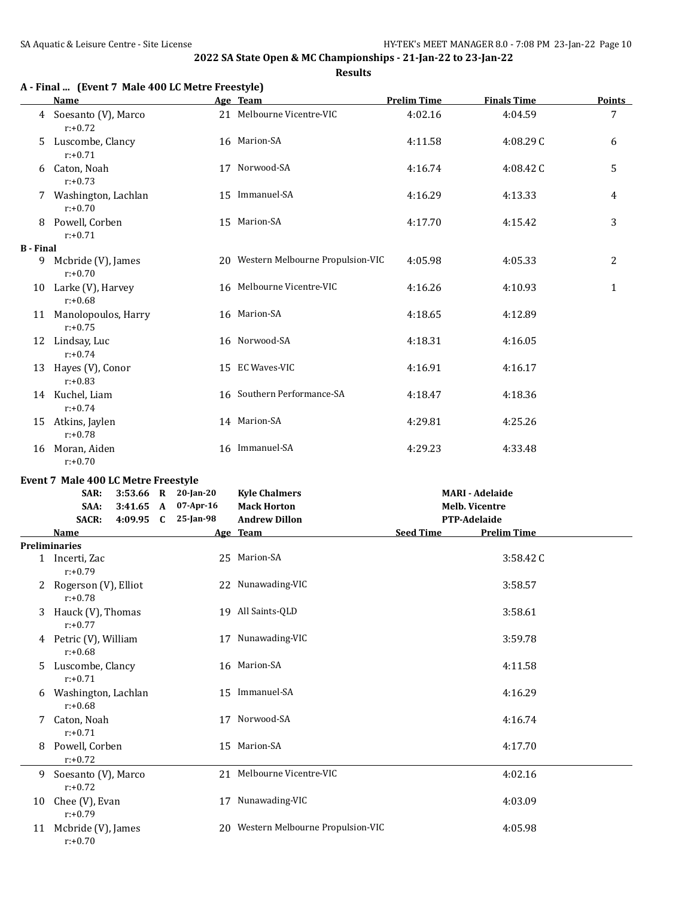|                  | A - Final  (Event 7 Male 400 LC Metre Freestyle)<br><b>Name</b> |                     | Age Team                            | <b>Prelim Time</b> | <b>Finals Time</b>     | <b>Points</b> |
|------------------|-----------------------------------------------------------------|---------------------|-------------------------------------|--------------------|------------------------|---------------|
| 4                | Soesanto (V), Marco<br>$r: +0.72$                               |                     | 21 Melbourne Vicentre-VIC           | 4:02.16            | 4:04.59                | 7             |
| 5.               | Luscombe, Clancy<br>$r: +0.71$                                  |                     | 16 Marion-SA                        | 4:11.58            | 4:08.29C               | 6             |
| 6                | Caton, Noah<br>$r: +0.73$                                       |                     | 17 Norwood-SA                       | 4:16.74            | 4:08.42C               | 5             |
|                  | 7 Washington, Lachlan<br>$r: +0.70$                             |                     | 15 Immanuel-SA                      | 4:16.29            | 4:13.33                | 4             |
|                  | 8 Powell, Corben<br>$r: +0.71$                                  |                     | 15 Marion-SA                        | 4:17.70            | 4:15.42                | 3             |
| <b>B</b> - Final |                                                                 |                     |                                     |                    |                        |               |
|                  | 9 Mcbride (V), James<br>$r: +0.70$                              |                     | 20 Western Melbourne Propulsion-VIC | 4:05.98            | 4:05.33                | 2             |
|                  | 10 Larke (V), Harvey<br>$r: +0.68$                              |                     | 16 Melbourne Vicentre-VIC           | 4:16.26            | 4:10.93                | $\mathbf{1}$  |
|                  | 11 Manolopoulos, Harry<br>$r: +0.75$                            |                     | 16 Marion-SA                        | 4:18.65            | 4:12.89                |               |
|                  | 12 Lindsay, Luc<br>$r: +0.74$                                   |                     | 16 Norwood-SA                       | 4:18.31            | 4:16.05                |               |
|                  | 13 Hayes (V), Conor<br>$r: +0.83$                               |                     | 15 EC Waves-VIC                     | 4:16.91            | 4:16.17                |               |
|                  | 14 Kuchel, Liam<br>$r: +0.74$                                   |                     | 16 Southern Performance-SA          | 4:18.47            | 4:18.36                |               |
|                  | 15 Atkins, Jaylen<br>$r: +0.78$                                 |                     | 14 Marion-SA                        | 4:29.81            | 4:25.26                |               |
|                  | 16 Moran, Aiden<br>$r: +0.70$                                   |                     | 16 Immanuel-SA                      | 4:29.23            | 4:33.48                |               |
|                  | Event 7 Male 400 LC Metre Freestyle                             |                     |                                     |                    |                        |               |
|                  | SAR:                                                            | 3:53.66 R 20-Jan-20 | <b>Kyle Chalmers</b>                |                    | <b>MARI - Adelaide</b> |               |
|                  | SAA:                                                            | 3:41.65 A 07-Apr-16 | <b>Mack Horton</b>                  |                    | <b>Melb. Vicentre</b>  |               |
|                  | <b>SACR:</b>                                                    | 4:09.95 C 25-Jan-98 | <b>Andrew Dillon</b>                |                    | PTP-Adelaide           |               |
|                  | Name                                                            |                     | Age Team                            | <b>Seed Time</b>   | <b>Prelim Time</b>     |               |
|                  | <b>Preliminaries</b>                                            |                     |                                     |                    |                        |               |
|                  | 1 Incerti, Zac<br>$r: +0.79$                                    |                     | 25 Marion-SA                        |                    | 3:58.42C               |               |
|                  | 2 Rogerson (V), Elliot<br>$r: +0.78$                            |                     | 22 Nunawading-VIC                   |                    | 3:58.57                |               |
| 3.               | Hauck (V), Thomas<br>$r: +0.77$                                 |                     | 19 All Saints-QLD                   |                    | 3:58.61                |               |
|                  | 4 Petric (V), William<br>$r: +0.68$                             |                     | 17 Nunawading-VIC                   |                    | 3:59.78                |               |
| 5.               | Luscombe, Clancy<br>$r: +0.71$                                  |                     | 16 Marion-SA                        |                    | 4:11.58                |               |
| 6                | Washington, Lachlan<br>$r: +0.68$                               |                     | 15 Immanuel-SA                      |                    | 4:16.29                |               |
| 7                | Caton, Noah<br>$r: +0.71$                                       |                     | 17 Norwood-SA                       |                    | 4:16.74                |               |
| 8                | Powell, Corben<br>$r: +0.72$                                    |                     | 15 Marion-SA                        |                    | 4:17.70                |               |
| 9                | Soesanto (V), Marco<br>$r: +0.72$                               |                     | 21 Melbourne Vicentre-VIC           |                    | 4:02.16                |               |
| 10               | Chee (V), Evan<br>$r: +0.79$                                    |                     | 17 Nunawading-VIC                   |                    | 4:03.09                |               |
|                  | 11 Mcbride (V), James<br>$r: +0.70$                             |                     | 20 Western Melbourne Propulsion-VIC |                    | 4:05.98                |               |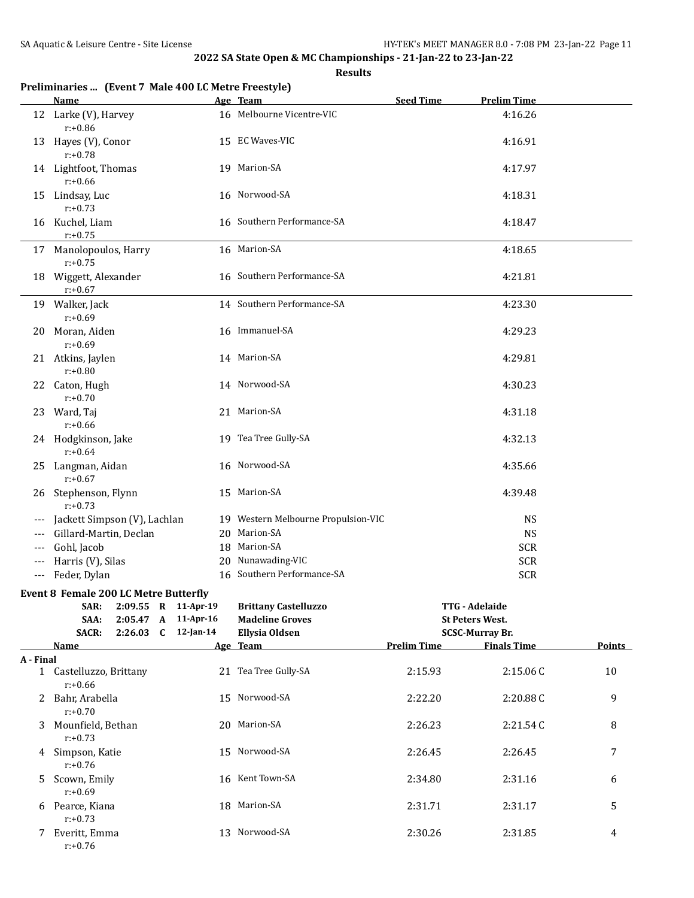|           | Preliminaries  (Event 7 Male 400 LC Metre Freestyle) |              |                                     |                    |                        |               |
|-----------|------------------------------------------------------|--------------|-------------------------------------|--------------------|------------------------|---------------|
|           | <b>Name</b>                                          |              | Age Team                            | <b>Seed Time</b>   | <b>Prelim Time</b>     |               |
|           | 12 Larke (V), Harvey<br>$r: +0.86$                   |              | 16 Melbourne Vicentre-VIC           |                    | 4:16.26                |               |
| 13        | Hayes (V), Conor<br>$r: +0.78$                       |              | 15 EC Waves-VIC                     |                    | 4:16.91                |               |
|           | 14 Lightfoot, Thomas<br>$r: +0.66$                   |              | 19 Marion-SA                        |                    | 4:17.97                |               |
| 15        | Lindsay, Luc<br>$r: +0.73$                           |              | 16 Norwood-SA                       |                    | 4:18.31                |               |
|           | 16 Kuchel, Liam<br>$r: +0.75$                        |              | 16 Southern Performance-SA          |                    | 4:18.47                |               |
|           | 17 Manolopoulos, Harry<br>$r: +0.75$                 |              | 16 Marion-SA                        |                    | 4:18.65                |               |
|           | 18 Wiggett, Alexander<br>$r: +0.67$                  |              | 16 Southern Performance-SA          |                    | 4:21.81                |               |
|           | 19 Walker, Jack<br>$r: +0.69$                        |              | 14 Southern Performance-SA          |                    | 4:23.30                |               |
| 20        | Moran, Aiden<br>$r: +0.69$                           |              | 16 Immanuel-SA                      |                    | 4:29.23                |               |
|           | 21 Atkins, Jaylen<br>$r: +0.80$                      |              | 14 Marion-SA                        |                    | 4:29.81                |               |
|           | 22 Caton, Hugh<br>$r: +0.70$                         |              | 14 Norwood-SA                       |                    | 4:30.23                |               |
|           | 23 Ward, Taj<br>$r: +0.66$                           |              | 21 Marion-SA                        |                    | 4:31.18                |               |
|           | 24 Hodgkinson, Jake<br>$r: +0.64$                    |              | 19 Tea Tree Gully-SA                |                    | 4:32.13                |               |
| 25        | Langman, Aidan<br>$r: +0.67$                         |              | 16 Norwood-SA                       |                    | 4:35.66                |               |
| 26        | Stephenson, Flynn<br>$r: +0.73$                      |              | 15 Marion-SA                        |                    | 4:39.48                |               |
| ---       | Jackett Simpson (V), Lachlan                         |              | 19 Western Melbourne Propulsion-VIC |                    | <b>NS</b>              |               |
| ---       | Gillard-Martin, Declan                               | 20           | Marion-SA                           |                    | <b>NS</b>              |               |
| $---$     | Gohl, Jacob                                          | 18           | Marion-SA                           |                    | <b>SCR</b>             |               |
| ---       | Harris (V), Silas                                    |              | 20 Nunawading-VIC                   |                    | <b>SCR</b>             |               |
| $---$     | Feder, Dylan                                         |              | 16 Southern Performance-SA          |                    | <b>SCR</b>             |               |
|           | <b>Event 8 Female 200 LC Metre Butterfly</b>         |              |                                     |                    |                        |               |
|           | 2:09.55 R 11-Apr-19<br>SAR:                          |              | <b>Brittany Castelluzzo</b>         |                    | TTG - Adelaide         |               |
|           | SAA:<br>2:05.47<br>$\mathbf{A}$                      | 11-Apr-16    | <b>Madeline Groves</b>              |                    | <b>St Peters West.</b> |               |
|           | <b>SACR:</b><br>2:26.03<br>C                         | $12$ -Jan-14 | <b>Ellysia Oldsen</b>               |                    | <b>SCSC-Murray Br.</b> |               |
|           | <b>Name</b>                                          |              | Age Team                            | <b>Prelim Time</b> | <b>Finals Time</b>     | <b>Points</b> |
| A - Final |                                                      |              |                                     |                    |                        |               |
|           | 1 Castelluzzo, Brittany<br>$r: +0.66$                |              | 21 Tea Tree Gully-SA                | 2:15.93            | 2:15.06C               | 10            |
|           | 2 Bahr, Arabella<br>$r: +0.70$                       |              | 15 Norwood-SA                       | 2:22.20            | 2:20.88C               | 9             |
|           | 3 Mounfield, Bethan<br>$r: +0.73$                    |              | 20 Marion-SA                        | 2:26.23            | 2:21.54C               | 8             |
|           | 4 Simpson, Katie<br>$r: +0.76$                       |              | 15 Norwood-SA                       | 2:26.45            | 2:26.45                | 7             |
| 5.        | Scown, Emily<br>$r: +0.69$                           |              | 16 Kent Town-SA                     | 2:34.80            | 2:31.16                | 6             |
|           | 6 Pearce, Kiana<br>$r: +0.73$                        |              | 18 Marion-SA                        | 2:31.71            | 2:31.17                | 5             |
|           | 7 Everitt, Emma<br>$r: +0.76$                        |              | 13 Norwood-SA                       | 2:30.26            | 2:31.85                | 4             |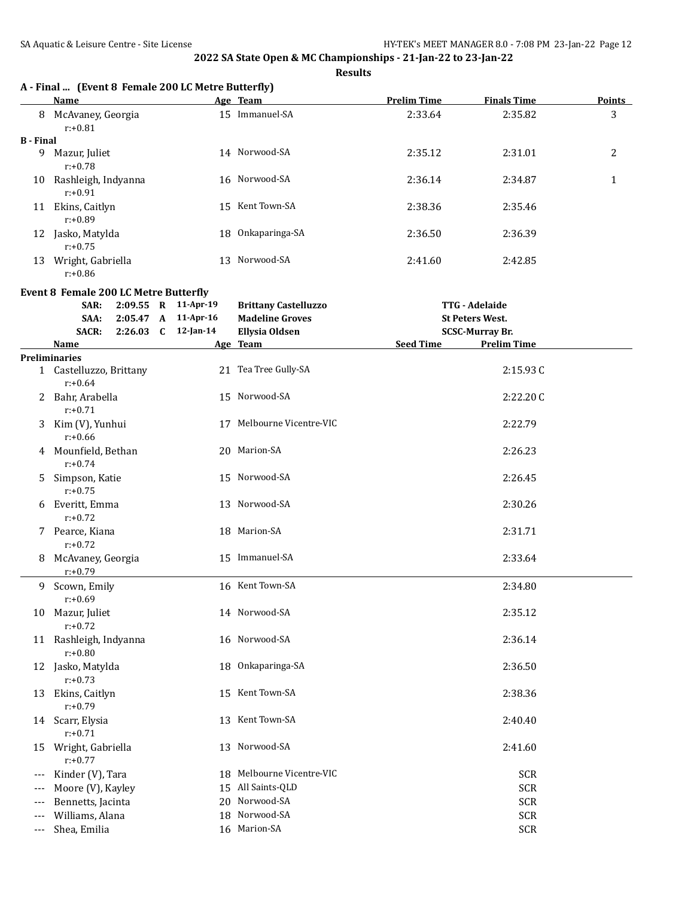r:+0.75

r:+0.72

r:+0.72

## **2022 SA State Open & MC Championships - 21-Jan-22 to 23-Jan-22**

**Results**

|                  | A - Final  (Event 8 Female 200 LC Metre Butterfly) |                     |                             |                    |                        |              |
|------------------|----------------------------------------------------|---------------------|-----------------------------|--------------------|------------------------|--------------|
|                  | <b>Name</b>                                        |                     | Age Team                    | <b>Prelim Time</b> | <b>Finals Time</b>     | Points       |
| 8                | McAvaney, Georgia<br>$r: +0.81$                    |                     | 15 Immanuel-SA              | 2:33.64            | 2:35.82                | 3            |
| <b>B</b> - Final |                                                    |                     |                             |                    |                        |              |
| 9                | Mazur, Juliet<br>$r: +0.78$                        |                     | 14 Norwood-SA               | 2:35.12            | 2:31.01                | 2            |
| 10               | Rashleigh, Indyanna<br>$r: +0.91$                  |                     | 16 Norwood-SA               | 2:36.14            | 2:34.87                | $\mathbf{1}$ |
| 11               | Ekins, Caitlyn<br>$r: +0.89$                       |                     | 15 Kent Town-SA             | 2:38.36            | 2:35.46                |              |
| 12               | Jasko, Matylda<br>$r: +0.75$                       |                     | 18 Onkaparinga-SA           | 2:36.50            | 2:36.39                |              |
| 13               | Wright, Gabriella<br>$r: +0.86$                    |                     | 13 Norwood-SA               | 2:41.60            | 2:42.85                |              |
|                  | <b>Event 8 Female 200 LC Metre Butterfly</b>       |                     |                             |                    |                        |              |
|                  | SAR:                                               | 2:09.55 R 11-Apr-19 | <b>Brittany Castelluzzo</b> |                    | <b>TTG - Adelaide</b>  |              |
|                  | 2:05.47 A<br>SAA:                                  | $11$ -Apr-16        | <b>Madeline Groves</b>      |                    | <b>St Peters West.</b> |              |
|                  | <b>SACR:</b>                                       | 2:26.03 C 12-Jan-14 | <b>Ellysia Oldsen</b>       |                    | <b>SCSC-Murray Br.</b> |              |
|                  | Name                                               |                     | Age Team                    | <b>Seed Time</b>   | <b>Prelim Time</b>     |              |
|                  | <b>Preliminaries</b>                               |                     |                             |                    |                        |              |
|                  | 1 Castelluzzo, Brittany<br>$r: +0.64$              |                     | 21 Tea Tree Gully-SA        |                    | 2:15.93C               |              |
| 2                | Bahr, Arabella<br>$r: +0.71$                       |                     | 15 Norwood-SA               |                    | 2:22.20C               |              |
| 3                | Kim (V), Yunhui<br>$r: +0.66$                      | 17                  | Melbourne Vicentre-VIC      |                    | 2:22.79                |              |
|                  | 4 Mounfield, Bethan<br>$r: +0.74$                  |                     | 20 Marion-SA                |                    | 2:26.23                |              |
| 5                | Simpson, Katie                                     |                     | 15 Norwood-SA               |                    | 2:26.45                |              |

| 8     | McAvaney, Georgia<br>$r: +0.79$   |    | 15 Immanuel-SA            | 2:33.64    |
|-------|-----------------------------------|----|---------------------------|------------|
| 9     | Scown, Emily<br>$r: +0.69$        |    | 16 Kent Town-SA           | 2:34.80    |
| 10    | Mazur, Juliet<br>$r: +0.72$       |    | 14 Norwood-SA             | 2:35.12    |
| 11    | Rashleigh, Indyanna<br>$r: +0.80$ |    | 16 Norwood-SA             | 2:36.14    |
| 12    | Jasko, Matylda<br>$r: +0.73$      |    | 18 Onkaparinga-SA         | 2:36.50    |
| 13    | Ekins, Caitlyn<br>$r: +0.79$      |    | 15 Kent Town-SA           | 2:38.36    |
| 14    | Scarr, Elysia<br>$r: +0.71$       |    | 13 Kent Town-SA           | 2:40.40    |
| 15    | Wright, Gabriella<br>$r: +0.77$   |    | 13 Norwood-SA             | 2:41.60    |
| $---$ | Kinder (V), Tara                  |    | 18 Melbourne Vicentre-VIC | <b>SCR</b> |
| $---$ | Moore (V), Kayley                 | 15 | All Saints-QLD            | <b>SCR</b> |
| $---$ | Bennetts, Jacinta                 |    | 20 Norwood-SA             | <b>SCR</b> |
| $---$ | Williams, Alana                   |    | 18 Norwood-SA             | <b>SCR</b> |
| $---$ | Shea, Emilia                      |    | 16 Marion-SA              | <b>SCR</b> |

6 Everitt, Emma 13 Norwood-SA 2:30.26

7 Pearce, Kiana 18 Marion-SA 2:31.71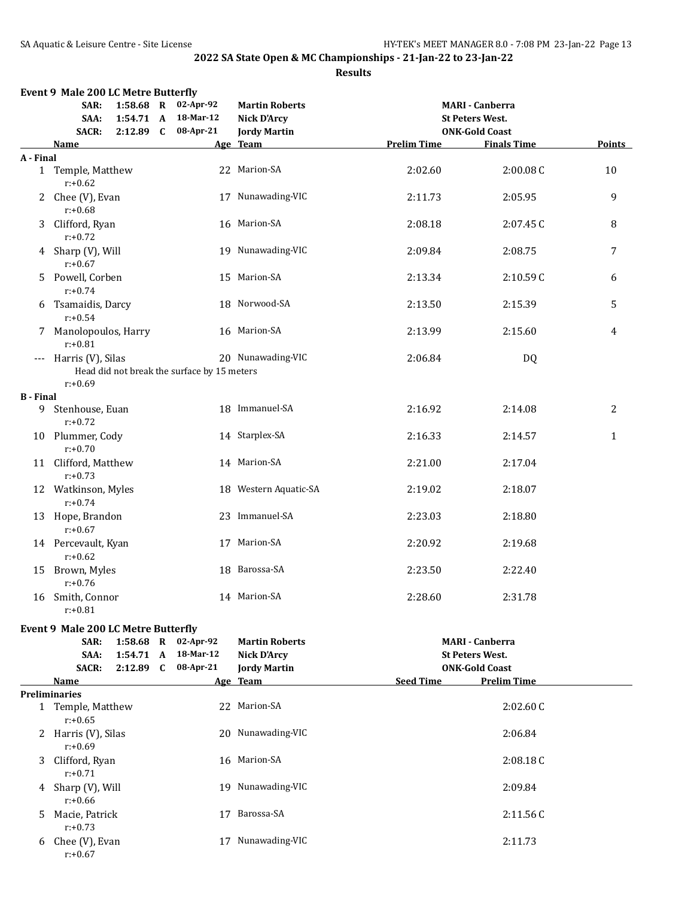|                  | Event 9 Male 200 LC Metre Butterfly<br>SAR:<br>SAA: |                   | 1:58.68 R 02-Apr-92<br>1:54.71 A 18-Mar-12  | <b>Martin Roberts</b><br><b>Nick D'Arcy</b> |                    | <b>MARI - Canberra</b><br><b>St Peters West.</b> |              |
|------------------|-----------------------------------------------------|-------------------|---------------------------------------------|---------------------------------------------|--------------------|--------------------------------------------------|--------------|
|                  | <b>SACR:</b>                                        |                   | 2:12.89 C 08-Apr-21                         | <b>Jordy Martin</b>                         |                    | <b>ONK-Gold Coast</b>                            |              |
| A - Final        | Name                                                |                   |                                             | Age Team                                    | <b>Prelim Time</b> | <b>Finals Time</b>                               | Points       |
|                  | 1 Temple, Matthew<br>$r: +0.62$                     |                   |                                             | 22 Marion-SA                                | 2:02.60            | 2:00.08C                                         | 10           |
|                  | 2 Chee (V), Evan<br>$r: +0.68$                      |                   |                                             | 17 Nunawading-VIC                           | 2:11.73            | 2:05.95                                          | 9            |
|                  | 3 Clifford, Ryan<br>$r: +0.72$                      |                   |                                             | 16 Marion-SA                                | 2:08.18            | 2:07.45C                                         | 8            |
|                  | 4 Sharp (V), Will<br>$r: +0.67$                     |                   |                                             | 19 Nunawading-VIC                           | 2:09.84            | 2:08.75                                          | 7            |
|                  | 5 Powell, Corben<br>$r: +0.74$                      |                   |                                             | 15 Marion-SA                                | 2:13.34            | 2:10.59C                                         | 6            |
|                  | 6 Tsamaidis, Darcy<br>$r: +0.54$                    |                   |                                             | 18 Norwood-SA                               | 2:13.50            | 2:15.39                                          | 5            |
|                  | 7 Manolopoulos, Harry<br>$r: +0.81$                 |                   |                                             | 16 Marion-SA                                | 2:13.99            | 2:15.60                                          | 4            |
|                  | --- Harris (V), Silas<br>$r: +0.69$                 |                   | Head did not break the surface by 15 meters | 20 Nunawading-VIC                           | 2:06.84            | DQ                                               |              |
| <b>B</b> - Final |                                                     |                   |                                             |                                             |                    |                                                  |              |
|                  | 9 Stenhouse, Euan<br>$r: +0.72$                     |                   |                                             | 18 Immanuel-SA                              | 2:16.92            | 2:14.08                                          | 2            |
|                  | 10 Plummer, Cody<br>$r: +0.70$                      |                   |                                             | 14 Starplex-SA                              | 2:16.33            | 2:14.57                                          | $\mathbf{1}$ |
|                  | 11 Clifford, Matthew<br>$r: +0.73$                  |                   |                                             | 14 Marion-SA                                | 2:21.00            | 2:17.04                                          |              |
|                  | 12 Watkinson, Myles<br>$r: +0.74$                   |                   |                                             | 18 Western Aquatic-SA                       | 2:19.02            | 2:18.07                                          |              |
|                  | 13 Hope, Brandon<br>$r: +0.67$                      |                   |                                             | 23 Immanuel-SA                              | 2:23.03            | 2:18.80                                          |              |
|                  | 14 Percevault, Kyan<br>$r: +0.62$                   |                   |                                             | 17 Marion-SA                                | 2:20.92            | 2:19.68                                          |              |
|                  | 15 Brown, Myles<br>$r: +0.76$                       |                   |                                             | 18 Barossa-SA                               | 2:23.50            | 2:22.40                                          |              |
|                  | 16 Smith, Connor<br>$r: +0.81$                      |                   |                                             | 14 Marion-SA                                | 2:28.60            | 2:31.78                                          |              |
|                  | Event 9 Male 200 LC Metre Butterfly                 |                   |                                             |                                             |                    |                                                  |              |
|                  | SAR:                                                |                   | 1:58.68 R 02-Apr-92                         | <b>Martin Roberts</b>                       |                    | <b>MARI - Canberra</b>                           |              |
|                  | SAA:                                                | $1:54.71 \quad A$ | 18-Mar-12                                   | <b>Nick D'Arcy</b>                          |                    | <b>St Peters West.</b>                           |              |
|                  | <b>SACR:</b>                                        | $2:12.89$ C       | 08-Apr-21                                   | <b>Jordy Martin</b>                         |                    | <b>ONK-Gold Coast</b>                            |              |
|                  | <b>Name</b>                                         |                   |                                             | Age Team                                    | <b>Seed Time</b>   | <b>Prelim Time</b>                               |              |
|                  | <b>Preliminaries</b>                                |                   |                                             |                                             |                    |                                                  |              |
|                  | 1 Temple, Matthew<br>$r: +0.65$                     |                   |                                             | 22 Marion-SA                                |                    | 2:02.60C                                         |              |
|                  | 2 Harris (V), Silas<br>$r: +0.69$                   |                   |                                             | 20 Nunawading-VIC                           |                    | 2:06.84                                          |              |
|                  | 3 Clifford, Ryan<br>$r: +0.71$                      |                   |                                             | 16 Marion-SA                                |                    | 2:08.18C                                         |              |
|                  | 4 Sharp (V), Will<br>$r: +0.66$                     |                   |                                             | 19 Nunawading-VIC                           |                    | 2:09.84                                          |              |
| 5.               | Macie, Patrick<br>$r: +0.73$                        |                   |                                             | 17 Barossa-SA                               |                    | 2:11.56C                                         |              |
|                  | 6 Chee (V), Evan<br>$r: +0.67$                      |                   |                                             | 17 Nunawading-VIC                           |                    | 2:11.73                                          |              |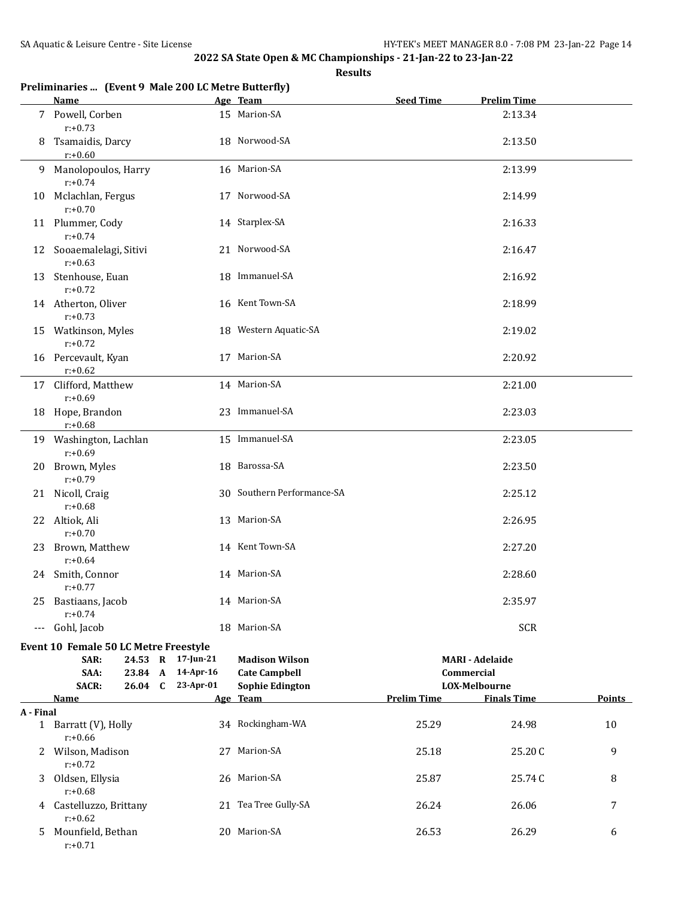| Preliminaries  (Event 9 Male 200 LC Metre Butterfly) |  |  |  |  |
|------------------------------------------------------|--|--|--|--|
|------------------------------------------------------|--|--|--|--|

|           | Name                                   |                 |                        | Age Team                                       | <b>Seed Time</b>   | <b>Prelim Time</b>          |        |
|-----------|----------------------------------------|-----------------|------------------------|------------------------------------------------|--------------------|-----------------------------|--------|
|           | 7 Powell, Corben<br>$r: +0.73$         |                 |                        | 15 Marion-SA                                   |                    | 2:13.34                     |        |
|           | 8 Tsamaidis, Darcy<br>$r: +0.60$       |                 |                        | 18 Norwood-SA                                  |                    | 2:13.50                     |        |
|           | 9 Manolopoulos, Harry<br>$r: +0.74$    |                 |                        | 16 Marion-SA                                   |                    | 2:13.99                     |        |
|           | 10 Mclachlan, Fergus<br>$r: +0.70$     |                 |                        | 17 Norwood-SA                                  |                    | 2:14.99                     |        |
|           | 11 Plummer, Cody<br>$r: +0.74$         |                 |                        | 14 Starplex-SA                                 |                    | 2:16.33                     |        |
|           | 12 Sooaemalelagi, Sitivi<br>$r: +0.63$ |                 |                        | 21 Norwood-SA                                  |                    | 2:16.47                     |        |
|           | 13 Stenhouse, Euan<br>$r: +0.72$       |                 |                        | 18 Immanuel-SA                                 |                    | 2:16.92                     |        |
|           | 14 Atherton, Oliver<br>$r: +0.73$      |                 |                        | 16 Kent Town-SA                                |                    | 2:18.99                     |        |
|           | 15 Watkinson, Myles<br>$r: +0.72$      |                 |                        | 18 Western Aquatic-SA                          |                    | 2:19.02                     |        |
|           | 16 Percevault, Kyan<br>$r: +0.62$      |                 |                        | 17 Marion-SA                                   |                    | 2:20.92                     |        |
|           | 17 Clifford, Matthew<br>$r: +0.69$     |                 |                        | 14 Marion-SA                                   |                    | 2:21.00                     |        |
|           | 18 Hope, Brandon<br>$r: +0.68$         |                 |                        | 23 Immanuel-SA                                 |                    | 2:23.03                     |        |
|           | 19 Washington, Lachlan<br>$r: +0.69$   |                 |                        | 15 Immanuel-SA                                 |                    | 2:23.05                     |        |
|           | 20 Brown, Myles<br>$r: +0.79$          |                 |                        | 18 Barossa-SA                                  |                    | 2:23.50                     |        |
|           | 21 Nicoll, Craig<br>$r: +0.68$         |                 |                        | 30 Southern Performance-SA                     |                    | 2:25.12                     |        |
|           | 22 Altiok, Ali<br>$r: +0.70$           |                 |                        | 13 Marion-SA                                   |                    | 2:26.95                     |        |
|           | 23 Brown, Matthew<br>$r: +0.64$        |                 |                        | 14 Kent Town-SA                                |                    | 2:27.20                     |        |
|           | 24 Smith, Connor<br>$r: +0.77$         |                 |                        | 14 Marion-SA                                   |                    | 2:28.60                     |        |
| 25        | Bastiaans, Jacob<br>$r: +0.74$         |                 |                        | 14 Marion-SA                                   |                    | 2:35.97                     |        |
| $---$     | Gohl, Jacob                            |                 |                        | 18 Marion-SA                                   |                    | <b>SCR</b>                  |        |
|           | Event 10 Female 50 LC Metre Freestyle  |                 |                        |                                                |                    |                             |        |
|           | SAR:                                   | 24.53 R         | 17-Jun-21              | <b>Madison Wilson</b>                          |                    | <b>MARI - Adelaide</b>      |        |
|           | SAA:<br><b>SACR:</b>                   | 23.84 A         | 14-Apr-16<br>23-Apr-01 | <b>Cate Campbell</b><br><b>Sophie Edington</b> |                    | Commercial<br>LOX-Melbourne |        |
|           | Name                                   | $26.04 \quad C$ |                        | Age Team                                       | <b>Prelim Time</b> | <b>Finals Time</b>          | Points |
| A - Final |                                        |                 |                        |                                                |                    |                             |        |
|           | 1 Barratt (V), Holly<br>$r: +0.66$     |                 |                        | 34 Rockingham-WA                               | 25.29              | 24.98                       | 10     |
| 2         | Wilson, Madison<br>$r: +0.72$          |                 | 27                     | Marion-SA                                      | 25.18              | 25.20C                      | 9      |
| 3         | Oldsen, Ellysia<br>$r: +0.68$          |                 |                        | 26 Marion-SA                                   | 25.87              | 25.74C                      | 8      |
| 4         | Castelluzzo, Brittany<br>$r: +0.62$    |                 |                        | 21 Tea Tree Gully-SA                           | 26.24              | 26.06                       | 7      |
| 5         | Mounfield, Bethan<br>$r: +0.71$        |                 |                        | 20 Marion-SA                                   | 26.53              | 26.29                       | 6      |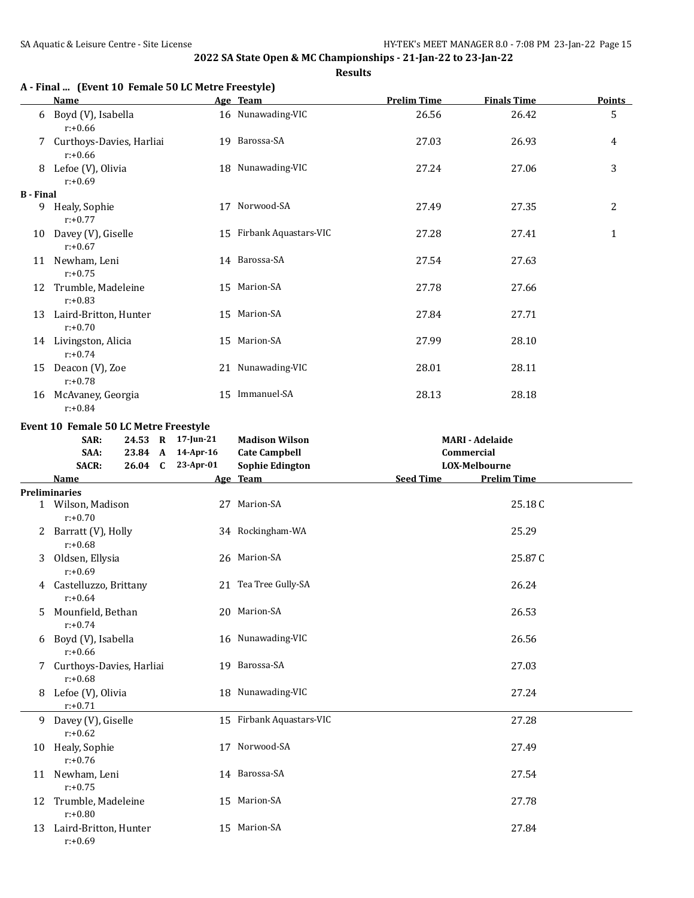|                  | A - Final  (Event 10 Female 50 LC Metre Freestyle)<br>Name | Age Team                 | <b>Prelim Time</b> | <b>Finals Time</b>     | <b>Points</b> |
|------------------|------------------------------------------------------------|--------------------------|--------------------|------------------------|---------------|
|                  | 6 Boyd (V), Isabella<br>$r: +0.66$                         | 16 Nunawading-VIC        | 26.56              | 26.42                  | 5             |
|                  | 7 Curthoys-Davies, Harliai<br>$r: +0.66$                   | 19 Barossa-SA            | 27.03              | 26.93                  | 4             |
|                  | 8 Lefoe (V), Olivia<br>$r: +0.69$                          | 18 Nunawading-VIC        | 27.24              | 27.06                  | 3             |
| <b>B</b> - Final |                                                            |                          |                    |                        |               |
|                  | 9 Healy, Sophie<br>$r: +0.77$                              | 17 Norwood-SA            | 27.49              | 27.35                  | 2             |
|                  | 10 Davey (V), Giselle<br>$r: +0.67$                        | 15 Firbank Aquastars-VIC | 27.28              | 27.41                  | $\mathbf{1}$  |
|                  | 11 Newham, Leni<br>$r: +0.75$                              | 14 Barossa-SA            | 27.54              | 27.63                  |               |
|                  | 12 Trumble, Madeleine<br>$r: +0.83$                        | 15 Marion-SA             | 27.78              | 27.66                  |               |
|                  | 13 Laird-Britton, Hunter<br>$r: +0.70$                     | 15 Marion-SA             | 27.84              | 27.71                  |               |
|                  | 14 Livingston, Alicia<br>$r: +0.74$                        | 15 Marion-SA             | 27.99              | 28.10                  |               |
|                  | 15 Deacon (V), Zoe<br>$r: +0.78$                           | 21 Nunawading-VIC        | 28.01              | 28.11                  |               |
|                  | 16 McAvaney, Georgia<br>$r: +0.84$                         | 15 Immanuel-SA           | 28.13              | 28.18                  |               |
|                  | Event 10 Female 50 LC Metre Freestyle                      |                          |                    |                        |               |
|                  | 24.53 R 17-Jun-21<br>SAR:                                  | <b>Madison Wilson</b>    |                    | <b>MARI - Adelaide</b> |               |
|                  | 23.84 A 14-Apr-16<br>SAA:                                  | <b>Cate Campbell</b>     |                    | Commercial             |               |
|                  | 26.04 C 23-Apr-01<br><b>SACR:</b>                          | <b>Sophie Edington</b>   |                    | LOX-Melbourne          |               |
|                  | Name                                                       | Age Team                 | Seed Time          | <b>Prelim Time</b>     |               |
|                  | <b>Preliminaries</b>                                       |                          |                    |                        |               |
|                  | 1 Wilson, Madison<br>$r: +0.70$                            | 27 Marion-SA             |                    | 25.18C                 |               |
|                  | 2 Barratt (V), Holly<br>$r: +0.68$                         | 34 Rockingham-WA         |                    | 25.29                  |               |
|                  | 3 Oldsen, Ellysia<br>$r: +0.69$                            | 26 Marion-SA             |                    | 25.87C                 |               |
|                  | 4 Castelluzzo, Brittany<br>$r: +0.64$                      | 21 Tea Tree Gully-SA     |                    | 26.24                  |               |
| 5.               | Mounfield, Bethan<br>$r: +0.74$                            | 20 Marion-SA             |                    | 26.53                  |               |
|                  | 6 Boyd (V), Isabella<br>$r: +0.66$                         | 16 Nunawading-VIC        |                    | 26.56                  |               |
| 7                | Curthoys-Davies, Harliai<br>$r: +0.68$                     | 19 Barossa-SA            |                    | 27.03                  |               |
|                  | 8 Lefoe (V), Olivia<br>$r: +0.71$                          | 18 Nunawading-VIC        |                    | 27.24                  |               |
|                  | 9 Davey (V), Giselle<br>$r: +0.62$                         | 15 Firbank Aquastars-VIC |                    | 27.28                  |               |
|                  | 10 Healy, Sophie<br>$r: +0.76$                             | 17 Norwood-SA            |                    | 27.49                  |               |
|                  | 11 Newham, Leni<br>$r: +0.75$                              | 14 Barossa-SA            |                    | 27.54                  |               |
| 12               | Trumble, Madeleine<br>$r: +0.80$                           | 15 Marion-SA             |                    | 27.78                  |               |
|                  | 13 Laird-Britton, Hunter<br>$r: +0.69$                     | 15 Marion-SA             |                    | 27.84                  |               |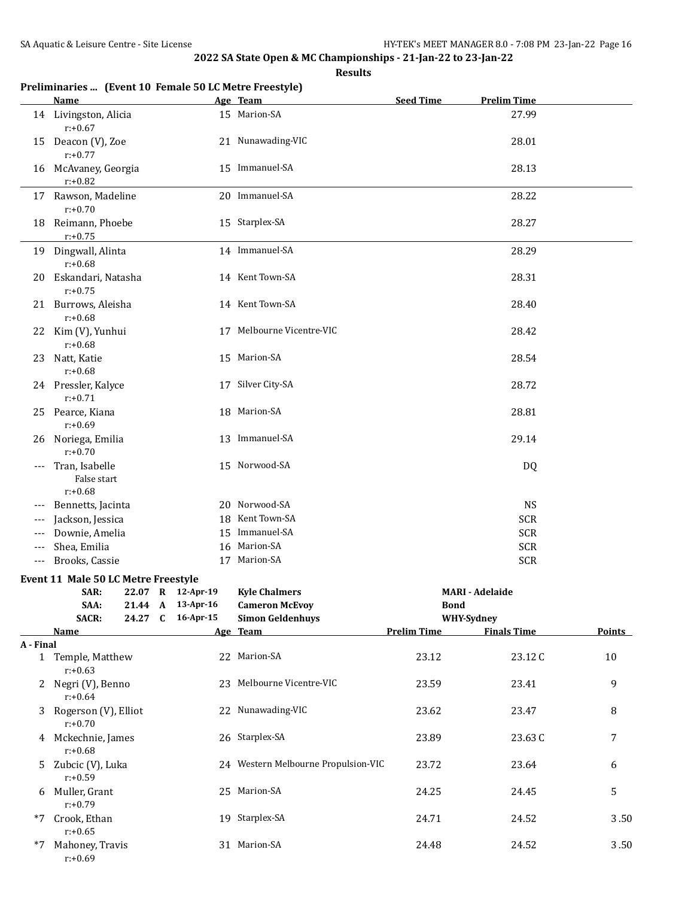|           | <b>Name</b>                                 |         |                   | Preliminaries  (Event 10 Female 50 LC Metre Freestyle)<br>Age Team | <b>Seed Time</b>   | <b>Prelim Time</b>     |               |
|-----------|---------------------------------------------|---------|-------------------|--------------------------------------------------------------------|--------------------|------------------------|---------------|
|           |                                             |         |                   |                                                                    |                    |                        |               |
|           | 14 Livingston, Alicia<br>$r: +0.67$         |         |                   | 15 Marion-SA                                                       |                    | 27.99                  |               |
|           | 15 Deacon (V), Zoe<br>$r: +0.77$            |         |                   | 21 Nunawading-VIC                                                  |                    | 28.01                  |               |
|           | 16 McAvaney, Georgia<br>$r: +0.82$          |         |                   | 15 Immanuel-SA                                                     |                    | 28.13                  |               |
|           | 17 Rawson, Madeline<br>$r: +0.70$           |         |                   | 20 Immanuel-SA                                                     |                    | 28.22                  |               |
|           | 18 Reimann, Phoebe<br>$r: +0.75$            |         |                   | 15 Starplex-SA                                                     |                    | 28.27                  |               |
|           | 19 Dingwall, Alinta                         |         |                   | 14 Immanuel-SA                                                     |                    | 28.29                  |               |
| 20        | $r: +0.68$<br>Eskandari, Natasha            |         |                   | 14 Kent Town-SA                                                    |                    | 28.31                  |               |
|           | $r: +0.75$<br>21 Burrows, Aleisha           |         |                   | 14 Kent Town-SA                                                    |                    | 28.40                  |               |
|           | $r: +0.68$<br>22 Kim (V), Yunhui            |         |                   | 17 Melbourne Vicentre-VIC                                          |                    | 28.42                  |               |
|           | $r: +0.68$<br>23 Natt, Katie                |         |                   | 15 Marion-SA                                                       |                    | 28.54                  |               |
|           | $r: +0.68$<br>24 Pressler, Kalyce           |         |                   | 17 Silver City-SA                                                  |                    | 28.72                  |               |
|           | $r: +0.71$<br>25 Pearce, Kiana              |         |                   | 18 Marion-SA                                                       |                    | 28.81                  |               |
|           | $r: +0.69$<br>26 Noriega, Emilia            |         |                   | 13 Immanuel-SA                                                     |                    | 29.14                  |               |
| $---$     | $r: +0.70$<br>Tran, Isabelle<br>False start |         |                   | 15 Norwood-SA                                                      |                    | DQ                     |               |
|           | $r: +0.68$                                  |         |                   |                                                                    |                    |                        |               |
| $---$     | Bennetts, Jacinta                           |         |                   | 20 Norwood-SA                                                      |                    | <b>NS</b>              |               |
| $---$     | Jackson, Jessica                            |         |                   | 18 Kent Town-SA                                                    |                    | <b>SCR</b>             |               |
| $---$     | Downie, Amelia                              |         |                   | 15 Immanuel-SA                                                     |                    | <b>SCR</b>             |               |
| $---$     | Shea, Emilia                                |         |                   | 16 Marion-SA                                                       |                    | <b>SCR</b>             |               |
| $---$     | Brooks, Cassie                              |         |                   | 17 Marion-SA                                                       |                    | <b>SCR</b>             |               |
|           | Event 11 Male 50 LC Metre Freestyle         |         |                   |                                                                    |                    |                        |               |
|           | SAR:                                        |         | 22.07 R 12-Apr-19 | <b>Kyle Chalmers</b>                                               |                    | <b>MARI - Adelaide</b> |               |
|           | SAA:                                        | 21.44 A | 13-Apr-16         | <b>Cameron McEvoy</b>                                              | <b>Bond</b>        |                        |               |
|           | SACR:                                       | 24.27 C | 16-Apr-15         | <b>Simon Geldenhuys</b>                                            |                    | <b>WHY-Sydney</b>      |               |
|           | <u>Name</u>                                 |         |                   | Age Team                                                           | <b>Prelim Time</b> | <b>Finals Time</b>     | <b>Points</b> |
| A - Final |                                             |         |                   |                                                                    |                    |                        |               |
|           | 1 Temple, Matthew<br>$r: +0.63$             |         |                   | 22 Marion-SA                                                       | 23.12              | 23.12C                 | 10            |
|           | 2 Negri (V), Benno<br>$r: +0.64$            |         |                   | 23 Melbourne Vicentre-VIC                                          | 23.59              | 23.41                  | 9             |
|           | 3 Rogerson (V), Elliot<br>$r: +0.70$        |         |                   | 22 Nunawading-VIC                                                  | 23.62              | 23.47                  | 8             |
|           | 4 Mckechnie, James<br>$r: +0.68$            |         |                   | 26 Starplex-SA                                                     | 23.89              | 23.63C                 | 7             |
|           | 5 Zubcic (V), Luka<br>$r: +0.59$            |         |                   | 24 Western Melbourne Propulsion-VIC                                | 23.72              | 23.64                  | 6             |
| 6         | Muller, Grant<br>$r: +0.79$                 |         |                   | 25 Marion-SA                                                       | 24.25              | 24.45                  | 5             |
| *7        | Crook, Ethan<br>$r: +0.65$                  |         |                   | 19 Starplex-SA                                                     | 24.71              | 24.52                  | 3.50          |
| *7        | Mahoney, Travis<br>$r: +0.69$               |         |                   | 31 Marion-SA                                                       | 24.48              | 24.52                  | 3.50          |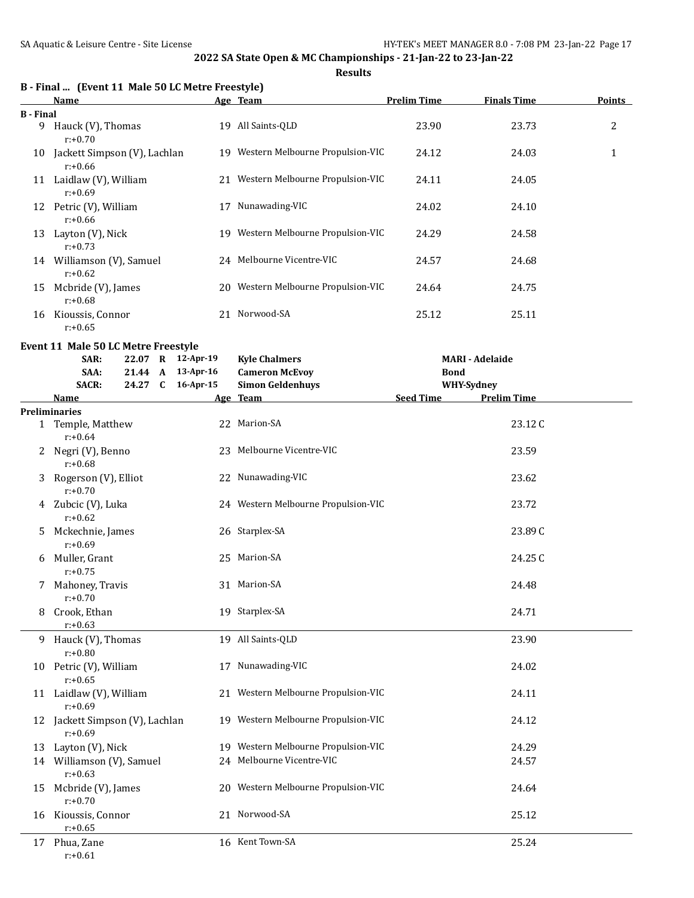**Results**

|                  | B - Final  (Event 11 Male 50 LC Metre Freestyle) |    |                                     |                    |                    |               |  |  |  |  |  |
|------------------|--------------------------------------------------|----|-------------------------------------|--------------------|--------------------|---------------|--|--|--|--|--|
|                  | Name                                             |    | Age Team                            | <b>Prelim Time</b> | <b>Finals Time</b> | <b>Points</b> |  |  |  |  |  |
| <b>B</b> - Final |                                                  |    |                                     |                    |                    |               |  |  |  |  |  |
| 9                | Hauck (V), Thomas<br>$r: +0.70$                  |    | 19 All Saints-OLD                   | 23.90              | 23.73              | 2             |  |  |  |  |  |
| 10               | Jackett Simpson (V), Lachlan<br>$r: +0.66$       |    | 19 Western Melbourne Propulsion-VIC | 24.12              | 24.03              | 1             |  |  |  |  |  |
| 11               | Laidlaw (V), William<br>$r: +0.69$               |    | 21 Western Melbourne Propulsion-VIC | 24.11              | 24.05              |               |  |  |  |  |  |
| 12               | Petric (V), William<br>$r: +0.66$                | 17 | Nunawading-VIC                      | 24.02              | 24.10              |               |  |  |  |  |  |
| 13               | Layton (V), Nick<br>$r: +0.73$                   |    | 19 Western Melbourne Propulsion-VIC | 24.29              | 24.58              |               |  |  |  |  |  |
| 14               | Williamson (V), Samuel<br>$r: +0.62$             |    | 24 Melbourne Vicentre-VIC           | 24.57              | 24.68              |               |  |  |  |  |  |
| 15               | Mcbride (V), James<br>$r: +0.68$                 | 20 | Western Melbourne Propulsion-VIC    | 24.64              | 24.75              |               |  |  |  |  |  |
| 16               | Kioussis, Connor<br>$r: +0.65$                   | 21 | Norwood-SA                          | 25.12              | 25.11              |               |  |  |  |  |  |

## **Event 11 Male 50 LC Metre Freestyle**

|   | SAR:<br>22.07 R 12-Apr-19<br><b>Kyle Chalmers</b> |         |  |           |                                     |                  | <b>MARI - Adelaide</b> |  |  |
|---|---------------------------------------------------|---------|--|-----------|-------------------------------------|------------------|------------------------|--|--|
|   | SAA:                                              | 21.44 A |  | 13-Apr-16 | <b>Cameron McEvoy</b>               |                  | <b>Bond</b>            |  |  |
|   | <b>SACR:</b>                                      | 24.27 C |  | 16-Apr-15 | <b>Simon Geldenhuys</b>             |                  | <b>WHY-Sydney</b>      |  |  |
|   | Name                                              |         |  |           | Age Team                            | <b>Seed Time</b> | <b>Prelim Time</b>     |  |  |
|   | <b>Preliminaries</b>                              |         |  |           |                                     |                  |                        |  |  |
|   | 1 Temple, Matthew<br>$r: +0.64$                   |         |  |           | 22 Marion-SA                        |                  | 23.12C                 |  |  |
|   | 2 Negri (V), Benno<br>$r: +0.68$                  |         |  |           | 23 Melbourne Vicentre-VIC           |                  | 23.59                  |  |  |
|   | 3 Rogerson (V), Elliot<br>$r: +0.70$              |         |  |           | 22 Nunawading-VIC                   |                  | 23.62                  |  |  |
|   | 4 Zubcic (V), Luka<br>$r: +0.62$                  |         |  |           | 24 Western Melbourne Propulsion-VIC |                  | 23.72                  |  |  |
| 5 | Mckechnie, James<br>$r: +0.69$                    |         |  |           | 26 Starplex-SA                      |                  | 23.89C                 |  |  |
|   | 6 Muller, Grant<br>$r: +0.75$                     |         |  |           | 25 Marion-SA                        |                  | 24.25C                 |  |  |
|   | 7 Mahoney, Travis<br>$r: +0.70$                   |         |  |           | 31 Marion-SA                        |                  | 24.48                  |  |  |
|   | 8 Crook, Ethan<br>$r: +0.63$                      |         |  |           | 19 Starplex-SA                      |                  | 24.71                  |  |  |
|   | 9 Hauck (V), Thomas<br>$r: +0.80$                 |         |  |           | 19 All Saints-QLD                   |                  | 23.90                  |  |  |
|   | 10 Petric (V), William<br>$r: +0.65$              |         |  |           | 17 Nunawading-VIC                   |                  | 24.02                  |  |  |
|   | 11 Laidlaw (V), William<br>$r: +0.69$             |         |  |           | 21 Western Melbourne Propulsion-VIC |                  | 24.11                  |  |  |
|   | 12 Jackett Simpson (V), Lachlan<br>$r: +0.69$     |         |  |           | 19 Western Melbourne Propulsion-VIC |                  | 24.12                  |  |  |
|   | 13 Layton (V), Nick                               |         |  |           | 19 Western Melbourne Propulsion-VIC |                  | 24.29                  |  |  |
|   | 14 Williamson (V), Samuel<br>$r: +0.63$           |         |  |           | 24 Melbourne Vicentre-VIC           |                  | 24.57                  |  |  |
|   | 15 Mcbride (V), James<br>$r: +0.70$               |         |  |           | 20 Western Melbourne Propulsion-VIC |                  | 24.64                  |  |  |
|   | 16 Kioussis, Connor<br>$r: +0.65$                 |         |  |           | 21 Norwood-SA                       |                  | 25.12                  |  |  |
|   | 17 Phua, Zane<br>$r: +0.61$                       |         |  |           | 16 Kent Town-SA                     |                  | 25.24                  |  |  |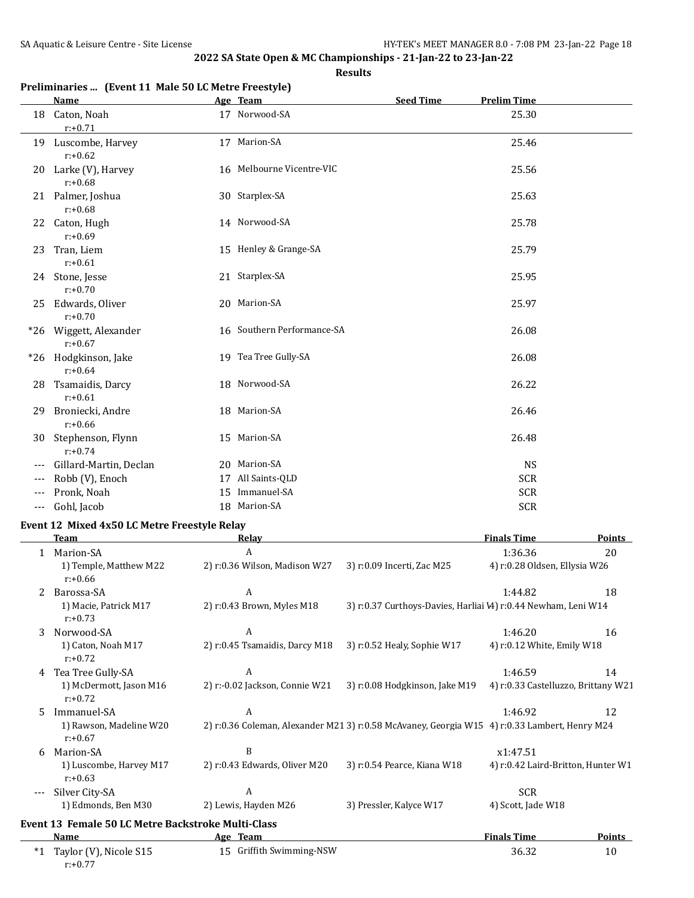## **Results**

## **Preliminaries ... (Event 11 Male 50 LC Metre Freestyle)**

|       | <b>Name</b>                      |    | Age Team                   | <b>Seed Time</b> | <b>Prelim Time</b> |  |
|-------|----------------------------------|----|----------------------------|------------------|--------------------|--|
| 18    | Caton, Noah<br>$r: +0.71$        |    | 17 Norwood-SA              |                  | 25.30              |  |
| 19    | Luscombe, Harvey<br>$r: +0.62$   |    | 17 Marion-SA               |                  | 25.46              |  |
| 20    | Larke (V), Harvey<br>$r: +0.68$  |    | 16 Melbourne Vicentre-VIC  |                  | 25.56              |  |
|       | 21 Palmer, Joshua<br>$r: +0.68$  |    | 30 Starplex-SA             |                  | 25.63              |  |
| 22    | Caton, Hugh<br>$r: +0.69$        |    | 14 Norwood-SA              |                  | 25.78              |  |
| 23    | Tran, Liem<br>$r: +0.61$         |    | 15 Henley & Grange-SA      |                  | 25.79              |  |
| 24    | Stone, Jesse<br>$r: +0.70$       |    | 21 Starplex-SA             |                  | 25.95              |  |
| 25    | Edwards, Oliver<br>$r: +0.70$    |    | 20 Marion-SA               |                  | 25.97              |  |
| $*26$ | Wiggett, Alexander<br>$r: +0.67$ |    | 16 Southern Performance-SA |                  | 26.08              |  |
| $*26$ | Hodgkinson, Jake<br>$r: +0.64$   |    | 19 Tea Tree Gully-SA       |                  | 26.08              |  |
| 28    | Tsamaidis, Darcy<br>$r: +0.61$   |    | 18 Norwood-SA              |                  | 26.22              |  |
| 29    | Broniecki, Andre<br>$r: +0.66$   |    | 18 Marion-SA               |                  | 26.46              |  |
| 30    | Stephenson, Flynn<br>$r: +0.74$  |    | 15 Marion-SA               |                  | 26.48              |  |
| ---   | Gillard-Martin, Declan           | 20 | Marion-SA                  |                  | <b>NS</b>          |  |
| ---   | Robb (V), Enoch                  | 17 | All Saints-QLD             |                  | <b>SCR</b>         |  |
| ---   | Pronk, Noah                      | 15 | Immanuel-SA                |                  | <b>SCR</b>         |  |
| $---$ | Gohl, Jacob                      |    | 18 Marion-SA               |                  | <b>SCR</b>         |  |

## **Event 12 Mixed 4x50 LC Metre Freestyle Relay**

|         | Team                                               | Relay                          |                                                                                               | <b>Finals Time</b>                  | <b>Points</b> |
|---------|----------------------------------------------------|--------------------------------|-----------------------------------------------------------------------------------------------|-------------------------------------|---------------|
|         | Marion-SA                                          | A                              |                                                                                               | 1:36.36                             | 20            |
|         | 1) Temple, Matthew M22<br>$r: +0.66$               | 2) r:0.36 Wilson, Madison W27  | 3) r:0.09 Incerti, Zac M25                                                                    | 4) r:0.28 Oldsen, Ellysia W26       |               |
| 2       | Barossa-SA                                         | A                              |                                                                                               | 1:44.82                             | 18            |
|         | 1) Macie, Patrick M17<br>$r: +0.73$                | 2) r:0.43 Brown, Myles M18     | 3) r:0.37 Curthoys-Davies, Harliai V4) r:0.44 Newham, Leni W14                                |                                     |               |
| 3       | Norwood-SA                                         | A                              |                                                                                               | 1:46.20                             | 16            |
|         | 1) Caton, Noah M17<br>$r: +0.72$                   | 2) r:0.45 Tsamaidis, Darcy M18 | 3) r:0.52 Healy, Sophie W17                                                                   | 4) r:0.12 White, Emily W18          |               |
| 4       | Tea Tree Gully-SA                                  | A                              |                                                                                               | 1:46.59                             | 14            |
|         | 1) McDermott, Jason M16<br>$r: +0.72$              | 2) r:-0.02 Jackson, Connie W21 | 3) r:0.08 Hodgkinson, Jake M19                                                                | 4) r:0.33 Castelluzzo, Brittany W21 |               |
| 5       | Immanuel-SA                                        | A                              |                                                                                               | 1:46.92                             | 12            |
|         | 1) Rawson, Madeline W20<br>$r: +0.67$              |                                | 2) r:0.36 Coleman, Alexander M21 3) r:0.58 McAvaney, Georgia W15 4) r:0.33 Lambert, Henry M24 |                                     |               |
| 6       | Marion-SA                                          | B                              |                                                                                               | x1:47.51                            |               |
|         | 1) Luscombe, Harvey M17<br>$r: +0.63$              | 2) r:0.43 Edwards, Oliver M20  | 3) r:0.54 Pearce, Kiana W18                                                                   | 4) r:0.42 Laird-Britton, Hunter W1  |               |
|         | Silver City-SA                                     | A                              |                                                                                               | SCR                                 |               |
|         | 1) Edmonds, Ben M30                                | 2) Lewis, Hayden M26           | 3) Pressler, Kalyce W17                                                                       | 4) Scott, Jade W18                  |               |
|         | Event 13 Female 50 LC Metre Backstroke Multi-Class |                                |                                                                                               |                                     |               |
|         | Name                                               | Age Team                       |                                                                                               | <b>Finals Time</b>                  | <b>Points</b> |
| $*_{1}$ | Taylor (V), Nicole S15<br>$r: +0.77$               | 15 Griffith Swimming-NSW       |                                                                                               | 36.32                               | 10            |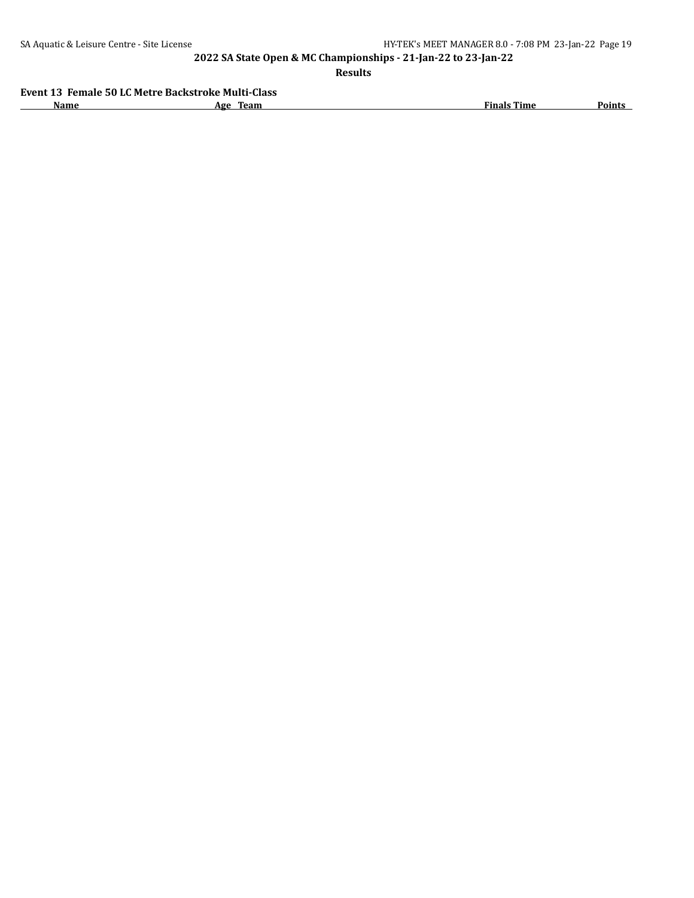**Results**

**Event 13 Female 50 LC Metre Backstroke Multi-Class Age Team Age Team Finals Time Points**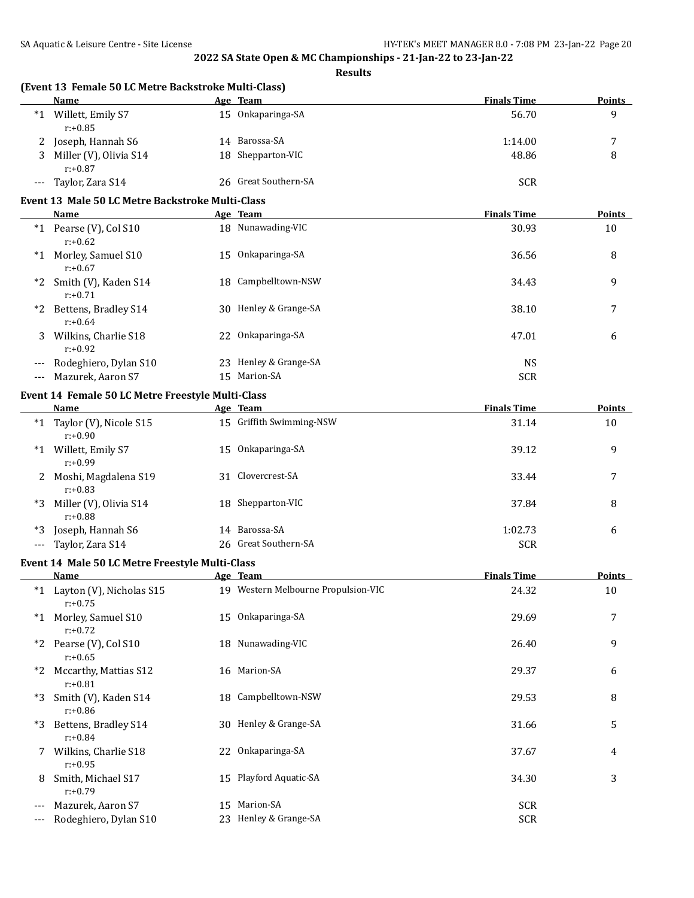|                          | (Event 13 Female 50 LC Metre Backstroke Multi-Class)<br>Name | Age Team                            | <b>Finals Time</b> | <b>Points</b> |
|--------------------------|--------------------------------------------------------------|-------------------------------------|--------------------|---------------|
|                          | *1 Willett, Emily S7<br>$r: +0.85$                           | 15 Onkaparinga-SA                   | 56.70              | 9             |
|                          | 2 Joseph, Hannah S6                                          | 14 Barossa-SA                       | 1:14.00            | 7             |
|                          | 3 Miller (V), Olivia S14<br>$r: +0.87$                       | 18 Shepparton-VIC                   | 48.86              | 8             |
|                          | --- Taylor, Zara S14                                         | 26 Great Southern-SA                | <b>SCR</b>         |               |
|                          | Event 13 Male 50 LC Metre Backstroke Multi-Class             |                                     |                    |               |
|                          | Name                                                         | Age Team                            | <b>Finals Time</b> | Points        |
|                          | *1 Pearse (V), Col S10<br>$r: +0.62$                         | 18 Nunawading-VIC                   | 30.93              | 10            |
|                          | *1 Morley, Samuel S10<br>$r: +0.67$                          | 15 Onkaparinga-SA                   | 36.56              | 8             |
| *2                       | Smith (V), Kaden S14<br>$r: +0.71$                           | 18 Campbelltown-NSW                 | 34.43              | 9             |
| *2                       | Bettens, Bradley S14<br>$r: +0.64$                           | 30 Henley & Grange-SA               | 38.10              | 7             |
|                          | 3 Wilkins, Charlie S18<br>$r: +0.92$                         | 22 Onkaparinga-SA                   | 47.01              | 6             |
| $\qquad \qquad - -$      | Rodeghiero, Dylan S10                                        | 23 Henley & Grange-SA               | <b>NS</b>          |               |
|                          | Mazurek, Aaron S7                                            | 15 Marion-SA                        | <b>SCR</b>         |               |
|                          | Event 14 Female 50 LC Metre Freestyle Multi-Class            |                                     |                    |               |
|                          | Name                                                         | Age Team                            | <b>Finals Time</b> | <b>Points</b> |
|                          | *1 Taylor (V), Nicole S15<br>$r: +0.90$                      | 15 Griffith Swimming-NSW            | 31.14              | 10            |
|                          | *1 Willett, Emily S7<br>$r: +0.99$                           | 15 Onkaparinga-SA                   | 39.12              | 9             |
|                          | 2 Moshi, Magdalena S19<br>$r: +0.83$                         | 31 Clovercrest-SA                   | 33.44              | 7             |
|                          | *3 Miller (V), Olivia S14<br>$r: +0.88$                      | 18 Shepparton-VIC                   | 37.84              | 8             |
|                          | *3 Joseph, Hannah S6                                         | 14 Barossa-SA                       | 1:02.73            | 6             |
| $\hspace{0.05cm} \ldots$ | Taylor, Zara S14                                             | 26 Great Southern-SA                | <b>SCR</b>         |               |
|                          | Event 14 Male 50 LC Metre Freestyle Multi-Class              |                                     |                    |               |
|                          | Name                                                         | Age Team                            | <b>Finals Time</b> | Points        |
|                          | *1 Layton (V), Nicholas S15<br>$r: +0.75$                    | 19 Western Melbourne Propulsion-VIC | 24.32              | 10            |
|                          | *1 Morley, Samuel S10<br>$r: +0.72$                          | 15 Onkaparinga-SA                   | 29.69              | 7             |
|                          | *2 Pearse (V), Col S10<br>$r: +0.65$                         | 18 Nunawading-VIC                   | 26.40              | 9             |
|                          | *2 Mccarthy, Mattias S12<br>$r: +0.81$                       | 16 Marion-SA                        | 29.37              | 6             |
| *3                       | Smith (V), Kaden S14<br>$r: +0.86$                           | 18 Campbelltown-NSW                 | 29.53              | 8             |
| *3                       | Bettens, Bradley S14<br>$r: +0.84$                           | 30 Henley & Grange-SA               | 31.66              | 5             |
|                          | 7 Wilkins, Charlie S18<br>$r: +0.95$                         | 22 Onkaparinga-SA                   | 37.67              | 4             |
| 8                        | Smith, Michael S17<br>$r: +0.79$                             | 15 Playford Aquatic-SA              | 34.30              | 3             |
| $---$                    | Mazurek, Aaron S7                                            | 15 Marion-SA                        | <b>SCR</b>         |               |
| $---$                    | Rodeghiero, Dylan S10                                        | 23 Henley & Grange-SA               | <b>SCR</b>         |               |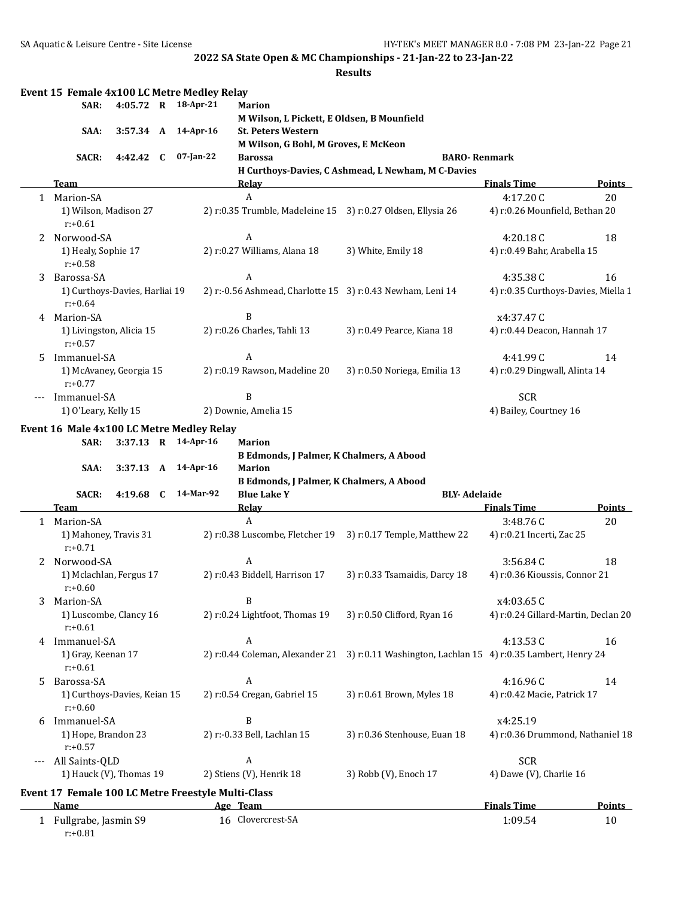|       | Event 15 Female 4x100 LC Metre Medley Relay<br>SAR:        |             |   | 4:05.72 R 18-Apr-21                             | <b>Marion</b>                                                                     |                                                                                              |                                       |                     |
|-------|------------------------------------------------------------|-------------|---|-------------------------------------------------|-----------------------------------------------------------------------------------|----------------------------------------------------------------------------------------------|---------------------------------------|---------------------|
|       |                                                            |             |   |                                                 | M Wilson, L Pickett, E Oldsen, B Mounfield                                        |                                                                                              |                                       |                     |
|       | SAA:                                                       | 3:57.34 A   |   | 14-Apr-16                                       | <b>St. Peters Western</b>                                                         |                                                                                              |                                       |                     |
|       |                                                            |             |   |                                                 | M Wilson, G Bohl, M Groves, E McKeon                                              |                                                                                              |                                       |                     |
|       | <b>SACR:</b>                                               | 4:42.42     | C | $07$ -Jan-22                                    | <b>Barossa</b>                                                                    | <b>BARO-Renmark</b>                                                                          |                                       |                     |
|       |                                                            |             |   |                                                 |                                                                                   | H Curthoys-Davies, C Ashmead, L Newham, M C-Davies                                           | <b>Finals Time</b>                    |                     |
|       | Team<br>1 Marion-SA                                        |             |   |                                                 | <b>Relay</b><br>A                                                                 |                                                                                              | 4:17.20C                              | Points<br>20        |
|       | 1) Wilson, Madison 27                                      |             |   |                                                 |                                                                                   | 2) r:0.35 Trumble, Madeleine 15 3) r:0.27 Oldsen, Ellysia 26                                 | 4) r:0.26 Mounfield, Bethan 20        |                     |
|       | $r: +0.61$                                                 |             |   |                                                 |                                                                                   |                                                                                              |                                       |                     |
| 2     | Norwood-SA                                                 |             |   |                                                 | A                                                                                 |                                                                                              | 4:20.18C                              | 18                  |
|       | 1) Healy, Sophie 17                                        |             |   |                                                 | 2) r:0.27 Williams, Alana 18                                                      | 3) White, Emily 18                                                                           | 4) r:0.49 Bahr, Arabella 15           |                     |
|       | $r: +0.58$                                                 |             |   |                                                 |                                                                                   |                                                                                              |                                       |                     |
| 3     | Barossa-SA                                                 |             |   |                                                 | A                                                                                 |                                                                                              | 4:35.38C                              | 16                  |
|       | 1) Curthoys-Davies, Harliai 19                             |             |   |                                                 |                                                                                   | 2) r:-0.56 Ashmead, Charlotte 15 3) r:0.43 Newham, Leni 14                                   | 4) r:0.35 Curthoys-Davies, Miella 1   |                     |
|       | $r: +0.64$                                                 |             |   |                                                 |                                                                                   |                                                                                              |                                       |                     |
| 4     | Marion-SA                                                  |             |   |                                                 | B                                                                                 |                                                                                              | x4:37.47C                             |                     |
|       | 1) Livingston, Alicia 15<br>$r: +0.57$                     |             |   |                                                 | 2) r:0.26 Charles, Tahli 13                                                       | 3) r:0.49 Pearce, Kiana 18                                                                   | 4) r:0.44 Deacon, Hannah 17           |                     |
| 5.    | Immanuel-SA                                                |             |   |                                                 | A                                                                                 |                                                                                              | 4:41.99C                              | 14                  |
|       | 1) McAvaney, Georgia 15                                    |             |   |                                                 | 2) r:0.19 Rawson, Madeline 20                                                     | 3) r:0.50 Noriega, Emilia 13                                                                 | 4) r:0.29 Dingwall, Alinta 14         |                     |
|       | $r: +0.77$                                                 |             |   |                                                 |                                                                                   |                                                                                              |                                       |                     |
|       | Immanuel-SA                                                |             |   |                                                 | B                                                                                 |                                                                                              | <b>SCR</b>                            |                     |
|       | 1) O'Leary, Kelly 15                                       |             |   |                                                 | 2) Downie, Amelia 15                                                              |                                                                                              | 4) Bailey, Courtney 16                |                     |
|       | Event 16 Male 4x100 LC Metre Medley Relay<br>SAR:<br>SAA:  |             |   | 3:37.13 R 14-Apr-16<br>$3:37.13$ A $14$ -Apr-16 | <b>Marion</b><br><b>B Edmonds, J Palmer, K Chalmers, A Abood</b><br><b>Marion</b> |                                                                                              |                                       |                     |
|       | <b>SACR:</b>                                               | 4:19.68 $C$ |   | 14-Mar-92                                       | <b>B Edmonds, J Palmer, K Chalmers, A Abood</b><br><b>Blue Lake Y</b>             | <b>BLY-Adelaide</b>                                                                          |                                       |                     |
|       | Team                                                       |             |   |                                                 | Relay                                                                             |                                                                                              | <b>Finals Time</b>                    |                     |
|       | 1 Marion-SA                                                |             |   |                                                 | A                                                                                 |                                                                                              | 3:48.76C                              | <b>Points</b><br>20 |
|       | 1) Mahoney, Travis 31                                      |             |   |                                                 | 2) r:0.38 Luscombe, Fletcher 19                                                   | 3) r:0.17 Temple, Matthew 22                                                                 | 4) r:0.21 Incerti, Zac 25             |                     |
| 2     | $r: +0.71$<br>Norwood-SA                                   |             |   |                                                 | A                                                                                 |                                                                                              | 3:56.84C                              | 18                  |
|       | 1) Mclachlan, Fergus 17                                    |             |   |                                                 | 2) r:0.43 Biddell, Harrison 17                                                    | 3) r:0.33 Tsamaidis, Darcy 18                                                                | 4) r:0.36 Kioussis, Connor 21         |                     |
|       | $r: +0.60$                                                 |             |   |                                                 |                                                                                   |                                                                                              |                                       |                     |
| 3     | Marion-SA                                                  |             |   |                                                 | B                                                                                 |                                                                                              | x4:03.65C                             |                     |
|       | 1) Luscombe, Clancy 16                                     |             |   |                                                 | 2) r:0.24 Lightfoot, Thomas 19                                                    | 3) r:0.50 Clifford, Ryan 16                                                                  | 4) r:0.24 Gillard-Martin, Declan 20   |                     |
|       | $r: +0.61$                                                 |             |   |                                                 |                                                                                   |                                                                                              |                                       |                     |
|       | 4 Immanuel-SA                                              |             |   |                                                 | A                                                                                 |                                                                                              | 4:13.53C                              | 16                  |
|       | 1) Gray, Keenan 17                                         |             |   |                                                 |                                                                                   | 2) r:0.44 Coleman, Alexander 21 3) r:0.11 Washington, Lachlan 15 4) r:0.35 Lambert, Henry 24 |                                       |                     |
|       | $r: +0.61$                                                 |             |   |                                                 | A                                                                                 |                                                                                              |                                       |                     |
| 5.    | Barossa-SA                                                 |             |   |                                                 |                                                                                   |                                                                                              | 4:16.96C                              | 14                  |
|       | 1) Curthoys-Davies, Keian 15<br>$r: +0.60$                 |             |   |                                                 | 2) r:0.54 Cregan, Gabriel 15                                                      | 3) r:0.61 Brown, Myles 18                                                                    | 4) r:0.42 Macie, Patrick 17           |                     |
| 6.    | Immanuel-SA                                                |             |   |                                                 | B                                                                                 |                                                                                              | x4:25.19                              |                     |
|       | 1) Hope, Brandon 23                                        |             |   |                                                 | 2) r:-0.33 Bell, Lachlan 15                                                       | 3) r:0.36 Stenhouse, Euan 18                                                                 | 4) r:0.36 Drummond, Nathaniel 18      |                     |
| $---$ | $r: +0.57$                                                 |             |   |                                                 | A                                                                                 |                                                                                              |                                       |                     |
|       | All Saints-QLD<br>1) Hauck (V), Thomas 19                  |             |   |                                                 | 2) Stiens (V), Henrik 18                                                          | 3) Robb (V), Enoch 17                                                                        | <b>SCR</b><br>4) Dawe (V), Charlie 16 |                     |
|       |                                                            |             |   |                                                 |                                                                                   |                                                                                              |                                       |                     |
|       | Event 17 Female 100 LC Metre Freestyle Multi-Class<br>Name |             |   |                                                 | Age Team                                                                          |                                                                                              | <b>Finals Time</b>                    | <b>Points</b>       |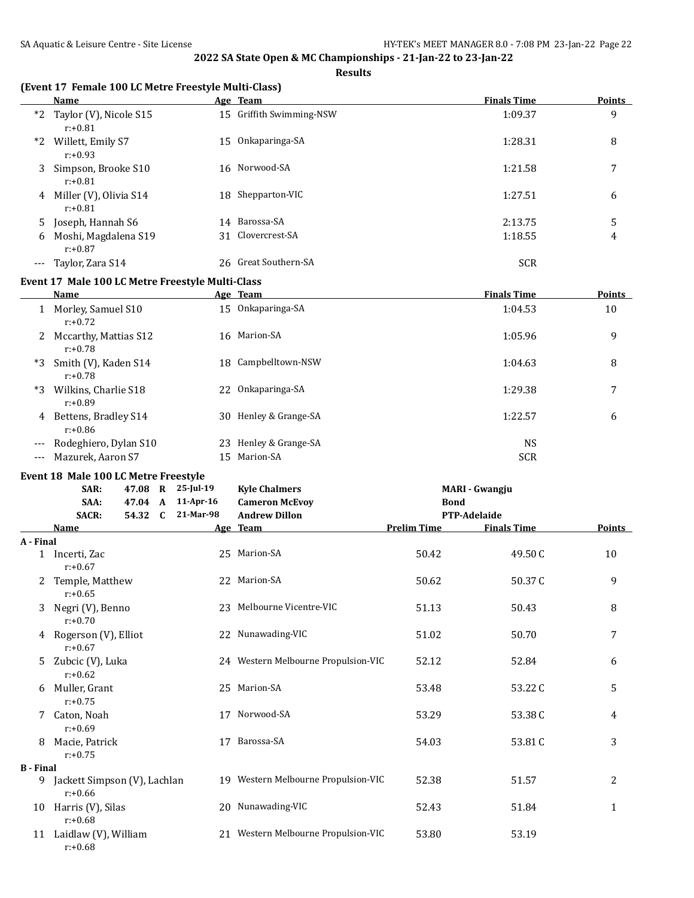|                  | Name                                             |    | Age Team                            |                    | <b>Finals Time</b>    | Points        |
|------------------|--------------------------------------------------|----|-------------------------------------|--------------------|-----------------------|---------------|
| $*2$             | Taylor (V), Nicole S15<br>$r: +0.81$             |    | 15 Griffith Swimming-NSW            |                    | 1:09.37               | 9             |
|                  | *2 Willett, Emily S7<br>$r: +0.93$               |    | 15 Onkaparinga-SA                   |                    | 1:28.31               | 8             |
|                  | Simpson, Brooke S10<br>$r: +0.81$                |    | 16 Norwood-SA                       |                    | 1:21.58               | 7             |
|                  | 4 Miller (V), Olivia S14<br>$r: +0.81$           |    | 18 Shepparton-VIC                   |                    | 1:27.51               | 6             |
| 5                | Joseph, Hannah S6                                |    | 14 Barossa-SA                       |                    | 2:13.75               | 5             |
| 6                | Moshi, Magdalena S19                             |    | 31 Clovercrest-SA                   |                    | 1:18.55               | 4             |
|                  | $r: +0.87$                                       |    |                                     |                    |                       |               |
|                  | Taylor, Zara S14                                 |    | 26 Great Southern-SA                |                    | <b>SCR</b>            |               |
|                  | Event 17 Male 100 LC Metre Freestyle Multi-Class |    |                                     |                    |                       |               |
|                  | <b>Name</b>                                      |    | Age Team                            |                    | <b>Finals Time</b>    | <b>Points</b> |
|                  | 1 Morley, Samuel S10<br>$r: +0.72$               |    | 15 Onkaparinga-SA                   |                    | 1:04.53               | 10            |
| 2                | Mccarthy, Mattias S12<br>$r: +0.78$              |    | 16 Marion-SA                        |                    | 1:05.96               | 9             |
| *3               | Smith (V), Kaden S14<br>$r: +0.78$               |    | 18 Campbelltown-NSW                 |                    | 1:04.63               | 8             |
|                  | *3 Wilkins, Charlie S18<br>$r: +0.89$            |    | 22 Onkaparinga-SA                   |                    | 1:29.38               | 7             |
| 4                | Bettens, Bradley S14<br>$r: +0.86$               |    | 30 Henley & Grange-SA               |                    | 1:22.57               | 6             |
|                  | Rodeghiero, Dylan S10                            |    | 23 Henley & Grange-SA               |                    | <b>NS</b>             |               |
| $---$            | Mazurek, Aaron S7                                |    | 15 Marion-SA                        |                    | <b>SCR</b>            |               |
|                  | Event 18 Male 100 LC Metre Freestyle             |    |                                     |                    |                       |               |
|                  | SAR:<br>47.08 R 25-Jul-19                        |    | <b>Kyle Chalmers</b>                |                    | <b>MARI - Gwangju</b> |               |
|                  | 47.04 A 11-Apr-16<br>SAA:                        |    | <b>Cameron McEvoy</b>               | <b>Bond</b>        |                       |               |
|                  | 54.32 C 21-Mar-98<br><b>SACR:</b>                |    | <b>Andrew Dillon</b>                |                    | PTP-Adelaide          |               |
|                  | Name                                             |    | Age Team                            | <b>Prelim Time</b> | <b>Finals Time</b>    | Points        |
| A - Final        |                                                  |    |                                     |                    |                       |               |
|                  | 1 Incerti, Zac<br>$r: +0.67$                     |    | 25 Marion-SA                        | 50.42              | 49.50C                | 10            |
|                  | 2 Temple, Matthew<br>$r: +0.65$                  |    | 22 Marion-SA                        | 50.62              | 50.37C                | 9             |
|                  | 3 Negri (V), Benno<br>$r: +0.70$                 |    | 23 Melbourne Vicentre-VIC           | 51.13              | 50.43                 | 8             |
|                  | 4 Rogerson (V), Elliot<br>$r: +0.67$             |    | 22 Nunawading-VIC                   | 51.02              | 50.70                 | 7             |
|                  | 5 Zubcic (V), Luka<br>$r: +0.62$                 |    | 24 Western Melbourne Propulsion-VIC | 52.12              | 52.84                 | 6             |
| 6                | Muller, Grant<br>$r: +0.75$                      |    | 25 Marion-SA                        | 53.48              | 53.22C                | 5             |
|                  | 7 Caton, Noah<br>$r: +0.69$                      | 17 | Norwood-SA                          | 53.29              | 53.38C                | 4             |
| 8                | Macie, Patrick<br>$r: +0.75$                     |    | 17 Barossa-SA                       | 54.03              | 53.81C                | 3             |
| <b>B</b> - Final |                                                  |    |                                     |                    |                       |               |
|                  | 9 Jackett Simpson (V), Lachlan<br>$r: +0.66$     |    | 19 Western Melbourne Propulsion-VIC | 52.38              | 51.57                 | 2             |
|                  |                                                  |    |                                     |                    |                       | 1             |
|                  | 10 Harris (V), Silas<br>$r: +0.68$               |    | 20 Nunawading-VIC                   | 52.43              | 51.84                 |               |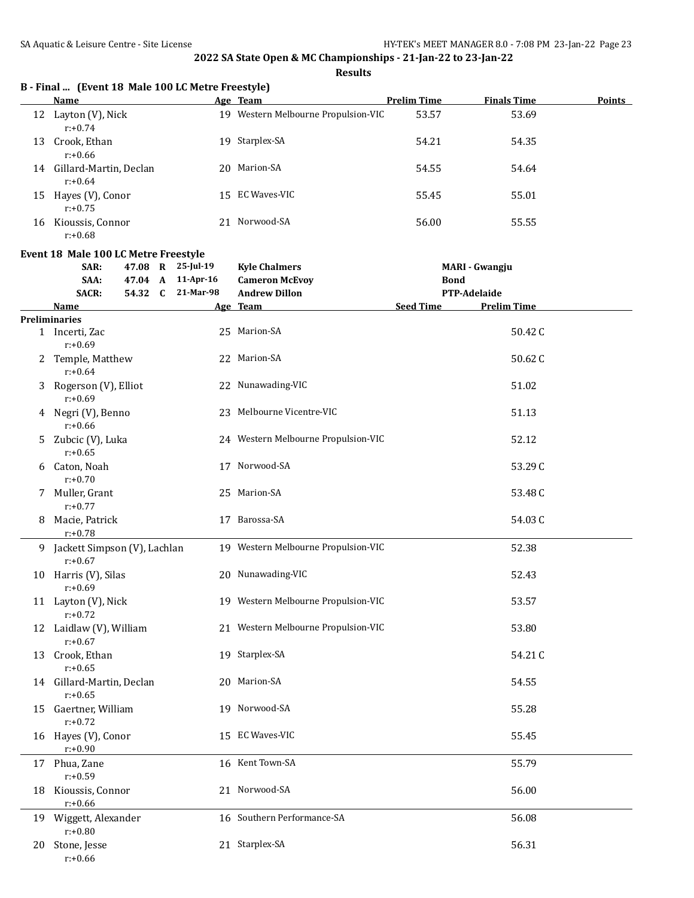**Results**

|    | <b>Name</b>                       |     | Age Team                         | <b>Prelim Time</b> | <b>Finals Time</b> | <b>Points</b> |
|----|-----------------------------------|-----|----------------------------------|--------------------|--------------------|---------------|
| 12 | Layton (V), Nick<br>$r: +0.74$    | 19  | Western Melbourne Propulsion-VIC | 53.57              | 53.69              |               |
| 13 | Crook, Ethan<br>r:+0.66           | 19  | Starplex-SA                      | 54.21              | 54.35              |               |
| 14 | Gillard-Martin, Declan<br>r:+0.64 | 20. | Marion-SA                        | 54.55              | 54.64              |               |
| 15 | Hayes (V), Conor<br>$r: +0.75$    | 15  | <b>EC Waves-VIC</b>              | 55.45              | 55.01              |               |
| 16 | Kioussis, Connor<br>$r: +0.68$    | 21  | Norwood-SA                       | 56.00              | 55.55              |               |

### **Event 18 Male 100 LC Metre Freestyle**

|    | SAR:                                         |         |  | 47.08 R 25-Jul-19 | <b>Kyle Chalmers</b>                |                  | <b>MARI - Gwangju</b> |  |
|----|----------------------------------------------|---------|--|-------------------|-------------------------------------|------------------|-----------------------|--|
|    | SAA:                                         | 47.04 A |  | 11-Apr-16         | <b>Cameron McEvoy</b>               | <b>Bond</b>      |                       |  |
|    | <b>SACR:</b>                                 | 54.32 C |  | 21-Mar-98         | <b>Andrew Dillon</b>                |                  | PTP-Adelaide          |  |
|    | Name                                         |         |  |                   | Age Team                            | <b>Seed Time</b> | <b>Prelim Time</b>    |  |
|    | <b>Preliminaries</b>                         |         |  |                   |                                     |                  |                       |  |
|    | 1 Incerti, Zac<br>$r: +0.69$                 |         |  |                   | 25 Marion-SA                        |                  | 50.42C                |  |
|    | 2 Temple, Matthew<br>$r: +0.64$              |         |  |                   | 22 Marion-SA                        |                  | 50.62C                |  |
|    | 3 Rogerson (V), Elliot<br>$r: +0.69$         |         |  |                   | 22 Nunawading-VIC                   |                  | 51.02                 |  |
|    | 4 Negri (V), Benno<br>$r: +0.66$             |         |  |                   | 23 Melbourne Vicentre-VIC           |                  | 51.13                 |  |
| 5. | Zubcic (V), Luka<br>$r: +0.65$               |         |  |                   | 24 Western Melbourne Propulsion-VIC |                  | 52.12                 |  |
| 6  | Caton, Noah<br>$r: +0.70$                    |         |  |                   | 17 Norwood-SA                       |                  | 53.29C                |  |
|    | 7 Muller, Grant<br>$r: +0.77$                |         |  |                   | 25 Marion-SA                        |                  | 53.48C                |  |
| 8  | Macie, Patrick<br>$r: +0.78$                 |         |  |                   | 17 Barossa-SA                       |                  | 54.03C                |  |
|    | 9 Jackett Simpson (V), Lachlan<br>$r: +0.67$ |         |  |                   | 19 Western Melbourne Propulsion-VIC |                  | 52.38                 |  |
|    | 10 Harris (V), Silas<br>$r: +0.69$           |         |  |                   | 20 Nunawading-VIC                   |                  | 52.43                 |  |
|    | 11 Layton (V), Nick<br>$r: +0.72$            |         |  |                   | 19 Western Melbourne Propulsion-VIC |                  | 53.57                 |  |
|    | 12 Laidlaw (V), William<br>$r: +0.67$        |         |  |                   | 21 Western Melbourne Propulsion-VIC |                  | 53.80                 |  |
|    | 13 Crook, Ethan<br>$r: +0.65$                |         |  |                   | 19 Starplex-SA                      |                  | 54.21C                |  |
|    | 14 Gillard-Martin, Declan<br>$r: +0.65$      |         |  |                   | 20 Marion-SA                        |                  | 54.55                 |  |
|    | 15 Gaertner, William<br>$r: +0.72$           |         |  |                   | 19 Norwood-SA                       |                  | 55.28                 |  |
|    | 16 Hayes (V), Conor<br>$r: +0.90$            |         |  |                   | 15 EC Waves-VIC                     |                  | 55.45                 |  |
|    | 17 Phua, Zane<br>$r: +0.59$                  |         |  |                   | 16 Kent Town-SA                     |                  | 55.79                 |  |
| 18 | Kioussis, Connor<br>$r: +0.66$               |         |  |                   | 21 Norwood-SA                       |                  | 56.00                 |  |
|    | 19 Wiggett, Alexander<br>$r: +0.80$          |         |  |                   | 16 Southern Performance-SA          |                  | 56.08                 |  |
| 20 | Stone, Jesse<br>$r: +0.66$                   |         |  |                   | 21 Starplex-SA                      |                  | 56.31                 |  |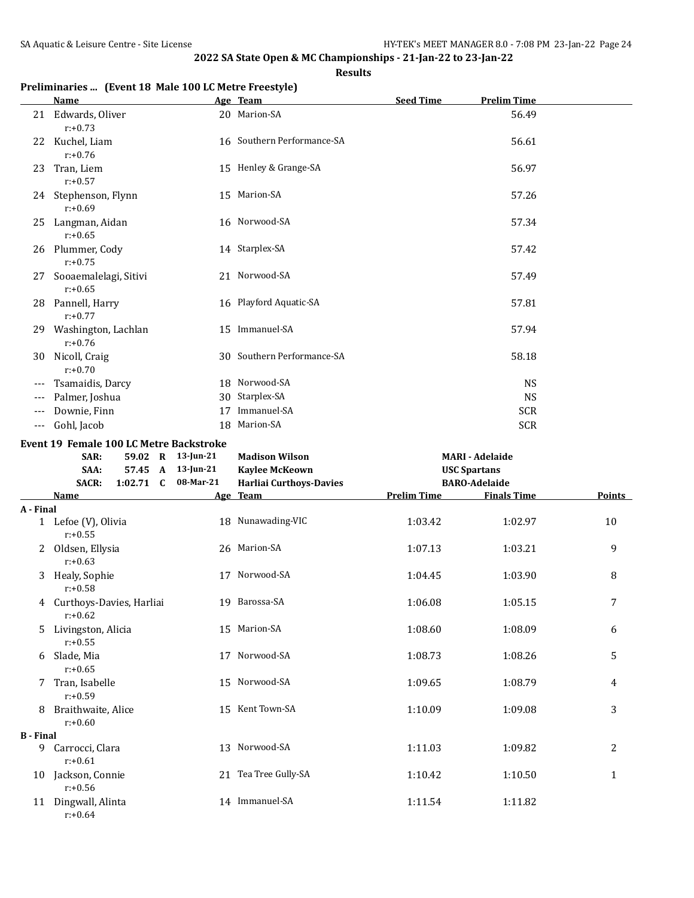| Preliminaries  (Event 18 Male 100 LC Metre Freestyle) |  |  |  |  |
|-------------------------------------------------------|--|--|--|--|
|-------------------------------------------------------|--|--|--|--|

|                     | Name                                                                                  |           | Age Team                                                                         | <b>Seed Time</b>   | <b>Prelim Time</b>                                                    |              |
|---------------------|---------------------------------------------------------------------------------------|-----------|----------------------------------------------------------------------------------|--------------------|-----------------------------------------------------------------------|--------------|
|                     | 21 Edwards, Oliver<br>$r: +0.73$                                                      |           | 20 Marion-SA                                                                     |                    | 56.49                                                                 |              |
|                     | 22 Kuchel, Liam<br>$r: +0.76$                                                         |           | 16 Southern Performance-SA                                                       |                    | 56.61                                                                 |              |
| 23                  | Tran, Liem<br>$r: +0.57$                                                              |           | 15 Henley & Grange-SA                                                            |                    | 56.97                                                                 |              |
|                     | 24 Stephenson, Flynn<br>$r: +0.69$                                                    |           | 15 Marion-SA                                                                     |                    | 57.26                                                                 |              |
|                     | 25 Langman, Aidan<br>$r: +0.65$                                                       |           | 16 Norwood-SA                                                                    |                    | 57.34                                                                 |              |
|                     | 26 Plummer, Cody<br>$r: +0.75$                                                        |           | 14 Starplex-SA                                                                   |                    | 57.42                                                                 |              |
|                     | 27 Sooaemalelagi, Sitivi<br>$r: +0.65$                                                |           | 21 Norwood-SA                                                                    |                    | 57.49                                                                 |              |
|                     | 28 Pannell, Harry<br>$r: +0.77$                                                       |           | 16 Playford Aquatic-SA                                                           |                    | 57.81                                                                 |              |
|                     | 29 Washington, Lachlan<br>$r: +0.76$                                                  |           | 15 Immanuel-SA                                                                   |                    | 57.94                                                                 |              |
|                     | 30 Nicoll, Craig<br>$r: +0.70$                                                        |           | 30 Southern Performance-SA                                                       |                    | 58.18                                                                 |              |
| $---$               | Tsamaidis, Darcy                                                                      |           | 18 Norwood-SA                                                                    |                    | <b>NS</b>                                                             |              |
| ---                 | Palmer, Joshua                                                                        |           | 30 Starplex-SA                                                                   |                    | <b>NS</b>                                                             |              |
| ---                 | Downie, Finn                                                                          |           | 17 Immanuel-SA                                                                   |                    | <b>SCR</b>                                                            |              |
| $---$               | Gohl, Jacob                                                                           | 18        | Marion-SA                                                                        |                    | <b>SCR</b>                                                            |              |
|                     | SAR:<br>59.02 R 13-Jun-21<br>57.45 A 13-Jun-21<br>SAA:<br><b>SACR:</b><br>$1:02.71$ C | 08-Mar-21 | <b>Madison Wilson</b><br><b>Kaylee McKeown</b><br><b>Harliai Curthoys-Davies</b> |                    | <b>MARI - Adelaide</b><br><b>USC Spartans</b><br><b>BARO-Adelaide</b> |              |
|                     | Name                                                                                  |           | Age Team                                                                         | <b>Prelim Time</b> | <b>Finals Time</b>                                                    | Points       |
| A - Final           | 1 Lefoe (V), Olivia<br>$r: +0.55$                                                     |           | 18 Nunawading-VIC                                                                | 1:03.42            | 1:02.97                                                               | 10           |
|                     | 2 Oldsen, Ellysia<br>$r: +0.63$                                                       |           | 26 Marion-SA                                                                     | 1:07.13            | 1:03.21                                                               | 9            |
|                     | 3 Healy, Sophie<br>$r: +0.58$                                                         |           | 17 Norwood-SA                                                                    | 1:04.45            | 1:03.90                                                               | 8            |
|                     | 4 Curthoys-Davies, Harliai<br>$r: +0.62$                                              |           | 19 Barossa-SA                                                                    | 1:06.08            | 1:05.15                                                               | 7            |
| 5                   | Livingston, Alicia<br>$r: +0.55$                                                      |           | 15 Marion-SA                                                                     | 1:08.60            | 1:08.09                                                               | 6            |
| 6                   | Slade, Mia<br>$r: +0.65$                                                              |           | 17 Norwood-SA                                                                    | 1:08.73            | 1:08.26                                                               | 5            |
| 7                   | Tran, Isabelle<br>$r: +0.59$                                                          |           | 15 Norwood-SA                                                                    | 1:09.65            | 1:08.79                                                               | 4            |
| 8                   | Braithwaite, Alice<br>$r: +0.60$                                                      |           | 15 Kent Town-SA                                                                  | 1:10.09            | 1:09.08                                                               | 3            |
| <b>B</b> - Final    |                                                                                       |           |                                                                                  |                    |                                                                       |              |
|                     | 9 Carrocci, Clara<br>$r: +0.61$                                                       |           | 13 Norwood-SA                                                                    | 1:11.03            | 1:09.82                                                               | 2            |
|                     | 10 Jackson, Connie<br>$r: +0.56$                                                      |           | 21 Tea Tree Gully-SA                                                             | 1:10.42            | 1:10.50                                                               | $\mathbf{1}$ |
| 11 Dingwall, Alinta |                                                                                       |           |                                                                                  |                    |                                                                       |              |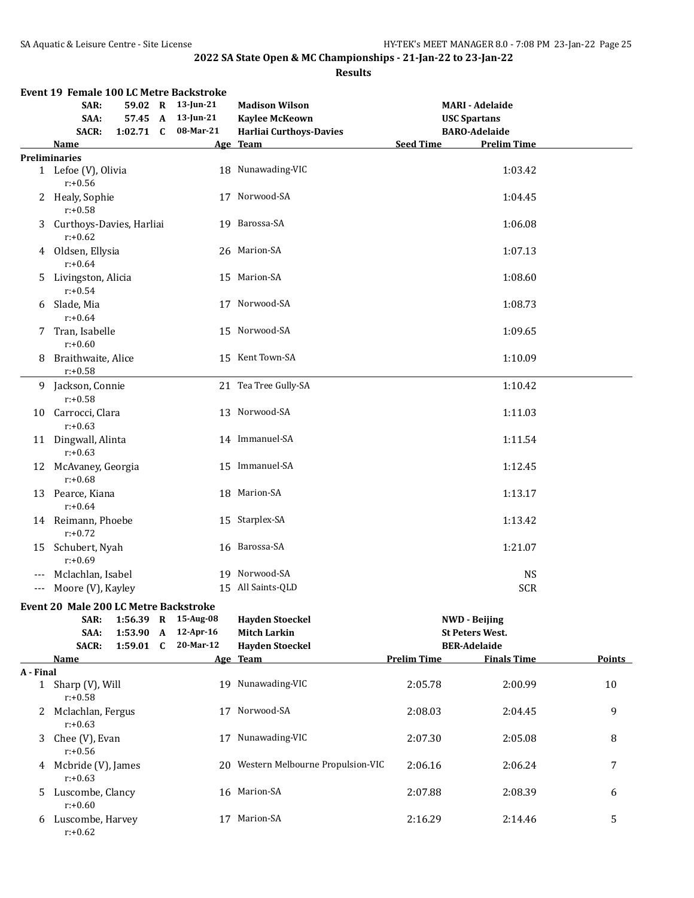|           | Event 19 Female 100 LC Metre Backstroke                   |             |                                        |                                                |                    |                                               |               |
|-----------|-----------------------------------------------------------|-------------|----------------------------------------|------------------------------------------------|--------------------|-----------------------------------------------|---------------|
|           | SAR:<br>SAA:                                              |             | 59.02 R 13-Jun-21<br>57.45 A 13-Jun-21 | <b>Madison Wilson</b><br><b>Kaylee McKeown</b> |                    | <b>MARI - Adelaide</b><br><b>USC Spartans</b> |               |
|           | <b>SACR:</b>                                              |             | 1:02.71 C 08-Mar-21                    | <b>Harliai Curthoys-Davies</b>                 |                    | <b>BARO-Adelaide</b>                          |               |
|           | Name                                                      |             |                                        | Age Team                                       | <b>Seed Time</b>   | <b>Prelim Time</b>                            |               |
|           | <b>Preliminaries</b><br>1 Lefoe (V), Olivia<br>$r: +0.56$ |             |                                        | 18 Nunawading-VIC                              |                    | 1:03.42                                       |               |
|           | 2 Healy, Sophie<br>$r: +0.58$                             |             |                                        | 17 Norwood-SA                                  |                    | 1:04.45                                       |               |
|           | 3 Curthoys-Davies, Harliai<br>$r: +0.62$                  |             |                                        | 19 Barossa-SA                                  |                    | 1:06.08                                       |               |
|           | 4 Oldsen, Ellysia<br>$r: +0.64$                           |             |                                        | 26 Marion-SA                                   |                    | 1:07.13                                       |               |
|           | 5 Livingston, Alicia<br>$r: +0.54$                        |             |                                        | 15 Marion-SA                                   |                    | 1:08.60                                       |               |
|           | 6 Slade, Mia<br>$r: +0.64$                                |             |                                        | 17 Norwood-SA                                  |                    | 1:08.73                                       |               |
|           | 7 Tran, Isabelle<br>$r: +0.60$                            |             |                                        | 15 Norwood-SA                                  |                    | 1:09.65                                       |               |
|           | 8 Braithwaite, Alice<br>$r: +0.58$                        |             |                                        | 15 Kent Town-SA                                |                    | 1:10.09                                       |               |
|           | 9 Jackson, Connie<br>$r: +0.58$                           |             |                                        | 21 Tea Tree Gully-SA                           |                    | 1:10.42                                       |               |
|           | 10 Carrocci, Clara<br>$r: +0.63$                          |             |                                        | 13 Norwood-SA                                  |                    | 1:11.03                                       |               |
|           | 11 Dingwall, Alinta<br>$r: +0.63$                         |             |                                        | 14 Immanuel-SA                                 |                    | 1:11.54                                       |               |
|           | 12 McAvaney, Georgia<br>$r: +0.68$                        |             |                                        | 15 Immanuel-SA                                 |                    | 1:12.45                                       |               |
|           | 13 Pearce, Kiana<br>$r: +0.64$                            |             |                                        | 18 Marion-SA                                   |                    | 1:13.17                                       |               |
|           | 14 Reimann, Phoebe<br>$r: +0.72$                          |             |                                        | 15 Starplex-SA                                 |                    | 1:13.42                                       |               |
|           | 15 Schubert, Nyah<br>$r: +0.69$                           |             |                                        | 16 Barossa-SA                                  |                    | 1:21.07                                       |               |
|           | Mclachlan, Isabel                                         |             |                                        | 19 Norwood-SA                                  |                    | <b>NS</b>                                     |               |
| $---$     | Moore (V), Kayley                                         |             |                                        | 15 All Saints-QLD                              |                    | <b>SCR</b>                                    |               |
|           | Event 20 Male 200 LC Metre Backstroke                     |             |                                        |                                                |                    |                                               |               |
|           | SAR:                                                      |             | 1:56.39 R 15-Aug-08                    | <b>Hayden Stoeckel</b>                         |                    | <b>NWD</b> - Beijing                          |               |
|           | SAA:                                                      | 1:53.90 A   | 12-Apr-16                              | <b>Mitch Larkin</b>                            |                    | <b>St Peters West.</b>                        |               |
|           | <b>SACR:</b>                                              | $1:59.01$ C | 20-Mar-12                              | <b>Hayden Stoeckel</b>                         |                    | <b>BER-Adelaide</b>                           |               |
|           | Name                                                      |             |                                        | Age Team                                       | <b>Prelim Time</b> | <b>Finals Time</b>                            | <b>Points</b> |
| A - Final | 1 Sharp (V), Will<br>$r: +0.58$                           |             |                                        | 19 Nunawading-VIC                              | 2:05.78            | 2:00.99                                       | 10            |
|           | 2 Mclachlan, Fergus<br>$r: +0.63$                         |             |                                        | 17 Norwood-SA                                  | 2:08.03            | 2:04.45                                       | 9             |
|           | 3 Chee (V), Evan<br>$r: +0.56$                            |             |                                        | 17 Nunawading-VIC                              | 2:07.30            | 2:05.08                                       | 8             |
|           | 4 Mcbride (V), James<br>$r: +0.63$                        |             |                                        | 20 Western Melbourne Propulsion-VIC            | 2:06.16            | 2:06.24                                       | 7             |
|           | 5 Luscombe, Clancy<br>$r: +0.60$                          |             |                                        | 16 Marion-SA                                   | 2:07.88            | 2:08.39                                       | 6             |
|           | 6 Luscombe, Harvey<br>$r: +0.62$                          |             |                                        | 17 Marion-SA                                   | 2:16.29            | 2:14.46                                       | 5             |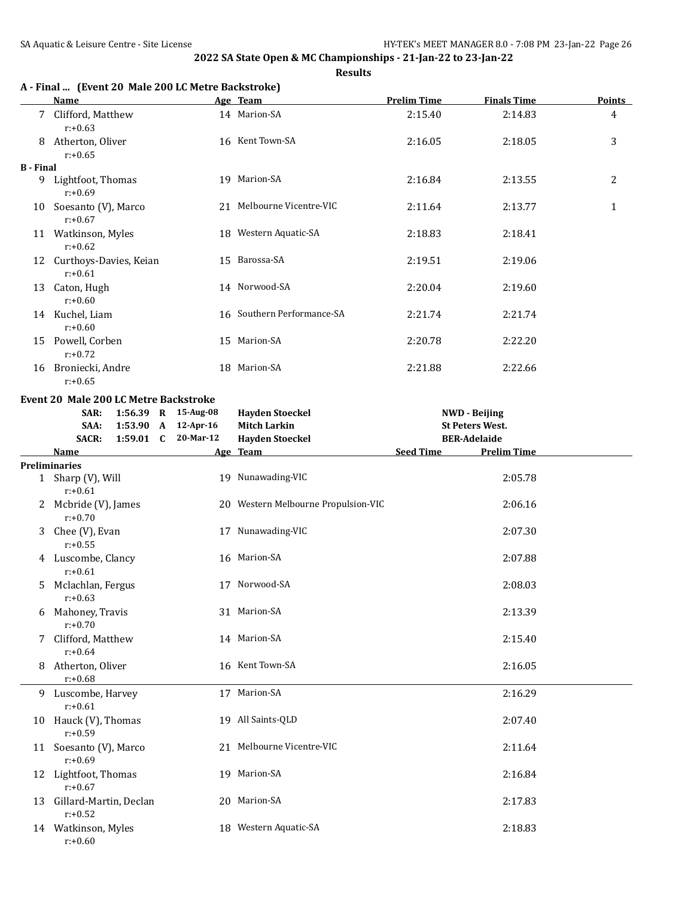|                  | A - Final  (Event 20 Male 200 LC Metre Backstroke)<br>Name |           | Age Team                            | <b>Prelim Time</b> | <b>Finals Time</b>     | <b>Points</b> |
|------------------|------------------------------------------------------------|-----------|-------------------------------------|--------------------|------------------------|---------------|
|                  | 7 Clifford, Matthew<br>$r: +0.63$                          |           | 14 Marion-SA                        | 2:15.40            | 2:14.83                | 4             |
|                  | 8 Atherton, Oliver<br>$r: +0.65$                           |           | 16 Kent Town-SA                     | 2:16.05            | 2:18.05                | 3             |
| <b>B</b> - Final |                                                            |           |                                     |                    |                        |               |
| 9                | Lightfoot, Thomas<br>$r: +0.69$                            |           | 19 Marion-SA                        | 2:16.84            | 2:13.55                | 2             |
|                  | 10 Soesanto (V), Marco<br>$r: +0.67$                       |           | 21 Melbourne Vicentre-VIC           | 2:11.64            | 2:13.77                | 1             |
|                  | 11 Watkinson, Myles<br>$r: +0.62$                          |           | 18 Western Aquatic-SA               | 2:18.83            | 2:18.41                |               |
|                  | 12 Curthoys-Davies, Keian<br>$r: +0.61$                    |           | 15 Barossa-SA                       | 2:19.51            | 2:19.06                |               |
|                  | 13 Caton, Hugh<br>$r: +0.60$                               |           | 14 Norwood-SA                       | 2:20.04            | 2:19.60                |               |
|                  | 14 Kuchel, Liam<br>$r: +0.60$                              |           | 16 Southern Performance-SA          | 2:21.74            | 2:21.74                |               |
| 15               | Powell, Corben<br>$r: +0.72$                               |           | 15 Marion-SA                        | 2:20.78            | 2:22.20                |               |
| 16               | Broniecki, Andre<br>$r: +0.65$                             |           | 18 Marion-SA                        | 2:21.88            | 2:22.66                |               |
|                  | Event 20 Male 200 LC Metre Backstroke                      |           |                                     |                    |                        |               |
|                  | 1:56.39 R 15-Aug-08<br>SAR:                                |           | <b>Hayden Stoeckel</b>              |                    | <b>NWD</b> - Beijing   |               |
|                  | 1:53.90 A 12-Apr-16<br>SAA:                                |           | <b>Mitch Larkin</b>                 |                    | <b>St Peters West.</b> |               |
|                  | <b>SACR:</b><br>$1:59.01$ C                                | 20-Mar-12 | <b>Hayden Stoeckel</b>              |                    | <b>BER-Adelaide</b>    |               |
|                  | Name                                                       |           | Age Team                            | Seed Time          | <b>Prelim Time</b>     |               |
|                  | <b>Preliminaries</b>                                       |           |                                     |                    |                        |               |
|                  | 1 Sharp (V), Will<br>$r: +0.61$                            |           | 19 Nunawading-VIC                   |                    | 2:05.78                |               |
|                  | 2 Mcbride (V), James<br>$r: +0.70$                         |           | 20 Western Melbourne Propulsion-VIC |                    | 2:06.16                |               |
| 3                | Chee (V), Evan<br>$r: +0.55$                               |           | 17 Nunawading-VIC                   |                    | 2:07.30                |               |
|                  | 4 Luscombe, Clancy<br>$r: +0.61$                           |           | 16 Marion-SA                        |                    | 2:07.88                |               |
|                  | 5 Mclachlan, Fergus<br>$r: +0.63$                          |           | 17 Norwood-SA                       |                    | 2:08.03                |               |
|                  | 6 Mahoney, Travis<br>$r: +0.70$                            |           | 31 Marion-SA                        |                    | 2:13.39                |               |
| 7                | Clifford, Matthew<br>$r: +0.64$                            |           | 14 Marion-SA                        |                    | 2:15.40                |               |
| 8                | Atherton, Oliver<br>$r: +0.68$                             |           | 16 Kent Town-SA                     |                    | 2:16.05                |               |
|                  | 9 Luscombe, Harvey<br>$r: +0.61$                           |           | 17 Marion-SA                        |                    | 2:16.29                |               |
| 10               | Hauck (V), Thomas<br>$r: +0.59$                            |           | 19 All Saints-QLD                   |                    | 2:07.40                |               |
|                  | 11 Soesanto (V), Marco<br>$r: +0.69$                       |           | 21 Melbourne Vicentre-VIC           |                    | 2:11.64                |               |
|                  | 12 Lightfoot, Thomas<br>$r: +0.67$                         |           | 19 Marion-SA                        |                    | 2:16.84                |               |
|                  | 13 Gillard-Martin, Declan<br>$r: +0.52$                    |           | 20 Marion-SA                        |                    | 2:17.83                |               |
|                  | 14 Watkinson, Myles<br>$r: +0.60$                          |           | 18 Western Aquatic-SA               |                    | 2:18.83                |               |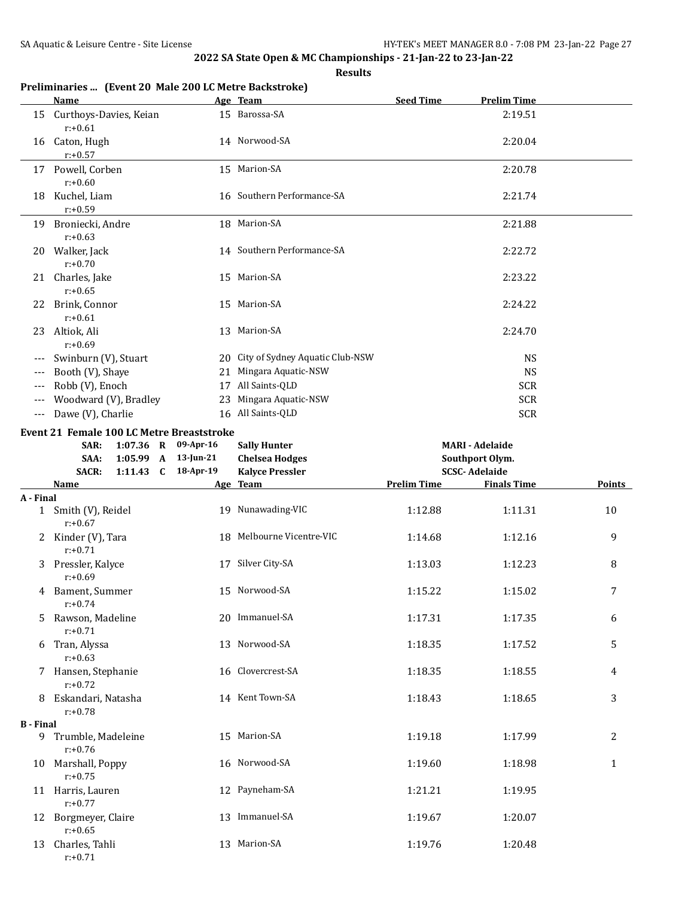#### **Results**

## **Preliminaries ... (Event 20 Male 200 LC Metre Backstroke)**

|                  | Name                                             |              | Age Team                           | <b>Seed Time</b>   | <b>Prelim Time</b>     |               |
|------------------|--------------------------------------------------|--------------|------------------------------------|--------------------|------------------------|---------------|
|                  | 15 Curthoys-Davies, Keian<br>$r: +0.61$          |              | 15 Barossa-SA                      |                    | 2:19.51                |               |
|                  | 16 Caton, Hugh<br>$r: +0.57$                     |              | 14 Norwood-SA                      |                    | 2:20.04                |               |
|                  | 17 Powell, Corben<br>$r: +0.60$                  |              | 15 Marion-SA                       |                    | 2:20.78                |               |
|                  | 18 Kuchel, Liam<br>$r: +0.59$                    |              | 16 Southern Performance-SA         |                    | 2:21.74                |               |
|                  | 19 Broniecki, Andre<br>$r: +0.63$                |              | 18 Marion-SA                       |                    | 2:21.88                |               |
|                  | 20 Walker, Jack<br>$r: +0.70$                    |              | 14 Southern Performance-SA         |                    | 2:22.72                |               |
|                  | 21 Charles, Jake<br>$r: +0.65$                   |              | 15 Marion-SA                       |                    | 2:23.22                |               |
|                  | 22 Brink, Connor<br>$r: +0.61$                   |              | 15 Marion-SA                       |                    | 2:24.22                |               |
|                  | 23 Altiok, Ali<br>$r: +0.69$                     |              | 13 Marion-SA                       |                    | 2:24.70                |               |
|                  | Swinburn (V), Stuart                             |              | 20 City of Sydney Aquatic Club-NSW |                    | <b>NS</b>              |               |
| $---$            | Booth (V), Shaye                                 |              | 21 Mingara Aquatic-NSW             |                    | <b>NS</b>              |               |
|                  |                                                  |              |                                    |                    |                        |               |
| $---$            | Robb (V), Enoch                                  |              | 17 All Saints-QLD                  |                    | <b>SCR</b>             |               |
| $---$            | Woodward (V), Bradley                            |              | 23 Mingara Aquatic-NSW             |                    | <b>SCR</b>             |               |
| $---$            | Dawe (V), Charlie                                |              | 16 All Saints-QLD                  |                    | <b>SCR</b>             |               |
|                  | <b>Event 21 Female 100 LC Metre Breaststroke</b> |              |                                    |                    |                        |               |
|                  | 1:07.36 R 09-Apr-16<br>SAR:                      |              | <b>Sally Hunter</b>                |                    | <b>MARI - Adelaide</b> |               |
|                  |                                                  |              |                                    |                    |                        |               |
|                  | 1:05.99<br>SAA:<br>$\mathbf{A}$                  | $13$ -Jun-21 | <b>Chelsea Hodges</b>              |                    | Southport Olym.        |               |
|                  | <b>SACR:</b><br>1:11.43 $C$                      | 18-Apr-19    | <b>Kalyce Pressler</b>             |                    | <b>SCSC-Adelaide</b>   |               |
|                  | Name                                             |              | Age Team                           | <b>Prelim Time</b> | <b>Finals Time</b>     | <b>Points</b> |
| A - Final        |                                                  |              |                                    |                    |                        |               |
|                  | 1 Smith (V), Reidel<br>$r: +0.67$                |              | 19 Nunawading-VIC                  | 1:12.88            | 1:11.31                | 10            |
|                  | 2 Kinder (V), Tara<br>$r: +0.71$                 |              | 18 Melbourne Vicentre-VIC          | 1:14.68            | 1:12.16                | 9             |
|                  | 3 Pressler, Kalyce<br>$r: +0.69$                 |              | 17 Silver City-SA                  | 1:13.03            | 1:12.23                | 8             |
|                  | 4 Bament, Summer<br>$r: +0.74$                   |              | 15 Norwood-SA                      | 1:15.22            | 1:15.02                | 7             |
| 5.               | Rawson, Madeline<br>$r: +0.71$                   |              | 20 Immanuel-SA                     | 1:17.31            | 1:17.35                | 6             |
|                  | 6 Tran, Alyssa<br>$r: +0.63$                     |              | 13 Norwood-SA                      | 1:18.35            | 1:17.52                | 5             |
|                  | 7 Hansen, Stephanie<br>$r: +0.72$                |              | 16 Clovercrest-SA                  | 1:18.35            | 1:18.55                | 4             |
|                  | 8 Eskandari, Natasha<br>$r: +0.78$               |              | 14 Kent Town-SA                    | 1:18.43            | 1:18.65                | 3             |
| <b>B</b> - Final |                                                  |              |                                    |                    |                        |               |
|                  | 9 Trumble, Madeleine<br>$r: +0.76$               |              | 15 Marion-SA                       | 1:19.18            | 1:17.99                | 2             |
|                  | 10 Marshall, Poppy<br>$r: +0.75$                 |              | 16 Norwood-SA                      | 1:19.60            | 1:18.98                | $\mathbf{1}$  |
|                  | 11 Harris, Lauren<br>$r: +0.77$                  |              | 12 Payneham-SA                     | 1:21.21            | 1:19.95                |               |
|                  | 12 Borgmeyer, Claire<br>$r: +0.65$               |              | 13 Immanuel-SA                     | 1:19.67            | 1:20.07                |               |
|                  | 13 Charles, Tahli<br>$r: +0.71$                  |              | 13 Marion-SA                       | 1:19.76            | 1:20.48                |               |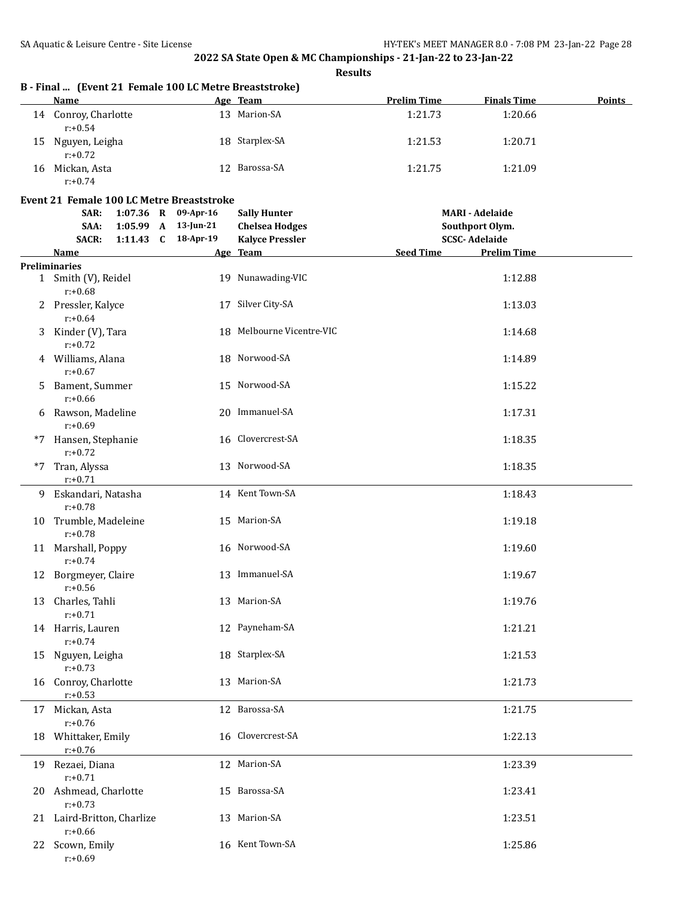**Results**

|    | B - Final  (Event 21 Female 100 LC Metre Breaststroke) |     |                |                    |                    |               |  |  |  |  |
|----|--------------------------------------------------------|-----|----------------|--------------------|--------------------|---------------|--|--|--|--|
|    | Name                                                   |     | Age Team       | <b>Prelim Time</b> | <b>Finals Time</b> | <b>Points</b> |  |  |  |  |
| 14 | Conroy, Charlotte<br>$r: +0.54$                        |     | 13 Marion-SA   | 1:21.73            | 1:20.66            |               |  |  |  |  |
| 15 | Nguyen, Leigha<br>$r: +0.72$                           |     | 18 Starplex-SA | 1:21.53            | 1:20.71            |               |  |  |  |  |
| 16 | Mickan, Asta<br>$r: +0.74$                             | 12. | Barossa-SA     | 1:21.75            | 1:21.09            |               |  |  |  |  |

## **Event 21 Female 100 LC Metre Breaststroke**

|      | SAR:<br>SAA:<br><b>SACR:</b>             | $1:05.99$ A<br>1:11.43 $C$ | 1:07.36 R 09-Apr-16<br>13-Jun-21<br>18-Apr-19 | <b>Sally Hunter</b><br><b>Chelsea Hodges</b><br><b>Kalyce Pressler</b> | <b>MARI - Adelaide</b><br>Southport Olym.<br><b>SCSC-Adelaide</b> |                    |  |
|------|------------------------------------------|----------------------------|-----------------------------------------------|------------------------------------------------------------------------|-------------------------------------------------------------------|--------------------|--|
|      | <b>Name</b>                              |                            |                                               | Age Team                                                               | <b>Seed Time</b>                                                  | <b>Prelim Time</b> |  |
|      | <b>Preliminaries</b>                     |                            |                                               |                                                                        |                                                                   |                    |  |
|      | 1 Smith (V), Reidel<br>$r: +0.68$        |                            |                                               | 19 Nunawading-VIC                                                      |                                                                   | 1:12.88            |  |
|      | 2 Pressler, Kalyce<br>$r: +0.64$         |                            |                                               | 17 Silver City-SA                                                      |                                                                   | 1:13.03            |  |
|      | 3 Kinder (V), Tara<br>$r: +0.72$         |                            |                                               | 18 Melbourne Vicentre-VIC                                              |                                                                   | 1:14.68            |  |
|      | 4 Williams, Alana<br>$r: +0.67$          |                            |                                               | 18 Norwood-SA                                                          |                                                                   | 1:14.89            |  |
| 5.   | Bament, Summer<br>$r: +0.66$             |                            |                                               | 15 Norwood-SA                                                          |                                                                   | 1:15.22            |  |
| 6    | Rawson, Madeline<br>$r: +0.69$           |                            |                                               | 20 Immanuel-SA                                                         |                                                                   | 1:17.31            |  |
| $*7$ | Hansen, Stephanie<br>$r: +0.72$          |                            |                                               | 16 Clovercrest-SA                                                      |                                                                   | 1:18.35            |  |
|      | *7 Tran, Alyssa<br>$r: +0.71$            |                            |                                               | 13 Norwood-SA                                                          |                                                                   | 1:18.35            |  |
|      | 9 Eskandari, Natasha<br>$r: +0.78$       |                            |                                               | 14 Kent Town-SA                                                        |                                                                   | 1:18.43            |  |
|      | 10 Trumble, Madeleine<br>$r: +0.78$      |                            |                                               | 15 Marion-SA                                                           |                                                                   | 1:19.18            |  |
|      | 11 Marshall, Poppy<br>$r: +0.74$         |                            |                                               | 16 Norwood-SA                                                          |                                                                   | 1:19.60            |  |
|      | 12 Borgmeyer, Claire<br>$r: +0.56$       |                            |                                               | 13 Immanuel-SA                                                         |                                                                   | 1:19.67            |  |
|      | 13 Charles, Tahli<br>$r: +0.71$          |                            |                                               | 13 Marion-SA                                                           |                                                                   | 1:19.76            |  |
|      | 14 Harris, Lauren<br>$r: +0.74$          |                            |                                               | 12 Payneham-SA                                                         |                                                                   | 1:21.21            |  |
|      | 15 Nguyen, Leigha<br>$r: +0.73$          |                            |                                               | 18 Starplex-SA                                                         |                                                                   | 1:21.53            |  |
|      | 16 Conroy, Charlotte<br>$r: +0.53$       |                            |                                               | 13 Marion-SA                                                           |                                                                   | 1:21.73            |  |
|      | 17 Mickan, Asta<br>$r: +0.76$            |                            |                                               | 12 Barossa-SA                                                          |                                                                   | 1:21.75            |  |
| 18   | Whittaker, Emily<br>$r: +0.76$           |                            |                                               | 16 Clovercrest-SA                                                      |                                                                   | 1:22.13            |  |
| 19   | Rezaei, Diana<br>$r: +0.71$              |                            |                                               | 12 Marion-SA                                                           |                                                                   | 1:23.39            |  |
| 20   | Ashmead, Charlotte<br>$r: +0.73$         |                            |                                               | 15 Barossa-SA                                                          |                                                                   | 1:23.41            |  |
|      | 21 Laird-Britton, Charlize<br>$r: +0.66$ |                            |                                               | 13 Marion-SA                                                           |                                                                   | 1:23.51            |  |
|      | 22 Scown, Emily<br>$r: +0.69$            |                            |                                               | 16 Kent Town-SA                                                        |                                                                   | 1:25.86            |  |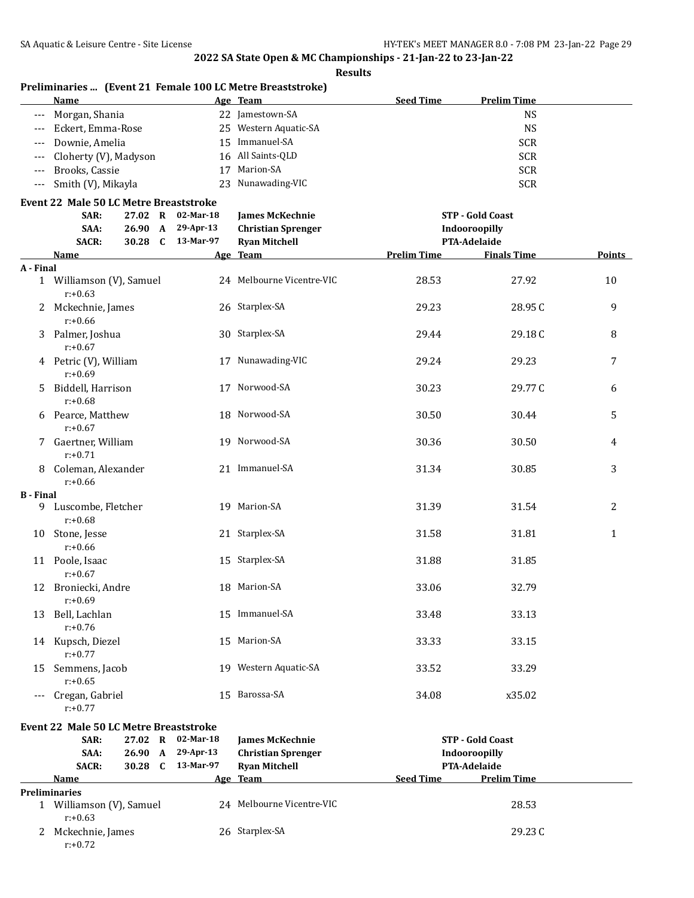## **Results**

## **Preliminaries ... (Event 21 Female 100 LC Metre Breaststroke)**

|          | Name                      |     | Age Team              | <b>Seed Time</b> | <b>Prelim Time</b> |
|----------|---------------------------|-----|-----------------------|------------------|--------------------|
|          | --- Morgan, Shania        |     | 22 Jamestown-SA       |                  | NS                 |
| $\cdots$ | Eckert, Emma-Rose         |     | 25 Western Aquatic-SA |                  | NS                 |
| $\cdots$ | Downie. Amelia            | 15. | Immanuel-SA           |                  | <b>SCR</b>         |
|          | --- Cloherty (V), Madyson |     | 16 All Saints-OLD     |                  | <b>SCR</b>         |
| $---$    | Brooks, Cassie            |     | Marion-SA             |                  | <b>SCR</b>         |
| $\cdots$ | Smith (V), Mikayla        |     | 23 Nunawading-VIC     |                  | <b>SCR</b>         |

#### **Event 22 Male 50 LC Metre Breaststroke**

|                  | SAR:<br>SAA:<br>SACR:                         | 27.02<br>26.90 A<br>30.28 C | 02-Mar-18<br>$\bf{R}$<br>29-Apr-13<br>13-Mar-97 | <b>James McKechnie</b><br><b>Christian Sprenger</b><br><b>Ryan Mitchell</b> |                    | <b>STP - Gold Coast</b><br>Indooroopilly<br>PTA-Adelaide |               |
|------------------|-----------------------------------------------|-----------------------------|-------------------------------------------------|-----------------------------------------------------------------------------|--------------------|----------------------------------------------------------|---------------|
|                  | Name                                          |                             |                                                 | Age Team                                                                    | <b>Prelim Time</b> | <b>Finals Time</b>                                       | <b>Points</b> |
| A - Final        |                                               |                             |                                                 |                                                                             |                    |                                                          |               |
|                  | 1 Williamson (V), Samuel<br>$r: +0.63$        |                             |                                                 | 24 Melbourne Vicentre-VIC                                                   | 28.53              | 27.92                                                    | 10            |
|                  | 2 Mckechnie, James<br>$r: +0.66$              |                             |                                                 | 26 Starplex-SA                                                              | 29.23              | 28.95C                                                   | 9             |
|                  | 3 Palmer, Joshua<br>$r: +0.67$                |                             |                                                 | 30 Starplex-SA                                                              | 29.44              | 29.18C                                                   | 8             |
|                  | 4 Petric (V), William<br>$r: +0.69$           |                             |                                                 | 17 Nunawading-VIC                                                           | 29.24              | 29.23                                                    | 7             |
| 5.               | Biddell, Harrison<br>$r: +0.68$               |                             |                                                 | 17 Norwood-SA                                                               | 30.23              | 29.77C                                                   | 6             |
|                  | 6 Pearce, Matthew<br>$r: +0.67$               |                             |                                                 | 18 Norwood-SA                                                               | 30.50              | 30.44                                                    | 5             |
| 7                | Gaertner, William<br>$r: +0.71$               |                             |                                                 | 19 Norwood-SA                                                               | 30.36              | 30.50                                                    | 4             |
| 8                | Coleman, Alexander<br>$r: +0.66$              |                             |                                                 | 21 Immanuel-SA                                                              | 31.34              | 30.85                                                    | 3             |
| <b>B</b> - Final |                                               |                             |                                                 |                                                                             |                    |                                                          |               |
| 9                | Luscombe, Fletcher<br>$r: +0.68$              |                             |                                                 | 19 Marion-SA                                                                | 31.39              | 31.54                                                    | 2             |
|                  | 10 Stone, Jesse<br>$r: +0.66$                 |                             |                                                 | 21 Starplex-SA                                                              | 31.58              | 31.81                                                    | $\mathbf{1}$  |
|                  | 11 Poole, Isaac<br>$r: +0.67$                 |                             |                                                 | 15 Starplex-SA                                                              | 31.88              | 31.85                                                    |               |
| 12               | Broniecki, Andre<br>$r: +0.69$                |                             |                                                 | 18 Marion-SA                                                                | 33.06              | 32.79                                                    |               |
| 13               | Bell, Lachlan<br>$r: +0.76$                   |                             |                                                 | 15 Immanuel-SA                                                              | 33.48              | 33.13                                                    |               |
|                  | 14 Kupsch, Diezel<br>$r: +0.77$               |                             |                                                 | 15 Marion-SA                                                                | 33.33              | 33.15                                                    |               |
| 15               | Semmens, Jacob<br>$r: +0.65$                  |                             |                                                 | 19 Western Aquatic-SA                                                       | 33.52              | 33.29                                                    |               |
| $---$            | Cregan, Gabriel<br>$r: +0.77$                 |                             |                                                 | 15 Barossa-SA                                                               | 34.08              | x35.02                                                   |               |
|                  | <b>Event 22 Male 50 LC Metre Breaststroke</b> |                             |                                                 |                                                                             |                    |                                                          |               |
|                  | SAR:                                          | 27.02                       | 02-Mar-18<br>$\mathbf R$                        | <b>James McKechnie</b>                                                      |                    | <b>STP - Gold Coast</b>                                  |               |
|                  | SAA:                                          | 26.90                       | 29-Apr-13<br>$\mathbf{A}$                       | <b>Christian Sprenger</b>                                                   |                    | Indooroopilly                                            |               |
|                  | <b>SACR:</b>                                  | 30.28 C                     | 13-Mar-97                                       | <b>Ryan Mitchell</b>                                                        |                    | PTA-Adelaide                                             |               |
|                  | Name                                          |                             |                                                 | Age Team                                                                    | <b>Seed Time</b>   | <b>Prelim Time</b>                                       |               |
|                  | <b>Preliminaries</b>                          |                             |                                                 |                                                                             |                    |                                                          |               |
|                  | 1 Williamson (V), Samuel<br>$r: +0.63$        |                             |                                                 | 24 Melbourne Vicentre-VIC                                                   |                    | 28.53                                                    |               |
| 2                | Mckechnie, James<br>$r: +0.72$                |                             |                                                 | 26 Starplex-SA                                                              |                    | 29.23C                                                   |               |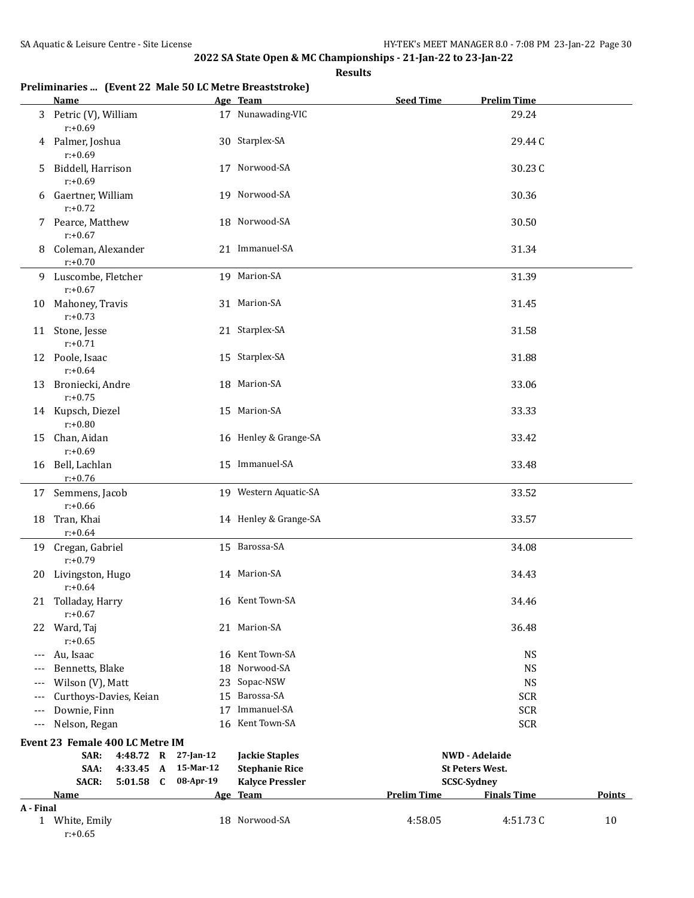### **Results**

|  |  | Preliminaries  (Event 22 Male 50 LC Metre Breaststroke) |
|--|--|---------------------------------------------------------|
|--|--|---------------------------------------------------------|

|           | <b>Name</b>                         |              | Age Team               | <b>Seed Time</b>   | <b>Prelim Time</b>     |               |
|-----------|-------------------------------------|--------------|------------------------|--------------------|------------------------|---------------|
|           | 3 Petric (V), William<br>$r: +0.69$ |              | 17 Nunawading-VIC      |                    | 29.24                  |               |
|           | 4 Palmer, Joshua<br>$r: +0.69$      |              | 30 Starplex-SA         |                    | 29.44C                 |               |
| 5.        | Biddell, Harrison<br>$r: +0.69$     |              | 17 Norwood-SA          |                    | 30.23C                 |               |
|           | 6 Gaertner, William<br>$r: +0.72$   |              | 19 Norwood-SA          |                    | 30.36                  |               |
|           | 7 Pearce, Matthew<br>$r: +0.67$     |              | 18 Norwood-SA          |                    | 30.50                  |               |
|           | 8 Coleman, Alexander<br>$r: +0.70$  |              | 21 Immanuel-SA         |                    | 31.34                  |               |
|           | 9 Luscombe, Fletcher<br>$r: +0.67$  |              | 19 Marion-SA           |                    | 31.39                  |               |
|           | 10 Mahoney, Travis<br>$r: +0.73$    |              | 31 Marion-SA           |                    | 31.45                  |               |
|           | 11 Stone, Jesse<br>$r: +0.71$       |              | 21 Starplex-SA         |                    | 31.58                  |               |
|           | 12 Poole, Isaac<br>$r: +0.64$       |              | 15 Starplex-SA         |                    | 31.88                  |               |
| 13        | Broniecki, Andre<br>$r: +0.75$      |              | 18 Marion-SA           |                    | 33.06                  |               |
|           | 14 Kupsch, Diezel<br>$r: +0.80$     |              | 15 Marion-SA           |                    | 33.33                  |               |
|           | 15 Chan, Aidan<br>$r: +0.69$        |              | 16 Henley & Grange-SA  |                    | 33.42                  |               |
|           | 16 Bell, Lachlan<br>$r: +0.76$      |              | 15 Immanuel-SA         |                    | 33.48                  |               |
|           | 17 Semmens, Jacob<br>$r: +0.66$     |              | 19 Western Aquatic-SA  |                    | 33.52                  |               |
|           | 18 Tran, Khai<br>$r: +0.64$         |              | 14 Henley & Grange-SA  |                    | 33.57                  |               |
|           | 19 Cregan, Gabriel<br>$r: +0.79$    |              | 15 Barossa-SA          |                    | 34.08                  |               |
|           | 20 Livingston, Hugo<br>$r: +0.64$   |              | 14 Marion-SA           |                    | 34.43                  |               |
|           | 21 Tolladay, Harry<br>$r: +0.67$    |              | 16 Kent Town-SA        |                    | 34.46                  |               |
| 22        | Ward, Taj<br>$r: +0.65$             |              | 21 Marion-SA           |                    | 36.48                  |               |
| $---$     | Au, Isaac                           |              | 16 Kent Town-SA        |                    | <b>NS</b>              |               |
| $---$     | Bennetts, Blake                     |              | 18 Norwood-SA          |                    | <b>NS</b>              |               |
| $---$     | Wilson (V), Matt                    |              | 23 Sopac-NSW           |                    | <b>NS</b>              |               |
| $---$     | Curthoys-Davies, Keian              |              | 15 Barossa-SA          |                    | <b>SCR</b>             |               |
| $---$     | Downie, Finn                        |              | 17 Immanuel-SA         |                    | <b>SCR</b>             |               |
| ---       | Nelson, Regan                       |              | 16 Kent Town-SA        |                    | <b>SCR</b>             |               |
|           | Event 23 Female 400 LC Metre IM     |              |                        |                    |                        |               |
|           | 4:48.72 R<br>SAR:                   | $27$ -Jan-12 | <b>Jackie Staples</b>  |                    | NWD - Adelaide         |               |
|           | 4:33.45<br>SAA:<br>$\mathbf{A}$     | 15-Mar-12    | <b>Stephanie Rice</b>  |                    | <b>St Peters West.</b> |               |
|           | <b>SACR:</b><br>$5:01.58$ C         | 08-Apr-19    | <b>Kalyce Pressler</b> |                    | <b>SCSC-Sydney</b>     |               |
|           | <u>Name</u>                         |              | <u>Age Team</u>        | <b>Prelim Time</b> | <b>Finals Time</b>     | <b>Points</b> |
| A - Final |                                     |              |                        |                    |                        |               |
|           | 1 White, Emily                      |              | 18 Norwood-SA          | 4:58.05            | 4:51.73C               | 10            |

r:+0.65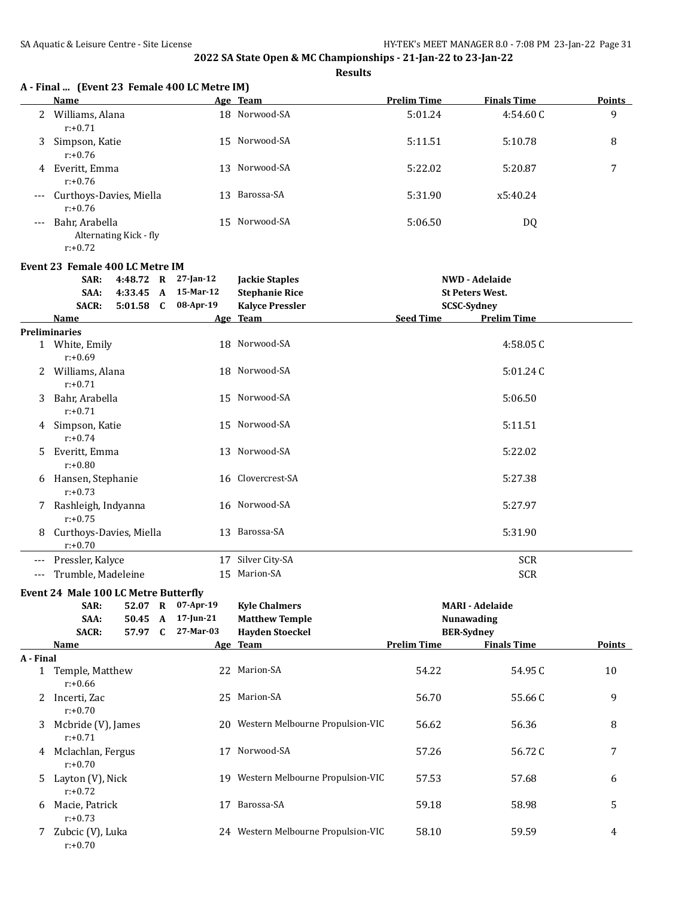|           | A - Final  (Event 23 Female 400 LC Metre IM)<br>Name   |                                     |              |                                        | Age Team                                                                 | <b>Prelim Time</b> | <b>Finals Time</b>                                                    | Points        |
|-----------|--------------------------------------------------------|-------------------------------------|--------------|----------------------------------------|--------------------------------------------------------------------------|--------------------|-----------------------------------------------------------------------|---------------|
|           | 2 Williams, Alana<br>$r: +0.71$                        |                                     |              |                                        | 18 Norwood-SA                                                            | 5:01.24            | 4:54.60C                                                              | 9             |
| 3.        | Simpson, Katie<br>$r: +0.76$                           |                                     |              |                                        | 15 Norwood-SA                                                            | 5:11.51            | 5:10.78                                                               | 8             |
|           | 4 Everitt, Emma<br>$r: +0.76$                          |                                     |              |                                        | 13 Norwood-SA                                                            | 5:22.02            | 5:20.87                                                               | 7             |
| ---       | Curthoys-Davies, Miella<br>$r: +0.76$                  |                                     |              |                                        | 13 Barossa-SA                                                            | 5:31.90            | x5:40.24                                                              |               |
| $---$     | Bahr, Arabella<br>Alternating Kick - fly<br>$r: +0.72$ |                                     |              |                                        | 15 Norwood-SA                                                            | 5:06.50            | DQ                                                                    |               |
|           | Event 23 Female 400 LC Metre IM                        |                                     |              |                                        |                                                                          |                    |                                                                       |               |
|           | SAR:<br>SAA:<br><b>SACR:</b>                           | 4:48.72 R<br>4:33.45<br>$5:01.58$ C | $\mathbf{A}$ | $27$ -Jan-12<br>15-Mar-12<br>08-Apr-19 | <b>Jackie Staples</b><br><b>Stephanie Rice</b><br><b>Kalyce Pressler</b> |                    | <b>NWD</b> - Adelaide<br><b>St Peters West.</b><br><b>SCSC-Sydney</b> |               |
|           | Name                                                   |                                     |              |                                        | Age Team                                                                 | <b>Seed Time</b>   | <b>Prelim Time</b>                                                    |               |
|           | <b>Preliminaries</b><br>1 White, Emily<br>$r: +0.69$   |                                     |              |                                        | 18 Norwood-SA                                                            |                    | 4:58.05C                                                              |               |
|           | 2 Williams, Alana<br>$r: +0.71$                        |                                     |              |                                        | 18 Norwood-SA                                                            |                    | 5:01.24C                                                              |               |
| 3         | Bahr, Arabella<br>$r: +0.71$                           |                                     |              |                                        | 15 Norwood-SA                                                            |                    | 5:06.50                                                               |               |
|           | 4 Simpson, Katie<br>$r: +0.74$                         |                                     |              |                                        | 15 Norwood-SA                                                            |                    | 5:11.51                                                               |               |
| 5.        | Everitt, Emma<br>$r: +0.80$                            |                                     |              |                                        | 13 Norwood-SA                                                            |                    | 5:22.02                                                               |               |
|           | 6 Hansen, Stephanie<br>$r: +0.73$                      |                                     |              |                                        | 16 Clovercrest-SA                                                        |                    | 5:27.38                                                               |               |
|           | 7 Rashleigh, Indyanna<br>$r: +0.75$                    |                                     |              |                                        | 16 Norwood-SA                                                            |                    | 5:27.97                                                               |               |
| 8         | Curthoys-Davies, Miella<br>$r: +0.70$                  |                                     |              |                                        | 13 Barossa-SA                                                            |                    | 5:31.90                                                               |               |
| $---$     | Pressler, Kalyce                                       |                                     |              |                                        | 17 Silver City-SA                                                        |                    | <b>SCR</b>                                                            |               |
|           | Trumble, Madeleine                                     |                                     |              |                                        | 15 Marion-SA                                                             |                    | <b>SCR</b>                                                            |               |
|           | <b>Event 24 Male 100 LC Metre Butterfly</b>            |                                     |              |                                        |                                                                          |                    |                                                                       |               |
|           | SAR:                                                   | 52.07                               | $\mathbf R$  | 07-Apr-19                              | <b>Kyle Chalmers</b>                                                     |                    | <b>MARI</b> - Adelaide                                                |               |
|           | SAA:<br><b>SACR:</b>                                   | 57.97 C                             |              | 50.45 A 17-Jun-21<br>27-Mar-03         | <b>Matthew Temple</b><br><b>Hayden Stoeckel</b>                          |                    | <b>Nunawading</b><br><b>BER-Sydney</b>                                |               |
|           | Name                                                   |                                     |              |                                        | Age Team                                                                 | <b>Prelim Time</b> | <b>Finals Time</b>                                                    | <b>Points</b> |
| A - Final |                                                        |                                     |              |                                        |                                                                          |                    |                                                                       |               |
|           | 1 Temple, Matthew<br>$r: +0.66$                        |                                     |              |                                        | 22 Marion-SA                                                             | 54.22              | 54.95 C                                                               | 10            |
|           | 2 Incerti, Zac<br>$r: +0.70$                           |                                     |              |                                        | 25 Marion-SA                                                             | 56.70              | 55.66C                                                                | 9             |
|           | 3 Mcbride (V), James<br>$r: +0.71$                     |                                     |              |                                        | 20 Western Melbourne Propulsion-VIC                                      | 56.62              | 56.36                                                                 | 8             |
|           | 4 Mclachlan, Fergus<br>$r: +0.70$                      |                                     |              |                                        | 17 Norwood-SA                                                            | 57.26              | 56.72C                                                                | 7             |
|           | 5 Layton (V), Nick<br>$r: +0.72$                       |                                     |              |                                        | 19 Western Melbourne Propulsion-VIC                                      | 57.53              | 57.68                                                                 | 6             |
|           | 6 Macie, Patrick<br>$r: +0.73$                         |                                     |              |                                        | 17 Barossa-SA                                                            | 59.18              | 58.98                                                                 | 5             |
|           | 7 Zubcic (V), Luka<br>$r: +0.70$                       |                                     |              |                                        | 24 Western Melbourne Propulsion-VIC                                      | 58.10              | 59.59                                                                 | 4             |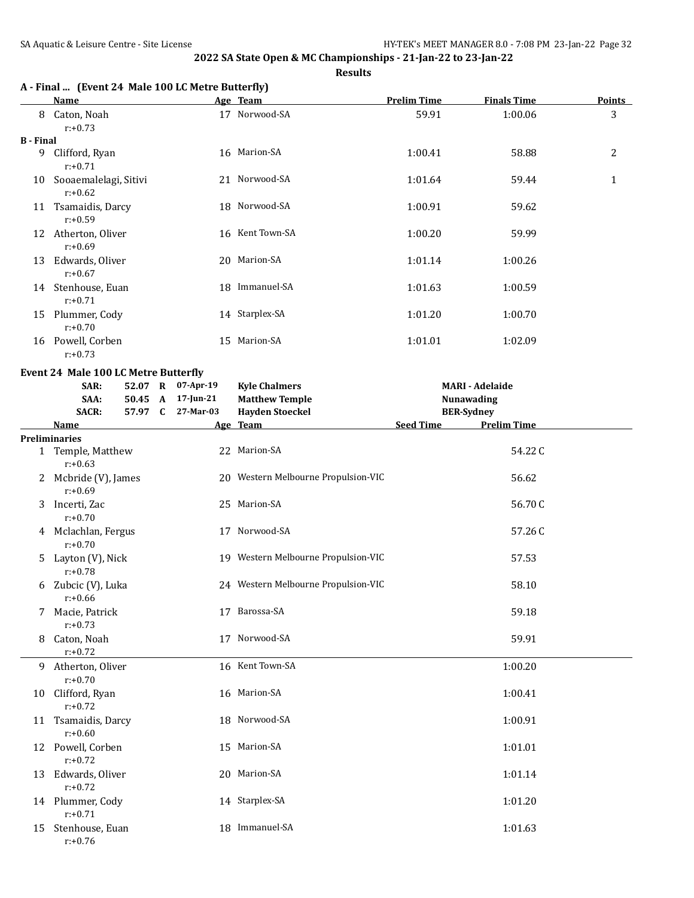**Results**

|                  | A - Final  (Event 24 Male 100 LC Metre Butterfly)<br>Name | Age Team        | <b>Prelim Time</b> | <b>Finals Time</b> | Points |
|------------------|-----------------------------------------------------------|-----------------|--------------------|--------------------|--------|
| 8                | Caton, Noah<br>$r: +0.73$                                 | 17 Norwood-SA   | 59.91              | 1:00.06            | 3      |
| <b>B</b> - Final |                                                           |                 |                    |                    |        |
| 9                | Clifford, Ryan<br>$r: +0.71$                              | 16 Marion-SA    | 1:00.41            | 58.88              | 2      |
| 10               | Sooaemalelagi, Sitivi<br>$r: +0.62$                       | 21 Norwood-SA   | 1:01.64            | 59.44              | 1      |
| 11               | Tsamaidis, Darcy<br>$r: +0.59$                            | 18 Norwood-SA   | 1:00.91            | 59.62              |        |
| 12               | Atherton, Oliver<br>$r: +0.69$                            | 16 Kent Town-SA | 1:00.20            | 59.99              |        |
| 13               | Edwards, Oliver<br>$r: +0.67$                             | 20 Marion-SA    | 1:01.14            | 1:00.26            |        |
| 14               | Stenhouse, Euan<br>$r: +0.71$                             | 18 Immanuel-SA  | 1:01.63            | 1:00.59            |        |
| 15               | Plummer, Cody<br>$r: +0.70$                               | 14 Starplex-SA  | 1:01.20            | 1:00.70            |        |
| 16               | Powell, Corben<br>$r: +0.73$                              | 15 Marion-SA    | 1:01.01            | 1:02.09            |        |

## **Event 24 Male 100 LC Metre Butterfly**

|    | SAR:<br>SAA:<br><b>SACR:</b>       | 52.07 R<br>50.45<br>57.97 C | $\mathbf{A}$ | 07-Apr-19<br>$17$ -Jun-21<br>27-Mar-03 | <b>Kyle Chalmers</b><br><b>Matthew Temple</b><br><b>Hayden Stoeckel</b> | <b>MARI - Adelaide</b><br><b>Nunawading</b><br><b>BER-Sydney</b> |         |
|----|------------------------------------|-----------------------------|--------------|----------------------------------------|-------------------------------------------------------------------------|------------------------------------------------------------------|---------|
|    | <b>Name</b>                        |                             |              |                                        | Age Team                                                                | Seed Time<br><b>Prelim Time</b>                                  |         |
|    | Preliminaries                      |                             |              |                                        |                                                                         |                                                                  |         |
|    | 1 Temple, Matthew<br>$r: +0.63$    |                             |              |                                        | 22 Marion-SA                                                            |                                                                  | 54.22C  |
|    | 2 Mcbride (V), James<br>$r: +0.69$ |                             |              |                                        | 20 Western Melbourne Propulsion-VIC                                     |                                                                  | 56.62   |
| 3  | Incerti, Zac<br>$r: +0.70$         |                             |              |                                        | 25 Marion-SA                                                            |                                                                  | 56.70C  |
|    | 4 Mclachlan, Fergus<br>$r: +0.70$  |                             |              |                                        | 17 Norwood-SA                                                           |                                                                  | 57.26C  |
| 5. | Layton (V), Nick<br>$r: +0.78$     |                             |              |                                        | 19 Western Melbourne Propulsion-VIC                                     |                                                                  | 57.53   |
| 6  | Zubcic (V), Luka<br>$r: +0.66$     |                             |              |                                        | 24 Western Melbourne Propulsion-VIC                                     |                                                                  | 58.10   |
| 7  | Macie, Patrick<br>$r: +0.73$       |                             |              |                                        | 17 Barossa-SA                                                           |                                                                  | 59.18   |
| 8  | Caton, Noah<br>$r: +0.72$          |                             |              |                                        | 17 Norwood-SA                                                           |                                                                  | 59.91   |
| 9  | Atherton, Oliver<br>$r: +0.70$     |                             |              |                                        | 16 Kent Town-SA                                                         |                                                                  | 1:00.20 |
|    | 10 Clifford, Ryan<br>$r: +0.72$    |                             |              |                                        | 16 Marion-SA                                                            |                                                                  | 1:00.41 |
| 11 | Tsamaidis, Darcy<br>$r: +0.60$     |                             |              |                                        | 18 Norwood-SA                                                           |                                                                  | 1:00.91 |
|    | 12 Powell, Corben<br>$r: +0.72$    |                             |              |                                        | 15 Marion-SA                                                            |                                                                  | 1:01.01 |
| 13 | Edwards, Oliver<br>$r: +0.72$      |                             |              |                                        | 20 Marion-SA                                                            |                                                                  | 1:01.14 |
|    | 14 Plummer, Cody<br>$r: +0.71$     |                             |              |                                        | 14 Starplex-SA                                                          |                                                                  | 1:01.20 |
| 15 | Stenhouse, Euan<br>$r: +0.76$      |                             |              |                                        | 18 Immanuel-SA                                                          |                                                                  | 1:01.63 |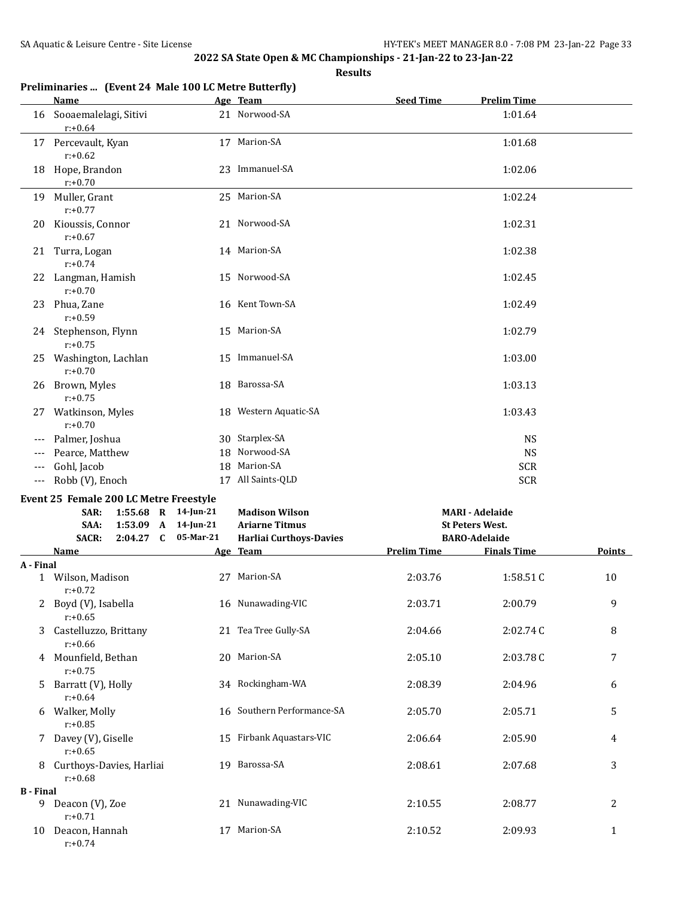|                  | Preliminaries  (Event 24 Male 100 LC Metre Butterfly) |              |                                |                    |                        |               |
|------------------|-------------------------------------------------------|--------------|--------------------------------|--------------------|------------------------|---------------|
|                  | <b>Name</b>                                           |              | Age Team                       | <b>Seed Time</b>   | <b>Prelim Time</b>     |               |
|                  | 16 Sooaemalelagi, Sitivi<br>$r: +0.64$                |              | 21 Norwood-SA                  |                    | 1:01.64                |               |
|                  | 17 Percevault, Kyan<br>$r: +0.62$                     |              | 17 Marion-SA                   |                    | 1:01.68                |               |
|                  | 18 Hope, Brandon<br>$r: +0.70$                        |              | 23 Immanuel-SA                 |                    | 1:02.06                |               |
|                  | 19 Muller, Grant<br>$r: +0.77$                        |              | 25 Marion-SA                   |                    | 1:02.24                |               |
| 20               | Kioussis, Connor<br>$r: +0.67$                        |              | 21 Norwood-SA                  |                    | 1:02.31                |               |
|                  | 21 Turra, Logan<br>$r: +0.74$                         |              | 14 Marion-SA                   |                    | 1:02.38                |               |
|                  | 22 Langman, Hamish<br>$r: +0.70$                      |              | 15 Norwood-SA                  |                    | 1:02.45                |               |
|                  | 23 Phua, Zane<br>$r: +0.59$                           |              | 16 Kent Town-SA                |                    | 1:02.49                |               |
|                  | 24 Stephenson, Flynn<br>$r: +0.75$                    |              | 15 Marion-SA                   |                    | 1:02.79                |               |
|                  | 25 Washington, Lachlan<br>$r: +0.70$                  |              | 15 Immanuel-SA                 |                    | 1:03.00                |               |
|                  | 26 Brown, Myles<br>$r: +0.75$                         |              | 18 Barossa-SA                  |                    | 1:03.13                |               |
|                  | 27 Watkinson, Myles<br>$r: +0.70$                     |              | 18 Western Aquatic-SA          |                    | 1:03.43                |               |
|                  | Palmer, Joshua                                        |              | 30 Starplex-SA                 |                    | <b>NS</b>              |               |
|                  | Pearce, Matthew                                       |              | 18 Norwood-SA                  |                    | <b>NS</b>              |               |
| ---              | Gohl, Jacob                                           | 18           | Marion-SA                      |                    | <b>SCR</b>             |               |
| $---$            | Robb (V), Enoch                                       |              | 17 All Saints-QLD              |                    | <b>SCR</b>             |               |
|                  | Event 25 Female 200 LC Metre Freestyle                |              |                                |                    |                        |               |
|                  | 1:55.68<br>$\mathbf R$<br>SAR:                        | $14$ -Jun-21 | <b>Madison Wilson</b>          |                    | <b>MARI - Adelaide</b> |               |
|                  | 1:53.09<br>$\mathbf{A}$<br>SAA:                       | 14-Jun-21    | <b>Ariarne Titmus</b>          |                    | <b>St Peters West.</b> |               |
|                  | <b>SACR:</b><br>2:04.27<br>C                          | 05-Mar-21    | <b>Harliai Curthoys-Davies</b> |                    | <b>BARO-Adelaide</b>   |               |
|                  | <b>Name</b>                                           |              | Age Team                       | <b>Prelim Time</b> | <b>Finals Time</b>     | <b>Points</b> |
| A - Final        | 1 Wilson, Madison                                     |              | 27 Marion-SA                   | 2:03.76            | 1:58.51C               | 10            |
|                  | $r: +0.72$<br>2 Boyd (V), Isabella<br>$r: +0.65$      |              | 16 Nunawading-VIC              | 2:03.71            | 2:00.79                | 9             |
|                  | 3 Castelluzzo, Brittany<br>$r: +0.66$                 |              | 21 Tea Tree Gully-SA           | 2:04.66            | 2:02.74C               | 8             |
|                  | 4 Mounfield, Bethan<br>$r: +0.75$                     |              | 20 Marion-SA                   | 2:05.10            | 2:03.78C               | 7             |
|                  | 5 Barratt (V), Holly<br>$r: +0.64$                    |              | 34 Rockingham-WA               | 2:08.39            | 2:04.96                | 6             |
|                  | 6 Walker, Molly<br>$r: +0.85$                         |              | 16 Southern Performance-SA     | 2:05.70            | 2:05.71                | 5             |
|                  | 7 Davey (V), Giselle<br>$r: +0.65$                    |              | 15 Firbank Aquastars-VIC       | 2:06.64            | 2:05.90                | 4             |
|                  | 8 Curthoys-Davies, Harliai<br>$r: +0.68$              |              | 19 Barossa-SA                  | 2:08.61            | 2:07.68                | 3             |
| <b>B</b> - Final |                                                       |              |                                |                    |                        |               |
| 9                | Deacon (V), Zoe<br>$r: +0.71$                         |              | 21 Nunawading-VIC              | 2:10.55            | 2:08.77                | 2             |
|                  | 10 Deacon, Hannah<br>$r: +0.74$                       |              | 17 Marion-SA                   | 2:10.52            | 2:09.93                | $\mathbf{1}$  |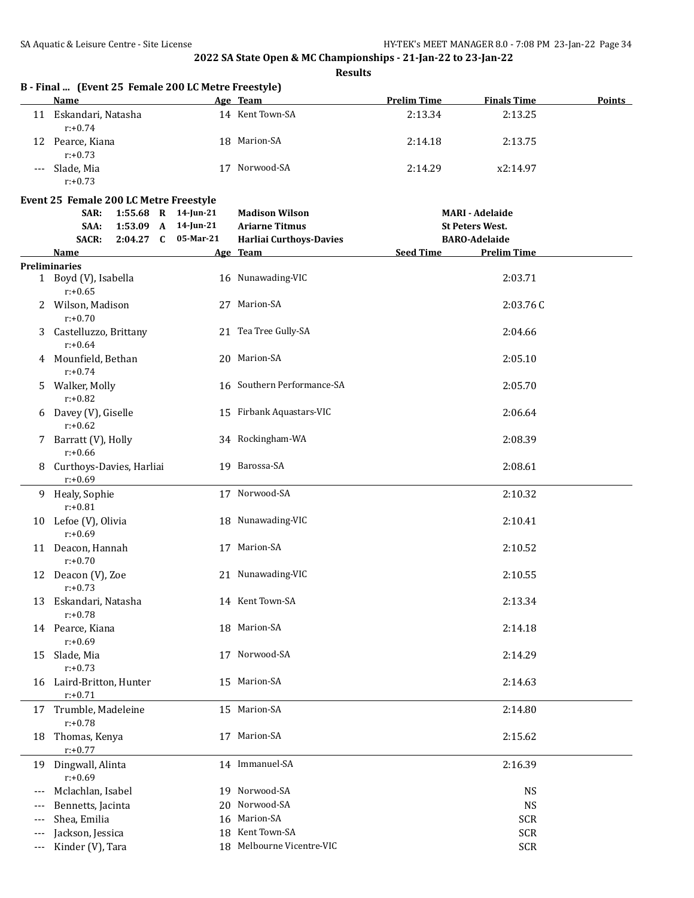**Results**

|       | B - Final  (Event 25 Female 200 LC Metre Freestyle) |                 |                    |                    |               |
|-------|-----------------------------------------------------|-----------------|--------------------|--------------------|---------------|
|       | Name                                                | Age Team        | <b>Prelim Time</b> | <b>Finals Time</b> | <b>Points</b> |
| 11    | Eskandari, Natasha<br>$r: +0.74$                    | 14 Kent Town-SA | 2:13.34            | 2:13.25            |               |
| 12    | Pearce, Kiana<br>$r: +0.73$                         | 18 Marion-SA    | 2:14.18            | 2:13.75            |               |
| $---$ | Slade, Mia<br>$r: +0.73$                            | Norwood-SA      | 2:14.29            | x2:14.97           |               |

## **Event 25 Female 200 LC Metre Freestyle**

|       | SAR:                                     |                          | 1:55.68 R 14-Jun-21    | <b>Madison Wilson</b>                            | <b>MARI - Adelaide</b> |                                                |  |
|-------|------------------------------------------|--------------------------|------------------------|--------------------------------------------------|------------------------|------------------------------------------------|--|
|       | SAA:<br><b>SACR:</b>                     | 1:53.09 A<br>$2:04.27$ C | 14-Jun-21<br>05-Mar-21 | <b>Ariarne Titmus</b><br>Harliai Curthoys-Davies |                        | <b>St Peters West.</b><br><b>BARO-Adelaide</b> |  |
|       | <u>Name</u>                              |                          |                        | Age Team                                         | <b>Seed Time</b>       | <b>Prelim Time</b>                             |  |
|       | <b>Preliminaries</b>                     |                          |                        |                                                  |                        |                                                |  |
|       | 1 Boyd (V), Isabella<br>$r: +0.65$       |                          |                        | 16 Nunawading-VIC                                |                        | 2:03.71                                        |  |
|       | 2 Wilson, Madison<br>$r: +0.70$          |                          |                        | 27 Marion-SA                                     |                        | 2:03.76C                                       |  |
|       | 3 Castelluzzo, Brittany<br>$r: +0.64$    |                          |                        | 21 Tea Tree Gully-SA                             |                        | 2:04.66                                        |  |
|       | 4 Mounfield, Bethan<br>$r: +0.74$        |                          |                        | 20 Marion-SA                                     |                        | 2:05.10                                        |  |
|       | 5 Walker, Molly<br>$r: +0.82$            |                          |                        | 16 Southern Performance-SA                       |                        | 2:05.70                                        |  |
|       | 6 Davey (V), Giselle<br>$r: +0.62$       |                          |                        | 15 Firbank Aquastars-VIC                         |                        | 2:06.64                                        |  |
|       | 7 Barratt (V), Holly<br>$r: +0.66$       |                          |                        | 34 Rockingham-WA                                 |                        | 2:08.39                                        |  |
|       | 8 Curthoys-Davies, Harliai<br>$r: +0.69$ |                          |                        | 19 Barossa-SA                                    |                        | 2:08.61                                        |  |
|       | 9 Healy, Sophie<br>$r: +0.81$            |                          |                        | 17 Norwood-SA                                    |                        | 2:10.32                                        |  |
|       | 10 Lefoe (V), Olivia<br>$r: +0.69$       |                          |                        | 18 Nunawading-VIC                                |                        | 2:10.41                                        |  |
|       | 11 Deacon, Hannah<br>$r: +0.70$          |                          |                        | 17 Marion-SA                                     |                        | 2:10.52                                        |  |
|       | 12 Deacon (V), Zoe<br>$r: +0.73$         |                          |                        | 21 Nunawading-VIC                                |                        | 2:10.55                                        |  |
|       | 13 Eskandari, Natasha<br>$r: +0.78$      |                          |                        | 14 Kent Town-SA                                  |                        | 2:13.34                                        |  |
|       | 14 Pearce, Kiana<br>$r: +0.69$           |                          |                        | 18 Marion-SA                                     |                        | 2:14.18                                        |  |
|       | 15 Slade, Mia<br>$r: +0.73$              |                          |                        | 17 Norwood-SA                                    |                        | 2:14.29                                        |  |
|       | 16 Laird-Britton, Hunter<br>$r: +0.71$   |                          |                        | 15 Marion-SA                                     |                        | 2:14.63                                        |  |
|       | 17 Trumble, Madeleine<br>$r: +0.78$      |                          |                        | 15 Marion-SA                                     |                        | 2:14.80                                        |  |
| 18    | Thomas, Kenya<br>$r: +0.77$              |                          |                        | 17 Marion-SA                                     |                        | 2:15.62                                        |  |
| 19    | Dingwall, Alinta<br>$r: +0.69$           |                          |                        | 14 Immanuel-SA                                   |                        | 2:16.39                                        |  |
| $---$ | Mclachlan, Isabel                        |                          | 19                     | Norwood-SA                                       |                        | <b>NS</b>                                      |  |
| $---$ | Bennetts, Jacinta                        |                          | 20                     | Norwood-SA                                       |                        | <b>NS</b>                                      |  |
| $---$ | Shea, Emilia                             |                          | 16                     | Marion-SA                                        |                        | <b>SCR</b>                                     |  |
| $---$ | Jackson, Jessica                         |                          | 18                     | Kent Town-SA                                     |                        | <b>SCR</b>                                     |  |
| ---   | Kinder (V), Tara                         |                          |                        | 18 Melbourne Vicentre-VIC                        |                        | <b>SCR</b>                                     |  |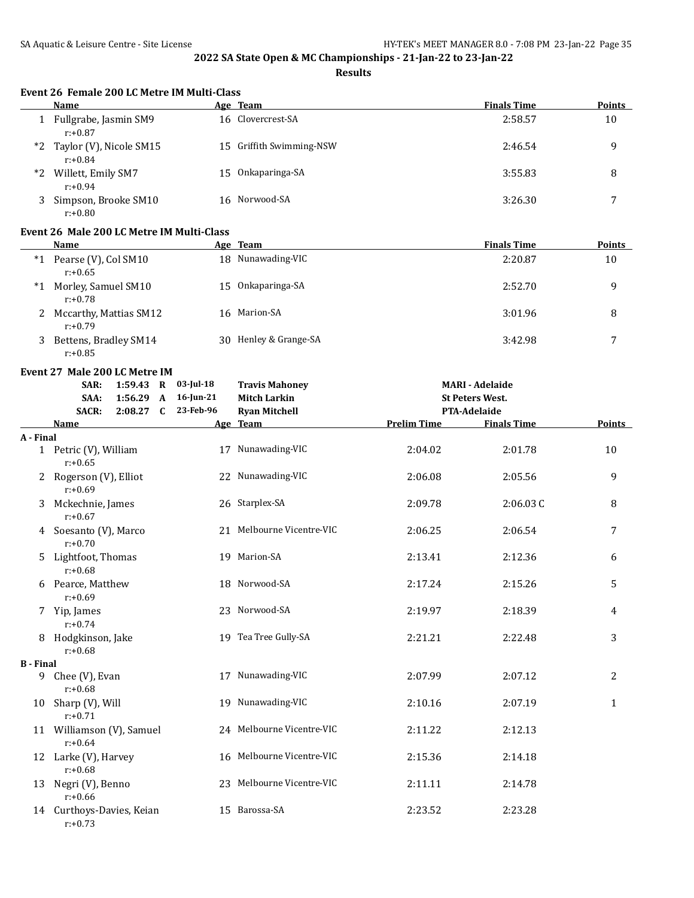**Results**

## **Event 26 Female 200 LC Metre IM Multi-Class**

|      | Name                                |    | Age Team                 | <b>Finals Time</b> | <b>Points</b> |
|------|-------------------------------------|----|--------------------------|--------------------|---------------|
|      | Fullgrabe, Jasmin SM9<br>$r: +0.87$ |    | 16 Clovercrest-SA        | 2:58.57            | 10            |
| $*2$ | Taylor (V), Nicole SM15<br>r:+0.84  |    | 15 Griffith Swimming-NSW | 2:46.54            | q             |
| $*2$ | Willett, Emily SM7<br>$r: +0.94$    | 15 | Onkaparinga-SA           | 3:55.83            | 8             |
|      | Simpson, Brooke SM10<br>$r: +0.80$  |    | 16 Norwood-SA            | 3:26.30            | 7             |

### **Event 26 Male 200 LC Metre IM Multi-Class**

|         | Name                                 |    | Age Team              | <b>Finals Time</b> | <b>Points</b> |
|---------|--------------------------------------|----|-----------------------|--------------------|---------------|
| $*_{1}$ | Pearse (V), Col SM10<br>$r: +0.65$   |    | 18 Nunawading-VIC     | 2:20.87            | 10            |
| $*_{1}$ | Morley, Samuel SM10<br>r:+0.78       | 15 | Onkaparinga-SA        | 2:52.70            | 9             |
|         | Mccarthy, Mattias SM12<br>$r: +0.79$ |    | 16 Marion-SA          | 3:01.96            | 8             |
|         | Bettens, Bradley SM14<br>$r: +0.85$  |    | 30 Henley & Grange-SA | 3:42.98            |               |

#### **Event 27 Male 200 LC Metre IM**

|                  | SAR:<br>SAA:<br><b>SACR:</b>            | 1:56.29<br>$2:08.27$ C | $\mathbf{A}$ | 1:59.43 R 03-Jul-18<br>$16$ -Jun-21<br>23-Feb-96 | <b>Travis Mahoney</b><br><b>Mitch Larkin</b><br><b>Ryan Mitchell</b> |                    | <b>MARI - Adelaide</b><br><b>St Peters West.</b><br>PTA-Adelaide |              |
|------------------|-----------------------------------------|------------------------|--------------|--------------------------------------------------|----------------------------------------------------------------------|--------------------|------------------------------------------------------------------|--------------|
|                  | Name                                    |                        |              |                                                  | Age Team                                                             | <b>Prelim Time</b> | <b>Finals Time</b>                                               | Points       |
| A - Final        |                                         |                        |              |                                                  |                                                                      |                    |                                                                  |              |
|                  | 1 Petric (V), William<br>$r: +0.65$     |                        |              |                                                  | 17 Nunawading-VIC                                                    | 2:04.02            | 2:01.78                                                          | 10           |
| 2                | Rogerson (V), Elliot<br>$r: +0.69$      |                        |              |                                                  | 22 Nunawading-VIC                                                    | 2:06.08            | 2:05.56                                                          | 9            |
|                  | Mckechnie, James<br>$r: +0.67$          |                        |              |                                                  | 26 Starplex-SA                                                       | 2:09.78            | 2:06.03C                                                         | 8            |
| 4                | Soesanto (V), Marco<br>$r: +0.70$       |                        |              |                                                  | 21 Melbourne Vicentre-VIC                                            | 2:06.25            | 2:06.54                                                          | 7            |
| 5.               | Lightfoot, Thomas<br>$r: +0.68$         |                        |              |                                                  | 19 Marion-SA                                                         | 2:13.41            | 2:12.36                                                          | 6            |
| 6                | Pearce, Matthew<br>$r: +0.69$           |                        |              |                                                  | 18 Norwood-SA                                                        | 2:17.24            | 2:15.26                                                          | 5            |
|                  | 7 Yip, James<br>$r: +0.74$              |                        |              |                                                  | 23 Norwood-SA                                                        | 2:19.97            | 2:18.39                                                          | 4            |
| 8                | Hodgkinson, Jake<br>$r: +0.68$          |                        |              |                                                  | 19 Tea Tree Gully-SA                                                 | 2:21.21            | 2:22.48                                                          | 3            |
| <b>B</b> - Final |                                         |                        |              |                                                  |                                                                      |                    |                                                                  |              |
| 9                | Chee (V), Evan<br>$r: +0.68$            |                        |              |                                                  | 17 Nunawading-VIC                                                    | 2:07.99            | 2:07.12                                                          | 2            |
| 10               | Sharp (V), Will<br>$r: +0.71$           |                        |              |                                                  | 19 Nunawading-VIC                                                    | 2:10.16            | 2:07.19                                                          | $\mathbf{1}$ |
|                  | 11 Williamson (V), Samuel<br>$r: +0.64$ |                        |              |                                                  | 24 Melbourne Vicentre-VIC                                            | 2:11.22            | 2:12.13                                                          |              |
|                  | 12 Larke (V), Harvey<br>$r: +0.68$      |                        |              |                                                  | 16 Melbourne Vicentre-VIC                                            | 2:15.36            | 2:14.18                                                          |              |
| 13               | Negri (V), Benno<br>$r: +0.66$          |                        |              |                                                  | 23 Melbourne Vicentre-VIC                                            | 2:11.11            | 2:14.78                                                          |              |
|                  | 14 Curthoys-Davies, Keian<br>$r: +0.73$ |                        |              |                                                  | 15 Barossa-SA                                                        | 2:23.52            | 2:23.28                                                          |              |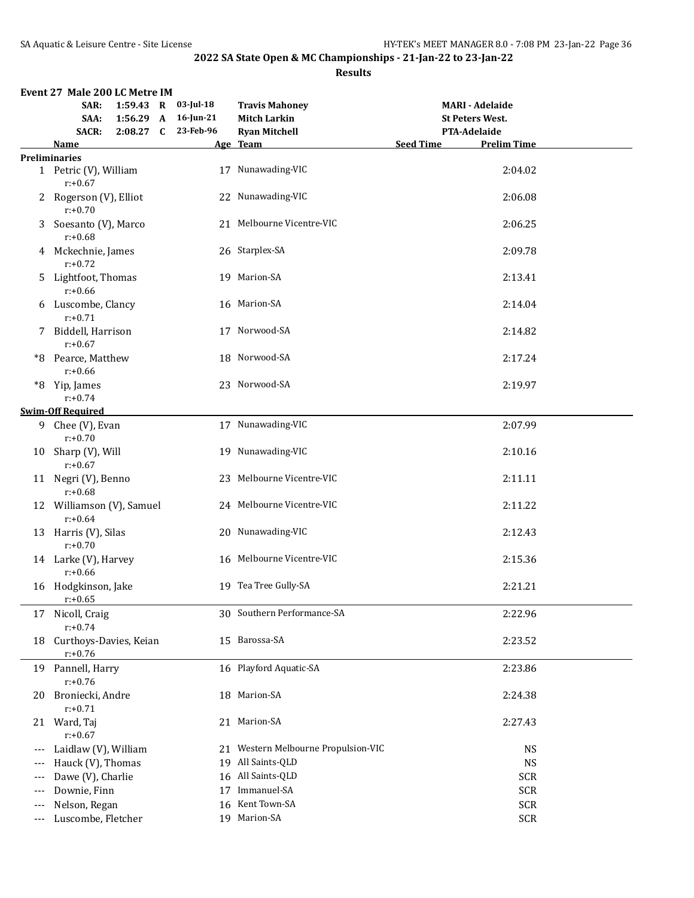|       | Event 27 Male 200 LC Metre IM           |             |                                                         |                                                                      |                  |                                                                  |  |
|-------|-----------------------------------------|-------------|---------------------------------------------------------|----------------------------------------------------------------------|------------------|------------------------------------------------------------------|--|
|       | SAR:<br>SAA:<br><b>SACR:</b>            | $2:08.27$ C | 1:59.43 R 03-Jul-18<br>1:56.29 A 16-Jun-21<br>23-Feb-96 | <b>Travis Mahoney</b><br><b>Mitch Larkin</b><br><b>Ryan Mitchell</b> |                  | <b>MARI</b> - Adelaide<br><b>St Peters West.</b><br>PTA-Adelaide |  |
|       | Name<br><b>Preliminaries</b>            |             |                                                         | Age Team                                                             | <b>Seed Time</b> | <b>Prelim Time</b>                                               |  |
|       | 1 Petric (V), William<br>$r: +0.67$     |             |                                                         | 17 Nunawading-VIC                                                    |                  | 2:04.02                                                          |  |
|       | 2 Rogerson (V), Elliot<br>$r: +0.70$    |             |                                                         | 22 Nunawading-VIC                                                    |                  | 2:06.08                                                          |  |
|       | 3 Soesanto (V), Marco<br>$r: +0.68$     |             |                                                         | 21 Melbourne Vicentre-VIC                                            |                  | 2:06.25                                                          |  |
|       | 4 Mckechnie, James<br>$r: +0.72$        |             |                                                         | 26 Starplex-SA                                                       |                  | 2:09.78                                                          |  |
|       | 5 Lightfoot, Thomas<br>$r: +0.66$       |             |                                                         | 19 Marion-SA                                                         |                  | 2:13.41                                                          |  |
|       | 6 Luscombe, Clancy<br>$r: +0.71$        |             |                                                         | 16 Marion-SA                                                         |                  | 2:14.04                                                          |  |
|       | 7 Biddell, Harrison<br>$r: +0.67$       |             |                                                         | 17 Norwood-SA                                                        |                  | 2:14.82                                                          |  |
|       | *8 Pearce, Matthew<br>$r: +0.66$        |             |                                                         | 18 Norwood-SA                                                        |                  | 2:17.24                                                          |  |
|       | *8 Yip, James<br>$r: +0.74$             |             |                                                         | 23 Norwood-SA                                                        |                  | 2:19.97                                                          |  |
|       | <b>Swim-Off Required</b>                |             |                                                         |                                                                      |                  |                                                                  |  |
|       | 9 Chee (V), Evan<br>$r: +0.70$          |             |                                                         | 17 Nunawading-VIC                                                    |                  | 2:07.99                                                          |  |
|       | 10 Sharp (V), Will<br>$r: +0.67$        |             |                                                         | 19 Nunawading-VIC                                                    |                  | 2:10.16                                                          |  |
|       | 11 Negri (V), Benno<br>$r: +0.68$       |             |                                                         | 23 Melbourne Vicentre-VIC                                            |                  | 2:11.11                                                          |  |
|       | 12 Williamson (V), Samuel<br>$r: +0.64$ |             |                                                         | 24 Melbourne Vicentre-VIC                                            |                  | 2:11.22                                                          |  |
|       | 13 Harris (V), Silas<br>$r: +0.70$      |             |                                                         | 20 Nunawading-VIC                                                    |                  | 2:12.43                                                          |  |
|       | 14 Larke (V), Harvey<br>$r: +0.66$      |             |                                                         | 16 Melbourne Vicentre-VIC                                            |                  | 2:15.36                                                          |  |
|       | 16 Hodgkinson, Jake<br>$r: +0.65$       |             |                                                         | 19 Tea Tree Gully-SA                                                 |                  | 2:21.21                                                          |  |
| 17    | Nicoll, Craig<br>$r: +0.74$             |             |                                                         | 30 Southern Performance-SA                                           |                  | 2:22.96                                                          |  |
| 18    | Curthoys-Davies, Keian<br>$r: +0.76$    |             |                                                         | 15 Barossa-SA                                                        |                  | 2:23.52                                                          |  |
| 19    | Pannell, Harry<br>$r: +0.76$            |             |                                                         | 16 Playford Aquatic-SA                                               |                  | 2:23.86                                                          |  |
| 20    | Broniecki, Andre<br>$r: +0.71$          |             |                                                         | 18 Marion-SA                                                         |                  | 2:24.38                                                          |  |
| 21    | Ward, Taj<br>$r: +0.67$                 |             |                                                         | 21 Marion-SA                                                         |                  | 2:27.43                                                          |  |
| $---$ | Laidlaw (V), William                    |             | 21                                                      | Western Melbourne Propulsion-VIC                                     |                  | <b>NS</b>                                                        |  |
| $---$ | Hauck (V), Thomas                       |             | 19                                                      | All Saints-QLD                                                       |                  | <b>NS</b>                                                        |  |
|       | Dawe (V), Charlie                       |             |                                                         | 16 All Saints-QLD                                                    |                  | <b>SCR</b>                                                       |  |
|       | Downie, Finn                            |             | 17                                                      | Immanuel-SA                                                          |                  | <b>SCR</b>                                                       |  |
| $--$  | Nelson, Regan                           |             | 16                                                      | Kent Town-SA                                                         |                  | <b>SCR</b>                                                       |  |
| $---$ | Luscombe, Fletcher                      |             |                                                         | 19 Marion-SA                                                         |                  | <b>SCR</b>                                                       |  |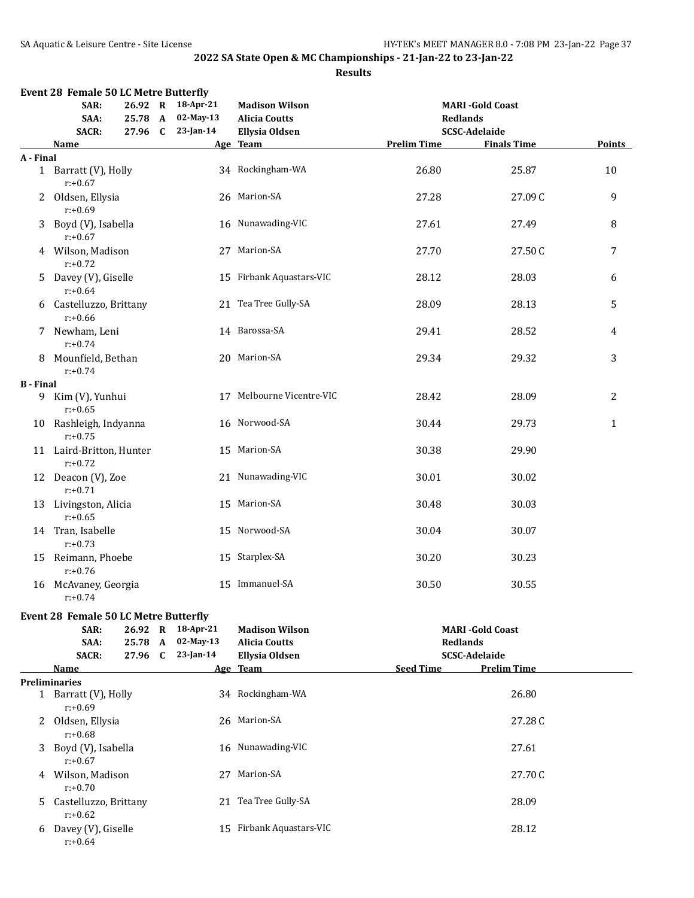|                  | <b>Event 28 Female 50 LC Metre Butterfly</b> |         |                                                             |                                                                        |                                         |                        |              |
|------------------|----------------------------------------------|---------|-------------------------------------------------------------|------------------------------------------------------------------------|-----------------------------------------|------------------------|--------------|
|                  | SAR:<br>SAA:<br><b>SACR:</b>                 |         | 26.92 R 18-Apr-21<br>25.78 A 02-May-13<br>27.96 C 23-Jan-14 | <b>Madison Wilson</b><br><b>Alicia Coutts</b><br><b>Ellysia Oldsen</b> | <b>Redlands</b><br><b>SCSC-Adelaide</b> | <b>MARI-Gold Coast</b> |              |
|                  | Name                                         |         |                                                             | Age Team                                                               | <b>Prelim Time</b>                      | <b>Finals Time</b>     | Points       |
| A - Final        |                                              |         |                                                             |                                                                        |                                         |                        |              |
|                  | 1 Barratt (V), Holly<br>$r: +0.67$           |         |                                                             | 34 Rockingham-WA                                                       | 26.80                                   | 25.87                  | 10           |
|                  | 2 Oldsen, Ellysia<br>$r: +0.69$              |         |                                                             | 26 Marion-SA                                                           | 27.28                                   | 27.09 C                | 9            |
|                  | 3 Boyd (V), Isabella<br>$r: +0.67$           |         |                                                             | 16 Nunawading-VIC                                                      | 27.61                                   | 27.49                  | 8            |
|                  | 4 Wilson, Madison<br>$r: +0.72$              |         |                                                             | 27 Marion-SA                                                           | 27.70                                   | 27.50C                 | 7            |
|                  | 5 Davey (V), Giselle<br>$r: +0.64$           |         |                                                             | 15 Firbank Aquastars-VIC                                               | 28.12                                   | 28.03                  | 6            |
|                  | 6 Castelluzzo, Brittany<br>$r: +0.66$        |         |                                                             | 21 Tea Tree Gully-SA                                                   | 28.09                                   | 28.13                  | 5            |
|                  | 7 Newham, Leni<br>$r: +0.74$                 |         |                                                             | 14 Barossa-SA                                                          | 29.41                                   | 28.52                  | 4            |
|                  | 8 Mounfield, Bethan<br>$r: +0.74$            |         |                                                             | 20 Marion-SA                                                           | 29.34                                   | 29.32                  | 3            |
| <b>B</b> - Final |                                              |         |                                                             |                                                                        |                                         |                        |              |
| 9                | Kim (V), Yunhui<br>$r: +0.65$                |         |                                                             | 17 Melbourne Vicentre-VIC                                              | 28.42                                   | 28.09                  | 2            |
|                  | 10 Rashleigh, Indyanna<br>$r: +0.75$         |         |                                                             | 16 Norwood-SA                                                          | 30.44                                   | 29.73                  | $\mathbf{1}$ |
|                  | 11 Laird-Britton, Hunter<br>$r: +0.72$       |         |                                                             | 15 Marion-SA                                                           | 30.38                                   | 29.90                  |              |
|                  | 12 Deacon (V), Zoe<br>$r: +0.71$             |         |                                                             | 21 Nunawading-VIC                                                      | 30.01                                   | 30.02                  |              |
|                  | 13 Livingston, Alicia<br>$r: +0.65$          |         |                                                             | 15 Marion-SA                                                           | 30.48                                   | 30.03                  |              |
|                  | 14 Tran, Isabelle<br>$r: +0.73$              |         |                                                             | 15 Norwood-SA                                                          | 30.04                                   | 30.07                  |              |
|                  | 15 Reimann, Phoebe<br>$r: +0.76$             |         |                                                             | 15 Starplex-SA                                                         | 30.20                                   | 30.23                  |              |
|                  | 16 McAvaney, Georgia<br>$r: +0.74$           |         |                                                             | 15 Immanuel-SA                                                         | 30.50                                   | 30.55                  |              |
|                  | <b>Event 28 Female 50 LC Metre Butterfly</b> |         |                                                             |                                                                        |                                         |                        |              |
|                  | SAR:                                         |         | 26.92 R 18-Apr-21                                           | <b>Madison Wilson</b>                                                  |                                         | <b>MARI-Gold Coast</b> |              |
|                  | SAA:                                         | 25.78 A | 02-May-13                                                   | <b>Alicia Coutts</b>                                                   | <b>Redlands</b>                         |                        |              |
|                  | <b>SACR:</b>                                 | 27.96 C | $23$ -Jan-14                                                |                                                                        | <b>SCSC-Adelaide</b>                    |                        |              |
|                  | Name                                         |         |                                                             | <b>Ellysia Oldsen</b><br>Age Team                                      | <b>Seed Time</b>                        | <b>Prelim Time</b>     |              |
|                  | <b>Preliminaries</b>                         |         |                                                             |                                                                        |                                         |                        |              |
|                  | 1 Barratt (V), Holly<br>$r: +0.69$           |         |                                                             | 34 Rockingham-WA                                                       |                                         | 26.80                  |              |
|                  | 2 Oldsen, Ellysia<br>$r: +0.68$              |         |                                                             | 26 Marion-SA                                                           |                                         | 27.28C                 |              |
| 3                | Boyd (V), Isabella<br>$r: +0.67$             |         |                                                             | 16 Nunawading-VIC                                                      |                                         | 27.61                  |              |
|                  | 4 Wilson, Madison<br>$r: +0.70$              |         |                                                             | 27 Marion-SA                                                           |                                         | 27.70C                 |              |
|                  | 5 Castelluzzo, Brittany<br>$r: +0.62$        |         |                                                             | 21 Tea Tree Gully-SA                                                   |                                         | 28.09                  |              |
| 6                | Davey (V), Giselle<br>$r: +0.64$             |         |                                                             | 15 Firbank Aquastars-VIC                                               |                                         | 28.12                  |              |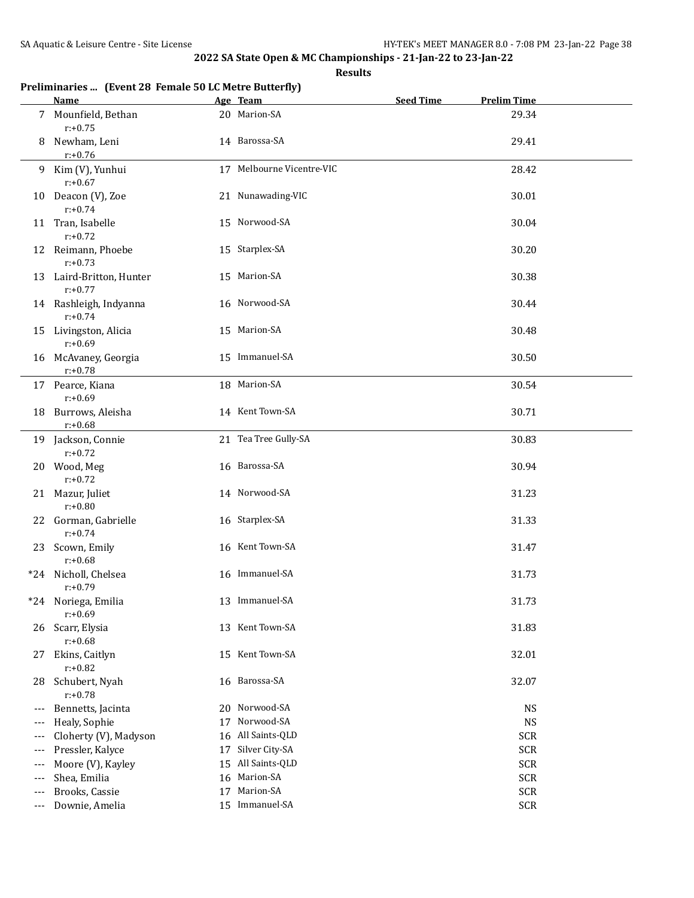**Results**

## **Preliminaries ... (Event 28 Female 50 LC Metre Butterfly)**

|       | <b>Name</b>                            |    | Age Team                  | <b>Seed Time</b> | <b>Prelim Time</b> |
|-------|----------------------------------------|----|---------------------------|------------------|--------------------|
|       | 7 Mounfield, Bethan<br>$r: +0.75$      |    | 20 Marion-SA              |                  | 29.34              |
| 8     | Newham, Leni<br>$r: +0.76$             |    | 14 Barossa-SA             |                  | 29.41              |
|       | 9 Kim (V), Yunhui<br>$r: +0.67$        |    | 17 Melbourne Vicentre-VIC |                  | 28.42              |
|       | 10 Deacon (V), Zoe<br>$r: +0.74$       |    | 21 Nunawading-VIC         |                  | 30.01              |
|       | 11 Tran, Isabelle<br>$r: +0.72$        |    | 15 Norwood-SA             |                  | 30.04              |
|       | 12 Reimann, Phoebe<br>$r: +0.73$       |    | 15 Starplex-SA            |                  | 30.20              |
|       | 13 Laird-Britton, Hunter<br>$r: +0.77$ |    | 15 Marion-SA              |                  | 30.38              |
|       | 14 Rashleigh, Indyanna<br>$r: +0.74$   |    | 16 Norwood-SA             |                  | 30.44              |
| 15    | Livingston, Alicia<br>$r: +0.69$       |    | 15 Marion-SA              |                  | 30.48              |
|       | 16 McAvaney, Georgia<br>$r: +0.78$     |    | 15 Immanuel-SA            |                  | 30.50              |
|       | 17 Pearce, Kiana<br>$r: +0.69$         |    | 18 Marion-SA              |                  | 30.54              |
| 18    | Burrows, Aleisha<br>$r: +0.68$         |    | 14 Kent Town-SA           |                  | 30.71              |
|       | 19 Jackson, Connie<br>$r: +0.72$       |    | 21 Tea Tree Gully-SA      |                  | 30.83              |
|       | 20 Wood, Meg<br>$r: +0.72$             |    | 16 Barossa-SA             |                  | 30.94              |
|       | 21 Mazur, Juliet<br>$r: +0.80$         |    | 14 Norwood-SA             |                  | 31.23              |
|       | 22 Gorman, Gabrielle<br>$r: +0.74$     |    | 16 Starplex-SA            |                  | 31.33              |
|       | 23 Scown, Emily<br>$r: +0.68$          |    | 16 Kent Town-SA           |                  | 31.47              |
|       | *24 Nicholl, Chelsea<br>$r: +0.79$     |    | 16 Immanuel-SA            |                  | 31.73              |
|       | *24 Noriega, Emilia<br>$r: +0.69$      |    | 13 Immanuel-SA            |                  | 31.73              |
|       | 26 Scarr, Elysia<br>$r: +0.68$         |    | 13 Kent Town-SA           |                  | 31.83              |
| 27    | Ekins, Caitlyn<br>$r: +0.82$           |    | 15 Kent Town-SA           |                  | 32.01              |
| 28    | Schubert, Nyah<br>$r: +0.78$           |    | 16 Barossa-SA             |                  | 32.07              |
| $---$ | Bennetts, Jacinta                      |    | 20 Norwood-SA             |                  | <b>NS</b>          |
| $--$  | Healy, Sophie                          | 17 | Norwood-SA                |                  | <b>NS</b>          |
| ---   | Cloherty (V), Madyson                  |    | 16 All Saints-QLD         |                  | SCR                |
| ---   | Pressler, Kalyce                       | 17 | Silver City-SA            |                  | <b>SCR</b>         |
| ---   | Moore (V), Kayley                      |    | 15 All Saints-QLD         |                  | <b>SCR</b>         |
| ---   | Shea, Emilia                           |    | 16 Marion-SA              |                  | <b>SCR</b>         |
| $---$ | Brooks, Cassie                         | 17 | Marion-SA                 |                  | SCR                |
| ---   | Downie, Amelia                         |    | 15 Immanuel-SA            |                  | <b>SCR</b>         |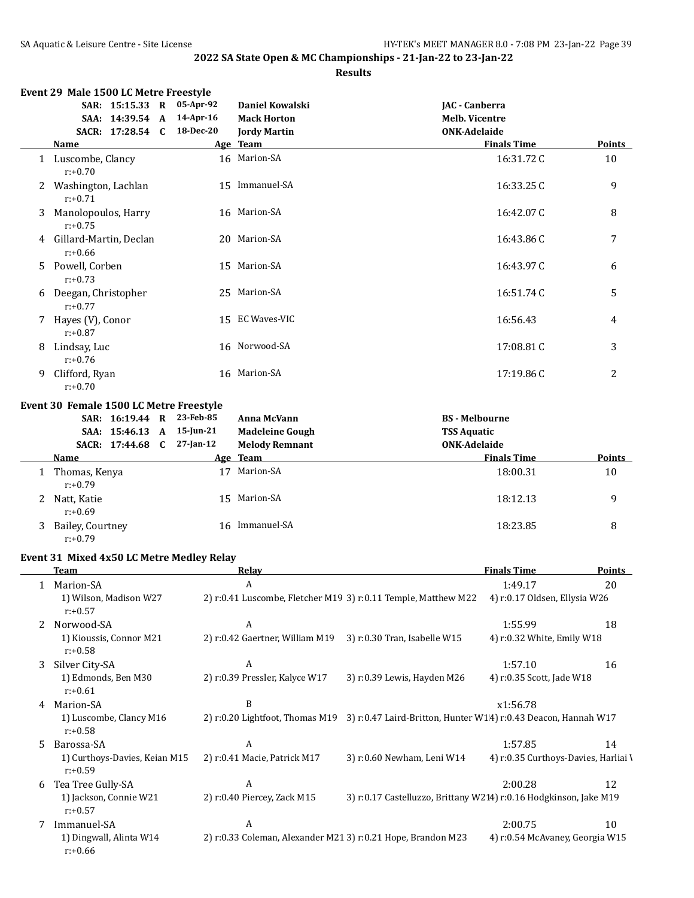|    | Event 29 Male 1500 LC Metre Freestyle     |           |                        |                       |               |
|----|-------------------------------------------|-----------|------------------------|-----------------------|---------------|
|    | SAR: 15:15.33 R                           | 05-Apr-92 | Daniel Kowalski        | JAC - Canberra        |               |
|    | SAA: 14:39.54 A                           | 14-Apr-16 | <b>Mack Horton</b>     | <b>Melb. Vicentre</b> |               |
|    | SACR: 17:28.54 C                          | 18-Dec-20 | <b>Jordy Martin</b>    | <b>ONK-Adelaide</b>   |               |
|    | Name                                      |           | Age Team               | <b>Finals Time</b>    | Points        |
|    | 1 Luscombe, Clancy<br>$r: +0.70$          |           | 16 Marion-SA           | 16:31.72C             | 10            |
| 2  | Washington, Lachlan<br>$r: +0.71$         |           | 15 Immanuel-SA         | 16:33.25C             | 9             |
| 3  | Manolopoulos, Harry<br>$r: +0.75$         |           | 16 Marion-SA           | 16:42.07C             | 8             |
| 4  | Gillard-Martin, Declan<br>$r: +0.66$      |           | 20 Marion-SA           | 16:43.86C             | 7             |
| 5. | Powell, Corben<br>$r: +0.73$              |           | 15 Marion-SA           | 16:43.97C             | 6             |
|    | 6 Deegan, Christopher<br>$r: +0.77$       |           | 25 Marion-SA           | 16:51.74C             | 5             |
|    | 7 Hayes (V), Conor<br>$r: +0.87$          |           | 15 EC Waves-VIC        | 16:56.43              | 4             |
| 8  | Lindsay, Luc<br>$r: +0.76$                |           | 16 Norwood-SA          | 17:08.81C             | 3             |
| 9  | Clifford, Ryan<br>$r: +0.70$              |           | 16 Marion-SA           | 17:19.86C             | 2             |
|    | Event 30 Female 1500 LC Metre Freestyle   |           |                        |                       |               |
|    | SAR: 16:19.44 R 23-Feb-85                 |           | Anna McVann            | <b>BS</b> - Melbourne |               |
|    | SAA: 15:46.13 A 15-Jun-21                 |           | <b>Madeleine Gough</b> | <b>TSS Aquatic</b>    |               |
|    | SACR: 17:44.68 C 27-Jan-12                |           | <b>Melody Remnant</b>  | <b>ONK-Adelaide</b>   |               |
|    | Name                                      |           | Age Team               | <b>Finals Time</b>    | Points        |
|    | 1 Thomas, Kenya<br>$r: +0.79$             |           | 17 Marion-SA           | 18:00.31              | 10            |
| 2  | Natt, Katie<br>$r: +0.69$                 |           | 15 Marion-SA           | 18:12.13              | 9             |
| 3  | Bailey, Courtney<br>$r: +0.79$            |           | 16 Immanuel-SA         | 18:23.85              | 8             |
|    | Event 31 Mixed 4x50 LC Metre Medley Relay |           |                        |                       |               |
|    | <u>Team</u>                               |           | <b>Relay</b>           | <b>Finals Time</b>    | <b>Points</b> |

|    | ream                                        | <b>Relay</b>                                                 |                                                                                                | rinais Time                          | romus |
|----|---------------------------------------------|--------------------------------------------------------------|------------------------------------------------------------------------------------------------|--------------------------------------|-------|
|    | Marion-SA                                   | A                                                            |                                                                                                | 1:49.17                              | 20    |
|    | 1) Wilson, Madison W27<br>$r: +0.57$        |                                                              | 2) r:0.41 Luscombe, Fletcher M19 3) r:0.11 Temple, Matthew M22                                 | 4) r:0.17 Oldsen, Ellysia W26        |       |
| 2  | Norwood-SA                                  | A                                                            |                                                                                                | 1:55.99                              | 18    |
|    | 1) Kioussis, Connor M21<br>$r: +0.58$       | 2) r:0.42 Gaertner, William M19                              | 3) r:0.30 Tran, Isabelle W15                                                                   | 4) r:0.32 White, Emily W18           |       |
| 3. | Silver City-SA                              | A                                                            |                                                                                                | 1:57.10                              | 16    |
|    | 1) Edmonds, Ben M30<br>$r: +0.61$           | 2) r:0.39 Pressler, Kalyce W17                               | 3) r:0.39 Lewis, Hayden M26                                                                    | 4) r:0.35 Scott, Jade W18            |       |
| 4  | Marion-SA                                   | B                                                            |                                                                                                | x1:56.78                             |       |
|    | 1) Luscombe, Clancy M16<br>$r: +0.58$       |                                                              | 2) r:0.20 Lightfoot, Thomas M19 3) r:0.47 Laird-Britton, Hunter W14) r:0.43 Deacon, Hannah W17 |                                      |       |
| 5. | Barossa-SA                                  | A                                                            |                                                                                                | 1:57.85                              | 14    |
|    | 1) Curthoys-Davies, Keian M15<br>$r: +0.59$ | 2) r:0.41 Macie, Patrick M17                                 | 3) r:0.60 Newham, Leni W14                                                                     | 4) r:0.35 Curthoys-Davies, Harliai V |       |
| 6  | Tea Tree Gully-SA                           | A                                                            |                                                                                                | 2:00.28                              | 12    |
|    | 1) Jackson, Connie W21<br>$r: +0.57$        | 2) r:0.40 Piercey, Zack M15                                  | 3) r:0.17 Castelluzzo, Brittany W214) r:0.16 Hodgkinson, Jake M19                              |                                      |       |
|    | Immanuel-SA                                 | A                                                            |                                                                                                | 2:00.75                              | 10    |
|    | 1) Dingwall, Alinta W14<br>$r: +0.66$       | 2) r:0.33 Coleman, Alexander M21 3) r:0.21 Hope, Brandon M23 |                                                                                                | 4) r:0.54 McAvaney, Georgia W15      |       |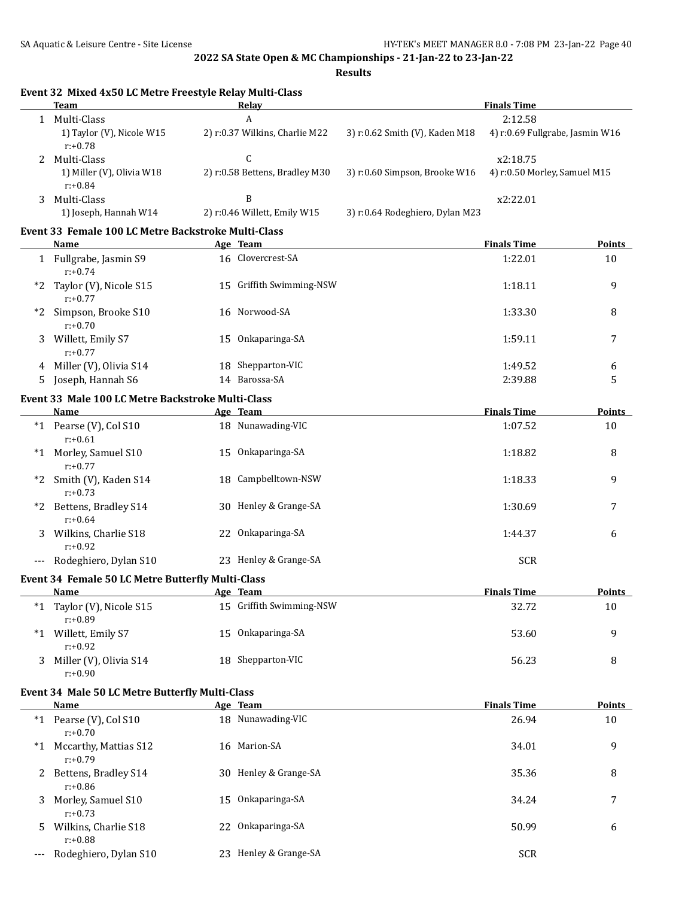|          | <b>Team</b>                                         | Relay                          |                                 | <b>Finals Time</b>              |               |
|----------|-----------------------------------------------------|--------------------------------|---------------------------------|---------------------------------|---------------|
|          | 1 Multi-Class                                       | A                              |                                 | 2:12.58                         |               |
|          | 1) Taylor (V), Nicole W15<br>$r: +0.78$             | 2) r:0.37 Wilkins, Charlie M22 | 3) r:0.62 Smith (V), Kaden M18  | 4) r:0.69 Fullgrabe, Jasmin W16 |               |
|          | 2 Multi-Class                                       | C                              |                                 | x2:18.75                        |               |
|          | 1) Miller (V), Olivia W18<br>$r: +0.84$             | 2) r:0.58 Bettens, Bradley M30 | 3) r:0.60 Simpson, Brooke W16   | 4) r:0.50 Morley, Samuel M15    |               |
|          | 3 Multi-Class                                       | B                              |                                 | x2:22.01                        |               |
|          | 1) Joseph, Hannah W14                               | 2) r:0.46 Willett, Emily W15   | 3) r:0.64 Rodeghiero, Dylan M23 |                                 |               |
|          | Event 33 Female 100 LC Metre Backstroke Multi-Class |                                |                                 |                                 |               |
|          | Name                                                | Age Team                       |                                 | <b>Finals Time</b>              | <b>Points</b> |
|          | 1 Fullgrabe, Jasmin S9<br>$r: +0.74$                | 16 Clovercrest-SA              |                                 | 1:22.01                         | 10            |
| *2       | Taylor (V), Nicole S15<br>$r: +0.77$                | 15 Griffith Swimming-NSW       |                                 | 1:18.11                         | 9             |
|          | *2 Simpson, Brooke S10<br>$r: +0.70$                | 16 Norwood-SA                  |                                 | 1:33.30                         | 8             |
|          | 3 Willett, Emily S7<br>$r: +0.77$                   | 15 Onkaparinga-SA              |                                 | 1:59.11                         | 7             |
|          | 4 Miller (V), Olivia S14                            | 18 Shepparton-VIC              |                                 | 1:49.52                         | 6             |
|          | 5 Joseph, Hannah S6                                 | 14 Barossa-SA                  |                                 | 2:39.88                         | 5             |
|          | Event 33 Male 100 LC Metre Backstroke Multi-Class   |                                |                                 |                                 |               |
|          | Name                                                | Age Team                       |                                 | <b>Finals Time</b>              | <b>Points</b> |
|          | *1 Pearse (V), Col S10<br>$r: +0.61$                | 18 Nunawading-VIC              |                                 | 1:07.52                         | 10            |
|          | *1 Morley, Samuel S10<br>$r: +0.77$                 | 15 Onkaparinga-SA              |                                 | 1:18.82                         | 8             |
|          | *2 Smith (V), Kaden S14<br>$r: +0.73$               | 18 Campbelltown-NSW            |                                 | 1:18.33                         | 9             |
|          | *2 Bettens, Bradley S14<br>$r: +0.64$               | 30 Henley & Grange-SA          |                                 | 1:30.69                         | 7             |
|          | 3 Wilkins, Charlie S18<br>$r: +0.92$                | 22 Onkaparinga-SA              |                                 | 1:44.37                         | 6             |
|          | --- Rodeghiero, Dylan S10                           | 23 Henley & Grange-SA          |                                 | <b>SCR</b>                      |               |
|          | Event 34 Female 50 LC Metre Butterfly Multi-Class   |                                |                                 |                                 |               |
|          | Name                                                | Age Team                       |                                 | <b>Finals Time</b>              | <b>Points</b> |
|          | *1 Taylor (V), Nicole S15<br>$r: +0.89$             | 15 Griffith Swimming-NSW       |                                 | 32.72                           | 10            |
|          | *1 Willett, Emily S7<br>$r: +0.92$                  | 15 Onkaparinga-SA              |                                 | 53.60                           | 9             |
|          | 3 Miller (V), Olivia S14<br>$r: +0.90$              | 18 Shepparton-VIC              |                                 | 56.23                           | 8             |
|          | Event 34 Male 50 LC Metre Butterfly Multi-Class     |                                |                                 |                                 |               |
|          | Name                                                | Age Team                       |                                 | <b>Finals Time</b>              | <b>Points</b> |
|          | *1 Pearse (V), Col S10<br>$r: +0.70$                | 18 Nunawading-VIC              |                                 | 26.94                           | 10            |
|          | *1 Mccarthy, Mattias S12<br>$r: +0.79$              | 16 Marion-SA                   |                                 | 34.01                           | 9             |
|          | 2 Bettens, Bradley S14<br>$r: +0.86$                | 30 Henley & Grange-SA          |                                 | 35.36                           | 8             |
|          | 3 Morley, Samuel S10<br>$r: +0.73$                  | 15 Onkaparinga-SA              |                                 | 34.24                           | 7             |
| 5.       | Wilkins, Charlie S18<br>$r: +0.88$                  | 22 Onkaparinga-SA              |                                 | 50.99                           | 6             |
| $\cdots$ | Rodeghiero, Dylan S10                               | 23 Henley & Grange-SA          |                                 | <b>SCR</b>                      |               |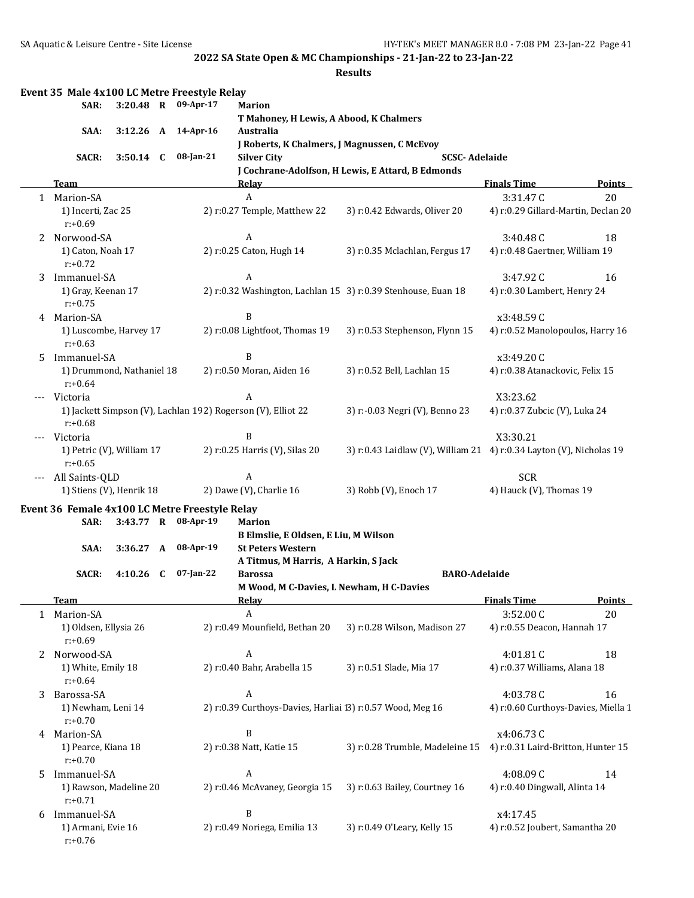|    | SAR:                                           |             |   | Event 35 Male 4x100 LC Metre Freestyle Relay<br>3:20.48 R 09-Apr-17 | <b>Marion</b>                                                    |                                                                     |                                       |               |
|----|------------------------------------------------|-------------|---|---------------------------------------------------------------------|------------------------------------------------------------------|---------------------------------------------------------------------|---------------------------------------|---------------|
|    |                                                |             |   |                                                                     | T Mahoney, H Lewis, A Abood, K Chalmers                          |                                                                     |                                       |               |
|    | SAA:                                           | $3:12.26$ A |   | 14-Apr-16                                                           | Australia                                                        |                                                                     |                                       |               |
|    |                                                |             |   |                                                                     | J Roberts, K Chalmers, J Magnussen, C McEvoy                     |                                                                     |                                       |               |
|    | <b>SACR:</b>                                   | $3:50.14$ C |   | 08-Jan-21                                                           | <b>Silver City</b>                                               | <b>SCSC-Adelaide</b>                                                |                                       |               |
|    |                                                |             |   |                                                                     |                                                                  | J Cochrane-Adolfson, H Lewis, E Attard, B Edmonds                   |                                       |               |
|    | <b>Team</b>                                    |             |   |                                                                     | Relay                                                            |                                                                     | <b>Finals Time</b>                    | <b>Points</b> |
|    | 1 Marion-SA                                    |             |   |                                                                     | A                                                                |                                                                     | 3:31.47C                              | 20            |
|    | 1) Incerti, Zac 25<br>$r: +0.69$               |             |   |                                                                     | 2) r:0.27 Temple, Matthew 22                                     | 3) r:0.42 Edwards, Oliver 20                                        | 4) r:0.29 Gillard-Martin, Declan 20   |               |
|    | 2 Norwood-SA                                   |             |   |                                                                     | A                                                                |                                                                     | 3:40.48C                              | 18            |
|    | 1) Caton, Noah 17                              |             |   |                                                                     | 2) r:0.25 Caton, Hugh 14                                         | 3) r:0.35 Mclachlan, Fergus 17                                      | 4) r:0.48 Gaertner, William 19        |               |
|    | $r: +0.72$                                     |             |   |                                                                     |                                                                  |                                                                     |                                       |               |
| 3  | Immanuel-SA                                    |             |   |                                                                     | A                                                                |                                                                     | 3:47.92C                              | 16            |
|    | 1) Gray, Keenan 17                             |             |   |                                                                     |                                                                  | 2) r:0.32 Washington, Lachlan 15 3) r:0.39 Stenhouse, Euan 18       | 4) r:0.30 Lambert, Henry 24           |               |
|    | $r: +0.75$                                     |             |   |                                                                     |                                                                  |                                                                     |                                       |               |
|    | 4 Marion-SA                                    |             |   |                                                                     | B                                                                |                                                                     | x3:48.59C                             |               |
|    | 1) Luscombe, Harvey 17<br>$r: +0.63$           |             |   |                                                                     | 2) r:0.08 Lightfoot, Thomas 19                                   | 3) r:0.53 Stephenson, Flynn 15                                      | 4) r:0.52 Manolopoulos, Harry 16      |               |
| 5. | Immanuel-SA                                    |             |   |                                                                     | B                                                                |                                                                     | x3:49.20C                             |               |
|    | 1) Drummond, Nathaniel 18<br>$r: +0.64$        |             |   |                                                                     | 2) r:0.50 Moran, Aiden 16                                        | 3) r:0.52 Bell, Lachlan 15                                          | 4) r:0.38 Atanackovic, Felix 15       |               |
|    | Victoria                                       |             |   |                                                                     | A                                                                |                                                                     | X3:23.62                              |               |
|    | $r: +0.68$                                     |             |   |                                                                     | 1) Jackett Simpson (V), Lachlan 192) Rogerson (V), Elliot 22     | 3) r:-0.03 Negri (V), Benno 23                                      | 4) r:0.37 Zubcic (V), Luka 24         |               |
|    | Victoria                                       |             |   |                                                                     | B                                                                |                                                                     | X3:30.21                              |               |
|    | 1) Petric (V), William 17                      |             |   |                                                                     | 2) r:0.25 Harris (V), Silas 20                                   | 3) r:0.43 Laidlaw (V), William 21 4) r:0.34 Layton (V), Nicholas 19 |                                       |               |
|    | $r: +0.65$                                     |             |   |                                                                     | A                                                                |                                                                     |                                       |               |
|    | --- All Saints-QLD<br>1) Stiens (V), Henrik 18 |             |   |                                                                     | 2) Dawe (V), Charlie 16                                          | 3) Robb (V), Enoch 17                                               | <b>SCR</b><br>4) Hauck (V), Thomas 19 |               |
|    |                                                |             |   | Event 36 Female 4x100 LC Metre Freestyle Relay                      |                                                                  |                                                                     |                                       |               |
|    | SAR:                                           | 3:43.77 R   |   | 08-Apr-19                                                           | <b>Marion</b>                                                    |                                                                     |                                       |               |
|    | SAA:                                           | 3:36.27 A   |   | 08-Apr-19                                                           | B Elmslie, E Oldsen, E Liu, M Wilson<br><b>St Peters Western</b> |                                                                     |                                       |               |
|    |                                                |             |   |                                                                     | A Titmus, M Harris, A Harkin, S Jack                             |                                                                     |                                       |               |
|    | <b>SACR:</b>                                   | 4:10.26     | C | 07-Jan-22                                                           | <b>Barossa</b>                                                   | <b>BARO-Adelaide</b>                                                |                                       |               |
|    |                                                |             |   |                                                                     | M Wood, M C-Davies, L Newham, H C-Davies                         |                                                                     |                                       |               |
|    | <b>Team</b>                                    |             |   |                                                                     | Relay                                                            |                                                                     | <b>Finals Time</b>                    | Points        |
| 1  | Marion-SA                                      |             |   |                                                                     | A                                                                |                                                                     | 3:52.00C                              | 20            |
|    | 1) Oldsen, Ellysia 26                          |             |   |                                                                     | 2) r:0.49 Mounfield, Bethan 20                                   | 3) r:0.28 Wilson, Madison 27                                        | 4) r:0.55 Deacon, Hannah 17           |               |
|    | $r: +0.69$                                     |             |   |                                                                     |                                                                  |                                                                     |                                       |               |
| 2  | Norwood-SA                                     |             |   |                                                                     | $\boldsymbol{A}$                                                 |                                                                     | 4:01.81C                              | 18            |
|    | 1) White, Emily 18<br>$r: +0.64$               |             |   |                                                                     | 2) r:0.40 Bahr, Arabella 15                                      | 3) r:0.51 Slade, Mia 17                                             | 4) r:0.37 Williams, Alana 18          |               |
| 3  | Barossa-SA                                     |             |   |                                                                     | A                                                                |                                                                     | 4:03.78C                              | 16            |
|    | 1) Newham, Leni 14<br>$r: +0.70$               |             |   |                                                                     | 2) r:0.39 Curthoys-Davies, Harliai 13) r:0.57 Wood, Meg 16       |                                                                     | 4) r:0.60 Curthoys-Davies, Miella 1   |               |
| 4  | Marion-SA                                      |             |   |                                                                     | B                                                                |                                                                     | x4:06.73C                             |               |
|    | 1) Pearce, Kiana 18<br>$r: +0.70$              |             |   |                                                                     | 2) r:0.38 Natt, Katie 15                                         | 3) r:0.28 Trumble, Madeleine 15                                     | 4) r:0.31 Laird-Britton, Hunter 15    |               |
| 5  | Immanuel-SA                                    |             |   |                                                                     | A                                                                |                                                                     | 4:08.09C                              | 14            |
|    | 1) Rawson, Madeline 20<br>$r: +0.71$           |             |   |                                                                     | 2) r:0.46 McAvaney, Georgia 15                                   | 3) r:0.63 Bailey, Courtney 16                                       | 4) r:0.40 Dingwall, Alinta 14         |               |
| 6  | Immanuel-SA                                    |             |   |                                                                     | B                                                                |                                                                     | x4:17.45                              |               |
|    | 1) Armani, Evie 16<br>$r: +0.76$               |             |   |                                                                     | 2) r:0.49 Noriega, Emilia 13                                     | 3) r:0.49 O'Leary, Kelly 15                                         | 4) r:0.52 Joubert, Samantha 20        |               |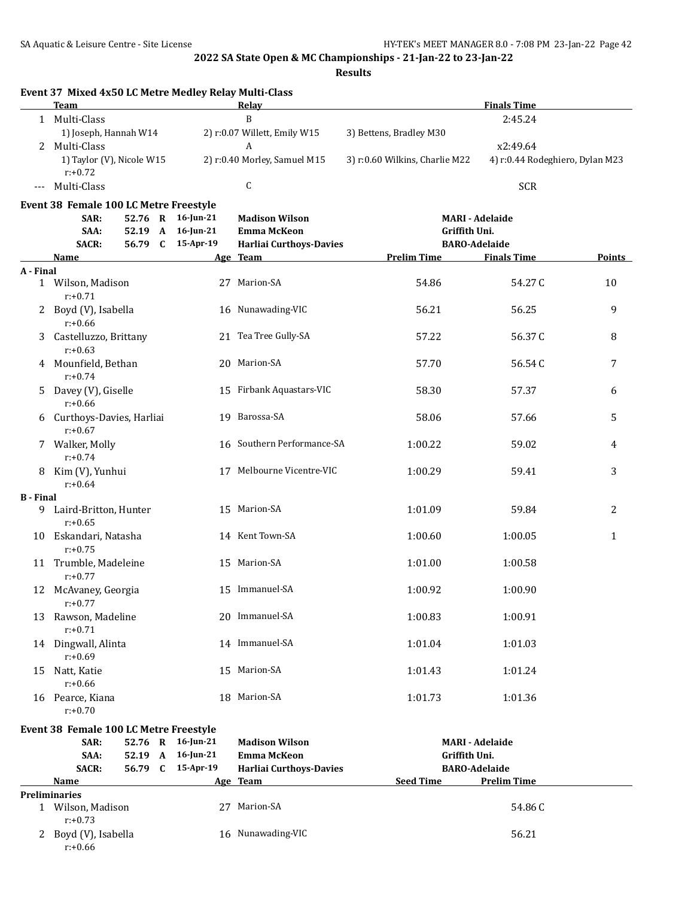|                  | Event 37 Mixed 4x50 LC Metre Medley Relay Multi-Class<br><b>Team</b> |  |                                        | Relay                                       |                                | <b>Finals Time</b>              |              |
|------------------|----------------------------------------------------------------------|--|----------------------------------------|---------------------------------------------|--------------------------------|---------------------------------|--------------|
|                  | 1 Multi-Class                                                        |  |                                        | B                                           |                                | 2:45.24                         |              |
|                  | 1) Joseph, Hannah W14                                                |  |                                        | 2) r:0.07 Willett, Emily W15                | 3) Bettens, Bradley M30        |                                 |              |
|                  | 2 Multi-Class                                                        |  |                                        | A                                           |                                | x2:49.64                        |              |
|                  | 1) Taylor (V), Nicole W15<br>$r: +0.72$                              |  |                                        | 2) r:0.40 Morley, Samuel M15                | 3) r:0.60 Wilkins, Charlie M22 | 4) r:0.44 Rodeghiero, Dylan M23 |              |
| $---$            | Multi-Class                                                          |  |                                        | $\mathsf{C}$                                |                                | <b>SCR</b>                      |              |
|                  | Event 38 Female 100 LC Metre Freestyle                               |  |                                        |                                             |                                |                                 |              |
|                  | SAR:<br>SAA:                                                         |  | 52.76 R 16-Jun-21<br>52.19 A 16-Jun-21 | <b>Madison Wilson</b><br><b>Emma McKeon</b> | Griffith Uni.                  | <b>MARI - Adelaide</b>          |              |
|                  | <b>SACR:</b>                                                         |  | 56.79 C 15-Apr-19                      | <b>Harliai Curthoys-Davies</b>              | <b>BARO-Adelaide</b>           |                                 |              |
|                  | <u>Name</u>                                                          |  |                                        | Age Team                                    | <b>Prelim Time</b>             | <b>Finals Time</b>              | Points       |
| A - Final        | 1 Wilson, Madison<br>$r: +0.71$                                      |  |                                        | 27 Marion-SA                                | 54.86                          | 54.27 C                         | 10           |
|                  | 2 Boyd (V), Isabella<br>$r: +0.66$                                   |  |                                        | 16 Nunawading-VIC                           | 56.21                          | 56.25                           | 9            |
| 3                | Castelluzzo, Brittany<br>$r: +0.63$                                  |  |                                        | 21 Tea Tree Gully-SA                        | 57.22                          | 56.37C                          | 8            |
|                  | 4 Mounfield, Bethan<br>$r: +0.74$                                    |  |                                        | 20 Marion-SA                                | 57.70                          | 56.54C                          | 7            |
|                  | 5 Davey (V), Giselle<br>$r: +0.66$                                   |  |                                        | 15 Firbank Aquastars-VIC                    | 58.30                          | 57.37                           | 6            |
|                  | 6 Curthoys-Davies, Harliai<br>$r: +0.67$                             |  |                                        | 19 Barossa-SA                               | 58.06                          | 57.66                           | 5            |
|                  | 7 Walker, Molly<br>$r: +0.74$                                        |  |                                        | 16 Southern Performance-SA                  | 1:00.22                        | 59.02                           | 4            |
|                  | 8 Kim (V), Yunhui<br>$r: +0.64$                                      |  |                                        | 17 Melbourne Vicentre-VIC                   | 1:00.29                        | 59.41                           | 3            |
| <b>B</b> - Final |                                                                      |  |                                        |                                             |                                |                                 |              |
|                  | 9 Laird-Britton, Hunter<br>$r: +0.65$                                |  |                                        | 15 Marion-SA                                | 1:01.09                        | 59.84                           | 2            |
|                  | 10 Eskandari, Natasha<br>$r: +0.75$                                  |  |                                        | 14 Kent Town-SA                             | 1:00.60                        | 1:00.05                         | $\mathbf{1}$ |
|                  | 11 Trumble, Madeleine<br>$r: +0.77$                                  |  |                                        | 15 Marion-SA                                | 1:01.00                        | 1:00.58                         |              |
|                  | 12 McAvaney, Georgia<br>$r: +0.77$                                   |  |                                        | 15 Immanuel-SA                              | 1:00.92                        | 1:00.90                         |              |
|                  | 13 Rawson, Madeline<br>$r: +0.71$                                    |  |                                        | 20 Immanuel-SA                              | 1:00.83                        | 1:00.91                         |              |
|                  | 14 Dingwall, Alinta<br>$r: +0.69$                                    |  |                                        | 14 Immanuel-SA                              | 1:01.04                        | 1:01.03                         |              |
|                  | 15 Natt, Katie<br>$r: +0.66$                                         |  |                                        | 15 Marion-SA                                | 1:01.43                        | 1:01.24                         |              |
|                  | 16 Pearce, Kiana<br>$r: +0.70$                                       |  |                                        | 18 Marion-SA                                | 1:01.73                        | 1:01.36                         |              |
|                  | Event 38 Female 100 LC Metre Freestyle                               |  |                                        |                                             |                                |                                 |              |
|                  | SAR:                                                                 |  | 52.76 R 16-Jun-21                      | <b>Madison Wilson</b>                       |                                | <b>MARI - Adelaide</b>          |              |
|                  | SAA:                                                                 |  | 52.19 A 16-Jun-21                      | <b>Emma McKeon</b>                          | Griffith Uni.                  |                                 |              |
|                  | <b>SACR:</b>                                                         |  | 56.79 C 15-Apr-19                      | <b>Harliai Curthoys-Davies</b>              | <b>BARO-Adelaide</b>           |                                 |              |
|                  | Name<br><b>Preliminaries</b>                                         |  |                                        | <u>Age Team</u>                             | <b>Seed Time</b>               | <b>Prelim Time</b>              |              |
|                  | 1 Wilson, Madison<br>$r: +0.73$                                      |  |                                        | 27 Marion-SA                                |                                | 54.86C                          |              |
|                  | 2 Boyd (V), Isabella<br>$r: +0.66$                                   |  |                                        | 16 Nunawading-VIC                           |                                | 56.21                           |              |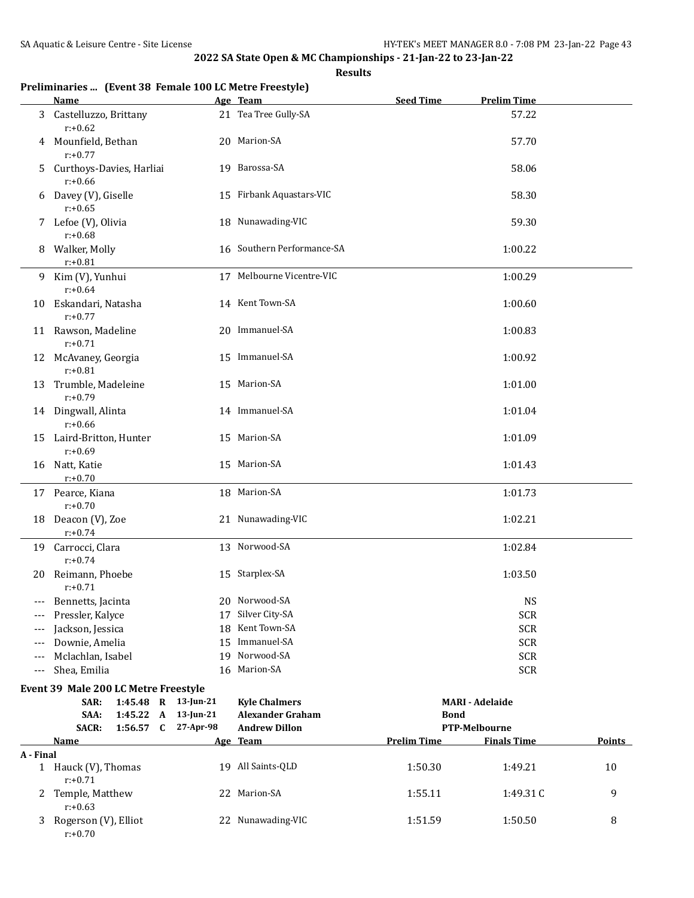#### **Results**

## **Preliminaries ... (Event 38 Female 100 LC Metre Freestyle)**

|           | <b>Name</b>                              |              | Age Team                   | <b>Seed Time</b>   | <b>Prelim Time</b>     |               |
|-----------|------------------------------------------|--------------|----------------------------|--------------------|------------------------|---------------|
|           | 3 Castelluzzo, Brittany<br>$r: +0.62$    |              | 21 Tea Tree Gully-SA       |                    | 57.22                  |               |
|           | 4 Mounfield, Bethan<br>$r: +0.77$        |              | 20 Marion-SA               |                    | 57.70                  |               |
|           | 5 Curthoys-Davies, Harliai<br>$r: +0.66$ |              | 19 Barossa-SA              |                    | 58.06                  |               |
|           | 6 Davey (V), Giselle<br>$r: +0.65$       |              | 15 Firbank Aquastars-VIC   |                    | 58.30                  |               |
|           | 7 Lefoe (V), Olivia<br>$r: +0.68$        |              | 18 Nunawading-VIC          |                    | 59.30                  |               |
|           | 8 Walker, Molly<br>$r: +0.81$            |              | 16 Southern Performance-SA |                    | 1:00.22                |               |
|           | 9 Kim (V), Yunhui<br>$r: +0.64$          |              | 17 Melbourne Vicentre-VIC  |                    | 1:00.29                |               |
|           | 10 Eskandari, Natasha<br>$r: +0.77$      |              | 14 Kent Town-SA            |                    | 1:00.60                |               |
|           | 11 Rawson, Madeline<br>$r: +0.71$        |              | 20 Immanuel-SA             |                    | 1:00.83                |               |
|           | 12 McAvaney, Georgia<br>$r: +0.81$       |              | 15 Immanuel-SA             |                    | 1:00.92                |               |
|           | 13 Trumble, Madeleine<br>$r: +0.79$      |              | 15 Marion-SA               |                    | 1:01.00                |               |
|           | 14 Dingwall, Alinta<br>$r: +0.66$        |              | 14 Immanuel-SA             |                    | 1:01.04                |               |
|           | 15 Laird-Britton, Hunter<br>$r: +0.69$   |              | 15 Marion-SA               |                    | 1:01.09                |               |
|           | 16 Natt, Katie<br>$r: +0.70$             |              | 15 Marion-SA               |                    | 1:01.43                |               |
|           | 17 Pearce, Kiana<br>$r: +0.70$           |              | 18 Marion-SA               |                    | 1:01.73                |               |
|           | 18 Deacon (V), Zoe<br>$r: +0.74$         |              | 21 Nunawading-VIC          |                    | 1:02.21                |               |
|           | 19 Carrocci, Clara<br>$r: +0.74$         |              | 13 Norwood-SA              |                    | 1:02.84                |               |
|           | 20 Reimann, Phoebe<br>$r: +0.71$         |              | 15 Starplex-SA             |                    | 1:03.50                |               |
|           | --- Bennetts, Jacinta                    |              | 20 Norwood-SA              |                    | <b>NS</b>              |               |
|           | Pressler, Kalyce                         |              | 17 Silver City-SA          |                    | <b>SCR</b>             |               |
|           | Jackson, Jessica                         | 18           | Kent Town-SA               |                    | <b>SCR</b>             |               |
|           | Downie, Amelia                           |              | 15 Immanuel-SA             |                    | <b>SCR</b>             |               |
|           | Mclachlan, Isabel                        | 19           | Norwood-SA                 |                    | <b>SCR</b>             |               |
| $---$     | Shea, Emilia                             | 16           | Marion-SA                  |                    | <b>SCR</b>             |               |
|           | Event 39 Male 200 LC Metre Freestyle     |              |                            |                    |                        |               |
|           | 1:45.48 R<br>SAR:                        | 13-Jun-21    | <b>Kyle Chalmers</b>       |                    | <b>MARI</b> - Adelaide |               |
|           | 1:45.22<br>SAA:<br>A                     | $13$ -Jun-21 | <b>Alexander Graham</b>    | Bond               |                        |               |
|           | <b>SACR:</b><br>$1:56.57$ C              | 27-Apr-98    | <b>Andrew Dillon</b>       |                    | PTP-Melbourne          |               |
|           | <u>Name</u>                              |              | Age Team                   | <b>Prelim Time</b> | <b>Finals Time</b>     | <b>Points</b> |
| A - Final |                                          |              |                            |                    |                        |               |
|           | 1 Hauck (V), Thomas<br>$r: +0.71$        |              | 19 All Saints-QLD          | 1:50.30            | 1:49.21                | 10            |
| 2         | Temple, Matthew<br>$r: +0.63$            |              | 22 Marion-SA               | 1:55.11            | 1:49.31C               | 9             |
| 3         | Rogerson (V), Elliot<br>$r: +0.70$       |              | 22 Nunawading-VIC          | 1:51.59            | 1:50.50                | 8             |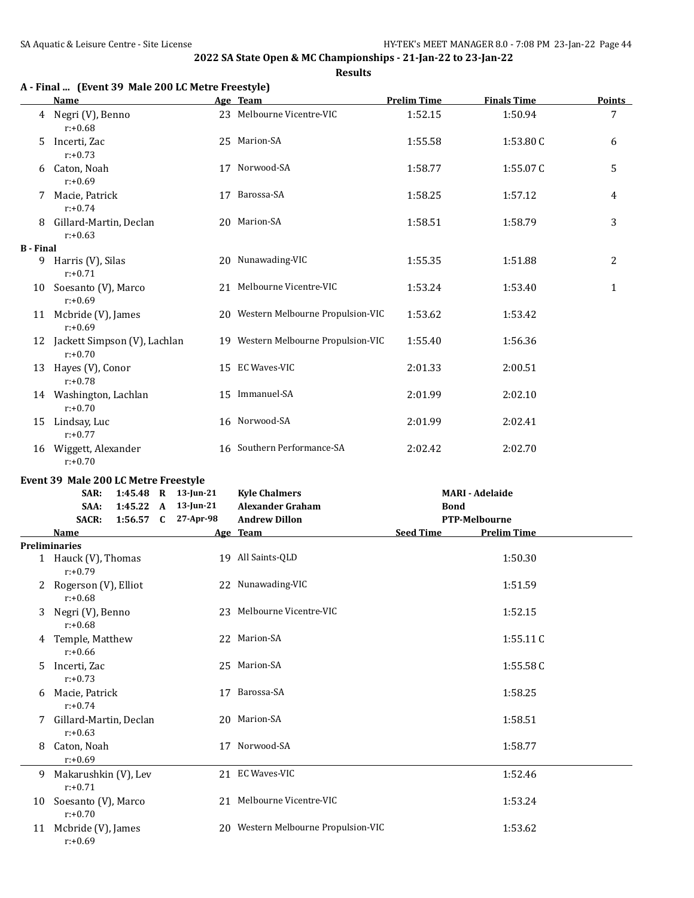|                  | A - Final  (Event 39 Male 200 LC Metre Freestyle)<br>Name           | Age Team                            | <b>Prelim Time</b> | <b>Finals Time</b>     | <b>Points</b> |
|------------------|---------------------------------------------------------------------|-------------------------------------|--------------------|------------------------|---------------|
| 4                | Negri (V), Benno<br>$r: +0.68$                                      | 23 Melbourne Vicentre-VIC           | 1:52.15            | 1:50.94                | 7             |
| 5.               | Incerti, Zac<br>$r: +0.73$                                          | 25 Marion-SA                        | 1:55.58            | 1:53.80C               | 6             |
| 6                | Caton, Noah<br>$r: +0.69$                                           | 17 Norwood-SA                       | 1:58.77            | 1:55.07C               | 5             |
| 7                | Macie, Patrick<br>$r: +0.74$                                        | 17 Barossa-SA                       | 1:58.25            | 1:57.12                | 4             |
| 8                | Gillard-Martin, Declan<br>$r: +0.63$                                | 20 Marion-SA                        | 1:58.51            | 1:58.79                | 3             |
| <b>B</b> - Final |                                                                     |                                     |                    |                        |               |
|                  | 9 Harris (V), Silas<br>$r: +0.71$                                   | 20 Nunawading-VIC                   | 1:55.35            | 1:51.88                | 2             |
|                  | 10 Soesanto (V), Marco<br>$r: +0.69$                                | 21 Melbourne Vicentre-VIC           | 1:53.24            | 1:53.40                | $\mathbf{1}$  |
|                  | 11 Mcbride (V), James<br>$r: +0.69$                                 | 20 Western Melbourne Propulsion-VIC | 1:53.62            | 1:53.42                |               |
|                  | 12 Jackett Simpson (V), Lachlan<br>$r: +0.70$                       | 19 Western Melbourne Propulsion-VIC | 1:55.40            | 1:56.36                |               |
|                  | 13 Hayes (V), Conor<br>$r: +0.78$                                   | 15 EC Waves-VIC                     | 2:01.33            | 2:00.51                |               |
|                  | 14 Washington, Lachlan<br>$r: +0.70$                                | 15 Immanuel-SA                      | 2:01.99            | 2:02.10                |               |
|                  | 15 Lindsay, Luc<br>$r: +0.77$                                       | 16 Norwood-SA                       | 2:01.99            | 2:02.41                |               |
|                  | 16 Wiggett, Alexander<br>$r: +0.70$                                 | 16 Southern Performance-SA          | 2:02.42            | 2:02.70                |               |
|                  | Event 39 Male 200 LC Metre Freestyle<br>1:45.48 R 13-Jun-21<br>SAR: | <b>Kyle Chalmers</b>                |                    | <b>MARI - Adelaide</b> |               |
|                  | 1:45.22 A 13-Jun-21<br>SAA:                                         | <b>Alexander Graham</b>             | <b>Bond</b>        |                        |               |
|                  | 1:56.57 C 27-Apr-98<br><b>SACR:</b>                                 | <b>Andrew Dillon</b>                |                    | PTP-Melbourne          |               |
|                  | Name                                                                | Age Team                            | <b>Seed Time</b>   | <b>Prelim Time</b>     |               |
|                  | <b>Preliminaries</b>                                                |                                     |                    |                        |               |
|                  | 1 Hauck (V), Thomas<br>$r: +0.79$                                   | 19 All Saints-QLD                   |                    | 1:50.30                |               |
|                  | 2 Rogerson (V), Elliot<br>$r: +0.68$                                | 22 Nunawading-VIC                   |                    | 1:51.59                |               |
| 3                | Negri (V), Benno<br>$r: +0.68$                                      | 23 Melbourne Vicentre-VIC           |                    | 1:52.15                |               |
| 4                | Temple, Matthew<br>$r: +0.66$                                       | 22 Marion-SA                        |                    | 1:55.11C               |               |
| 5                | Incerti, Zac<br>$r: +0.73$                                          | 25 Marion-SA                        |                    | 1:55.58C               |               |
| 6                | Macie, Patrick<br>$r: +0.74$                                        | 17 Barossa-SA                       |                    | 1:58.25                |               |
| 7                | Gillard-Martin, Declan<br>$r: +0.63$                                | 20 Marion-SA                        |                    | 1:58.51                |               |
| 8                | Caton, Noah<br>$r: +0.69$                                           | 17 Norwood-SA                       |                    | 1:58.77                |               |
| 9                | Makarushkin (V), Lev<br>$r: +0.71$                                  | 21 EC Waves-VIC                     |                    | 1:52.46                |               |
| 10               | Soesanto (V), Marco<br>$r: +0.70$                                   | 21 Melbourne Vicentre-VIC           |                    | 1:53.24                |               |
|                  | 11 Mcbride (V), James<br>$r: +0.69$                                 | 20 Western Melbourne Propulsion-VIC |                    | 1:53.62                |               |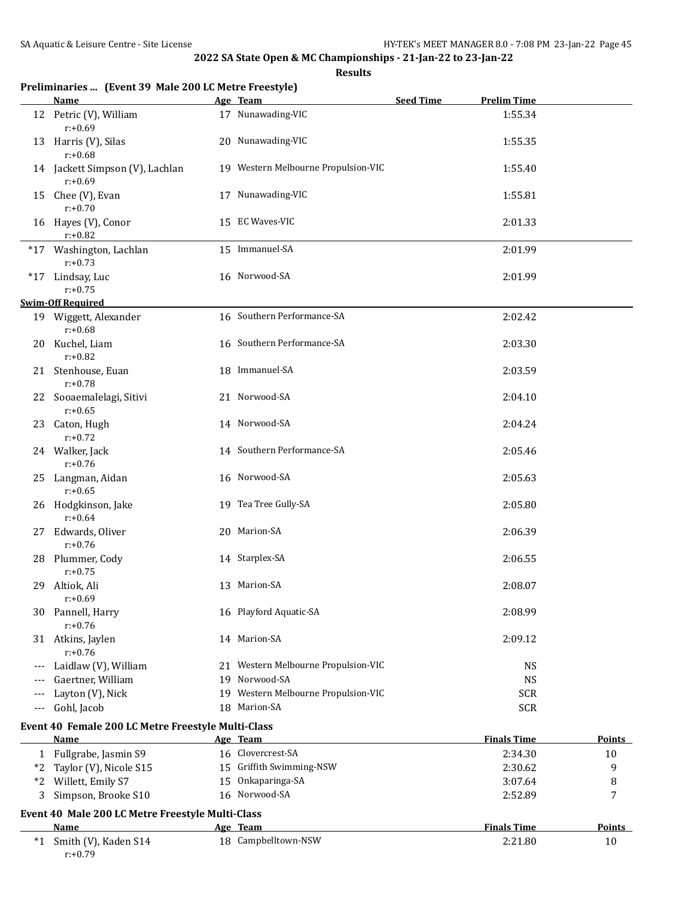|       | Preliminaries  (Event 39 Male 200 LC Metre Freestyle)<br>Name | Age Team                                                                               | <b>Seed Time</b> | <b>Prelim Time</b> |               |
|-------|---------------------------------------------------------------|----------------------------------------------------------------------------------------|------------------|--------------------|---------------|
|       | 12 Petric (V), William                                        | 17 Nunawading-VIC                                                                      |                  | 1:55.34            |               |
|       | $r: +0.69$                                                    |                                                                                        |                  |                    |               |
| 13    | Harris (V), Silas                                             | 20 Nunawading-VIC                                                                      |                  | 1:55.35            |               |
|       | $r: +0.68$<br>14 Jackett Simpson (V), Lachlan                 | 19 Western Melbourne Propulsion-VIC                                                    |                  | 1:55.40            |               |
|       | $r: +0.69$                                                    |                                                                                        |                  |                    |               |
|       | 15 Chee (V), Evan<br>$r: +0.70$                               | 17 Nunawading-VIC                                                                      |                  | 1:55.81            |               |
|       | 16 Hayes (V), Conor<br>$r: +0.82$                             | 15 EC Waves-VIC                                                                        |                  | 2:01.33            |               |
|       | *17 Washington, Lachlan                                       | 15 Immanuel-SA                                                                         |                  | 2:01.99            |               |
|       | $r: +0.73$<br>*17 Lindsay, Luc                                | 16 Norwood-SA                                                                          |                  | 2:01.99            |               |
|       | $r: +0.75$                                                    |                                                                                        |                  |                    |               |
|       | <b>Swim-Off Required</b>                                      |                                                                                        |                  |                    |               |
|       | 19 Wiggett, Alexander<br>$r: +0.68$                           | 16 Southern Performance-SA                                                             |                  | 2:02.42            |               |
|       | 20 Kuchel, Liam                                               | 16 Southern Performance-SA                                                             |                  | 2:03.30            |               |
|       | $r: +0.82$                                                    |                                                                                        |                  |                    |               |
|       | 21 Stenhouse, Euan<br>$r: +0.78$                              | 18 Immanuel-SA                                                                         |                  | 2:03.59            |               |
|       | 22 Sooaemalelagi, Sitivi                                      | 21 Norwood-SA                                                                          |                  | 2:04.10            |               |
|       | $r: +0.65$                                                    |                                                                                        |                  |                    |               |
|       | 23 Caton, Hugh<br>$r: +0.72$                                  | 14 Norwood-SA                                                                          |                  | 2:04.24            |               |
|       | 24 Walker, Jack<br>$r: +0.76$                                 | 14 Southern Performance-SA                                                             |                  | 2:05.46            |               |
|       | 25 Langman, Aidan<br>$r: +0.65$                               | 16 Norwood-SA                                                                          |                  | 2:05.63            |               |
|       | 26 Hodgkinson, Jake<br>$r: +0.64$                             | 19 Tea Tree Gully-SA                                                                   |                  | 2:05.80            |               |
|       | 27 Edwards, Oliver<br>$r: +0.76$                              | 20 Marion-SA                                                                           |                  | 2:06.39            |               |
|       | 28 Plummer, Cody<br>$r: +0.75$                                | 14 Starplex-SA                                                                         |                  | 2:06.55            |               |
|       | 29 Altiok, Ali<br>$r: +0.69$                                  | 13 Marion-SA                                                                           |                  | 2:08.07            |               |
|       | 30 Pannell, Harry<br>$r: +0.76$                               | 16 Playford Aquatic-SA                                                                 |                  | 2:08.99            |               |
|       | 31 Atkins, Jaylen<br>$r: +0.76$                               | 14 Marion-SA                                                                           |                  | 2:09.12            |               |
|       | Laidlaw (V), William                                          | 21 Western Melbourne Propulsion-VIC                                                    |                  | <b>NS</b>          |               |
|       | Gaertner, William                                             | 19 Norwood-SA                                                                          |                  | <b>NS</b>          |               |
| $---$ | Layton (V), Nick                                              | 19 Western Melbourne Propulsion-VIC                                                    |                  | <b>SCR</b>         |               |
| $---$ | Gohl, Jacob                                                   | 18 Marion-SA                                                                           |                  | <b>SCR</b>         |               |
|       | Event 40 Female 200 LC Metre Freestyle Multi-Class            |                                                                                        |                  |                    |               |
|       | Name                                                          | Age Team<br>the control of the control of the control of the control of the control of |                  | <b>Finals Time</b> | <b>Points</b> |
|       | 1 Fullgrabe, Jasmin S9                                        | 16 Clovercrest-SA                                                                      |                  | 2:34.30            | 10            |
| *2    | Taylor (V), Nicole S15                                        | 15 Griffith Swimming-NSW                                                               |                  | 2:30.62            | 9             |
| $*2$  | Willett, Emily S7                                             | 15 Onkaparinga-SA                                                                      |                  | 3:07.64            | 8             |
| 3     | Simpson, Brooke S10                                           | 16 Norwood-SA                                                                          |                  | 2:52.89            | 7             |
|       | Event 40 Male 200 LC Metre Freestyle Multi-Class              |                                                                                        |                  |                    |               |

|      | Name                 | Age | Team                | <b>Finals Time</b> | <b>Points</b> |
|------|----------------------|-----|---------------------|--------------------|---------------|
| $*1$ | Smith (V), Kaden S14 |     | 18 Campbelltown-NSW | 2:21.80            | 10            |
|      | $r: +0.79$           |     |                     |                    |               |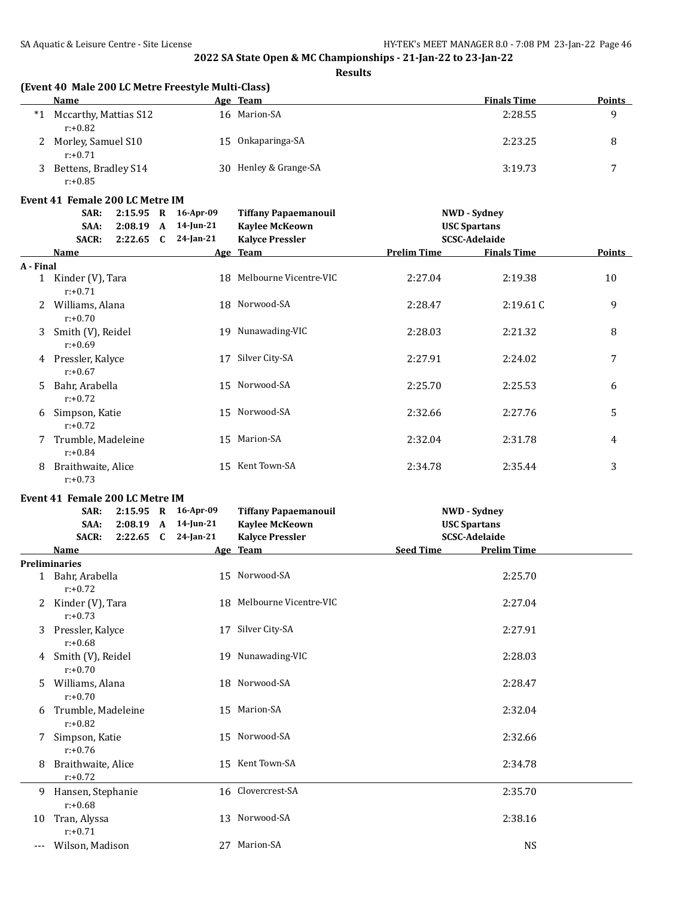#### **Results**

## **(Event 40 Male 200 LC Metre Freestyle Multi-Class)**

|       | Name                                | Age Team              | <b>Finals Time</b> | <b>Points</b> |
|-------|-------------------------------------|-----------------------|--------------------|---------------|
| $^*1$ | Mccarthy, Mattias S12<br>$r: +0.82$ | 16 Marion-SA          | 2:28.55            | a             |
|       | 2 Morley, Samuel S10<br>$r: +0.71$  | 15 Onkaparinga-SA     | 2:23.25            |               |
|       | Bettens, Bradley S14<br>$r: +0.85$  | 30 Henley & Grange-SA | 3:19.73            | -             |

## **Event 41 Female 200 LC Metre IM**

|           | SAR:                             | 2:15.95 | $\mathbf R$  | 16-Apr-09    | <b>Tiffany Papaemanouil</b> |                    | <b>NWD</b> - Sydney  |        |
|-----------|----------------------------------|---------|--------------|--------------|-----------------------------|--------------------|----------------------|--------|
|           | SAA:                             | 2:08.19 | $\mathbf{A}$ | 14-Jun-21    | <b>Kaylee McKeown</b>       |                    | <b>USC Spartans</b>  |        |
|           | <b>SACR:</b>                     | 2:22.65 | $\mathbf{C}$ | $24$ -Jan-21 | <b>Kalvce Pressler</b>      |                    | <b>SCSC-Adelaide</b> |        |
|           | <b>Name</b>                      |         |              |              | Age Team                    | <b>Prelim Time</b> | <b>Finals Time</b>   | Points |
| A - Final |                                  |         |              |              |                             |                    |                      |        |
|           | 1 Kinder (V), Tara<br>$r: +0.71$ |         |              | 18           | Melbourne Vicentre-VIC      | 2:27.04            | 2:19.38              | 10     |
| 2         | Williams, Alana<br>$r: +0.70$    |         |              |              | 18 Norwood-SA               | 2:28.47            | 2:19.61C             | 9      |
| 3         | Smith (V), Reidel<br>$r: +0.69$  |         |              |              | 19 Nunawading-VIC           | 2:28.03            | 2:21.32              | 8      |
| 4         | Pressler, Kalyce<br>$r: +0.67$   |         |              | 17           | Silver City-SA              | 2:27.91            | 2:24.02              | 7      |
| 5.        | Bahr, Arabella<br>$r: +0.72$     |         |              | 15           | Norwood-SA                  | 2:25.70            | 2:25.53              | 6      |
| 6         | Simpson, Katie<br>$r: +0.72$     |         |              |              | 15 Norwood-SA               | 2:32.66            | 2:27.76              | 5      |
| 7         | Trumble, Madeleine<br>$r: +0.84$ |         |              |              | 15 Marion-SA                | 2:32.04            | 2:31.78              | 4      |
| 8         | Braithwaite, Alice<br>$r: +0.73$ |         |              | 15           | Kent Town-SA                | 2:34.78            | 2:35.44              | 3      |

#### **Event 41 Female 200 LC Metre IM**

|    | SAR:                             | $2:15.95$ R |              | 16-Apr-09    | <b>Tiffany Papaemanouil</b> | <b>NWD</b> - Sydney                    |  |
|----|----------------------------------|-------------|--------------|--------------|-----------------------------|----------------------------------------|--|
|    | SAA:                             | 2:08.19     | $\mathbf{A}$ | $14$ -Jun-21 | <b>Kaylee McKeown</b>       | <b>USC Spartans</b>                    |  |
|    | <b>SACR:</b>                     | $2:22.65$ C |              | $24$ -Jan-21 | <b>Kalyce Pressler</b>      | <b>SCSC-Adelaide</b>                   |  |
|    | Name                             |             |              |              | Age Team                    | <b>Seed Time</b><br><b>Prelim Time</b> |  |
|    | <b>Preliminaries</b>             |             |              |              |                             |                                        |  |
|    | 1 Bahr, Arabella<br>$r: +0.72$   |             |              |              | 15 Norwood-SA               | 2:25.70                                |  |
| 2  | Kinder (V), Tara<br>$r: +0.73$   |             |              |              | 18 Melbourne Vicentre-VIC   | 2:27.04                                |  |
| 3  | Pressler, Kalyce<br>$r: +0.68$   |             |              | 17           | Silver City-SA              | 2:27.91                                |  |
| 4  | Smith (V), Reidel<br>$r: +0.70$  |             |              |              | 19 Nunawading-VIC           | 2:28.03                                |  |
| 5  | Williams, Alana<br>$r: +0.70$    |             |              |              | 18 Norwood-SA               | 2:28.47                                |  |
| 6  | Trumble, Madeleine<br>$r: +0.82$ |             |              |              | 15 Marion-SA                | 2:32.04                                |  |
| 7  | Simpson, Katie<br>$r: +0.76$     |             |              |              | 15 Norwood-SA               | 2:32.66                                |  |
| 8  | Braithwaite, Alice<br>$r: +0.72$ |             |              |              | 15 Kent Town-SA             | 2:34.78                                |  |
| 9  | Hansen, Stephanie<br>$r: +0.68$  |             |              |              | 16 Clovercrest-SA           | 2:35.70                                |  |
| 10 | Tran, Alyssa<br>$r: +0.71$       |             |              |              | 13 Norwood-SA               | 2:38.16                                |  |
|    | Wilson, Madison                  |             |              |              | 27 Marion-SA                | <b>NS</b>                              |  |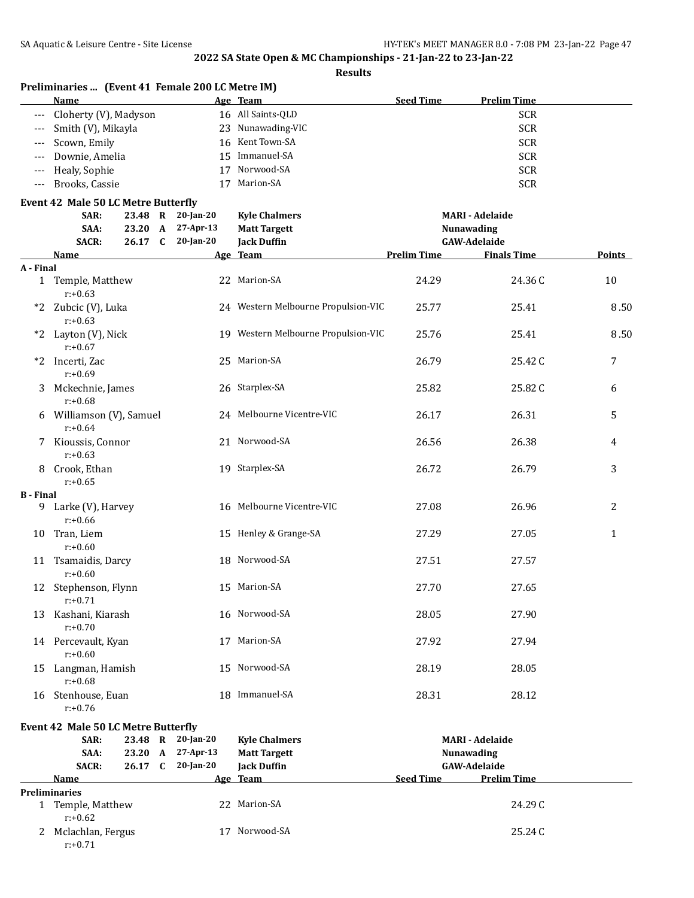|                          | Preliminaries  (Event 41 Female 200 LC Metre IM)<br>Name |         |                   | Age Team                            | <b>Seed Time</b>   | <b>Prelim Time</b>     |               |
|--------------------------|----------------------------------------------------------|---------|-------------------|-------------------------------------|--------------------|------------------------|---------------|
|                          | --- Cloherty (V), Madyson                                |         |                   | 16 All Saints-QLD                   |                    | <b>SCR</b>             |               |
| $---$                    | Smith (V), Mikayla                                       |         |                   | 23 Nunawading-VIC                   |                    | <b>SCR</b>             |               |
| $\scriptstyle{\cdots}$ . | Scown, Emily                                             |         |                   | 16 Kent Town-SA                     |                    | <b>SCR</b>             |               |
|                          | Downie, Amelia                                           |         |                   | 15 Immanuel-SA                      |                    | <b>SCR</b>             |               |
| $---$                    | Healy, Sophie                                            |         |                   | 17 Norwood-SA                       |                    | <b>SCR</b>             |               |
|                          | Brooks, Cassie                                           |         |                   | 17 Marion-SA                        |                    | <b>SCR</b>             |               |
| $---$                    |                                                          |         |                   |                                     |                    |                        |               |
|                          | Event 42 Male 50 LC Metre Butterfly                      |         |                   |                                     |                    |                        |               |
|                          | SAR:                                                     |         | 23.48 R 20-Jan-20 | <b>Kyle Chalmers</b>                |                    | <b>MARI - Adelaide</b> |               |
|                          | SAA:                                                     | 23.20 A | 27-Apr-13         | <b>Matt Targett</b>                 |                    | Nunawading             |               |
|                          | SACR:                                                    | 26.17 C | $20$ -Jan-20      | <b>Jack Duffin</b>                  |                    | <b>GAW-Adelaide</b>    |               |
|                          | Name                                                     |         |                   | Age Team                            | <b>Prelim Time</b> | <b>Finals Time</b>     | <b>Points</b> |
| A - Final                |                                                          |         |                   |                                     |                    |                        |               |
|                          | 1 Temple, Matthew<br>$r: +0.63$                          |         |                   | 22 Marion-SA                        | 24.29              | 24.36C                 | 10            |
|                          | *2 Zubcic (V), Luka<br>$r: +0.63$                        |         |                   | 24 Western Melbourne Propulsion-VIC | 25.77              | 25.41                  | 8.50          |
|                          | *2 Layton (V), Nick<br>$r: +0.67$                        |         |                   | 19 Western Melbourne Propulsion-VIC | 25.76              | 25.41                  | 8.50          |
|                          | *2 Incerti, Zac<br>$r: +0.69$                            |         |                   | 25 Marion-SA                        | 26.79              | 25.42C                 | 7             |
| 3                        | Mckechnie, James<br>$r: +0.68$                           |         |                   | 26 Starplex-SA                      | 25.82              | 25.82C                 | 6             |
|                          | 6 Williamson (V), Samuel<br>$r: +0.64$                   |         |                   | 24 Melbourne Vicentre-VIC           | 26.17              | 26.31                  | 5             |
|                          | 7 Kioussis, Connor<br>$r: +0.63$                         |         |                   | 21 Norwood-SA                       | 26.56              | 26.38                  | 4             |
| 8                        | Crook, Ethan<br>$r: +0.65$                               |         |                   | 19 Starplex-SA                      | 26.72              | 26.79                  | 3             |
| <b>B</b> - Final         |                                                          |         |                   |                                     |                    |                        |               |
| 9.                       | Larke (V), Harvey<br>$r: +0.66$                          |         |                   | 16 Melbourne Vicentre-VIC           | 27.08              | 26.96                  | 2             |
|                          | 10 Tran, Liem<br>$r: +0.60$                              |         |                   | 15 Henley & Grange-SA               | 27.29              | 27.05                  | 1             |
|                          | 11 Tsamaidis, Darcy<br>$r: +0.60$                        |         |                   | 18 Norwood-SA                       | 27.51              | 27.57                  |               |
|                          | 12 Stephenson, Flynn<br>$r: +0.71$                       |         |                   | 15 Marion-SA                        | 27.70              | 27.65                  |               |
| 13                       | Kashani, Kiarash<br>$r: +0.70$                           |         |                   | 16 Norwood-SA                       | 28.05              | 27.90                  |               |
|                          | 14 Percevault, Kyan<br>$r: +0.60$                        |         |                   | 17 Marion-SA                        | 27.92              | 27.94                  |               |
|                          | 15 Langman, Hamish<br>$r: +0.68$                         |         |                   | 15 Norwood-SA                       | 28.19              | 28.05                  |               |
|                          | 16 Stenhouse, Euan<br>$r: +0.76$                         |         |                   | 18 Immanuel-SA                      | 28.31              | 28.12                  |               |
|                          | Event 42 Male 50 LC Metre Butterfly                      |         |                   |                                     |                    |                        |               |
|                          | SAR:                                                     |         | 23.48 R 20-Jan-20 | <b>Kyle Chalmers</b>                |                    | <b>MARI - Adelaide</b> |               |
|                          | SAA:                                                     | 23.20 A | 27-Apr-13         | <b>Matt Targett</b>                 |                    | <b>Nunawading</b>      |               |
|                          | SACR:                                                    | 26.17 C | $20$ -Jan-20      | <b>Jack Duffin</b>                  |                    | <b>GAW-Adelaide</b>    |               |
|                          | Name                                                     |         |                   | Age Team                            | <b>Seed Time</b>   | <b>Prelim Time</b>     |               |
|                          | <b>Preliminaries</b>                                     |         |                   |                                     |                    |                        |               |
|                          | 1 Temple, Matthew<br>$r: +0.62$                          |         |                   | 22 Marion-SA                        |                    | 24.29 C                |               |
| 2                        | Mclachlan, Fergus<br>$r: +0.71$                          |         |                   | 17 Norwood-SA                       |                    | 25.24C                 |               |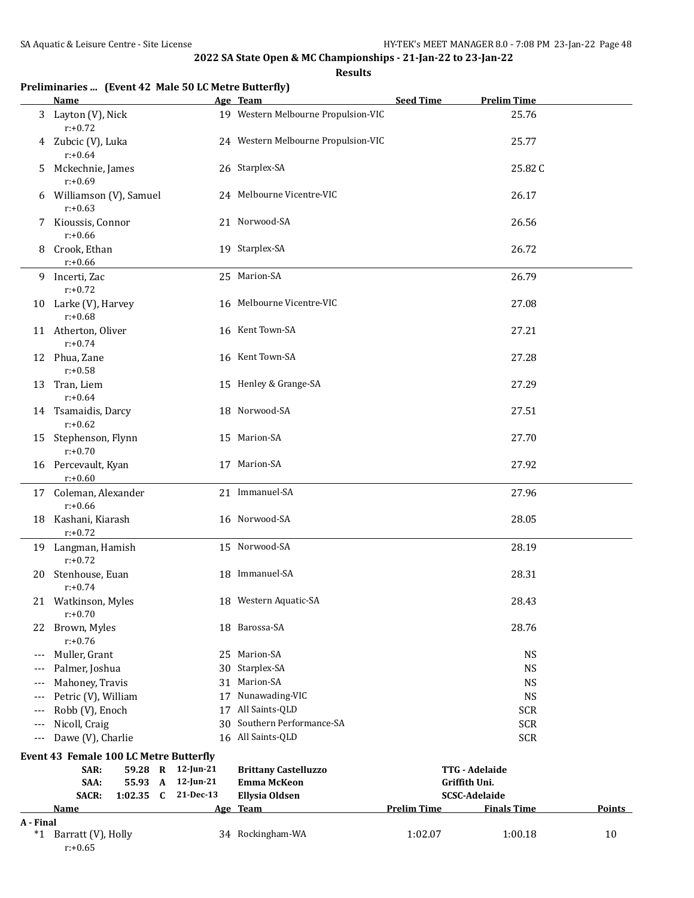|           | <b>Name</b>                            |              | Age Team                            | <b>Seed Time</b>   | <b>Prelim Time</b>   |               |
|-----------|----------------------------------------|--------------|-------------------------------------|--------------------|----------------------|---------------|
|           | 3 Layton (V), Nick<br>$r: +0.72$       |              | 19 Western Melbourne Propulsion-VIC |                    | 25.76                |               |
|           | 4 Zubcic (V), Luka<br>$r: +0.64$       |              | 24 Western Melbourne Propulsion-VIC |                    | 25.77                |               |
| 5.        | Mckechnie, James<br>$r: +0.69$         |              | 26 Starplex-SA                      |                    | 25.82C               |               |
|           | 6 Williamson (V), Samuel<br>$r: +0.63$ |              | 24 Melbourne Vicentre-VIC           |                    | 26.17                |               |
|           | 7 Kioussis, Connor<br>$r: +0.66$       |              | 21 Norwood-SA                       |                    | 26.56                |               |
|           | 8 Crook, Ethan<br>$r: +0.66$           |              | 19 Starplex-SA                      |                    | 26.72                |               |
|           | 9 Incerti, Zac<br>$r: +0.72$           |              | 25 Marion-SA                        |                    | 26.79                |               |
|           | 10 Larke (V), Harvey<br>$r: +0.68$     |              | 16 Melbourne Vicentre-VIC           |                    | 27.08                |               |
|           | 11 Atherton, Oliver<br>$r: +0.74$      |              | 16 Kent Town-SA                     |                    | 27.21                |               |
|           | 12 Phua, Zane<br>$r: +0.58$            |              | 16 Kent Town-SA                     |                    | 27.28                |               |
|           | 13 Tran, Liem<br>$r: +0.64$            |              | 15 Henley & Grange-SA               |                    | 27.29                |               |
|           | 14 Tsamaidis, Darcy<br>$r: +0.62$      |              | 18 Norwood-SA                       |                    | 27.51                |               |
|           | 15 Stephenson, Flynn<br>$r: +0.70$     |              | 15 Marion-SA                        |                    | 27.70                |               |
|           | 16 Percevault, Kyan<br>$r: +0.60$      |              | 17 Marion-SA                        |                    | 27.92                |               |
|           | 17 Coleman, Alexander<br>$r: +0.66$    |              | 21 Immanuel-SA                      |                    | 27.96                |               |
|           | 18 Kashani, Kiarash<br>$r: +0.72$      |              | 16 Norwood-SA                       |                    | 28.05                |               |
|           | 19 Langman, Hamish<br>$r: +0.72$       |              | 15 Norwood-SA                       |                    | 28.19                |               |
|           | 20 Stenhouse, Euan<br>$r: +0.74$       |              | 18 Immanuel-SA                      |                    | 28.31                |               |
|           | 21 Watkinson, Myles<br>$r: +0.70$      |              | 18 Western Aquatic-SA               |                    | 28.43                |               |
|           | 22 Brown, Myles<br>$r: +0.76$          |              | 18 Barossa-SA                       |                    | 28.76                |               |
| ---       | Muller, Grant                          |              | 25 Marion-SA                        |                    | <b>NS</b>            |               |
| ---       | Palmer, Joshua                         | 30           | Starplex-SA                         |                    | <b>NS</b>            |               |
| ---       | Mahoney, Travis                        | 31           | Marion-SA                           |                    | <b>NS</b>            |               |
|           | Petric (V), William                    | 17           | Nunawading-VIC                      |                    | <b>NS</b>            |               |
| ---       | Robb (V), Enoch                        |              | 17 All Saints-QLD                   |                    | <b>SCR</b>           |               |
| ---       | Nicoll, Craig                          | 30-          | Southern Performance-SA             |                    | <b>SCR</b>           |               |
| $---$     | Dawe (V), Charlie                      |              | 16 All Saints-QLD                   |                    | <b>SCR</b>           |               |
|           | Event 43 Female 100 LC Metre Butterfly |              |                                     |                    |                      |               |
|           | SAR:<br>59.28 R                        | $12$ -Jun-21 | <b>Brittany Castelluzzo</b>         |                    | TTG - Adelaide       |               |
|           | 55.93<br>SAA:<br>$\mathbf A$           | 12-Jun-21    | <b>Emma McKeon</b>                  |                    | Griffith Uni.        |               |
|           | $1:02.35$ C<br><b>SACR:</b>            | 21-Dec-13    | <b>Ellysia Oldsen</b>               |                    | <b>SCSC-Adelaide</b> |               |
|           | <u>Name</u>                            |              | Age Team                            | <b>Prelim Time</b> | <b>Finals Time</b>   | <b>Points</b> |
| A - Final |                                        |              |                                     |                    |                      |               |
|           | *1 Barratt (V), Holly<br>$r: +0.65$    |              | 34 Rockingham-WA                    | 1:02.07            | 1:00.18              | 10            |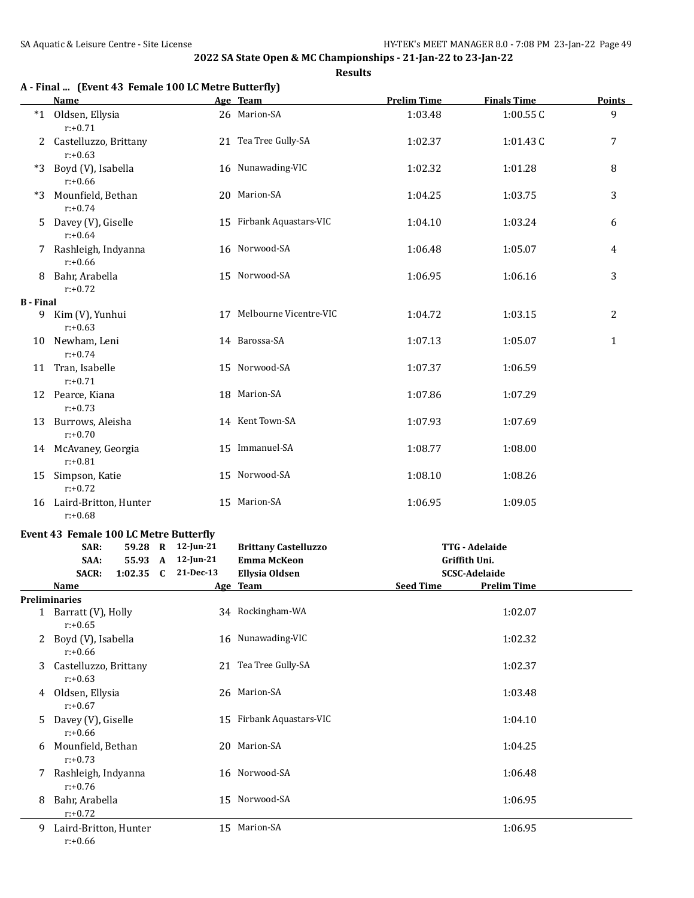**A - Final ... (Event 43 Female 100 LC Metre Butterfly)**

**2022 SA State Open & MC Championships - 21-Jan-22 to 23-Jan-22**

|                  | <b>Name</b>                            |                     | Age Team                    | <b>Prelim Time</b> | <b>Finals Time</b>   | <b>Points</b> |
|------------------|----------------------------------------|---------------------|-----------------------------|--------------------|----------------------|---------------|
|                  | *1 Oldsen, Ellysia<br>$r: +0.71$       |                     | 26 Marion-SA                | 1:03.48            | 1:00.55C             | 9             |
|                  | Castelluzzo, Brittany<br>$r: +0.63$    |                     | 21 Tea Tree Gully-SA        | 1:02.37            | 1:01.43C             | 7             |
| $*3$             | Boyd (V), Isabella<br>$r: +0.66$       |                     | 16 Nunawading-VIC           | 1:02.32            | 1:01.28              | 8             |
| $*3$             | Mounfield, Bethan<br>$r: +0.74$        |                     | 20 Marion-SA                | 1:04.25            | 1:03.75              | 3             |
|                  | 5 Davey (V), Giselle<br>$r: +0.64$     |                     | 15 Firbank Aquastars-VIC    | 1:04.10            | 1:03.24              | 6             |
|                  | 7 Rashleigh, Indyanna<br>$r: +0.66$    |                     | 16 Norwood-SA               | 1:06.48            | 1:05.07              | 4             |
|                  | 8 Bahr, Arabella<br>$r: +0.72$         |                     | 15 Norwood-SA               | 1:06.95            | 1:06.16              | 3             |
| <b>B</b> - Final |                                        |                     |                             |                    |                      |               |
| 9                | Kim (V), Yunhui<br>$r: +0.63$          |                     | 17 Melbourne Vicentre-VIC   | 1:04.72            | 1:03.15              | 2             |
|                  | 10 Newham, Leni<br>$r: +0.74$          |                     | 14 Barossa-SA               | 1:07.13            | 1:05.07              | $\mathbf{1}$  |
|                  | 11 Tran, Isabelle<br>$r: +0.71$        |                     | 15 Norwood-SA               | 1:07.37            | 1:06.59              |               |
|                  | 12 Pearce, Kiana<br>$r: +0.73$         |                     | 18 Marion-SA                | 1:07.86            | 1:07.29              |               |
|                  | 13 Burrows, Aleisha<br>$r: +0.70$      |                     | 14 Kent Town-SA             | 1:07.93            | 1:07.69              |               |
|                  | 14 McAvaney, Georgia<br>$r: +0.81$     |                     | 15 Immanuel-SA              | 1:08.77            | 1:08.00              |               |
|                  | 15 Simpson, Katie<br>$r: +0.72$        |                     | 15 Norwood-SA               | 1:08.10            | 1:08.26              |               |
|                  | 16 Laird-Britton, Hunter<br>$r: +0.68$ |                     | 15 Marion-SA                | 1:06.95            | 1:09.05              |               |
|                  | Event 43 Female 100 LC Metre Butterfly |                     |                             |                    |                      |               |
|                  | SAR:                                   | 59.28 R 12-Jun-21   | <b>Brittany Castelluzzo</b> |                    | TTG - Adelaide       |               |
|                  |                                        |                     |                             |                    |                      |               |
|                  | SAA:                                   | 55.93 A 12-Jun-21   | <b>Emma McKeon</b>          |                    | Griffith Uni.        |               |
|                  | <b>SACR:</b>                           | 1:02.35 C 21-Dec-13 | <b>Ellysia Oldsen</b>       |                    | <b>SCSC-Adelaide</b> |               |
|                  | Name                                   |                     | Age Team                    | <b>Seed Time</b>   | <b>Prelim Time</b>   |               |
|                  | <b>Preliminaries</b>                   |                     |                             |                    |                      |               |
|                  | 1 Barratt (V), Holly<br>$r: +0.65$     |                     | 34 Rockingham-WA            |                    | 1:02.07              |               |
|                  | 2 Boyd (V), Isabella<br>$r: +0.66$     |                     | 16 Nunawading-VIC           |                    | 1:02.32              |               |
| 3                | Castelluzzo, Brittany<br>$r: +0.63$    |                     | 21 Tea Tree Gully-SA        |                    | 1:02.37              |               |
|                  | 4 Oldsen, Ellysia<br>$r: +0.67$        |                     | 26 Marion-SA                |                    | 1:03.48              |               |
| 5.               | Davey (V), Giselle<br>$r: +0.66$       | 15                  | Firbank Aquastars-VIC       |                    | 1:04.10              |               |
| 6                | Mounfield, Bethan<br>$r: +0.73$        |                     | 20 Marion-SA                |                    | 1:04.25              |               |
| 7                | Rashleigh, Indyanna<br>$r: +0.76$      |                     | 16 Norwood-SA               |                    | 1:06.48              |               |
| 8                | Bahr, Arabella<br>$r: +0.72$           |                     | 15 Norwood-SA               |                    | 1:06.95              |               |
|                  | 9 Laird-Britton, Hunter<br>$r: +0.66$  |                     | 15 Marion-SA                |                    | 1:06.95              |               |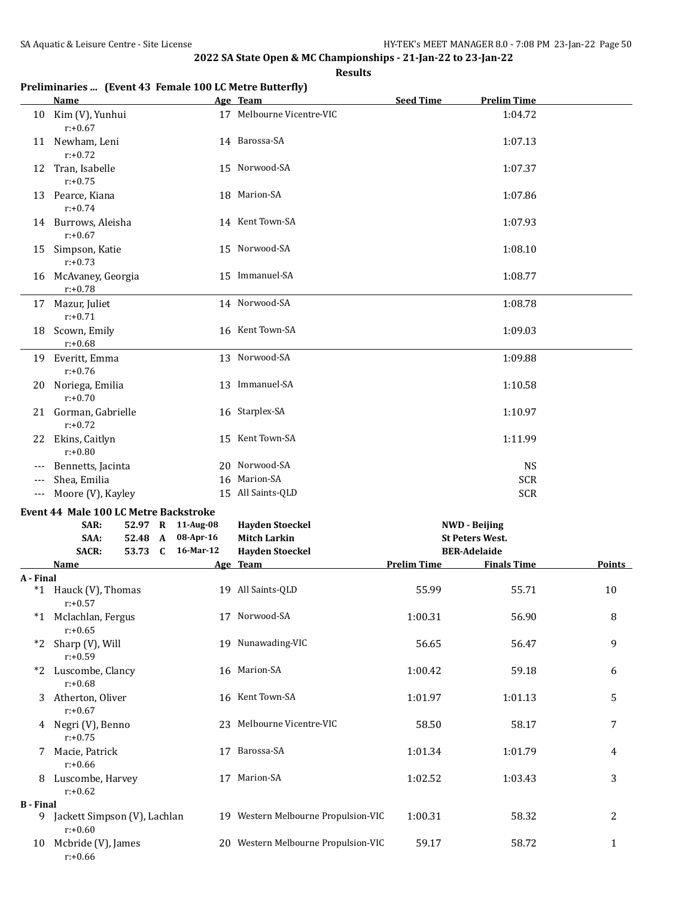|  |  |  | Preliminaries  (Event 43 Female 100 LC Metre Butterfly) |
|--|--|--|---------------------------------------------------------|
|--|--|--|---------------------------------------------------------|

|                  | <b>Name</b>                                  |           | Age Team                            | <b>Seed Time</b>   | <b>Prelim Time</b>     |              |
|------------------|----------------------------------------------|-----------|-------------------------------------|--------------------|------------------------|--------------|
| 10               | Kim (V), Yunhui<br>$r: +0.67$                |           | 17 Melbourne Vicentre-VIC           |                    | 1:04.72                |              |
|                  | 11 Newham, Leni<br>$r: +0.72$                |           | 14 Barossa-SA                       |                    | 1:07.13                |              |
| 12               | Tran, Isabelle<br>$r: +0.75$                 |           | 15 Norwood-SA                       |                    | 1:07.37                |              |
|                  | 13 Pearce, Kiana<br>$r: +0.74$               |           | 18 Marion-SA                        |                    | 1:07.86                |              |
|                  | 14 Burrows, Aleisha<br>$r: +0.67$            |           | 14 Kent Town-SA                     |                    | 1:07.93                |              |
| 15               | Simpson, Katie<br>$r: +0.73$                 |           | 15 Norwood-SA                       |                    | 1:08.10                |              |
|                  | 16 McAvaney, Georgia<br>$r: +0.78$           |           | 15 Immanuel-SA                      |                    | 1:08.77                |              |
| 17               | Mazur, Juliet<br>$r: +0.71$                  |           | 14 Norwood-SA                       |                    | 1:08.78                |              |
|                  | 18 Scown, Emily<br>$r: +0.68$                |           | 16 Kent Town-SA                     |                    | 1:09.03                |              |
|                  | 19 Everitt, Emma<br>$r: +0.76$               |           | 13 Norwood-SA                       |                    | 1:09.88                |              |
|                  | 20 Noriega, Emilia<br>$r: +0.70$             |           | 13 Immanuel-SA                      |                    | 1:10.58                |              |
|                  | 21 Gorman, Gabrielle<br>$r: +0.72$           |           | 16 Starplex-SA                      |                    | 1:10.97                |              |
|                  | 22 Ekins, Caitlyn<br>$r: +0.80$              |           | 15 Kent Town-SA                     |                    | 1:11.99                |              |
|                  | Bennetts, Jacinta                            |           | 20 Norwood-SA                       |                    | <b>NS</b>              |              |
| $---$            | Shea, Emilia                                 | 16        | Marion-SA                           |                    | <b>SCR</b>             |              |
| $---$            | Moore (V), Kayley                            |           | 15 All Saints-QLD                   |                    | <b>SCR</b>             |              |
|                  | Event 44 Male 100 LC Metre Backstroke        |           |                                     |                    |                        |              |
|                  | 52.97 R 11-Aug-08<br>SAR:                    |           | <b>Hayden Stoeckel</b>              |                    | <b>NWD</b> - Beijing   |              |
|                  | 52.48<br>$\mathbf{A}$<br>SAA:                | 08-Apr-16 | <b>Mitch Larkin</b>                 |                    | <b>St Peters West.</b> |              |
|                  | <b>SACR:</b><br>53.73 C                      | 16-Mar-12 | <b>Hayden Stoeckel</b>              |                    | <b>BER-Adelaide</b>    |              |
|                  | Name                                         |           | Age Team                            | <b>Prelim Time</b> | <b>Finals Time</b>     | Points       |
| A - Final        |                                              |           |                                     |                    |                        |              |
|                  | *1 Hauck (V), Thomas<br>$r: +0.57$           |           | 19 All Saints-QLD                   | 55.99              | 55.71                  | 10           |
|                  | *1 Mclachlan, Fergus<br>$r: +0.65$           |           | 17 Norwood-SA                       | 1:00.31            | 56.90                  | 8            |
| $*2$             | Sharp (V), Will<br>$r: +0.59$                |           | 19 Nunawading-VIC                   | 56.65              | 56.47                  | 9            |
| $*2$             | Luscombe, Clancy<br>$r: +0.68$               |           | 16 Marion-SA                        | 1:00.42            | 59.18                  | 6            |
| 3                | Atherton, Oliver<br>$r: +0.67$               |           | 16 Kent Town-SA                     | 1:01.97            | 1:01.13                | 5            |
|                  | 4 Negri (V), Benno<br>$r: +0.75$             |           | 23 Melbourne Vicentre-VIC           | 58.50              | 58.17                  | 7            |
| 7                | Macie, Patrick<br>$r: +0.66$                 |           | 17 Barossa-SA                       | 1:01.34            | 1:01.79                | 4            |
| 8                | Luscombe, Harvey<br>$r: +0.62$               |           | 17 Marion-SA                        | 1:02.52            | 1:03.43                | 3            |
| <b>B</b> - Final |                                              |           |                                     |                    |                        |              |
|                  | 9 Jackett Simpson (V), Lachlan<br>$r: +0.60$ |           | 19 Western Melbourne Propulsion-VIC | 1:00.31            | 58.32                  | 2            |
|                  | 10 Mcbride (V), James<br>$r: +0.66$          |           | 20 Western Melbourne Propulsion-VIC | 59.17              | 58.72                  | $\mathbf{1}$ |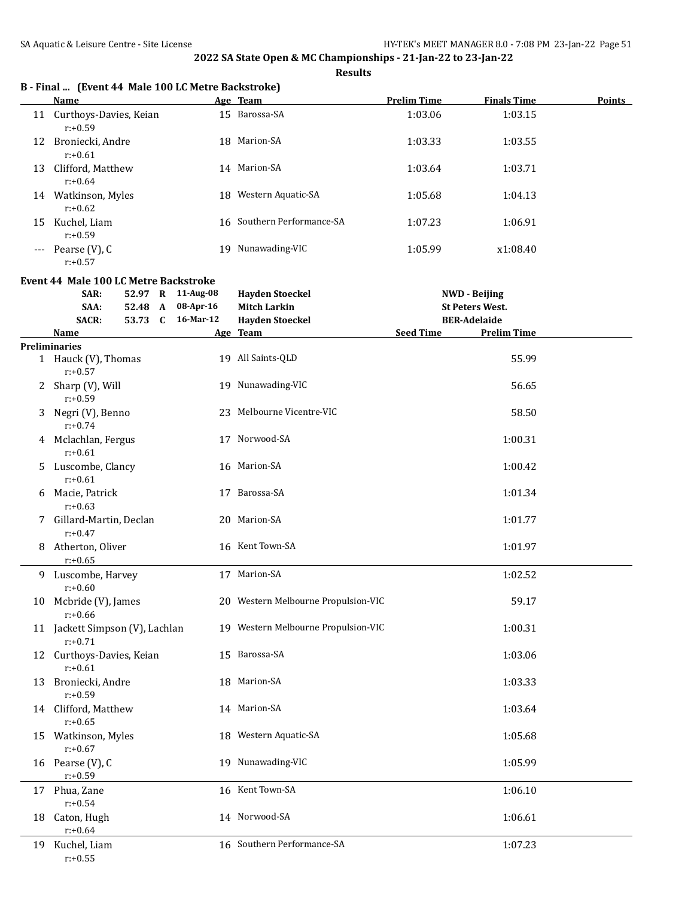|    | B - Final  (Event 44 Male 100 LC Metre Backstroke)<br><b>Name</b> |                   | Age Team                            | <b>Prelim Time</b> | <b>Finals Time</b>     | Points |
|----|-------------------------------------------------------------------|-------------------|-------------------------------------|--------------------|------------------------|--------|
|    | 11 Curthoys-Davies, Keian<br>$r: +0.59$                           |                   | 15 Barossa-SA                       | 1:03.06            | 1:03.15                |        |
|    | 12 Broniecki, Andre<br>$r: +0.61$                                 |                   | 18 Marion-SA                        | 1:03.33            | 1:03.55                |        |
|    | 13 Clifford, Matthew<br>$r: +0.64$                                |                   | 14 Marion-SA                        | 1:03.64            | 1:03.71                |        |
|    | 14 Watkinson, Myles<br>$r: +0.62$                                 |                   | 18 Western Aquatic-SA               | 1:05.68            | 1:04.13                |        |
|    | 15 Kuchel, Liam<br>$r: +0.59$                                     |                   | 16 Southern Performance-SA          | 1:07.23            | 1:06.91                |        |
|    | --- Pearse (V), C<br>$r: +0.57$                                   |                   | 19 Nunawading-VIC                   | 1:05.99            | x1:08.40               |        |
|    | <b>Event 44 Male 100 LC Metre Backstroke</b>                      |                   |                                     |                    |                        |        |
|    | SAR:                                                              | 52.97 R 11-Aug-08 | <b>Hayden Stoeckel</b>              |                    | <b>NWD</b> - Beijing   |        |
|    | SAA:<br>52.48 A                                                   | 08-Apr-16         | <b>Mitch Larkin</b>                 |                    | <b>St Peters West.</b> |        |
|    | 53.73 C<br><b>SACR:</b>                                           | 16-Mar-12         | <b>Hayden Stoeckel</b>              |                    | <b>BER-Adelaide</b>    |        |
|    | Name                                                              |                   | Age Team                            | <b>Seed Time</b>   | <b>Prelim Time</b>     |        |
|    | <b>Preliminaries</b>                                              |                   |                                     |                    |                        |        |
|    | 1 Hauck (V), Thomas<br>$r: +0.57$                                 |                   | 19 All Saints-QLD                   |                    | 55.99                  |        |
| 2  | Sharp (V), Will<br>$r: +0.59$                                     |                   | 19 Nunawading-VIC                   |                    | 56.65                  |        |
| 3. | Negri (V), Benno<br>$r: +0.74$                                    |                   | 23 Melbourne Vicentre-VIC           |                    | 58.50                  |        |
|    | 4 Mclachlan, Fergus<br>$r: +0.61$                                 |                   | 17 Norwood-SA                       |                    | 1:00.31                |        |
|    | 5 Luscombe, Clancy<br>$r: +0.61$                                  |                   | 16 Marion-SA                        |                    | 1:00.42                |        |
| 6  | Macie, Patrick<br>$r: +0.63$                                      |                   | 17 Barossa-SA                       |                    | 1:01.34                |        |
|    | 7 Gillard-Martin, Declan<br>$r: +0.47$                            |                   | 20 Marion-SA                        |                    | 1:01.77                |        |
|    | 8 Atherton, Oliver<br>$r: +0.65$                                  |                   | 16 Kent Town-SA                     |                    | 1:01.97                |        |
|    | 9 Luscombe, Harvey<br>$r: +0.60$                                  |                   | 17 Marion-SA                        |                    | 1:02.52                |        |
| 10 | Mcbride (V), James<br>$r: +0.66$                                  |                   | 20 Western Melbourne Propulsion-VIC |                    | 59.17                  |        |
|    | 11 Jackett Simpson (V), Lachlan<br>$r: +0.71$                     |                   | 19 Western Melbourne Propulsion-VIC |                    | 1:00.31                |        |
| 12 | Curthoys-Davies, Keian<br>$r: +0.61$                              |                   | 15 Barossa-SA                       |                    | 1:03.06                |        |
| 13 | Broniecki, Andre<br>$r: +0.59$                                    |                   | 18 Marion-SA                        |                    | 1:03.33                |        |
|    | 14 Clifford, Matthew<br>$r: +0.65$                                |                   | 14 Marion-SA                        |                    | 1:03.64                |        |
| 15 | Watkinson, Myles<br>$r: +0.67$                                    |                   | 18 Western Aquatic-SA               |                    | 1:05.68                |        |
|    | 16 Pearse (V), C<br>$r: +0.59$                                    |                   | 19 Nunawading-VIC                   |                    | 1:05.99                |        |
| 17 | Phua, Zane<br>$r: +0.54$                                          |                   | 16 Kent Town-SA                     |                    | 1:06.10                |        |
| 18 | Caton, Hugh<br>$r: +0.64$                                         |                   | 14 Norwood-SA                       |                    | 1:06.61                |        |
| 19 | Kuchel, Liam<br>$r: +0.55$                                        |                   | 16 Southern Performance-SA          |                    | 1:07.23                |        |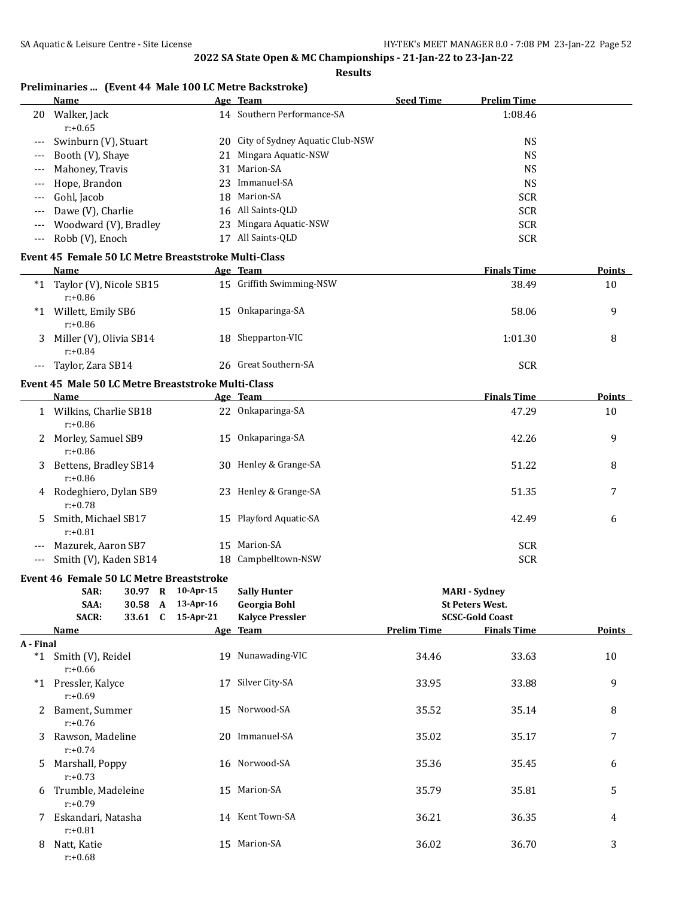**Results**

## **Preliminaries ... (Event 44 Male 100 LC Metre Backstroke)**

|         | Name                                                 |    | Age Team                        | <b>Seed Time</b> | <b>Prelim Time</b> |               |
|---------|------------------------------------------------------|----|---------------------------------|------------------|--------------------|---------------|
| 20      | Walker, Jack                                         |    | 14 Southern Performance-SA      |                  | 1:08.46            |               |
|         | $r: +0.65$                                           |    |                                 |                  |                    |               |
| ---     | Swinburn (V), Stuart                                 | 20 | City of Sydney Aquatic Club-NSW |                  | <b>NS</b>          |               |
| $---$   | Booth (V), Shaye                                     | 21 | Mingara Aquatic-NSW             |                  | <b>NS</b>          |               |
| ---     | Mahoney, Travis                                      | 31 | Marion-SA                       |                  | <b>NS</b>          |               |
| $---$   | Hope, Brandon                                        | 23 | Immanuel-SA                     |                  | <b>NS</b>          |               |
| $---$   | Gohl, Jacob                                          | 18 | Marion-SA                       |                  | <b>SCR</b>         |               |
| $---$   | Dawe (V), Charlie                                    | 16 | All Saints-OLD                  |                  | <b>SCR</b>         |               |
| $---$   | Woodward (V), Bradley                                | 23 | Mingara Aquatic-NSW             |                  | <b>SCR</b>         |               |
| $---$   | Robb (V), Enoch                                      | 17 | All Saints-QLD                  |                  | <b>SCR</b>         |               |
|         | Event 45 Female 50 LC Metre Breaststroke Multi-Class |    |                                 |                  |                    |               |
|         | <b>Name</b>                                          |    | Age Team                        |                  | <b>Finals Time</b> | <b>Points</b> |
| $*_{1}$ | Taylor (V), Nicole SB15<br>$r: +0.86$                |    | 15 Griffith Swimming-NSW        |                  | 38.49              | 10            |
| $^*1$   | Willett, Emily SB6<br>$r: +0.86$                     | 15 | Onkaparinga-SA                  |                  | 58.06              | 9             |
| 3       | Miller (V), Olivia SB14                              |    | 18 Shepparton-VIC               |                  | 1:01.30            | 8             |
|         |                                                      |    |                                 |                  |                    |               |

#### **Event 45 Male 50 LC Metre Breaststroke Multi-Class**

r:+0.84

|       | Name                                |     | Age Team               | <b>Finals Time</b> | <b>Points</b> |
|-------|-------------------------------------|-----|------------------------|--------------------|---------------|
|       | Wilkins, Charlie SB18<br>r:+0.86    |     | 22 Onkaparinga-SA      | 47.29              | 10            |
| 2     | Morley, Samuel SB9<br>r:+0.86       | 15  | Onkaparinga-SA         | 42.26              | 9             |
| 3     | Bettens, Bradley SB14<br>r:+0.86    |     | 30 Henley & Grange-SA  | 51.22              | 8             |
| 4     | Rodeghiero, Dylan SB9<br>$r: +0.78$ |     | 23 Henley & Grange-SA  | 51.35              | 7             |
| 5     | Smith, Michael SB17<br>$r: +0.81$   |     | 15 Playford Aquatic-SA | 42.49              | 6             |
| $---$ | Mazurek, Aaron SB7                  | 15. | Marion-SA              | <b>SCR</b>         |               |
|       | Smith (V), Kaden SB14               |     | 18 Campbelltown-NSW    | <b>SCR</b>         |               |

--- Taylor, Zara SB14 26 Great Southern-SA SCR

|           | Event 46 Female 50 LC Metre Breaststroke |         |              |              |                        |                    |                        |               |
|-----------|------------------------------------------|---------|--------------|--------------|------------------------|--------------------|------------------------|---------------|
|           | SAR:                                     | 30.97 R |              | $10$ -Apr-15 | <b>Sally Hunter</b>    |                    | <b>MARI</b> - Sydney   |               |
|           | SAA:                                     | 30.58   | $\mathbf{A}$ | $13$ -Apr-16 | <b>Georgia Bohl</b>    |                    | <b>St Peters West.</b> |               |
|           | <b>SACR:</b>                             | 33.61   | $\mathbf{C}$ | $15$ -Apr-21 | <b>Kalyce Pressler</b> |                    | <b>SCSC-Gold Coast</b> |               |
|           | Name                                     |         |              |              | Age Team               | <b>Prelim Time</b> | <b>Finals Time</b>     | <b>Points</b> |
| A - Final |                                          |         |              |              |                        |                    |                        |               |
| $^*1$     | Smith (V), Reidel<br>$r: +0.66$          |         |              |              | 19 Nunawading-VIC      | 34.46              | 33.63                  | 10            |
| $^*1$     | Pressler, Kalyce<br>$r: +0.69$           |         |              | 17           | Silver City-SA         | 33.95              | 33.88                  | 9             |
| 2         | Bament, Summer<br>$r: +0.76$             |         |              |              | 15 Norwood-SA          | 35.52              | 35.14                  | 8             |
| 3         | Rawson, Madeline<br>$r: +0.74$           |         |              |              | 20 Immanuel-SA         | 35.02              | 35.17                  | 7             |
| 5         | Marshall, Poppy<br>$r: +0.73$            |         |              |              | 16 Norwood-SA          | 35.36              | 35.45                  | 6             |
| 6         | Trumble, Madeleine<br>$r: +0.79$         |         |              |              | 15 Marion-SA           | 35.79              | 35.81                  | 5             |
|           | Eskandari, Natasha<br>$r: +0.81$         |         |              |              | 14 Kent Town-SA        | 36.21              | 36.35                  | 4             |
| 8         | Natt, Katie<br>$r: +0.68$                |         |              | 15           | Marion-SA              | 36.02              | 36.70                  | 3             |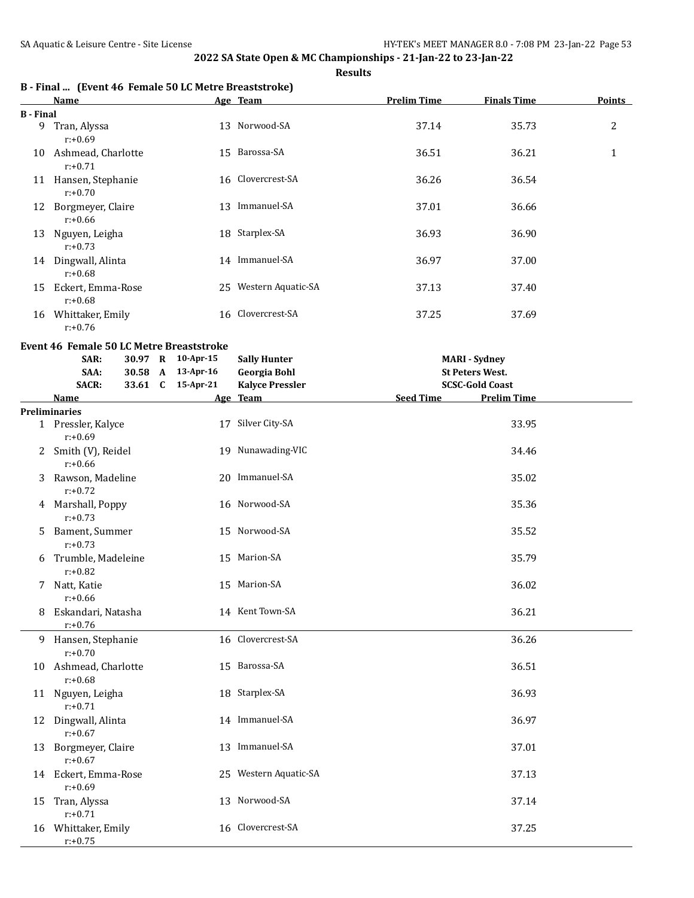r:+0.75

## **2022 SA State Open & MC Championships - 21-Jan-22 to 23-Jan-22**

|                  | B - Final  (Event 46 Female 50 LC Metre Breaststroke) |                      |  |                   |                        |                    |                        |        |
|------------------|-------------------------------------------------------|----------------------|--|-------------------|------------------------|--------------------|------------------------|--------|
|                  | <b>Name</b>                                           |                      |  |                   | Age Team               | <b>Prelim Time</b> | <b>Finals Time</b>     | Points |
| <b>B</b> - Final | 9 Tran, Alyssa                                        |                      |  |                   | 13 Norwood-SA          | 37.14              | 35.73                  | 2      |
|                  | $r: +0.69$                                            |                      |  |                   |                        |                    |                        |        |
|                  | 10 Ashmead, Charlotte<br>$r: +0.71$                   |                      |  |                   | 15 Barossa-SA          | 36.51              | 36.21                  | 1      |
|                  | 11 Hansen, Stephanie<br>$r: +0.70$                    |                      |  |                   | 16 Clovercrest-SA      | 36.26              | 36.54                  |        |
|                  | 12 Borgmeyer, Claire<br>$r: +0.66$                    |                      |  | 13 Immanuel-SA    | 37.01                  | 36.66              |                        |        |
|                  | 13 Nguyen, Leigha<br>$r: +0.73$                       |                      |  | 18 Starplex-SA    | 36.93                  | 36.90              |                        |        |
|                  | 14 Dingwall, Alinta<br>$r: +0.68$                     |                      |  | 14 Immanuel-SA    | 36.97                  | 37.00              |                        |        |
| 15               | Eckert, Emma-Rose<br>$r: +0.68$                       |                      |  |                   | 25 Western Aquatic-SA  | 37.13              | 37.40                  |        |
|                  | 16 Whittaker, Emily<br>$r: +0.76$                     |                      |  |                   | 16 Clovercrest-SA      | 37.25              | 37.69                  |        |
|                  | Event 46 Female 50 LC Metre Breaststroke              |                      |  |                   |                        |                    |                        |        |
|                  | SAR:                                                  |                      |  | 30.97 R 10-Apr-15 | <b>Sally Hunter</b>    |                    | <b>MARI</b> - Sydney   |        |
|                  | SAA:                                                  |                      |  | 30.58 A 13-Apr-16 | <b>Georgia Bohl</b>    |                    | <b>St Peters West.</b> |        |
|                  |                                                       |                      |  | 33.61 C 15-Apr-21 |                        |                    |                        |        |
|                  | <b>SACR:</b>                                          |                      |  |                   | <b>Kalyce Pressler</b> |                    | <b>SCSC-Gold Coast</b> |        |
|                  | Name                                                  |                      |  |                   | Age Team               | <b>Seed Time</b>   | <b>Prelim Time</b>     |        |
|                  | <b>Preliminaries</b>                                  |                      |  |                   |                        |                    |                        |        |
|                  | 1 Pressler, Kalyce<br>$r: +0.69$                      |                      |  |                   | 17 Silver City-SA      |                    | 33.95                  |        |
|                  | 2 Smith (V), Reidel<br>$r: +0.66$                     |                      |  |                   | 19 Nunawading-VIC      |                    | 34.46                  |        |
| 3                | Rawson, Madeline<br>$r: +0.72$                        |                      |  |                   | 20 Immanuel-SA         |                    | 35.02                  |        |
|                  | 4 Marshall, Poppy<br>$r: +0.73$                       |                      |  |                   | 16 Norwood-SA          |                    | 35.36                  |        |
| 5                | Bament, Summer<br>$r: +0.73$                          |                      |  |                   | 15 Norwood-SA          |                    | 35.52                  |        |
|                  | 6 Trumble, Madeleine<br>$r: +0.82$                    |                      |  |                   | 15 Marion-SA           |                    | 35.79                  |        |
|                  | 7 Natt, Katie<br>$r: +0.66$                           |                      |  |                   | 15 Marion-SA           |                    | 36.02                  |        |
|                  | 8 Eskandari, Natasha<br>$r: +0.76$                    |                      |  |                   | 14 Kent Town-SA        |                    | 36.21                  |        |
|                  | 9 Hansen, Stephanie<br>$r: +0.70$                     |                      |  |                   | 16 Clovercrest-SA      |                    | 36.26                  |        |
|                  | 10 Ashmead, Charlotte<br>$r: +0.68$                   |                      |  |                   | 15 Barossa-SA          |                    | 36.51                  |        |
|                  | 11 Nguyen, Leigha<br>$r: +0.71$                       |                      |  |                   | 18 Starplex-SA         |                    | 36.93                  |        |
|                  | 12 Dingwall, Alinta<br>$r: +0.67$                     |                      |  |                   | 14 Immanuel-SA         |                    | 36.97                  |        |
|                  | $r: +0.67$                                            | 13 Borgmeyer, Claire |  |                   | 13 Immanuel-SA         |                    | 37.01                  |        |
|                  | 14 Eckert, Emma-Rose<br>$r: +0.69$                    |                      |  |                   | 25 Western Aquatic-SA  |                    | 37.13                  |        |
| 15               | Tran, Alyssa<br>$r: +0.71$                            |                      |  |                   | 13 Norwood-SA          |                    | 37.14                  |        |
|                  | 16 Whittaker, Emily                                   |                      |  |                   | 16 Clovercrest-SA      |                    | 37.25                  |        |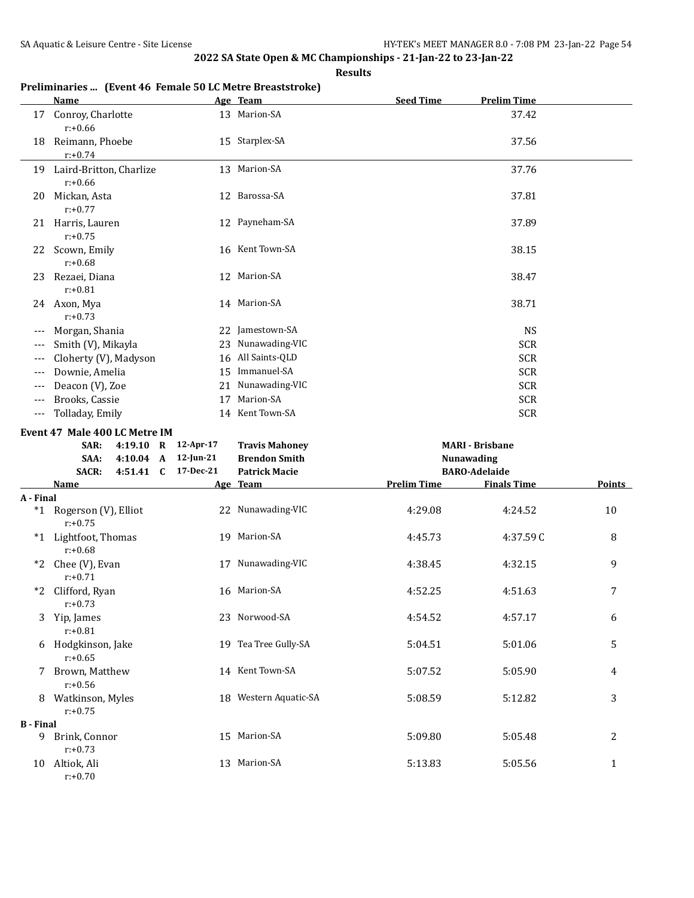**B** -

r:+0.70

## **2022 SA State Open & MC Championships - 21-Jan-22 to 23-Jan-22**

**Results**

#### **Preliminaries ... (Event 46 Female 50 LC Metre Breaststroke)**

|           | <b>Name</b>                              |              | Age Team              | <b>Seed Time</b>   | <b>Prelim Time</b>     |        |
|-----------|------------------------------------------|--------------|-----------------------|--------------------|------------------------|--------|
|           | 17 Conroy, Charlotte<br>$r: +0.66$       |              | 13 Marion-SA          |                    | 37.42                  |        |
|           | 18 Reimann, Phoebe<br>$r: +0.74$         |              | 15 Starplex-SA        |                    | 37.56                  |        |
|           | 19 Laird-Britton, Charlize<br>$r: +0.66$ |              | 13 Marion-SA          |                    | 37.76                  |        |
|           | 20 Mickan, Asta<br>$r: +0.77$            |              | 12 Barossa-SA         | 37.81              |                        |        |
|           | 21 Harris, Lauren<br>$r: +0.75$          |              | 12 Payneham-SA        | 37.89              |                        |        |
|           | 22 Scown, Emily<br>$r: +0.68$            |              | 16 Kent Town-SA       |                    | 38.15                  |        |
|           | 23 Rezaei, Diana<br>$r: +0.81$           |              | 12 Marion-SA          |                    | 38.47                  |        |
|           | 24 Axon, Mya<br>$r: +0.73$               |              | 14 Marion-SA          |                    | 38.71                  |        |
| $\cdots$  | Morgan, Shania                           |              | 22 Jamestown-SA       |                    | <b>NS</b>              |        |
| $---$     | Smith (V), Mikayla                       |              | 23 Nunawading-VIC     |                    | <b>SCR</b>             |        |
| ---       | Cloherty (V), Madyson                    |              | 16 All Saints-QLD     |                    | <b>SCR</b>             |        |
| ---       | Downie, Amelia                           |              | 15 Immanuel-SA        |                    | <b>SCR</b>             |        |
| ---       | Deacon (V), Zoe                          |              | 21 Nunawading-VIC     |                    | <b>SCR</b>             |        |
| $---$     | Brooks, Cassie                           |              | 17 Marion-SA          |                    | <b>SCR</b>             |        |
| $\cdots$  | Tolladay, Emily                          |              | 14 Kent Town-SA       |                    | <b>SCR</b>             |        |
|           | Event 47 Male 400 LC Metre IM            |              |                       |                    |                        |        |
|           | SAR:<br>4:19.10 R 12-Apr-17              |              | <b>Travis Mahoney</b> |                    | <b>MARI</b> - Brisbane |        |
|           | 4:10.04 A<br>SAA:                        | $12$ -Jun-21 | <b>Brendon Smith</b>  |                    | Nunawading             |        |
|           | <b>SACR:</b><br>$4:51.41 \quad C$        | 17-Dec-21    | <b>Patrick Macie</b>  |                    | <b>BARO-Adelaide</b>   |        |
|           | Name                                     |              | <u>Age Team</u>       | <b>Prelim Time</b> | <b>Finals Time</b>     | Points |
| A - Final |                                          |              |                       |                    |                        |        |
|           | *1 Rogerson (V), Elliot<br>$r: +0.75$    |              | 22 Nunawading-VIC     | 4:29.08            | 4:24.52                | 10     |
|           | *1 Lightfoot, Thomas<br>$r: +0.68$       |              | 19 Marion-SA          | 4:45.73            | 4:37.59C               | 8      |
|           | *2 Chee (V), Evan<br>$r: +0.71$          |              | 17 Nunawading-VIC     | 4:38.45            | 4:32.15                | 9      |
|           | *2 Clifford, Ryan<br>$r: +0.73$          |              | 16 Marion-SA          | 4:52.25            | 4:51.63                | 7      |
|           | 3 Yip, James<br>$r: +0.81$               |              | 23 Norwood-SA         | 4:54.52            | 4:57.17                | 6      |
|           | 6 Hodgkinson, Jake                       |              | 19 Tea Tree Gully-SA  | 5:04.51            | 5:01.06                | 5      |

|       | $r: +0.65$                     |    |                    |         |         |   |
|-------|--------------------------------|----|--------------------|---------|---------|---|
| 7     | Brown, Matthew<br>$r: +0.56$   |    | 14 Kent Town-SA    | 5:07.52 | 5:05.90 | 4 |
| 8     | Watkinson, Myles<br>$r: +0.75$ | 18 | Western Aquatic-SA | 5:08.59 | 5:12.82 | 3 |
| Final |                                |    |                    |         |         |   |
| 9.    | Brink, Connor<br>$r: +0.73$    |    | 15 Marion-SA       | 5:09.80 | 5:05.48 | 2 |
| 10    | Altiok, Ali                    | 13 | Marion-SA          | 5:13.83 | 5:05.56 |   |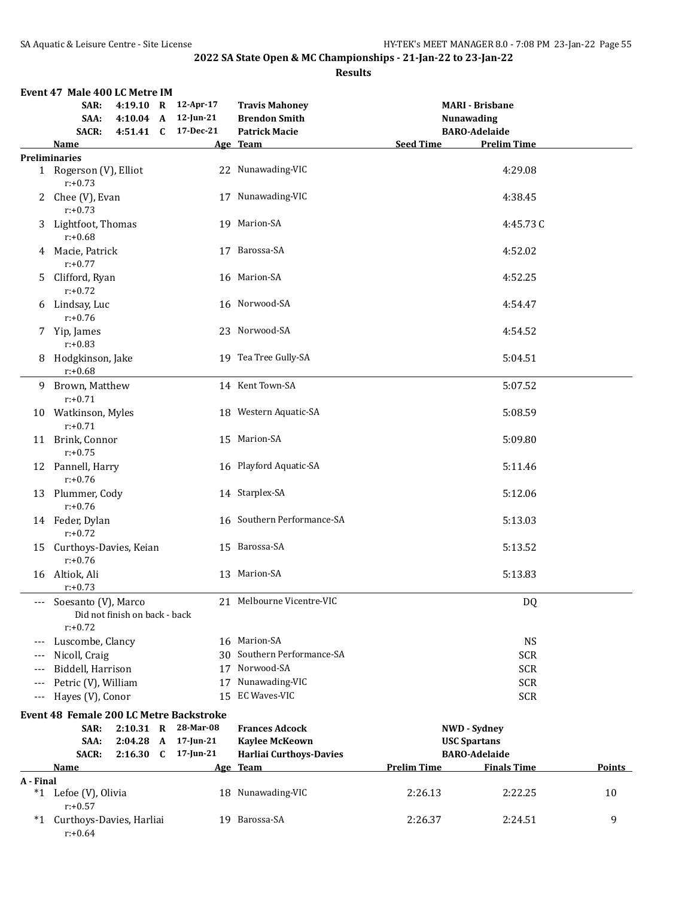|           | Event 47 Male 400 LC Metre IM                  |                               |              |                                                                   |                                                                       |                    |                                                              |               |
|-----------|------------------------------------------------|-------------------------------|--------------|-------------------------------------------------------------------|-----------------------------------------------------------------------|--------------------|--------------------------------------------------------------|---------------|
|           | SAR:<br>SAA:<br><b>SACR:</b>                   |                               |              | 4:19.10 R 12-Apr-17<br>4:10.04 A 12-Jun-21<br>4:51.41 C 17-Dec-21 | <b>Travis Mahoney</b><br><b>Brendon Smith</b><br><b>Patrick Macie</b> |                    | <b>MARI</b> - Brisbane<br>Nunawading<br><b>BARO-Adelaide</b> |               |
|           | Name                                           |                               |              |                                                                   | Age Team                                                              | <b>Seed Time</b>   | <b>Prelim Time</b>                                           |               |
|           | <b>Preliminaries</b>                           |                               |              |                                                                   |                                                                       |                    |                                                              |               |
|           | 1 Rogerson (V), Elliot<br>$r: +0.73$           |                               |              |                                                                   | 22 Nunawading-VIC                                                     |                    | 4:29.08                                                      |               |
|           | 2 Chee (V), Evan<br>$r: +0.73$                 |                               |              |                                                                   | 17 Nunawading-VIC                                                     |                    | 4:38.45                                                      |               |
|           | 3 Lightfoot, Thomas<br>$r: +0.68$              |                               |              |                                                                   | 19 Marion-SA                                                          |                    | 4:45.73C                                                     |               |
|           | 4 Macie, Patrick<br>$r: +0.77$                 |                               |              |                                                                   | 17 Barossa-SA                                                         |                    | 4:52.02                                                      |               |
|           | 5 Clifford, Ryan<br>$r: +0.72$                 |                               |              |                                                                   | 16 Marion-SA                                                          |                    | 4:52.25                                                      |               |
|           | 6 Lindsay, Luc<br>$r: +0.76$                   |                               |              |                                                                   | 16 Norwood-SA                                                         |                    | 4:54.47                                                      |               |
|           | 7 Yip, James<br>$r: +0.83$                     |                               |              |                                                                   | 23 Norwood-SA                                                         |                    | 4:54.52                                                      |               |
|           | 8 Hodgkinson, Jake<br>$r: +0.68$               |                               |              |                                                                   | 19 Tea Tree Gully-SA                                                  |                    | 5:04.51                                                      |               |
|           | 9 Brown, Matthew<br>$r: +0.71$                 |                               |              |                                                                   | 14 Kent Town-SA                                                       |                    | 5:07.52                                                      |               |
|           | 10 Watkinson, Myles<br>$r: +0.71$              |                               |              |                                                                   | 18 Western Aquatic-SA                                                 |                    | 5:08.59                                                      |               |
|           | 11 Brink, Connor<br>$r: +0.75$                 |                               |              |                                                                   | 15 Marion-SA                                                          |                    | 5:09.80                                                      |               |
|           | 12 Pannell, Harry<br>$r: +0.76$                |                               |              |                                                                   | 16 Playford Aquatic-SA                                                |                    | 5:11.46                                                      |               |
|           | 13 Plummer, Cody<br>$r: +0.76$                 |                               |              |                                                                   | 14 Starplex-SA                                                        |                    | 5:12.06                                                      |               |
|           | 14 Feder, Dylan<br>$r: +0.72$                  |                               |              |                                                                   | 16 Southern Performance-SA                                            |                    | 5:13.03                                                      |               |
|           | 15 Curthoys-Davies, Keian<br>$r: +0.76$        |                               |              |                                                                   | 15 Barossa-SA                                                         |                    | 5:13.52                                                      |               |
|           | 16 Altiok, Ali<br>$r: +0.73$                   |                               |              |                                                                   | 13 Marion-SA                                                          |                    | 5:13.83                                                      |               |
|           | Soesanto (V), Marco<br>$r: +0.72$              | Did not finish on back - back |              |                                                                   | 21 Melbourne Vicentre-VIC                                             |                    | DQ                                                           |               |
|           | Luscombe, Clancy                               |                               |              |                                                                   | 16 Marion-SA                                                          |                    | <b>NS</b>                                                    |               |
|           | Nicoll, Craig                                  |                               |              | 30                                                                | Southern Performance-SA                                               |                    | <b>SCR</b>                                                   |               |
| ---       | Biddell, Harrison                              |                               |              | 17                                                                | Norwood-SA                                                            |                    | <b>SCR</b>                                                   |               |
|           | Petric (V), William                            |                               |              | 17                                                                | Nunawading-VIC                                                        |                    | <b>SCR</b>                                                   |               |
| ---       | Hayes (V), Conor                               |                               |              | 15                                                                | EC Waves-VIC                                                          |                    | <b>SCR</b>                                                   |               |
|           | <b>Event 48 Female 200 LC Metre Backstroke</b> |                               |              |                                                                   |                                                                       |                    |                                                              |               |
|           | SAR:                                           | $2:10.31$ R                   |              | 28-Mar-08                                                         | <b>Frances Adcock</b>                                                 |                    | NWD - Sydney                                                 |               |
|           | SAA:                                           | 2:04.28                       | $\mathbf{A}$ | 17-Jun-21                                                         | <b>Kaylee McKeown</b>                                                 |                    | <b>USC Spartans</b>                                          |               |
|           | <b>SACR:</b>                                   | 2:16.30                       | $\mathbf{C}$ | 17-Jun-21                                                         | <b>Harliai Curthoys-Davies</b>                                        |                    | <b>BARO-Adelaide</b>                                         |               |
|           | <b>Name</b>                                    |                               |              |                                                                   | Age Team                                                              | <b>Prelim Time</b> | <b>Finals Time</b>                                           | <b>Points</b> |
| A - Final |                                                |                               |              |                                                                   |                                                                       |                    |                                                              |               |
|           | *1 Lefoe (V), Olivia<br>$r: +0.57$             |                               |              |                                                                   | 18 Nunawading-VIC                                                     | 2:26.13            | 2:22.25                                                      | 10            |
| *1        | Curthoys-Davies, Harliai<br>$r: +0.64$         |                               |              |                                                                   | 19 Barossa-SA                                                         | 2:26.37            | 2:24.51                                                      | 9             |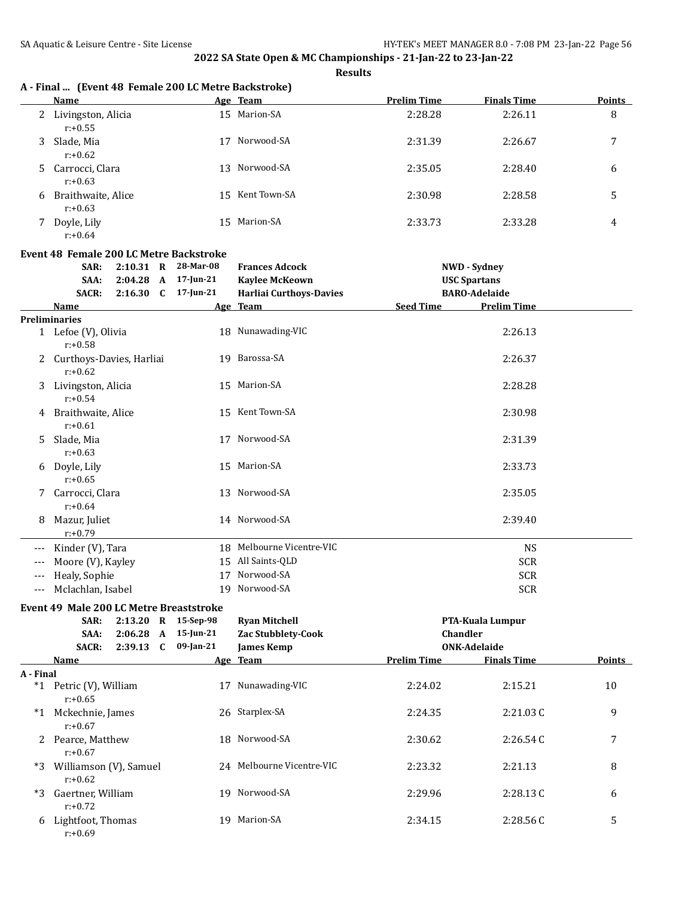**Results**

|    | A - Final  (Event 48 Female 200 LC Metre Backstroke) |     |              |                    |                    |               |  |  |  |  |  |
|----|------------------------------------------------------|-----|--------------|--------------------|--------------------|---------------|--|--|--|--|--|
|    | Name                                                 |     | Age Team     | <b>Prelim Time</b> | <b>Finals Time</b> | <b>Points</b> |  |  |  |  |  |
|    | Livingston, Alicia<br>$r: +0.55$                     | 15  | Marion-SA    | 2:28.28            | 2:26.11            | 8             |  |  |  |  |  |
| 3  | Slade, Mia<br>$r: +0.62$                             | 17  | Norwood-SA   | 2:31.39            | 2:26.67            | 7             |  |  |  |  |  |
| 5. | Carrocci, Clara<br>$r: +0.63$                        | 13  | Norwood-SA   | 2:35.05            | 2:28.40            | 6             |  |  |  |  |  |
| 6  | Braithwaite, Alice<br>$r: +0.63$                     | 15  | Kent Town-SA | 2:30.98            | 2:28.58            | 5             |  |  |  |  |  |
|    | Doyle, Lily<br>$r: +0.64$                            | 15. | Marion-SA    | 2:33.73            | 2:33.28            | 4             |  |  |  |  |  |

### **Event 48 Female 200 LC Metre Backstroke**

|           | SAR:<br>SAA:<br><b>SACR:</b>             | $2:10.31$ R<br>2:04.28 | $\mathbf{A}$ | 28-Mar-08<br>$17$ -Jun-21<br>2:16.30 C 17-Jun-21 | <b>Frances Adcock</b><br><b>Kaylee McKeown</b><br><b>Harliai Curthoys-Davies</b> |                    | NWD - Sydney<br><b>USC Spartans</b><br><b>BARO-Adelaide</b> |               |
|-----------|------------------------------------------|------------------------|--------------|--------------------------------------------------|----------------------------------------------------------------------------------|--------------------|-------------------------------------------------------------|---------------|
|           | <b>Name</b>                              |                        |              |                                                  | Age Team                                                                         | <b>Seed Time</b>   | <b>Prelim Time</b>                                          |               |
|           | <b>Preliminaries</b>                     |                        |              |                                                  |                                                                                  |                    |                                                             |               |
|           | 1 Lefoe (V), Olivia<br>$r: +0.58$        |                        |              |                                                  | 18 Nunawading-VIC                                                                |                    | 2:26.13                                                     |               |
|           | 2 Curthoys-Davies, Harliai<br>$r: +0.62$ |                        |              |                                                  | 19 Barossa-SA                                                                    |                    | 2:26.37                                                     |               |
|           | 3 Livingston, Alicia<br>$r: +0.54$       |                        |              |                                                  | 15 Marion-SA                                                                     |                    | 2:28.28                                                     |               |
|           | 4 Braithwaite, Alice<br>$r: +0.61$       |                        |              |                                                  | 15 Kent Town-SA                                                                  |                    | 2:30.98                                                     |               |
| 5.        | Slade, Mia<br>$r: +0.63$                 |                        |              |                                                  | 17 Norwood-SA                                                                    |                    | 2:31.39                                                     |               |
|           | 6 Doyle, Lily<br>$r: +0.65$              |                        |              |                                                  | 15 Marion-SA                                                                     |                    | 2:33.73                                                     |               |
|           | 7 Carrocci, Clara<br>$r: +0.64$          |                        |              |                                                  | 13 Norwood-SA                                                                    |                    | 2:35.05                                                     |               |
| 8         | Mazur, Juliet<br>$r: +0.79$              |                        |              |                                                  | 14 Norwood-SA                                                                    |                    | 2:39.40                                                     |               |
| $---$     | Kinder (V), Tara                         |                        |              |                                                  | 18 Melbourne Vicentre-VIC                                                        |                    | <b>NS</b>                                                   |               |
| $---$     | Moore (V), Kayley                        |                        |              |                                                  | 15 All Saints-QLD                                                                |                    | <b>SCR</b>                                                  |               |
| $\cdots$  | Healy, Sophie                            |                        |              |                                                  | 17 Norwood-SA                                                                    |                    | <b>SCR</b>                                                  |               |
| $---$     | Mclachlan, Isabel                        |                        |              |                                                  | 19 Norwood-SA                                                                    |                    | <b>SCR</b>                                                  |               |
|           | Event 49 Male 200 LC Metre Breaststroke  |                        |              |                                                  |                                                                                  |                    |                                                             |               |
|           | SAR:                                     | 2:13.20 R              |              | 15-Sep-98                                        | <b>Ryan Mitchell</b>                                                             |                    | PTA-Kuala Lumpur                                            |               |
|           | SAA:                                     | 2:06.28                | $\mathbf{A}$ | $15$ -Jun-21                                     | <b>Zac Stubblety-Cook</b>                                                        |                    | Chandler                                                    |               |
|           | <b>SACR:</b>                             | $2:39.13$ C            |              | 09-Jan-21                                        | <b>James Kemp</b>                                                                |                    | <b>ONK-Adelaide</b>                                         |               |
|           | <b>Name</b>                              |                        |              |                                                  | Age Team                                                                         | <b>Prelim Time</b> | <b>Finals Time</b>                                          | <b>Points</b> |
| A - Final |                                          |                        |              |                                                  |                                                                                  |                    |                                                             |               |
|           | *1 Petric (V), William<br>$r: +0.65$     |                        |              |                                                  | 17 Nunawading-VIC                                                                | 2:24.02            | 2:15.21                                                     | 10            |
|           | *1 Mckechnie, James<br>$r: +0.67$        |                        |              |                                                  | 26 Starplex-SA                                                                   | 2:24.35            | 2:21.03C                                                    | 9             |
|           | 2 Pearce, Matthew<br>$r: +0.67$          |                        |              |                                                  | 18 Norwood-SA                                                                    | 2:30.62            | 2:26.54C                                                    | 7             |
|           | *3 Williamson (V), Samuel<br>$r: +0.62$  |                        |              |                                                  | 24 Melbourne Vicentre-VIC                                                        | 2:23.32            | 2:21.13                                                     | 8             |
| $*3$      | Gaertner, William<br>$r: +0.72$          |                        |              |                                                  | 19 Norwood-SA                                                                    | 2:29.96            | 2:28.13C                                                    | 6             |
| 6         | Lightfoot, Thomas<br>$r: +0.69$          |                        |              |                                                  | 19 Marion-SA                                                                     | 2:34.15            | 2:28.56C                                                    | 5             |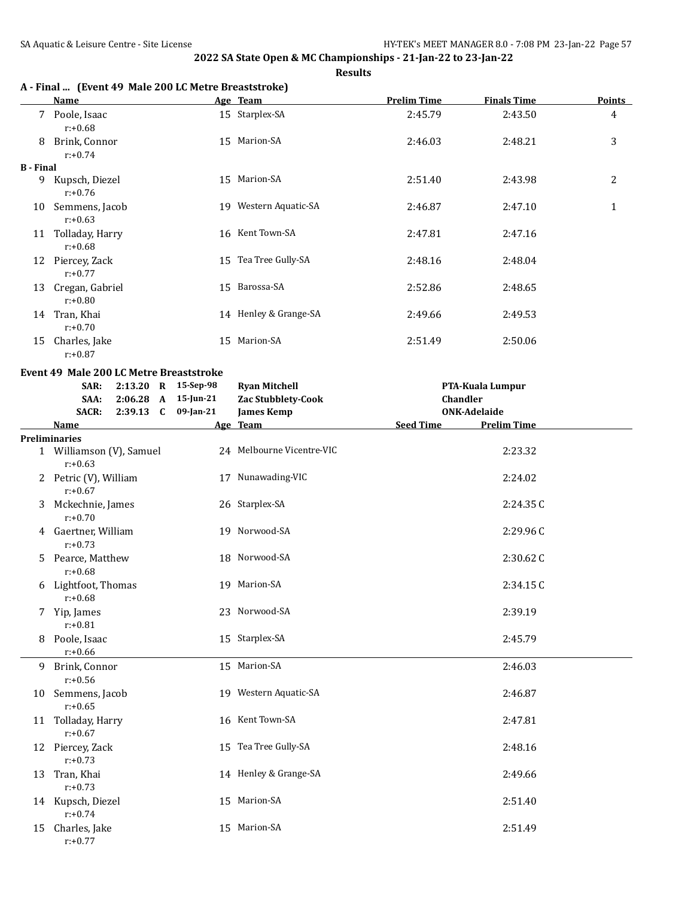**Results**

|                  | A - Final  (Event 49 Male 200 LC Metre Breaststroke) |    |                       |                    |                    |               |  |  |  |  |  |
|------------------|------------------------------------------------------|----|-----------------------|--------------------|--------------------|---------------|--|--|--|--|--|
|                  | Name                                                 |    | Age Team              | <b>Prelim Time</b> | <b>Finals Time</b> | <b>Points</b> |  |  |  |  |  |
|                  | Poole, Isaac<br>$r: +0.68$                           |    | 15 Starplex-SA        | 2:45.79            | 2:43.50            | 4             |  |  |  |  |  |
| 8                | Brink, Connor<br>$r: +0.74$                          |    | 15 Marion-SA          | 2:46.03            | 2:48.21            | 3             |  |  |  |  |  |
| <b>B</b> - Final |                                                      |    |                       |                    |                    |               |  |  |  |  |  |
| 9                | Kupsch, Diezel<br>$r: +0.76$                         |    | 15 Marion-SA          | 2:51.40            | 2:43.98            | 2             |  |  |  |  |  |
| 10               | Semmens, Jacob<br>$r: +0.63$                         | 19 | Western Aquatic-SA    | 2:46.87            | 2:47.10            | 1             |  |  |  |  |  |
| 11               | Tolladay, Harry<br>$r: +0.68$                        |    | 16 Kent Town-SA       | 2:47.81            | 2:47.16            |               |  |  |  |  |  |
| 12               | Piercey, Zack<br>$r: +0.77$                          |    | 15 Tea Tree Gully-SA  | 2:48.16            | 2:48.04            |               |  |  |  |  |  |
| 13               | Cregan, Gabriel<br>$r: +0.80$                        |    | 15 Barossa-SA         | 2:52.86            | 2:48.65            |               |  |  |  |  |  |
| 14               | Tran, Khai<br>$r: +0.70$                             |    | 14 Henley & Grange-SA | 2:49.66            | 2:49.53            |               |  |  |  |  |  |
| 15               | Charles, Jake<br>$r: +0.87$                          | 15 | Marion-SA             | 2:51.49            | 2:50.06            |               |  |  |  |  |  |

#### **Event 49 Male 200 LC Metre Breaststroke**

|    | SAR:<br>SAA:<br><b>SACR:</b>           | 2:06.28<br>2:39.13 C | $\mathbf{A}$ | 2:13.20 R 15-Sep-98<br>15-Jun-21<br>09-Jan-21 | <b>Ryan Mitchell</b><br>Zac Stubblety-Cook<br><b>James Kemp</b> | Chandler         | PTA-Kuala Lumpur<br><b>ONK-Adelaide</b> |  |
|----|----------------------------------------|----------------------|--------------|-----------------------------------------------|-----------------------------------------------------------------|------------------|-----------------------------------------|--|
|    | <b>Name</b>                            |                      |              |                                               | Age Team                                                        | <b>Seed Time</b> | <b>Prelim Time</b>                      |  |
|    | <b>Preliminaries</b>                   |                      |              |                                               |                                                                 |                  |                                         |  |
|    | 1 Williamson (V), Samuel<br>$r: +0.63$ |                      |              |                                               | 24 Melbourne Vicentre-VIC                                       |                  | 2:23.32                                 |  |
|    | 2 Petric (V), William<br>$r: +0.67$    |                      |              |                                               | 17 Nunawading-VIC                                               |                  | 2:24.02                                 |  |
| 3  | Mckechnie, James<br>$r: +0.70$         |                      |              |                                               | 26 Starplex-SA                                                  |                  | 2:24.35C                                |  |
|    | 4 Gaertner, William<br>$r: +0.73$      |                      |              |                                               | 19 Norwood-SA                                                   |                  | 2:29.96C                                |  |
| 5. | Pearce, Matthew<br>$r: +0.68$          |                      |              |                                               | 18 Norwood-SA                                                   |                  | 2:30.62C                                |  |
| 6  | Lightfoot, Thomas<br>$r: +0.68$        |                      |              |                                               | 19 Marion-SA                                                    |                  | 2:34.15C                                |  |
| 7  | Yip, James<br>$r: +0.81$               |                      |              |                                               | 23 Norwood-SA                                                   |                  | 2:39.19                                 |  |
| 8  | Poole, Isaac<br>$r: +0.66$             |                      |              |                                               | 15 Starplex-SA                                                  |                  | 2:45.79                                 |  |
| 9  | Brink, Connor<br>$r: +0.56$            |                      |              |                                               | 15 Marion-SA                                                    |                  | 2:46.03                                 |  |
|    | 10 Semmens, Jacob<br>$r: +0.65$        |                      |              |                                               | 19 Western Aquatic-SA                                           |                  | 2:46.87                                 |  |
|    | 11 Tolladay, Harry<br>$r: +0.67$       |                      |              |                                               | 16 Kent Town-SA                                                 |                  | 2:47.81                                 |  |
| 12 | Piercey, Zack<br>$r: +0.73$            |                      |              |                                               | 15 Tea Tree Gully-SA                                            |                  | 2:48.16                                 |  |
| 13 | Tran, Khai<br>$r: +0.73$               |                      |              |                                               | 14 Henley & Grange-SA                                           |                  | 2:49.66                                 |  |
|    | 14 Kupsch, Diezel<br>$r: +0.74$        |                      |              |                                               | 15 Marion-SA                                                    |                  | 2:51.40                                 |  |
| 15 | Charles, Jake<br>$r: +0.77$            |                      |              |                                               | 15 Marion-SA                                                    |                  | 2:51.49                                 |  |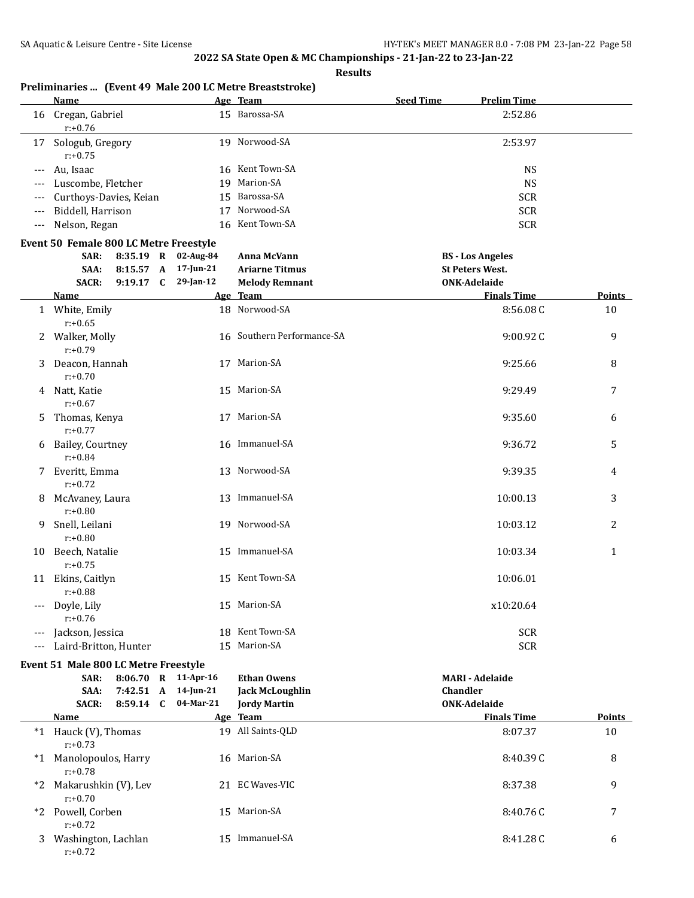r:+0.72

## **2022 SA State Open & MC Championships - 21-Jan-22 to 23-Jan-22**

**Results**

|       | <b>Name</b>                            |                     | Age Team                   | <b>Seed Time</b> | <b>Prelim Time</b>      |                |
|-------|----------------------------------------|---------------------|----------------------------|------------------|-------------------------|----------------|
|       | 16 Cregan, Gabriel<br>$r: +0.76$       |                     | 15 Barossa-SA              |                  | 2:52.86                 |                |
|       | 17 Sologub, Gregory<br>$r: +0.75$      |                     | 19 Norwood-SA              |                  | 2:53.97                 |                |
|       | Au, Isaac                              |                     | 16 Kent Town-SA            |                  | <b>NS</b>               |                |
|       | Luscombe, Fletcher                     |                     | 19 Marion-SA               |                  | <b>NS</b>               |                |
|       | Curthoys-Davies, Keian                 |                     | 15 Barossa-SA              |                  | <b>SCR</b>              |                |
| $---$ | Biddell, Harrison                      |                     | 17 Norwood-SA              |                  | <b>SCR</b>              |                |
| ---   | Nelson, Regan                          |                     | 16 Kent Town-SA            |                  | <b>SCR</b>              |                |
|       | Event 50 Female 800 LC Metre Freestyle |                     |                            |                  |                         |                |
|       | SAR:                                   | 8:35.19 R 02-Aug-84 | Anna McVann                |                  | <b>BS</b> - Los Angeles |                |
|       | 8:15.57 A<br>SAA:                      | 17-Jun-21           | <b>Ariarne Titmus</b>      |                  | <b>St Peters West.</b>  |                |
|       | $9:19.17$ C<br><b>SACR:</b>            | $29$ -Jan-12        | <b>Melody Remnant</b>      |                  | <b>ONK-Adelaide</b>     |                |
|       | Name                                   |                     | Age Team                   |                  | <b>Finals Time</b>      | Points         |
|       | 1 White, Emily<br>$r: +0.65$           |                     | 18 Norwood-SA              |                  | 8:56.08C                | 10             |
| 2     | Walker, Molly<br>$r: +0.79$            |                     | 16 Southern Performance-SA |                  | 9:00.92C                | 9              |
| 3     | Deacon, Hannah<br>$r: +0.70$           |                     | 17 Marion-SA               |                  | 9:25.66                 | 8              |
|       | 4 Natt, Katie<br>$r: +0.67$            |                     | 15 Marion-SA               |                  | 9:29.49                 | 7              |
| 5.    | Thomas, Kenya<br>$r: +0.77$            |                     | 17 Marion-SA               |                  | 9:35.60                 | 6              |
| 6     | <b>Bailey, Courtney</b><br>$r: +0.84$  |                     | 16 Immanuel-SA             |                  | 9:36.72                 | 5              |
| 7     | Everitt, Emma<br>$r: +0.72$            |                     | 13 Norwood-SA              |                  | 9:39.35                 | 4              |
| 8     | McAvaney, Laura<br>$r: +0.80$          |                     | 13 Immanuel-SA             |                  | 10:00.13                | 3              |
| 9     | Snell, Leilani<br>$r: +0.80$           |                     | 19 Norwood-SA              |                  | 10:03.12                | $\overline{c}$ |
| 10    | Beech, Natalie<br>$r: +0.75$           |                     | 15 Immanuel-SA             |                  | 10:03.34                | $\mathbf{1}$   |
|       | 11 Ekins, Caitlyn<br>$r: +0.88$        |                     | 15 Kent Town-SA            |                  | 10:06.01                |                |
|       | --- Doyle, Lily<br>$r: +0.76$          |                     | 15 Marion-SA               |                  | x10:20.64               |                |
|       | Jackson, Jessica                       |                     | 18 Kent Town-SA            |                  | <b>SCR</b>              |                |
|       | --- Laird-Britton, Hunter              |                     | 15 Marion-SA               |                  | <b>SCR</b>              |                |
|       | Event 51 Male 800 LC Metre Freestyle   |                     |                            |                  |                         |                |
|       | 8:06.70 R<br>SAR:                      | 11-Apr-16           | <b>Ethan Owens</b>         |                  | <b>MARI - Adelaide</b>  |                |
|       | 7:42.51 A<br>SAA:                      | $14$ -Jun-21        | <b>Jack McLoughlin</b>     | <b>Chandler</b>  |                         |                |
|       | <b>SACR:</b><br>8:59.14 C              | 04-Mar-21           | <b>Jordy Martin</b>        |                  | <b>ONK-Adelaide</b>     |                |
|       | <b>Name</b>                            |                     | Age Team                   |                  | <b>Finals Time</b>      | <b>Points</b>  |
|       | *1 Hauck (V), Thomas<br>$r: +0.73$     |                     | 19 All Saints-QLD          |                  | 8:07.37                 | 10             |
|       | *1 Manolopoulos, Harry<br>$r: +0.78$   |                     | 16 Marion-SA               |                  | 8:40.39C                | 8              |
|       | *2 Makarushkin (V), Lev<br>$r: +0.70$  |                     | 21 EC Waves-VIC            |                  | 8:37.38                 | 9              |
|       | *2 Powell, Corben<br>$r: +0.72$        |                     | 15 Marion-SA               |                  | 8:40.76C                | 7              |

3 Washington, Lachlan 15 Immanuel-SA 8:41.28 C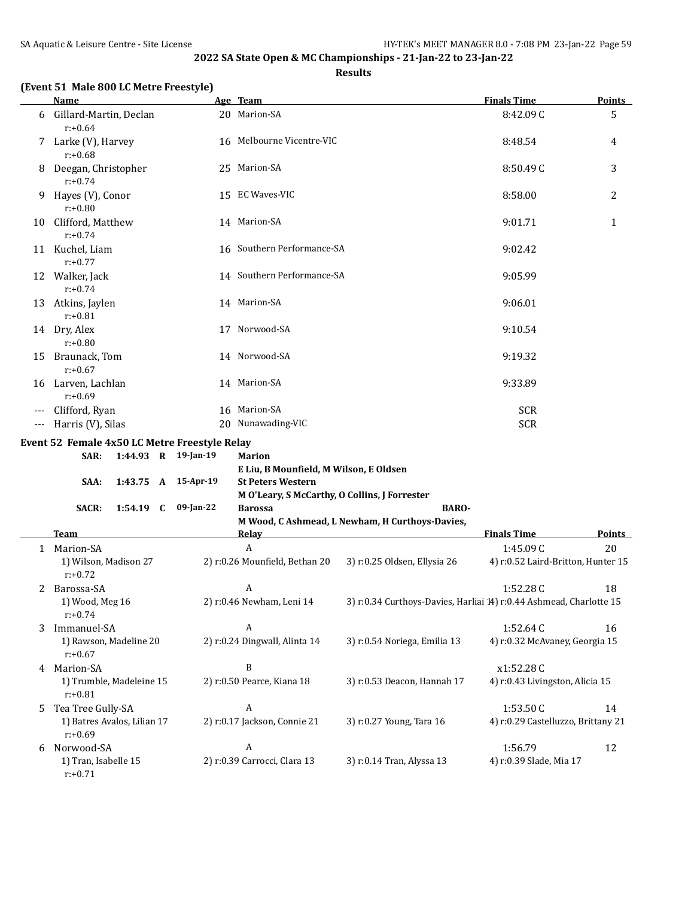### **Results**

## **(Event 51 Male 800 LC Metre Freestyle)**

|          | <b>Name</b>                                        | Age Team                                      |                                                                     | <b>Finals Time</b>                             | <b>Points</b> |
|----------|----------------------------------------------------|-----------------------------------------------|---------------------------------------------------------------------|------------------------------------------------|---------------|
| 6        | Gillard-Martin, Declan<br>$r: +0.64$               | 20 Marion-SA                                  |                                                                     | 8:42.09C                                       | 5             |
|          | 7 Larke (V), Harvey<br>$r: +0.68$                  | 16 Melbourne Vicentre-VIC                     |                                                                     | 8:48.54                                        | 4             |
| 8        | Deegan, Christopher<br>$r: +0.74$                  | 25 Marion-SA                                  |                                                                     | 8:50.49C                                       | 3             |
| 9        | Hayes (V), Conor<br>$r: +0.80$                     | 15 EC Waves-VIC                               |                                                                     | 8:58.00                                        | 2             |
| 10       | Clifford, Matthew<br>$r: +0.74$                    | 14 Marion-SA                                  |                                                                     | 9:01.71                                        | 1             |
|          | 11 Kuchel, Liam<br>$r: +0.77$                      | 16 Southern Performance-SA                    |                                                                     | 9:02.42                                        |               |
|          | 12 Walker, Jack<br>$r: +0.74$                      | 14 Southern Performance-SA                    |                                                                     | 9:05.99                                        |               |
|          | 13 Atkins, Jaylen<br>$r: +0.81$                    | 14 Marion-SA                                  |                                                                     | 9:06.01                                        |               |
|          | 14 Dry, Alex<br>$r: +0.80$                         | 17 Norwood-SA                                 |                                                                     | 9:10.54                                        |               |
|          | 15 Braunack, Tom<br>$r: +0.67$                     | 14 Norwood-SA                                 |                                                                     | 9:19.32                                        |               |
|          | 16 Larven, Lachlan<br>$r: +0.69$                   | 14 Marion-SA                                  |                                                                     | 9:33.89                                        |               |
| $\cdots$ | Clifford, Ryan                                     | 16 Marion-SA                                  |                                                                     | <b>SCR</b>                                     |               |
|          | --- Harris (V), Silas                              | 20 Nunawading-VIC                             |                                                                     | <b>SCR</b>                                     |               |
|          | Event 52 Female 4x50 LC Metre Freestyle Relay      |                                               |                                                                     |                                                |               |
|          | 1:44.93 R 19-Jan-19<br>SAR:                        | <b>Marion</b>                                 |                                                                     |                                                |               |
|          |                                                    | E Liu, B Mounfield, M Wilson, E Oldsen        |                                                                     |                                                |               |
|          | 1:43.75 A 15-Apr-19<br>SAA:                        | <b>St Peters Western</b>                      |                                                                     |                                                |               |
|          |                                                    | M O'Leary, S McCarthy, O Collins, J Forrester |                                                                     |                                                |               |
|          | 1:54.19 C 09-Jan-22<br><b>SACR:</b>                | <b>Barossa</b>                                | <b>BARO-</b>                                                        |                                                |               |
|          |                                                    |                                               | M Wood, C Ashmead, L Newham, H Curthoys-Davies,                     | <b>Finals Time</b>                             | Points        |
|          | <b>Team</b>                                        | Relay<br>$\mathbf{A}$                         |                                                                     |                                                |               |
|          | 1 Marion-SA<br>1) Wilson, Madison 27<br>$r: +0.72$ | 2) r:0.26 Mounfield, Bethan 20                | 3) r:0.25 Oldsen, Ellysia 26                                        | 1:45.09C<br>4) r:0.52 Laird-Britton, Hunter 15 | 20            |
| 2        | Barossa-SA                                         | A                                             |                                                                     | 1:52.28C                                       | 18            |
|          | 1) Wood, Meg 16<br>$r: +0.74$                      | 2) r:0.46 Newham, Leni 14                     | 3) r:0.34 Curthoys-Davies, Harliai 14) r:0.44 Ashmead, Charlotte 15 |                                                |               |
| 3        | Immanuel-SA                                        | A                                             |                                                                     | 1:52.64C                                       | 16            |
|          | 1) Rawson, Madeline 20<br>$r: +0.67$               | 2) r:0.24 Dingwall, Alinta 14                 | 3) r:0.54 Noriega, Emilia 13                                        | 4) r:0.32 McAvaney, Georgia 15                 |               |
| 4        | Marion-SA                                          | B                                             |                                                                     | x1:52.28C                                      |               |
|          | 1) Trumble, Madeleine 15<br>$r: +0.81$             | 2) r:0.50 Pearce, Kiana 18                    | 3) r:0.53 Deacon, Hannah 17                                         | 4) r:0.43 Livingston, Alicia 15                |               |
| 5        | Tea Tree Gully-SA                                  | A                                             |                                                                     | 1:53.50C                                       | 14            |
|          | 1) Batres Avalos, Lilian 17<br>$r: +0.69$          | 2) r:0.17 Jackson, Connie 21                  | 3) r:0.27 Young, Tara 16                                            | 4) r:0.29 Castelluzzo, Brittany 21             |               |
| 6        | Norwood-SA                                         | A                                             |                                                                     | 1:56.79                                        | 12            |
|          | 1) Tran, Isabelle 15<br>$r: +0.71$                 | 2) r:0.39 Carrocci, Clara 13                  | 3) r:0.14 Tran, Alyssa 13                                           | 4) r:0.39 Slade, Mia 17                        |               |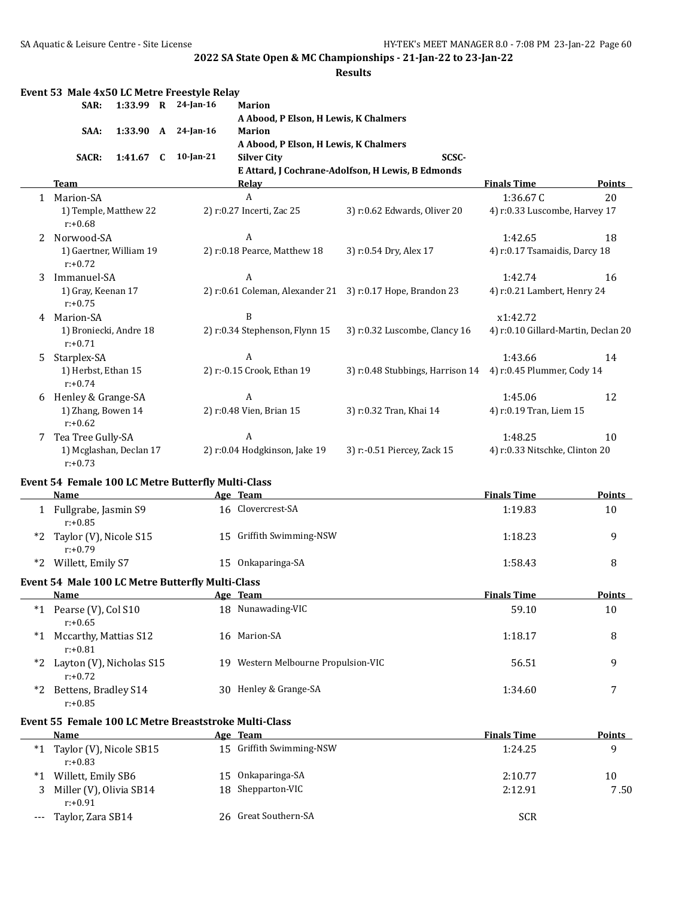|     | SAR:                                      |         |   | Event 53 Male 4x50 LC Metre Freestyle Relay<br>1:33.99 R 24-Jan-16 | <b>Marion</b>                         |                                                             |                                     |               |
|-----|-------------------------------------------|---------|---|--------------------------------------------------------------------|---------------------------------------|-------------------------------------------------------------|-------------------------------------|---------------|
|     |                                           |         |   |                                                                    | A Abood, P Elson, H Lewis, K Chalmers |                                                             |                                     |               |
|     | SAA:                                      |         |   | 1:33.90 A 24-Jan-16                                                | <b>Marion</b>                         |                                                             |                                     |               |
|     |                                           |         |   |                                                                    | A Abood, P Elson, H Lewis, K Chalmers |                                                             |                                     |               |
|     | <b>SACR:</b>                              | 1:41.67 | C | 10-Jan-21                                                          | <b>Silver City</b>                    | SCSC-                                                       |                                     |               |
|     |                                           |         |   |                                                                    |                                       | E Attard, J Cochrane-Adolfson, H Lewis, B Edmonds           |                                     |               |
|     | Team                                      |         |   |                                                                    | <u>Relay</u>                          |                                                             | <b>Finals Time</b>                  | Points        |
|     | 1 Marion-SA                               |         |   |                                                                    | A                                     |                                                             | 1:36.67C                            | 20            |
|     | 1) Temple, Matthew 22<br>$r: +0.68$       |         |   |                                                                    | 2) r:0.27 Incerti, Zac 25             | 3) r:0.62 Edwards, Oliver 20                                | 4) r:0.33 Luscombe, Harvey 17       |               |
| 2   | Norwood-SA                                |         |   |                                                                    | A                                     |                                                             | 1:42.65                             | 18            |
|     | 1) Gaertner, William 19<br>$r: +0.72$     |         |   |                                                                    | 2) r:0.18 Pearce, Matthew 18          | 3) r:0.54 Dry, Alex 17                                      | 4) r:0.17 Tsamaidis, Darcy 18       |               |
| 3   | Immanuel-SA                               |         |   |                                                                    | A                                     |                                                             | 1:42.74                             | 16            |
|     | 1) Gray, Keenan 17<br>$r: +0.75$          |         |   |                                                                    |                                       | 2) r:0.61 Coleman, Alexander 21 3) r:0.17 Hope, Brandon 23  | 4) r:0.21 Lambert, Henry 24         |               |
| 4   | Marion-SA                                 |         |   |                                                                    | B                                     |                                                             | x1:42.72                            |               |
|     | 1) Broniecki, Andre 18<br>$r: +0.71$      |         |   |                                                                    | 2) r:0.34 Stephenson, Flynn 15        | 3) r:0.32 Luscombe, Clancy 16                               | 4) r:0.10 Gillard-Martin, Declan 20 |               |
| 5.  | Starplex-SA                               |         |   |                                                                    | A                                     |                                                             | 1:43.66                             | 14            |
|     | 1) Herbst, Ethan 15<br>$r: +0.74$         |         |   |                                                                    | 2) r:-0.15 Crook, Ethan 19            | 3) r:0.48 Stubbings, Harrison 14 4) r:0.45 Plummer, Cody 14 |                                     |               |
|     | 6 Henley & Grange-SA                      |         |   |                                                                    | A                                     |                                                             | 1:45.06                             | 12            |
|     | 1) Zhang, Bowen 14<br>$r: +0.62$          |         |   |                                                                    | 2) r:0.48 Vien, Brian 15              | 3) r:0.32 Tran, Khai 14                                     | 4) r:0.19 Tran, Liem 15             |               |
| 7   | Tea Tree Gully-SA                         |         |   |                                                                    | A                                     |                                                             | 1:48.25                             | 10            |
|     | 1) Mcglashan, Declan 17<br>$r: +0.73$     |         |   |                                                                    | 2) r:0.04 Hodgkinson, Jake 19         | 3) r:-0.51 Piercey, Zack 15                                 | 4) r:0.33 Nitschke, Clinton 20      |               |
|     | Name                                      |         |   | Event 54 Female 100 LC Metre Butterfly Multi-Class                 | Age Team                              |                                                             | <b>Finals Time</b>                  | <b>Points</b> |
|     | 1 Fullgrabe, Jasmin S9                    |         |   |                                                                    | 16 Clovercrest-SA                     |                                                             | 1:19.83                             | 10            |
|     | $r: +0.85$                                |         |   |                                                                    |                                       |                                                             |                                     |               |
| *2  | Taylor (V), Nicole S15<br>$r: +0.79$      |         |   |                                                                    | 15 Griffith Swimming-NSW              |                                                             | 1:18.23                             | 9             |
|     | *2 Willett, Emily S7                      |         |   |                                                                    | 15 Onkaparinga-SA                     |                                                             | 1:58.43                             | 8             |
|     |                                           |         |   | Event 54 Male 100 LC Metre Butterfly Multi-Class                   |                                       |                                                             |                                     |               |
|     |                                           |         |   | Name Age Team                                                      |                                       |                                                             | <b>Finals Time</b>                  | <b>Points</b> |
|     | *1 Pearse (V), Col S10                    |         |   |                                                                    | 18 Nunawading-VIC                     |                                                             | 59.10                               | 10            |
|     | $r: +0.65$                                |         |   |                                                                    |                                       |                                                             |                                     |               |
|     | *1 Mccarthy, Mattias S12<br>$r: +0.81$    |         |   |                                                                    | 16 Marion-SA                          |                                                             | 1:18.17                             | 8             |
|     | *2 Layton (V), Nicholas S15<br>$r: +0.72$ |         |   |                                                                    | 19 Western Melbourne Propulsion-VIC   |                                                             | 56.51                               | 9             |
|     | *2 Bettens, Bradley S14<br>$r: +0.85$     |         |   |                                                                    | 30 Henley & Grange-SA                 |                                                             | 1:34.60                             | 7             |
|     |                                           |         |   | Event 55 Female 100 LC Metre Breaststroke Multi-Class              |                                       |                                                             |                                     |               |
|     | Name                                      |         |   |                                                                    | Age Team                              |                                                             | <b>Finals Time</b>                  | <b>Points</b> |
|     | *1 Taylor (V), Nicole SB15                |         |   |                                                                    | 15 Griffith Swimming-NSW              |                                                             | 1:24.25                             | 9             |
|     | $r: +0.83$                                |         |   |                                                                    |                                       |                                                             |                                     |               |
|     | *1 Willett, Emily SB6                     |         |   |                                                                    | 15 Onkaparinga-SA                     |                                                             | 2:10.77                             | 10            |
| 3   | Miller (V), Olivia SB14                   |         |   |                                                                    | 18 Shepparton-VIC                     |                                                             | 2:12.91                             | 7.50          |
|     | $r: +0.91$                                |         |   |                                                                    |                                       |                                                             |                                     |               |
| --- | Taylor, Zara SB14                         |         |   |                                                                    | 26 Great Southern-SA                  |                                                             | <b>SCR</b>                          |               |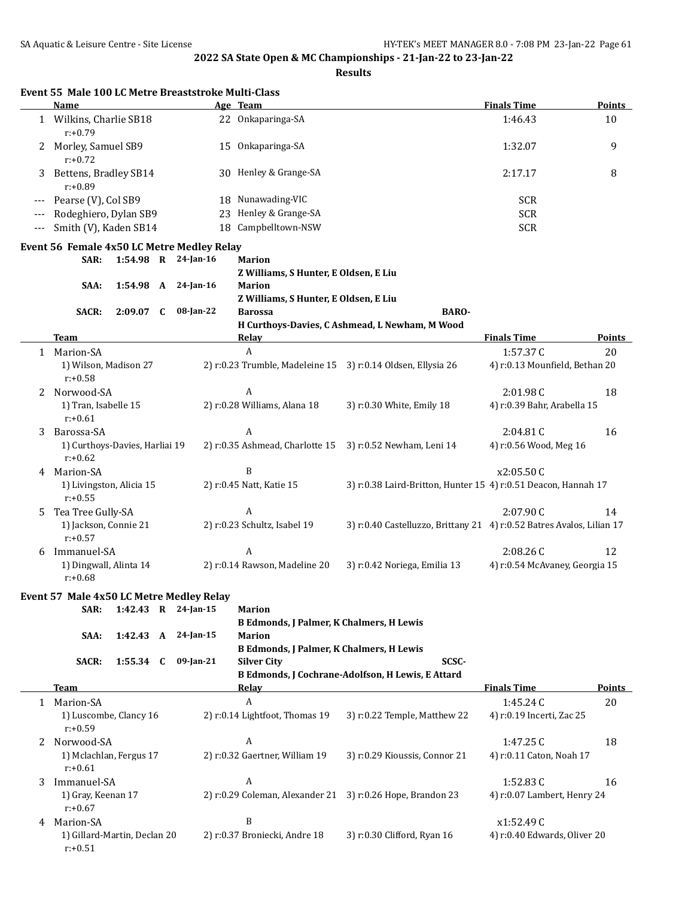|              | Event 55 Male 100 LC Metre Breaststroke Multi-Class<br>Name |                     |              |              |    | Age Team                                        |                                                                       | <b>Finals Time</b>                        | Points        |
|--------------|-------------------------------------------------------------|---------------------|--------------|--------------|----|-------------------------------------------------|-----------------------------------------------------------------------|-------------------------------------------|---------------|
|              | 1 Wilkins, Charlie SB18<br>$r: +0.79$                       |                     |              |              |    | 22 Onkaparinga-SA                               |                                                                       | 1:46.43                                   | 10            |
| 2            | Morley, Samuel SB9<br>$r: +0.72$                            |                     |              |              |    | 15 Onkaparinga-SA                               |                                                                       | 1:32.07                                   | 9             |
|              | Bettens, Bradley SB14<br>$r: +0.89$                         |                     |              |              |    | 30 Henley & Grange-SA                           |                                                                       | 2:17.17                                   | 8             |
| $---$        | Pearse (V), Col SB9                                         |                     |              |              | 18 | Nunawading-VIC                                  |                                                                       | <b>SCR</b>                                |               |
|              | Rodeghiero, Dylan SB9                                       |                     |              |              | 23 | Henley & Grange-SA                              |                                                                       | <b>SCR</b>                                |               |
| $---$        | Smith (V), Kaden SB14                                       |                     |              |              | 18 | Campbelltown-NSW                                |                                                                       | <b>SCR</b>                                |               |
|              | Event 56 Female 4x50 LC Metre Medley Relay                  |                     |              |              |    |                                                 |                                                                       |                                           |               |
|              | SAR:                                                        | 1:54.98 R           |              | 24-Jan-16    |    | <b>Marion</b>                                   |                                                                       |                                           |               |
|              |                                                             |                     |              |              |    | Z Williams, S Hunter, E Oldsen, E Liu           |                                                                       |                                           |               |
|              | SAA:                                                        | 1:54.98             | A            | 24-Jan-16    |    | <b>Marion</b>                                   |                                                                       |                                           |               |
|              | <b>SACR:</b>                                                | 2:09.07             | -C           | 08-Jan-22    |    | Z Williams, S Hunter, E Oldsen, E Liu           | <b>BARO-</b>                                                          |                                           |               |
|              |                                                             |                     |              |              |    | <b>Barossa</b>                                  | H Curthoys-Davies, C Ashmead, L Newham, M Wood                        |                                           |               |
|              | Team                                                        |                     |              |              |    | <b>Relay</b>                                    |                                                                       | <b>Finals Time</b>                        | <b>Points</b> |
| $\mathbf{1}$ | Marion-SA                                                   |                     |              |              |    | A                                               |                                                                       | 1:57.37C                                  | 20            |
|              | 1) Wilson, Madison 27<br>$r: +0.58$                         |                     |              |              |    |                                                 | 2) r:0.23 Trumble, Madeleine 15 3) r:0.14 Oldsen, Ellysia 26          | 4) r:0.13 Mounfield, Bethan 20            |               |
| 2            | Norwood-SA                                                  |                     |              |              |    | A                                               |                                                                       | 2:01.98C                                  | 18            |
|              | 1) Tran, Isabelle 15<br>$r: +0.61$                          |                     |              |              |    | 2) r:0.28 Williams, Alana 18                    | 3) r:0.30 White, Emily 18                                             | 4) r:0.39 Bahr, Arabella 15               |               |
| 3            | Barossa-SA                                                  |                     |              |              |    | A                                               |                                                                       | 2:04.81C                                  | 16            |
|              | 1) Curthoys-Davies, Harliai 19<br>$r: +0.62$                |                     |              |              |    | 2) r:0.35 Ashmead, Charlotte 15                 | 3) r:0.52 Newham, Leni 14                                             | 4) r:0.56 Wood, Meg 16                    |               |
| 4            | Marion-SA<br>1) Livingston, Alicia 15                       |                     |              |              |    | B<br>2) r:0.45 Natt, Katie 15                   | 3) r:0.38 Laird-Britton, Hunter 15 4) r:0.51 Deacon, Hannah 17        | x2:05.50C                                 |               |
|              | $r: +0.55$<br>Tea Tree Gully-SA                             |                     |              |              |    | A                                               |                                                                       | 2:07.90C                                  | 14            |
| 5            | 1) Jackson, Connie 21<br>$r: +0.57$                         |                     |              |              |    | 2) r:0.23 Schultz, Isabel 19                    | 3) r:0.40 Castelluzzo, Brittany 21 4) r:0.52 Batres Avalos, Lilian 17 |                                           |               |
| 6            | Immanuel-SA                                                 |                     |              |              |    | A                                               |                                                                       | 2:08.26C                                  | 12            |
|              | 1) Dingwall, Alinta 14<br>$r: +0.68$                        |                     |              |              |    | 2) r:0.14 Rawson, Madeline 20                   | 3) r:0.42 Noriega, Emilia 13                                          | 4) r:0.54 McAvaney, Georgia 15            |               |
|              | Event 57 Male 4x50 LC Metre Medley Relay<br>SAR:            | 1:42.43 R 24-Jan-15 |              |              |    | <b>Marion</b>                                   |                                                                       |                                           |               |
|              |                                                             |                     |              |              |    | <b>B Edmonds, J Palmer, K Chalmers, H Lewis</b> |                                                                       |                                           |               |
|              | SAA:                                                        | 1:42.43             | $\mathbf{A}$ | $24$ -Jan-15 |    | <b>Marion</b>                                   |                                                                       |                                           |               |
|              |                                                             |                     |              |              |    | <b>B Edmonds, J Palmer, K Chalmers, H Lewis</b> |                                                                       |                                           |               |
|              | <b>SACR:</b>                                                | $1:55.34$ C         |              | 09-Jan-21    |    | <b>Silver City</b>                              | SCSC-                                                                 |                                           |               |
|              | Team                                                        |                     |              |              |    |                                                 | B Edmonds, J Cochrane-Adolfson, H Lewis, E Attard                     | <b>Finals Time</b>                        | <b>Points</b> |
|              | 1 Marion-SA                                                 |                     |              |              |    | <b>Relay</b><br>$\boldsymbol{A}$                |                                                                       | 1:45.24C                                  | 20            |
|              | 1) Luscombe, Clancy 16<br>$r: +0.59$                        |                     |              |              |    | 2) r:0.14 Lightfoot, Thomas 19                  | 3) r:0.22 Temple, Matthew 22                                          | 4) r:0.19 Incerti, Zac 25                 |               |
|              | 2 Norwood-SA                                                |                     |              |              |    | A                                               |                                                                       | 1:47.25C                                  | 18            |
|              | 1) Mclachlan, Fergus 17<br>$r: +0.61$                       |                     |              |              |    | 2) r:0.32 Gaertner, William 19                  | 3) r:0.29 Kioussis, Connor 21                                         | 4) r:0.11 Caton, Noah 17                  |               |
| 3.           | Immanuel-SA                                                 |                     |              |              |    | A                                               |                                                                       | 1:52.83C                                  | 16            |
|              | 1) Gray, Keenan 17<br>$r: +0.67$                            |                     |              |              |    |                                                 | 2) r:0.29 Coleman, Alexander 21 3) r:0.26 Hope, Brandon 23            | 4) r:0.07 Lambert, Henry 24               |               |
| 4            | Marion-SA<br>1) Gillard-Martin, Declan 20<br>$r: +0.51$     |                     |              |              |    | B<br>2) r:0.37 Broniecki, Andre 18              | 3) r:0.30 Clifford, Ryan 16                                           | x1:52.49C<br>4) r:0.40 Edwards, Oliver 20 |               |